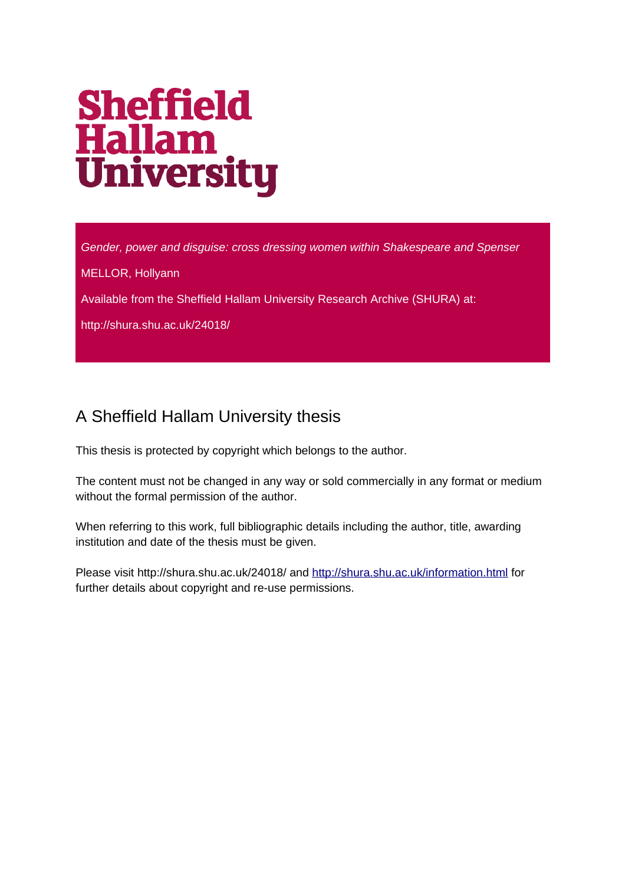# **Sheffield Hallam<br>University**

*Gender, power and disguise: cross dressing women within Shakespeare and Spenser*

MELLOR, Hollyann

Available from the Sheffield Hallam University Research Archive (SHURA) at:

http://shura.shu.ac.uk/24018/

# A Sheffield Hallam University thesis

This thesis is protected by copyright which belongs to the author.

The content must not be changed in any way or sold commercially in any format or medium without the formal permission of the author.

When referring to this work, full bibliographic details including the author, title, awarding institution and date of the thesis must be given.

Please visit http://shura.shu.ac.uk/24018/ and<http://shura.shu.ac.uk/information.html>for further details about copyright and re-use permissions.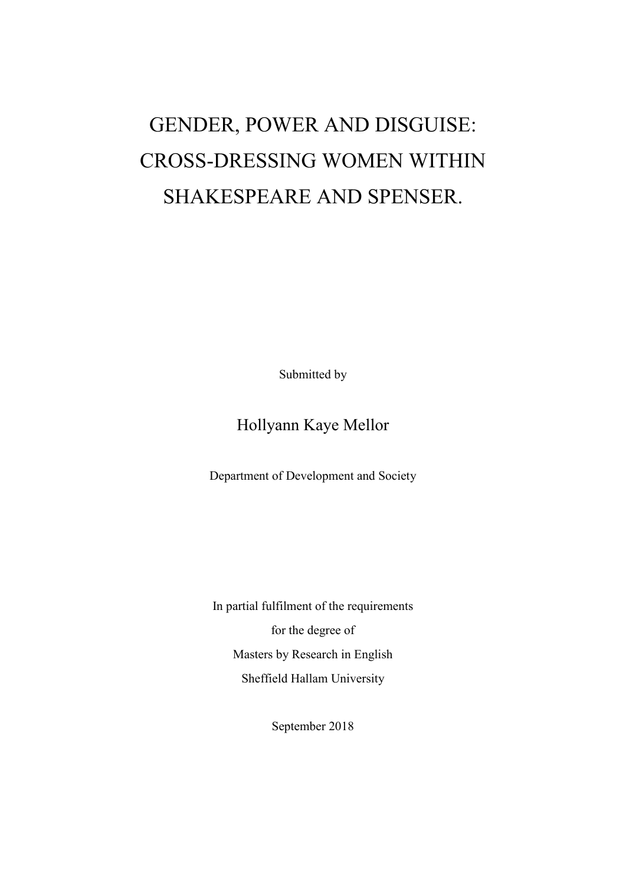# GENDER, POWER AND DISGUISE: CROSS-DRESSING WOMEN WITHIN SHAKESPEARE AND SPENSER.

Submitted by

## Hollyann Kaye Mellor

Department of Development and Society

In partial fulfilment of the requirements for the degree of Masters by Research in English Sheffield Hallam University

September 2018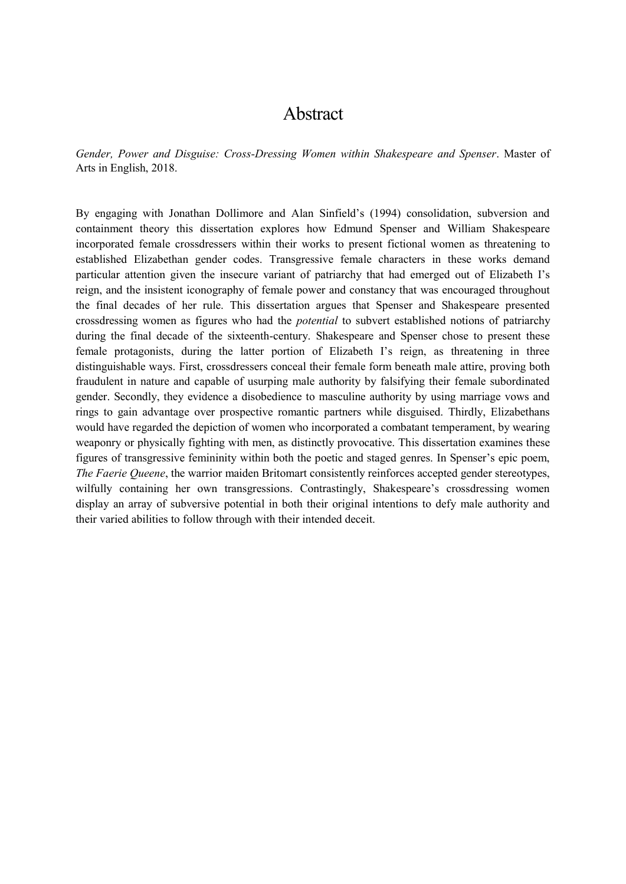#### Abstract

*Gender, Power and Disguise: Cross-Dressing Women within Shakespeare and Spenser*. Master of Arts in English, 2018.

By engaging with Jonathan Dollimore and Alan Sinfield's (1994) consolidation, subversion and containment theory this dissertation explores how Edmund Spenser and William Shakespeare incorporated female crossdressers within their works to present fictional women as threatening to established Elizabethan gender codes. Transgressive female characters in these works demand particular attention given the insecure variant of patriarchy that had emerged out of Elizabeth I's reign, and the insistent iconography of female power and constancy that was encouraged throughout the final decades of her rule. This dissertation argues that Spenser and Shakespeare presented crossdressing women as figures who had the *potential* to subvert established notions of patriarchy during the final decade of the sixteenth-century. Shakespeare and Spenser chose to present these female protagonists, during the latter portion of Elizabeth I's reign, as threatening in three distinguishable ways. First, crossdressers conceal their female form beneath male attire, proving both fraudulent in nature and capable of usurping male authority by falsifying their female subordinated gender. Secondly, they evidence a disobedience to masculine authority by using marriage vows and rings to gain advantage over prospective romantic partners while disguised. Thirdly, Elizabethans would have regarded the depiction of women who incorporated a combatant temperament, by wearing weaponry or physically fighting with men, as distinctly provocative. This dissertation examines these figures of transgressive femininity within both the poetic and staged genres. In Spenser's epic poem, *The Faerie Queene*, the warrior maiden Britomart consistently reinforces accepted gender stereotypes, wilfully containing her own transgressions. Contrastingly, Shakespeare's crossdressing women display an array of subversive potential in both their original intentions to defy male authority and their varied abilities to follow through with their intended deceit.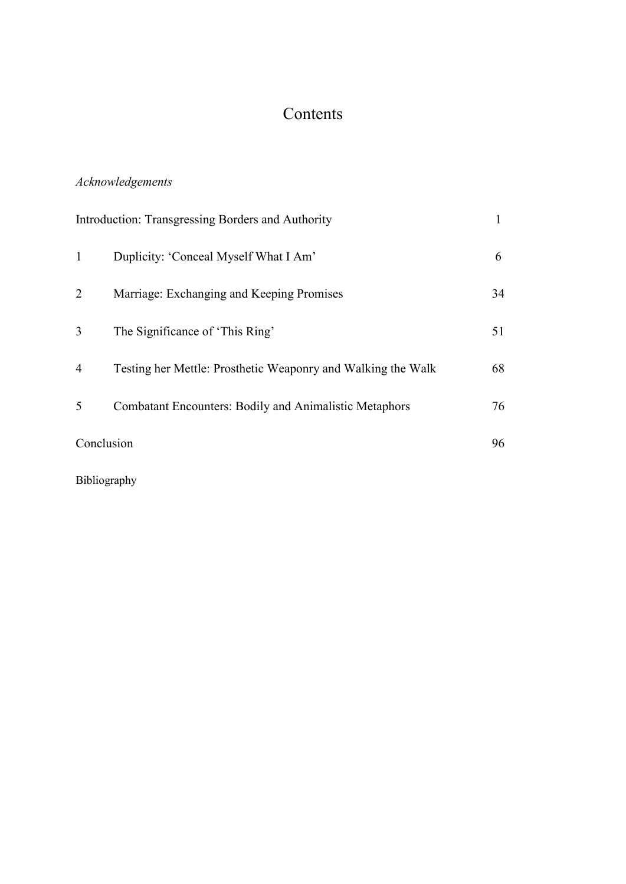## Contents

#### *Acknowledgements*

| Introduction: Transgressing Borders and Authority |                                                              |    |
|---------------------------------------------------|--------------------------------------------------------------|----|
| 1                                                 | Duplicity: 'Conceal Myself What I Am'                        | 6  |
| $\overline{2}$                                    | Marriage: Exchanging and Keeping Promises                    | 34 |
| 3                                                 | The Significance of 'This Ring'                              | 51 |
| 4                                                 | Testing her Mettle: Prosthetic Weaponry and Walking the Walk | 68 |
| 5                                                 | Combatant Encounters: Bodily and Animalistic Metaphors       | 76 |
| Conclusion                                        |                                                              | 96 |
|                                                   |                                                              |    |

Bibliography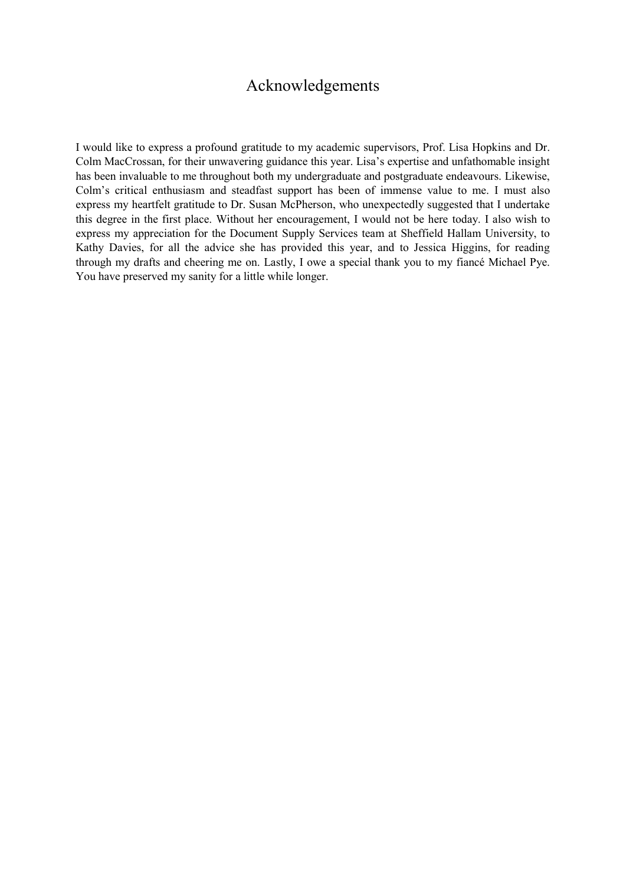#### Acknowledgements

I would like to express a profound gratitude to my academic supervisors, Prof. Lisa Hopkins and Dr. Colm MacCrossan, for their unwavering guidance this year. Lisa's expertise and unfathomable insight has been invaluable to me throughout both my undergraduate and postgraduate endeavours. Likewise, Colm's critical enthusiasm and steadfast support has been of immense value to me. I must also express my heartfelt gratitude to Dr. Susan McPherson, who unexpectedly suggested that I undertake this degree in the first place. Without her encouragement, I would not be here today. I also wish to express my appreciation for the Document Supply Services team at Sheffield Hallam University, to Kathy Davies, for all the advice she has provided this year, and to Jessica Higgins, for reading through my drafts and cheering me on. Lastly, I owe a special thank you to my fiancé Michael Pye. You have preserved my sanity for a little while longer.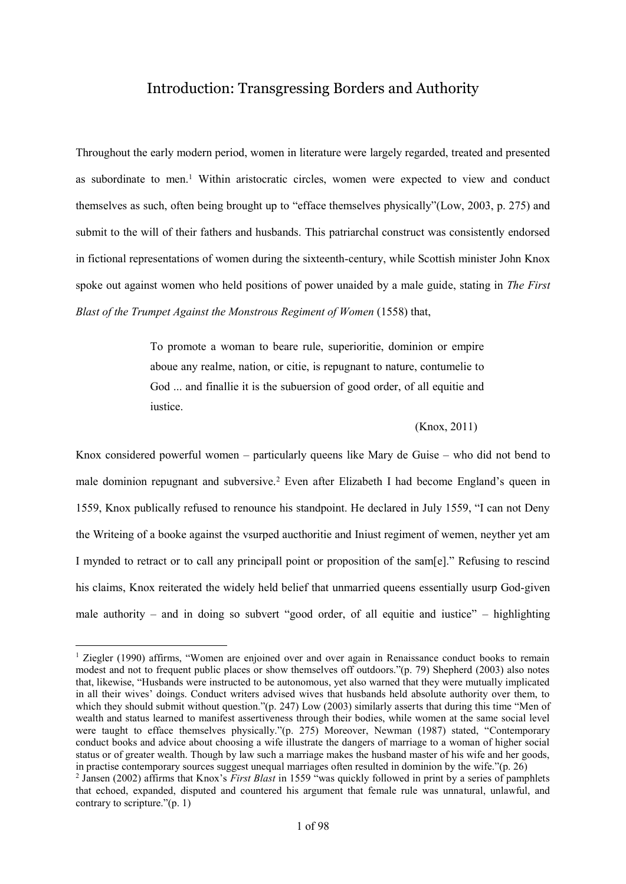#### Introduction: Transgressing Borders and Authority

Throughout the early modern period, women in literature were largely regarded, treated and presented as subordinate to men.<sup>1</sup> Within aristocratic circles, women were expected to view and conduct themselves as such, often being brought up to "efface themselves physically"(Low, 2003, p. 275) and submit to the will of their fathers and husbands. This patriarchal construct was consistently endorsed in fictional representations of women during the sixteenth-century, while Scottish minister John Knox spoke out against women who held positions of power unaided by a male guide, stating in *The First Blast of the Trumpet Against the Monstrous Regiment of Women* (1558) that,

> To promote a woman to beare rule, superioritie, dominion or empire aboue any realme, nation, or citie, is repugnant to nature, contumelie to God ... and finallie it is the subuersion of good order, of all equitie and iustice.

#### (Knox, 2011)

Knox considered powerful women – particularly queens like Mary de Guise – who did not bend to male dominion repugnant and subversive.<sup>2</sup> Even after Elizabeth I had become England's queen in 1559, Knox publically refused to renounce his standpoint. He declared in July 1559, "I can not Deny the Writeing of a booke against the vsurped aucthoritie and Iniust regiment of wemen, neyther yet am I mynded to retract or to call any principall point or proposition of the sam[e]." Refusing to rescind his claims, Knox reiterated the widely held belief that unmarried queens essentially usurp God-given male authority – and in doing so subvert "good order, of all equitie and iustice" – highlighting

<sup>&</sup>lt;sup>1</sup> Ziegler (1990) affirms, "Women are enjoined over and over again in Renaissance conduct books to remain modest and not to frequent public places or show themselves off outdoors."(p. 79) Shepherd (2003) also notes that, likewise, "Husbands were instructed to be autonomous, yet also warned that they were mutually implicated in all their wives' doings. Conduct writers advised wives that husbands held absolute authority over them, to which they should submit without question."(p. 247) Low (2003) similarly asserts that during this time "Men of wealth and status learned to manifest assertiveness through their bodies, while women at the same social level were taught to efface themselves physically."(p. 275) Moreover, Newman (1987) stated, "Contemporary conduct books and advice about choosing a wife illustrate the dangers of marriage to a woman of higher social status or of greater wealth. Though by law such a marriage makes the husband master of his wife and her goods, in practise contemporary sources suggest unequal marriages often resulted in dominion by the wife."(p. 26)

<sup>2</sup> Jansen (2002) affirms that Knox's *First Blast* in 1559 "was quickly followed in print by a series of pamphlets that echoed, expanded, disputed and countered his argument that female rule was unnatural, unlawful, and contrary to scripture." $(p, 1)$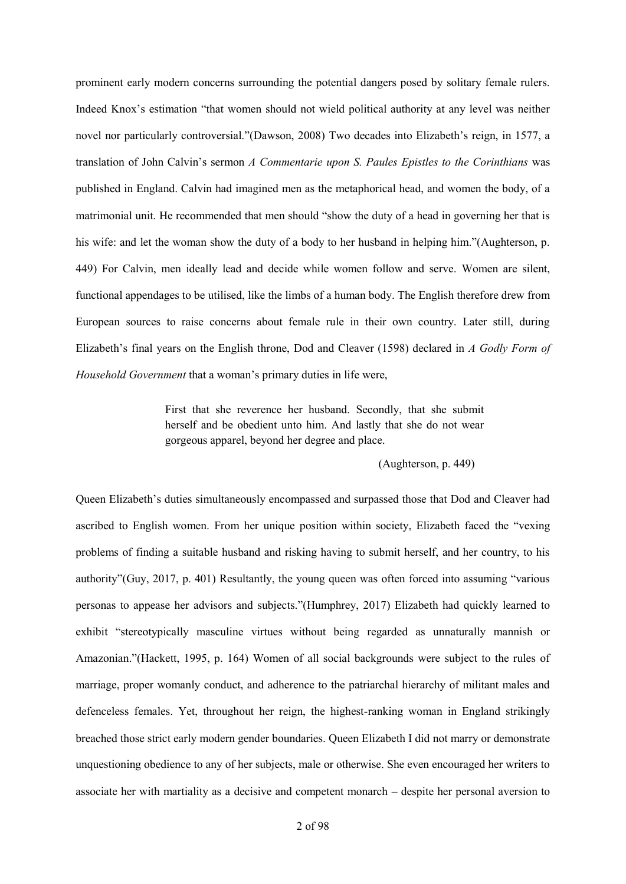prominent early modern concerns surrounding the potential dangers posed by solitary female rulers. Indeed Knox's estimation "that women should not wield political authority at any level was neither novel nor particularly controversial."(Dawson, 2008) Two decades into Elizabeth's reign, in 1577, a translation of John Calvin's sermon *A Commentarie upon S. Paules Epistles to the Corinthians* was published in England. Calvin had imagined men as the metaphorical head, and women the body, of a matrimonial unit. He recommended that men should "show the duty of a head in governing her that is his wife: and let the woman show the duty of a body to her husband in helping him."(Aughterson, p. 449) For Calvin, men ideally lead and decide while women follow and serve. Women are silent, functional appendages to be utilised, like the limbs of a human body. The English therefore drew from European sources to raise concerns about female rule in their own country. Later still, during Elizabeth's final years on the English throne, Dod and Cleaver (1598) declared in *A Godly Form of Household Government* that a woman's primary duties in life were,

> First that she reverence her husband. Secondly, that she submit herself and be obedient unto him. And lastly that she do not wear gorgeous apparel, beyond her degree and place.

> > (Aughterson, p. 449)

Queen Elizabeth's duties simultaneously encompassed and surpassed those that Dod and Cleaver had ascribed to English women. From her unique position within society, Elizabeth faced the "vexing problems of finding a suitable husband and risking having to submit herself, and her country, to his authority"(Guy, 2017, p. 401) Resultantly, the young queen was often forced into assuming "various personas to appease her advisors and subjects."(Humphrey, 2017) Elizabeth had quickly learned to exhibit "stereotypically masculine virtues without being regarded as unnaturally mannish or Amazonian."(Hackett, 1995, p. 164) Women of all social backgrounds were subject to the rules of marriage, proper womanly conduct, and adherence to the patriarchal hierarchy of militant males and defenceless females. Yet, throughout her reign, the highest-ranking woman in England strikingly breached those strict early modern gender boundaries. Queen Elizabeth I did not marry or demonstrate unquestioning obedience to any of her subjects, male or otherwise. She even encouraged her writers to associate her with martiality as a decisive and competent monarch – despite her personal aversion to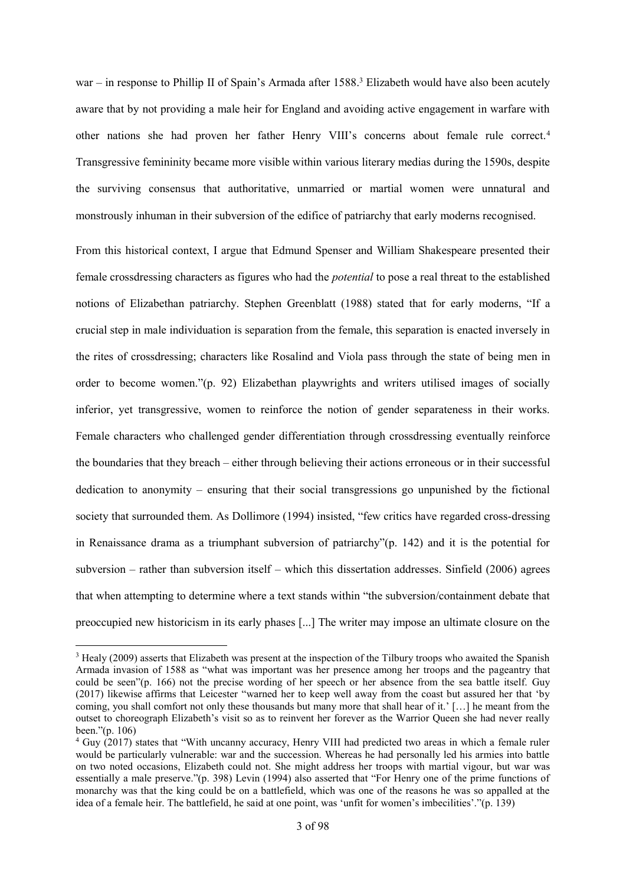war – in response to Phillip II of Spain's Armada after 1588.<sup>3</sup> Elizabeth would have also been acutely aware that by not providing a male heir for England and avoiding active engagement in warfare with other nations she had proven her father Henry VIII's concerns about female rule correct.<sup>4</sup> Transgressive femininity became more visible within various literary medias during the 1590s, despite the surviving consensus that authoritative, unmarried or martial women were unnatural and monstrously inhuman in their subversion of the edifice of patriarchy that early moderns recognised.

From this historical context, I argue that Edmund Spenser and William Shakespeare presented their female crossdressing characters as figures who had the *potential* to pose a real threat to the established notions of Elizabethan patriarchy. Stephen Greenblatt (1988) stated that for early moderns, "If a crucial step in male individuation is separation from the female, this separation is enacted inversely in the rites of crossdressing; characters like Rosalind and Viola pass through the state of being men in order to become women."(p. 92) Elizabethan playwrights and writers utilised images of socially inferior, yet transgressive, women to reinforce the notion of gender separateness in their works. Female characters who challenged gender differentiation through crossdressing eventually reinforce the boundaries that they breach – either through believing their actions erroneous or in their successful dedication to anonymity – ensuring that their social transgressions go unpunished by the fictional society that surrounded them. As Dollimore (1994) insisted, "few critics have regarded cross-dressing in Renaissance drama as a triumphant subversion of patriarchy"(p. 142) and it is the potential for subversion – rather than subversion itself – which this dissertation addresses. Sinfield (2006) agrees that when attempting to determine where a text stands within "the subversion/containment debate that preoccupied new historicism in its early phases [...] The writer may impose an ultimate closure on the

<sup>&</sup>lt;sup>3</sup> Healy (2009) asserts that Elizabeth was present at the inspection of the Tilbury troops who awaited the Spanish Armada invasion of 1588 as "what was important was her presence among her troops and the pageantry that could be seen"(p. 166) not the precise wording of her speech or her absence from the sea battle itself. Guy (2017) likewise affirms that Leicester "warned her to keep well away from the coast but assured her that 'by coming, you shall comfort not only these thousands but many more that shall hear of it.' […] he meant from the outset to choreograph Elizabeth's visit so as to reinvent her forever as the Warrior Queen she had never really been."(p. 106)

<sup>4</sup> Guy (2017) states that "With uncanny accuracy, Henry VIII had predicted two areas in which a female ruler would be particularly vulnerable: war and the succession. Whereas he had personally led his armies into battle on two noted occasions, Elizabeth could not. She might address her troops with martial vigour, but war was essentially a male preserve."(p. 398) Levin (1994) also asserted that "For Henry one of the prime functions of monarchy was that the king could be on a battlefield, which was one of the reasons he was so appalled at the idea of a female heir. The battlefield, he said at one point, was 'unfit for women's imbecilities'."(p. 139)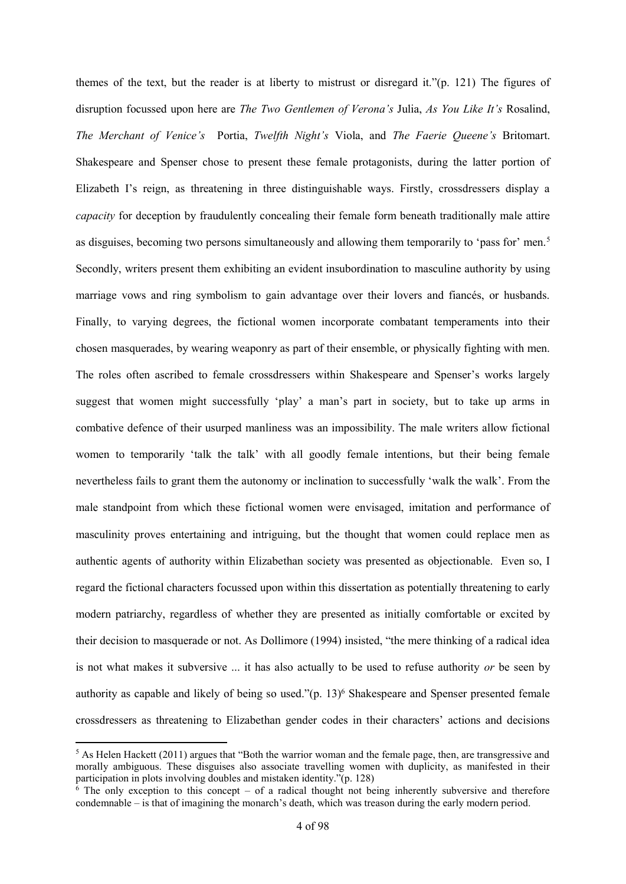themes of the text, but the reader is at liberty to mistrust or disregard it."(p. 121) The figures of disruption focussed upon here are *The Two Gentlemen of Verona's* Julia, *As You Like It's* Rosalind, *The Merchant of Venice's* Portia, *Twelfth Night's* Viola, and *The Faerie Queene's* Britomart. Shakespeare and Spenser chose to present these female protagonists, during the latter portion of Elizabeth I's reign, as threatening in three distinguishable ways. Firstly, crossdressers display a *capacity* for deception by fraudulently concealing their female form beneath traditionally male attire as disguises, becoming two persons simultaneously and allowing them temporarily to 'pass for' men.<sup>5</sup> Secondly, writers present them exhibiting an evident insubordination to masculine authority by using marriage vows and ring symbolism to gain advantage over their lovers and fiancés, or husbands. Finally, to varying degrees, the fictional women incorporate combatant temperaments into their chosen masquerades, by wearing weaponry as part of their ensemble, or physically fighting with men. The roles often ascribed to female crossdressers within Shakespeare and Spenser's works largely suggest that women might successfully 'play' a man's part in society, but to take up arms in combative defence of their usurped manliness was an impossibility. The male writers allow fictional women to temporarily 'talk the talk' with all goodly female intentions, but their being female nevertheless fails to grant them the autonomy or inclination to successfully 'walk the walk'. From the male standpoint from which these fictional women were envisaged, imitation and performance of masculinity proves entertaining and intriguing, but the thought that women could replace men as authentic agents of authority within Elizabethan society was presented as objectionable. Even so, I regard the fictional characters focussed upon within this dissertation as potentially threatening to early modern patriarchy, regardless of whether they are presented as initially comfortable or excited by their decision to masquerade or not. As Dollimore (1994) insisted, "the mere thinking of a radical idea is not what makes it subversive ... it has also actually to be used to refuse authority *or* be seen by authority as capable and likely of being so used."(p. 13)<sup>6</sup> Shakespeare and Spenser presented female crossdressers as threatening to Elizabethan gender codes in their characters' actions and decisions

1

<sup>&</sup>lt;sup>5</sup> As Helen Hackett (2011) argues that "Both the warrior woman and the female page, then, are transgressive and morally ambiguous. These disguises also associate travelling women with duplicity, as manifested in their participation in plots involving doubles and mistaken identity."(p. 128)

 $6$  The only exception to this concept – of a radical thought not being inherently subversive and therefore condemnable – is that of imagining the monarch's death, which was treason during the early modern period.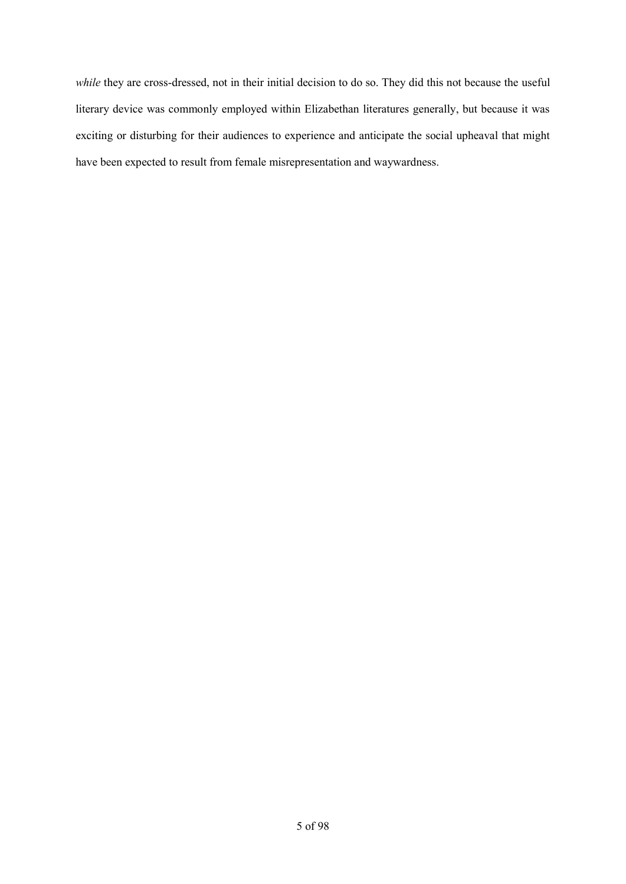*while* they are cross-dressed, not in their initial decision to do so. They did this not because the useful literary device was commonly employed within Elizabethan literatures generally, but because it was exciting or disturbing for their audiences to experience and anticipate the social upheaval that might have been expected to result from female misrepresentation and waywardness.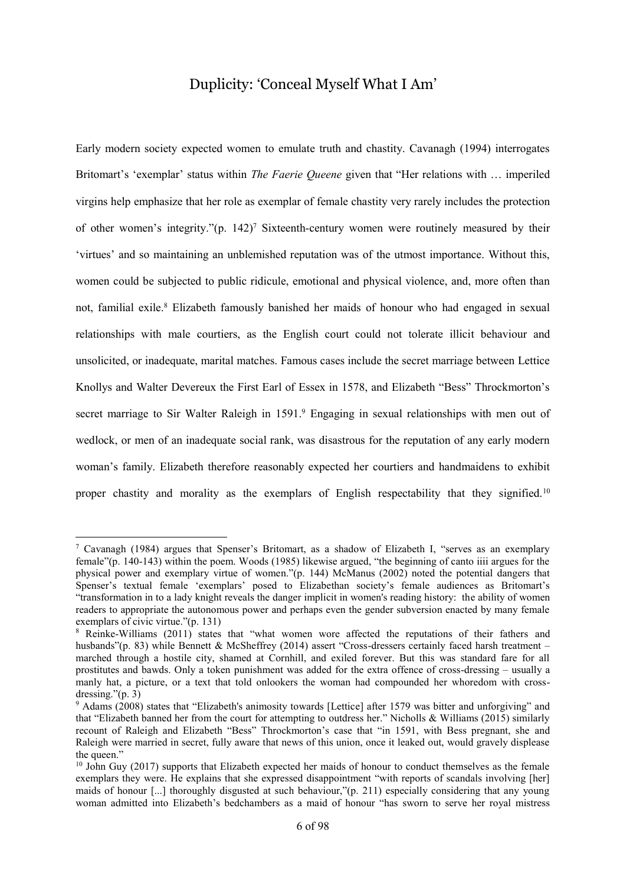#### Duplicity: 'Conceal Myself What I Am'

Early modern society expected women to emulate truth and chastity. Cavanagh (1994) interrogates Britomart's 'exemplar' status within *The Faerie Queene* given that "Her relations with … imperiled virgins help emphasize that her role as exemplar of female chastity very rarely includes the protection of other women's integrity." $(p. 142)^7$  Sixteenth-century women were routinely measured by their 'virtues' and so maintaining an unblemished reputation was of the utmost importance. Without this, women could be subjected to public ridicule, emotional and physical violence, and, more often than not, familial exile.<sup>8</sup> Elizabeth famously banished her maids of honour who had engaged in sexual relationships with male courtiers, as the English court could not tolerate illicit behaviour and unsolicited, or inadequate, marital matches. Famous cases include the secret marriage between Lettice Knollys and Walter Devereux the First Earl of Essex in 1578, and Elizabeth "Bess" Throckmorton's secret marriage to Sir Walter Raleigh in 1591.<sup>9</sup> Engaging in sexual relationships with men out of wedlock, or men of an inadequate social rank, was disastrous for the reputation of any early modern woman's family. Elizabeth therefore reasonably expected her courtiers and handmaidens to exhibit proper chastity and morality as the exemplars of English respectability that they signified.<sup>10</sup>

<sup>7</sup> Cavanagh (1984) argues that Spenser's Britomart, as a shadow of Elizabeth I, "serves as an exemplary female"(p. 140-143) within the poem. Woods (1985) likewise argued, "the beginning of canto iiii argues for the physical power and exemplary virtue of women."(p. 144) McManus (2002) noted the potential dangers that Spenser's textual female 'exemplars' posed to Elizabethan society's female audiences as Britomart's "transformation in to a lady knight reveals the danger implicit in women's reading history: the ability of women readers to appropriate the autonomous power and perhaps even the gender subversion enacted by many female exemplars of civic virtue."(p. 131)

<sup>8</sup> Reinke-Williams (2011) states that "what women wore affected the reputations of their fathers and husbands"(p. 83) while Bennett & McSheffrey (2014) assert "Cross-dressers certainly faced harsh treatment – marched through a hostile city, shamed at Cornhill, and exiled forever. But this was standard fare for all prostitutes and bawds. Only a token punishment was added for the extra offence of cross-dressing – usually a manly hat, a picture, or a text that told onlookers the woman had compounded her whoredom with crossdressing." $(p. 3)$ 

<sup>9</sup> Adams (2008) states that "Elizabeth's animosity towards [Lettice] after 1579 was bitter and unforgiving" and that "Elizabeth banned her from the court for attempting to outdress her." Nicholls & Williams (2015) similarly recount of Raleigh and Elizabeth "Bess" Throckmorton's case that "in 1591, with Bess pregnant, she and Raleigh were married in secret, fully aware that news of this union, once it leaked out, would gravely displease the queen."

 $10$  John Guy (2017) supports that Elizabeth expected her maids of honour to conduct themselves as the female exemplars they were. He explains that she expressed disappointment "with reports of scandals involving [her] maids of honour [...] thoroughly disgusted at such behaviour,"(p. 211) especially considering that any young woman admitted into Elizabeth's bedchambers as a maid of honour "has sworn to serve her royal mistress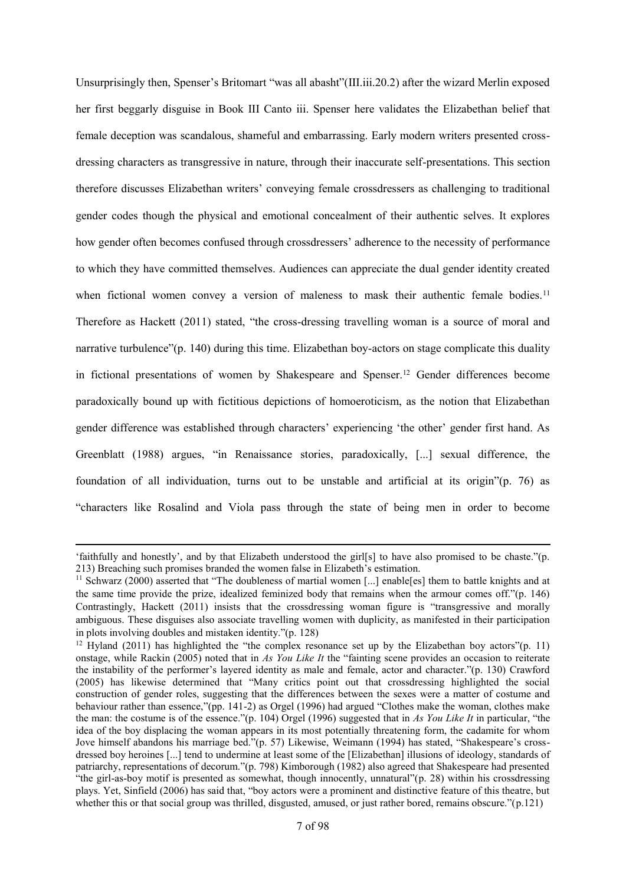Unsurprisingly then, Spenser's Britomart "was all abasht"(III.iii.20.2) after the wizard Merlin exposed her first beggarly disguise in Book III Canto iii. Spenser here validates the Elizabethan belief that female deception was scandalous, shameful and embarrassing. Early modern writers presented crossdressing characters as transgressive in nature, through their inaccurate self-presentations. This section therefore discusses Elizabethan writers' conveying female crossdressers as challenging to traditional gender codes though the physical and emotional concealment of their authentic selves. It explores how gender often becomes confused through crossdressers' adherence to the necessity of performance to which they have committed themselves. Audiences can appreciate the dual gender identity created when fictional women convey a version of maleness to mask their authentic female bodies.<sup>11</sup> Therefore as Hackett (2011) stated, "the cross-dressing travelling woman is a source of moral and narrative turbulence"(p. 140) during this time. Elizabethan boy-actors on stage complicate this duality in fictional presentations of women by Shakespeare and Spenser.<sup>12</sup> Gender differences become paradoxically bound up with fictitious depictions of homoeroticism, as the notion that Elizabethan gender difference was established through characters' experiencing 'the other' gender first hand. As Greenblatt (1988) argues, "in Renaissance stories, paradoxically, [...] sexual difference, the foundation of all individuation, turns out to be unstable and artificial at its origin"(p. 76) as "characters like Rosalind and Viola pass through the state of being men in order to become

1

<sup>&#</sup>x27;faithfully and honestly', and by that Elizabeth understood the girl[s] to have also promised to be chaste."(p. 213) Breaching such promises branded the women false in Elizabeth's estimation.

<sup>&</sup>lt;sup>11</sup> Schwarz (2000) asserted that "The doubleness of martial women [...] enable[es] them to battle knights and at the same time provide the prize, idealized feminized body that remains when the armour comes off."(p. 146) Contrastingly, Hackett (2011) insists that the crossdressing woman figure is "transgressive and morally ambiguous. These disguises also associate travelling women with duplicity, as manifested in their participation in plots involving doubles and mistaken identity."(p. 128)

<sup>&</sup>lt;sup>12</sup> Hyland (2011) has highlighted the "the complex resonance set up by the Elizabethan boy actors"(p. 11) onstage, while Rackin (2005) noted that in *As You Like It* the "fainting scene provides an occasion to reiterate the instability of the performer's layered identity as male and female, actor and character."(p. 130) Crawford (2005) has likewise determined that "Many critics point out that crossdressing highlighted the social construction of gender roles, suggesting that the differences between the sexes were a matter of costume and behaviour rather than essence,"(pp. 141-2) as Orgel (1996) had argued "Clothes make the woman, clothes make the man: the costume is of the essence."(p. 104) Orgel (1996) suggested that in *As You Like It* in particular, "the idea of the boy displacing the woman appears in its most potentially threatening form, the cadamite for whom Jove himself abandons his marriage bed."(p. 57) Likewise, Weimann (1994) has stated, "Shakespeare's crossdressed boy heroines [...] tend to undermine at least some of the [Elizabethan] illusions of ideology, standards of patriarchy, representations of decorum."(p. 798) Kimborough (1982) also agreed that Shakespeare had presented "the girl-as-boy motif is presented as somewhat, though innocently, unnatural"(p. 28) within his crossdressing plays. Yet, Sinfield (2006) has said that, "boy actors were a prominent and distinctive feature of this theatre, but whether this or that social group was thrilled, disgusted, amused, or just rather bored, remains obscure."(p.121)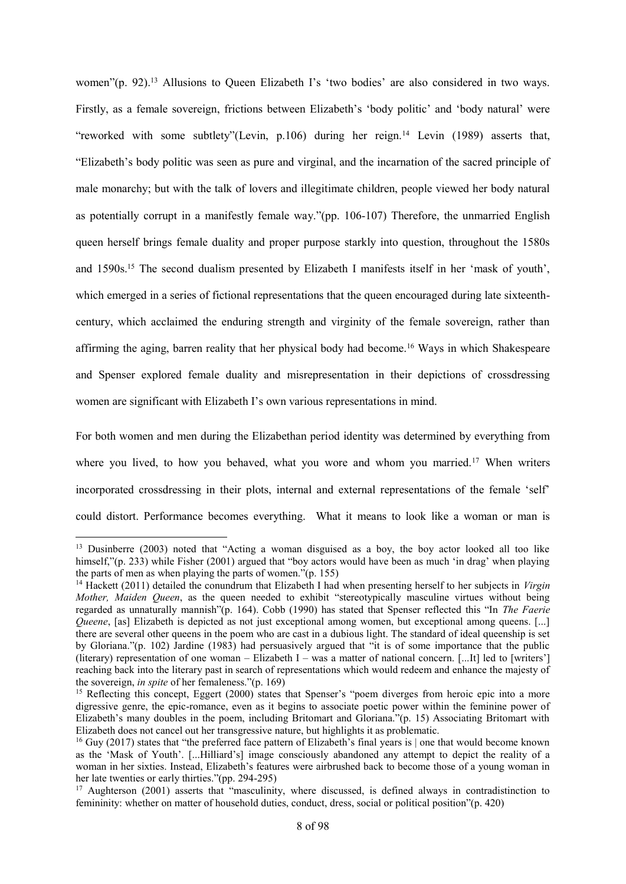women"(p. 92).<sup>13</sup> Allusions to Queen Elizabeth I's 'two bodies' are also considered in two ways. Firstly, as a female sovereign, frictions between Elizabeth's 'body politic' and 'body natural' were "reworked with some subtlety"(Levin, p.106) during her reign.<sup>14</sup> Levin (1989) asserts that, "Elizabeth's body politic was seen as pure and virginal, and the incarnation of the sacred principle of male monarchy; but with the talk of lovers and illegitimate children, people viewed her body natural as potentially corrupt in a manifestly female way."(pp. 106-107) Therefore, the unmarried English queen herself brings female duality and proper purpose starkly into question, throughout the 1580s and 1590s.<sup>15</sup> The second dualism presented by Elizabeth I manifests itself in her 'mask of youth', which emerged in a series of fictional representations that the queen encouraged during late sixteenthcentury, which acclaimed the enduring strength and virginity of the female sovereign, rather than affirming the aging, barren reality that her physical body had become.<sup>16</sup> Ways in which Shakespeare and Spenser explored female duality and misrepresentation in their depictions of crossdressing women are significant with Elizabeth I's own various representations in mind.

For both women and men during the Elizabethan period identity was determined by everything from where you lived, to how you behaved, what you wore and whom you married.<sup>17</sup> When writers incorporated crossdressing in their plots, internal and external representations of the female 'self' could distort. Performance becomes everything. What it means to look like a woman or man is

<sup>&</sup>lt;sup>13</sup> Dusinberre (2003) noted that "Acting a woman disguised as a boy, the boy actor looked all too like himself,"(p. 233) while Fisher (2001) argued that "boy actors would have been as much 'in drag' when playing the parts of men as when playing the parts of women."(p. 155)

<sup>14</sup> Hackett (2011) detailed the conundrum that Elizabeth I had when presenting herself to her subjects in *Virgin Mother, Maiden Queen*, as the queen needed to exhibit "stereotypically masculine virtues without being regarded as unnaturally mannish"(p. 164). Cobb (1990) has stated that Spenser reflected this "In *The Faerie Queene*, [as] Elizabeth is depicted as not just exceptional among women, but exceptional among queens. [...] there are several other queens in the poem who are cast in a dubious light. The standard of ideal queenship is set by Gloriana."(p. 102) Jardine (1983) had persuasively argued that "it is of some importance that the public (literary) representation of one woman – Elizabeth I – was a matter of national concern. [...It] led to [writers'] reaching back into the literary past in search of representations which would redeem and enhance the majesty of the sovereign, *in spite* of her femaleness."(p. 169)

<sup>&</sup>lt;sup>15</sup> Reflecting this concept, Eggert (2000) states that Spenser's "poem diverges from heroic epic into a more digressive genre, the epic-romance, even as it begins to associate poetic power within the feminine power of Elizabeth's many doubles in the poem, including Britomart and Gloriana."(p. 15) Associating Britomart with Elizabeth does not cancel out her transgressive nature, but highlights it as problematic.

<sup>&</sup>lt;sup>16</sup> Guy (2017) states that "the preferred face pattern of Elizabeth's final years is one that would become known as the 'Mask of Youth'. [...Hilliard's] image consciously abandoned any attempt to depict the reality of a woman in her sixties. Instead, Elizabeth's features were airbrushed back to become those of a young woman in her late twenties or early thirties."(pp. 294-295)

<sup>&</sup>lt;sup>17</sup> Aughterson (2001) asserts that "masculinity, where discussed, is defined always in contradistinction to femininity: whether on matter of household duties, conduct, dress, social or political position"(p. 420)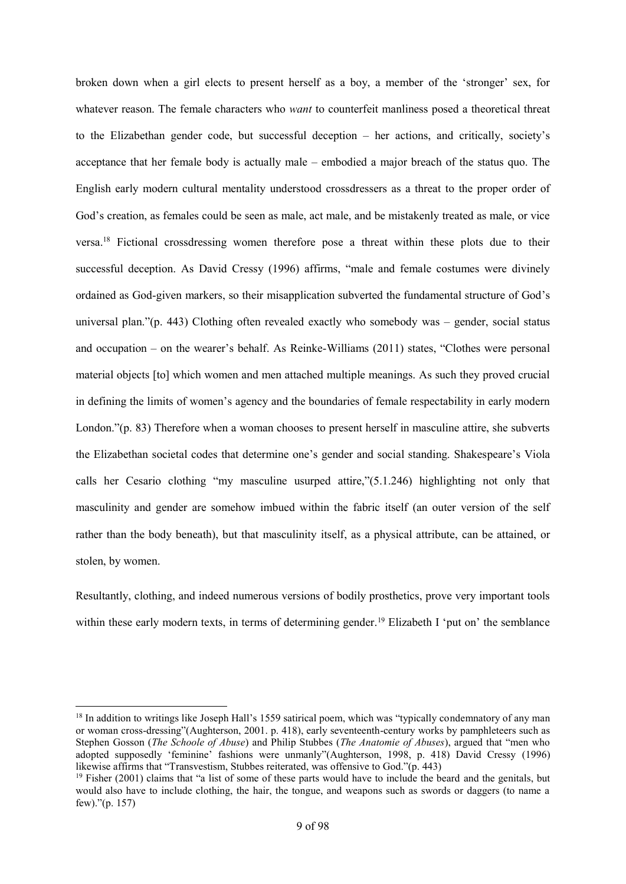broken down when a girl elects to present herself as a boy, a member of the 'stronger' sex, for whatever reason. The female characters who *want* to counterfeit manliness posed a theoretical threat to the Elizabethan gender code, but successful deception – her actions, and critically, society's acceptance that her female body is actually male – embodied a major breach of the status quo. The English early modern cultural mentality understood crossdressers as a threat to the proper order of God's creation, as females could be seen as male, act male, and be mistakenly treated as male, or vice versa.<sup>18</sup> Fictional crossdressing women therefore pose a threat within these plots due to their successful deception. As David Cressy (1996) affirms, "male and female costumes were divinely ordained as God-given markers, so their misapplication subverted the fundamental structure of God's universal plan."(p. 443) Clothing often revealed exactly who somebody was – gender, social status and occupation – on the wearer's behalf. As Reinke-Williams (2011) states, "Clothes were personal material objects [to] which women and men attached multiple meanings. As such they proved crucial in defining the limits of women's agency and the boundaries of female respectability in early modern London."(p. 83) Therefore when a woman chooses to present herself in masculine attire, she subverts the Elizabethan societal codes that determine one's gender and social standing. Shakespeare's Viola calls her Cesario clothing "my masculine usurped attire,"(5.1.246) highlighting not only that masculinity and gender are somehow imbued within the fabric itself (an outer version of the self rather than the body beneath), but that masculinity itself, as a physical attribute, can be attained, or stolen, by women.

Resultantly, clothing, and indeed numerous versions of bodily prosthetics, prove very important tools within these early modern texts, in terms of determining gender.<sup>19</sup> Elizabeth I 'put on' the semblance

1

<sup>&</sup>lt;sup>18</sup> In addition to writings like Joseph Hall's 1559 satirical poem, which was "typically condemnatory of any man or woman cross-dressing"(Aughterson, 2001. p. 418), early seventeenth-century works by pamphleteers such as Stephen Gosson (*The Schoole of Abuse*) and Philip Stubbes (*The Anatomie of Abuses*), argued that "men who adopted supposedly 'feminine' fashions were unmanly"(Aughterson, 1998, p. 418) David Cressy (1996) likewise affirms that "Transvestism, Stubbes reiterated, was offensive to God."(p. 443)

 $19$  Fisher (2001) claims that "a list of some of these parts would have to include the beard and the genitals, but would also have to include clothing, the hair, the tongue, and weapons such as swords or daggers (to name a few)."(p. 157)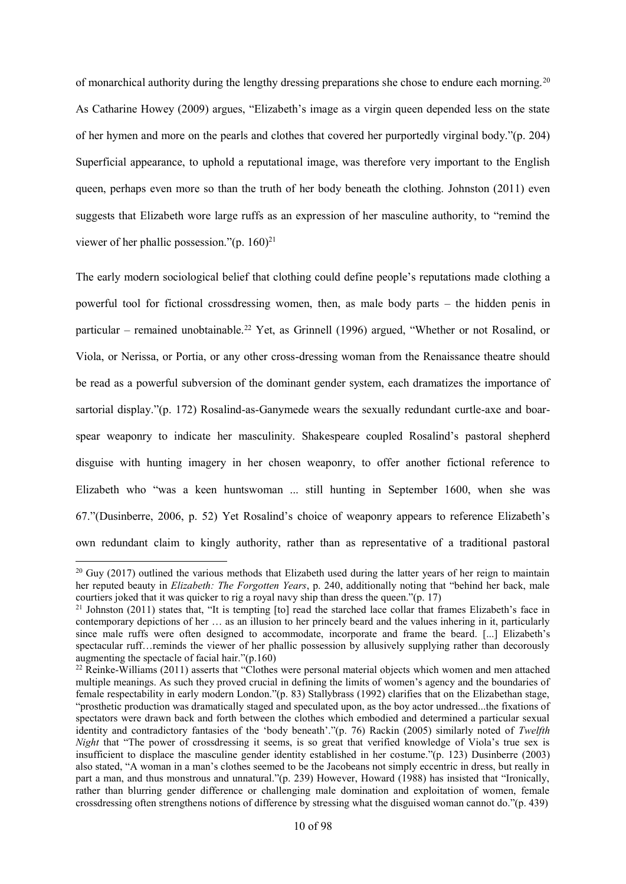of monarchical authority during the lengthy dressing preparations she chose to endure each morning.<sup>20</sup> As Catharine Howey (2009) argues, "Elizabeth's image as a virgin queen depended less on the state of her hymen and more on the pearls and clothes that covered her purportedly virginal body."(p. 204) Superficial appearance, to uphold a reputational image, was therefore very important to the English queen, perhaps even more so than the truth of her body beneath the clothing. Johnston (2011) even suggests that Elizabeth wore large ruffs as an expression of her masculine authority, to "remind the viewer of her phallic possession." $(p. 160)^{21}$ 

The early modern sociological belief that clothing could define people's reputations made clothing a powerful tool for fictional crossdressing women, then, as male body parts – the hidden penis in particular – remained unobtainable.<sup>22</sup> Yet, as Grinnell (1996) argued, "Whether or not Rosalind, or Viola, or Nerissa, or Portia, or any other cross-dressing woman from the Renaissance theatre should be read as a powerful subversion of the dominant gender system, each dramatizes the importance of sartorial display."(p. 172) Rosalind-as-Ganymede wears the sexually redundant curtle-axe and boarspear weaponry to indicate her masculinity. Shakespeare coupled Rosalind's pastoral shepherd disguise with hunting imagery in her chosen weaponry, to offer another fictional reference to Elizabeth who "was a keen huntswoman ... still hunting in September 1600, when she was 67."(Dusinberre, 2006, p. 52) Yet Rosalind's choice of weaponry appears to reference Elizabeth's own redundant claim to kingly authority, rather than as representative of a traditional pastoral

 $20$  Guy (2017) outlined the various methods that Elizabeth used during the latter years of her reign to maintain her reputed beauty in *Elizabeth: The Forgotten Years*, p. 240, additionally noting that "behind her back, male courtiers joked that it was quicker to rig a royal navy ship than dress the queen."(p. 17)

<sup>&</sup>lt;sup>21</sup> Johnston (2011) states that, "It is tempting  $[$ to  $]$  read the starched lace collar that frames Elizabeth's face in contemporary depictions of her … as an illusion to her princely beard and the values inhering in it, particularly since male ruffs were often designed to accommodate, incorporate and frame the beard. [...] Elizabeth's spectacular ruff…reminds the viewer of her phallic possession by allusively supplying rather than decorously augmenting the spectacle of facial hair."(p.160)

<sup>&</sup>lt;sup>22</sup> Reinke-Williams (2011) asserts that "Clothes were personal material objects which women and men attached multiple meanings. As such they proved crucial in defining the limits of women's agency and the boundaries of female respectability in early modern London."(p. 83) Stallybrass (1992) clarifies that on the Elizabethan stage, "prosthetic production was dramatically staged and speculated upon, as the boy actor undressed...the fixations of spectators were drawn back and forth between the clothes which embodied and determined a particular sexual identity and contradictory fantasies of the 'body beneath'."(p. 76) Rackin (2005) similarly noted of *Twelfth Night* that "The power of crossdressing it seems, is so great that verified knowledge of Viola's true sex is insufficient to displace the masculine gender identity established in her costume."(p. 123) Dusinberre (2003) also stated, "A woman in a man's clothes seemed to be the Jacobeans not simply eccentric in dress, but really in part a man, and thus monstrous and unnatural."(p. 239) However, Howard (1988) has insisted that "Ironically, rather than blurring gender difference or challenging male domination and exploitation of women, female crossdressing often strengthens notions of difference by stressing what the disguised woman cannot do."(p. 439)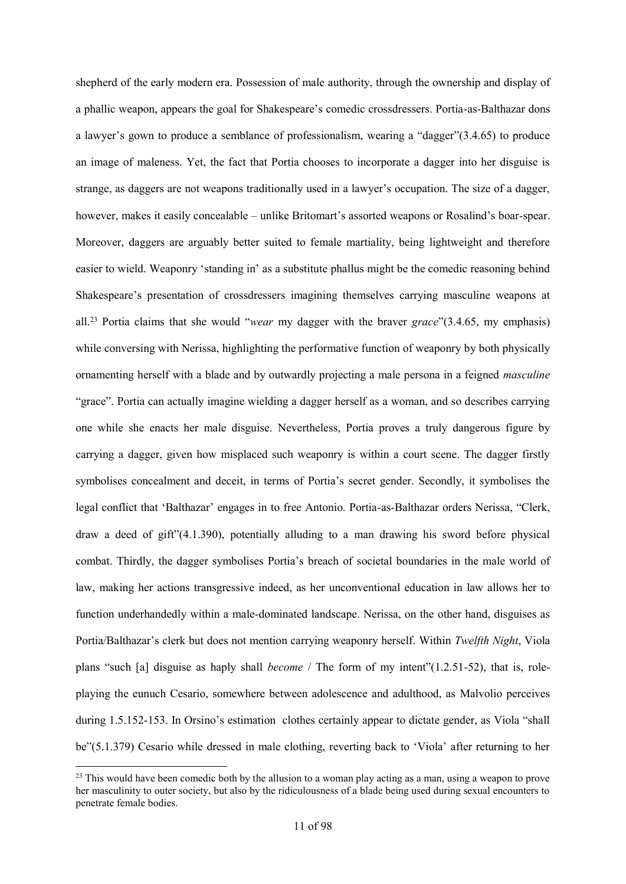shepherd of the early modern era. Possession of male authority, through the ownership and display of a phallic weapon, appears the goal for Shakespeare's comedic crossdressers. Portia-as-Balthazar dons a lawyer's gown to produce a semblance of professionalism, wearing a "dagger"(3.4.65) to produce an image of maleness. Yet, the fact that Portia chooses to incorporate a dagger into her disguise is strange, as daggers are not weapons traditionally used in a lawyer's occupation. The size of a dagger, however, makes it easily concealable – unlike Britomart's assorted weapons or Rosalind's boar-spear. Moreover, daggers are arguably better suited to female martiality, being lightweight and therefore easier to wield. Weaponry 'standing in' as a substitute phallus might be the comedic reasoning behind Shakespeare's presentation of crossdressers imagining themselves carrying masculine weapons at all.<sup>23</sup> Portia claims that she would "*wear* my dagger with the braver *grace*"(3.4.65, my emphasis) while conversing with Nerissa, highlighting the performative function of weaponry by both physically ornamenting herself with a blade and by outwardly projecting a male persona in a feigned *masculine* "grace". Portia can actually imagine wielding a dagger herself as a woman, and so describes carrying one while she enacts her male disguise. Nevertheless, Portia proves a truly dangerous figure by carrying a dagger, given how misplaced such weaponry is within a court scene. The dagger firstly symbolises concealment and deceit, in terms of Portia's secret gender. Secondly, it symbolises the legal conflict that 'Balthazar' engages in to free Antonio. Portia-as-Balthazar orders Nerissa, "Clerk, draw a deed of gift"(4.1.390), potentially alluding to a man drawing his sword before physical combat. Thirdly, the dagger symbolises Portia's breach of societal boundaries in the male world of law, making her actions transgressive indeed, as her unconventional education in law allows her to function underhandedly within a male-dominated landscape. Nerissa, on the other hand, disguises as Portia/Balthazar's clerk but does not mention carrying weaponry herself. Within *Twelfth Night*, Viola plans "such [a] disguise as haply shall *become* / The form of my intent"(1.2.51-52), that is, roleplaying the eunuch Cesario, somewhere between adolescence and adulthood, as Malvolio perceives during 1.5.152-153. In Orsino's estimation clothes certainly appear to dictate gender, as Viola "shall be"(5.1.379) Cesario while dressed in male clothing, reverting back to 'Viola' after returning to her

 $\overline{a}$ 

<sup>&</sup>lt;sup>23</sup> This would have been comedic both by the allusion to a woman play acting as a man, using a weapon to prove her masculinity to outer society, but also by the ridiculousness of a blade being used during sexual encounters to penetrate female bodies.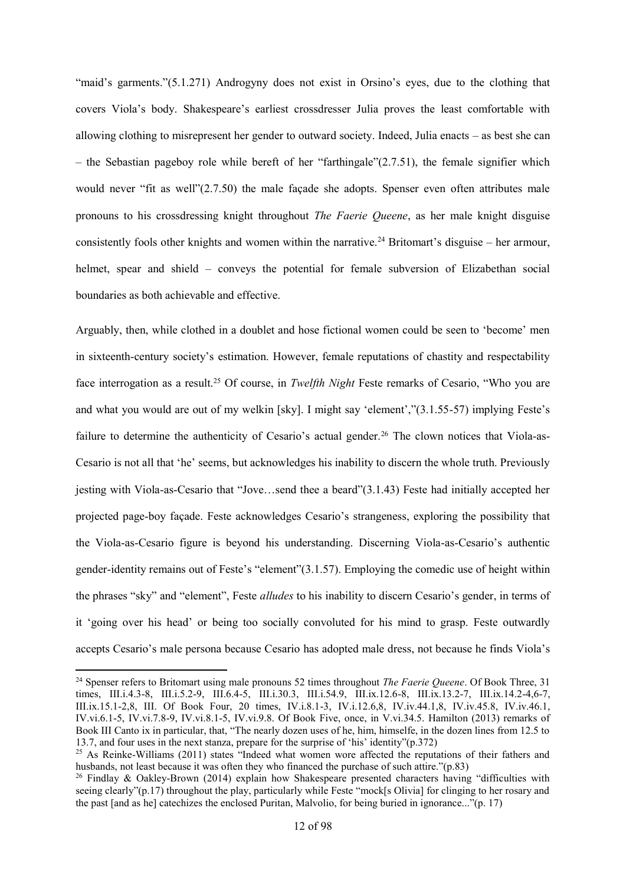"maid's garments."(5.1.271) Androgyny does not exist in Orsino's eyes, due to the clothing that covers Viola's body. Shakespeare's earliest crossdresser Julia proves the least comfortable with allowing clothing to misrepresent her gender to outward society. Indeed, Julia enacts – as best she can – the Sebastian pageboy role while bereft of her "farthingale" $(2.7.51)$ , the female signifier which would never "fit as well"(2.7.50) the male façade she adopts. Spenser even often attributes male pronouns to his crossdressing knight throughout *The Faerie Queene*, as her male knight disguise consistently fools other knights and women within the narrative.<sup>24</sup> Britomart's disguise – her armour, helmet, spear and shield – conveys the potential for female subversion of Elizabethan social boundaries as both achievable and effective.

Arguably, then, while clothed in a doublet and hose fictional women could be seen to 'become' men in sixteenth-century society's estimation. However, female reputations of chastity and respectability face interrogation as a result.<sup>25</sup> Of course, in *Twelfth Night* Feste remarks of Cesario, "Who you are and what you would are out of my welkin [sky]. I might say 'element',"(3.1.55-57) implying Feste's failure to determine the authenticity of Cesario's actual gender.<sup>26</sup> The clown notices that Viola-as-Cesario is not all that 'he' seems, but acknowledges his inability to discern the whole truth. Previously jesting with Viola-as-Cesario that "Jove…send thee a beard"(3.1.43) Feste had initially accepted her projected page-boy façade. Feste acknowledges Cesario's strangeness, exploring the possibility that the Viola-as-Cesario figure is beyond his understanding. Discerning Viola-as-Cesario's authentic gender-identity remains out of Feste's "element"(3.1.57). Employing the comedic use of height within the phrases "sky" and "element", Feste *alludes* to his inability to discern Cesario's gender, in terms of it 'going over his head' or being too socially convoluted for his mind to grasp. Feste outwardly accepts Cesario's male persona because Cesario has adopted male dress, not because he finds Viola's

1

<sup>24</sup> Spenser refers to Britomart using male pronouns 52 times throughout *The Faerie Queene*. Of Book Three, 31 times, III.i.4.3-8, III.i.5.2-9, III.6.4-5, III.i.30.3, III.i.54.9, III.ix.12.6-8, III.ix.13.2-7, III.ix.14.2-4,6-7, III.ix.15.1-2,8, III. Of Book Four, 20 times, IV.i.8.1-3, IV.i.12.6,8, IV.iv.44.1,8, IV.iv.45.8, IV.iv.46.1, IV.vi.6.1-5, IV.vi.7.8-9, IV.vi.8.1-5, IV.vi.9.8. Of Book Five, once, in V.vi.34.5. Hamilton (2013) remarks of Book III Canto ix in particular, that, "The nearly dozen uses of he, him, himselfe, in the dozen lines from 12.5 to 13.7, and four uses in the next stanza, prepare for the surprise of 'his' identity"(p.372)

<sup>&</sup>lt;sup>25</sup> As Reinke-Williams (2011) states "Indeed what women wore affected the reputations of their fathers and husbands, not least because it was often they who financed the purchase of such attire."(p.83)

<sup>&</sup>lt;sup>26</sup> Findlay & Oakley-Brown (2014) explain how Shakespeare presented characters having "difficulties with seeing clearly"(p.17) throughout the play, particularly while Feste "mock[s Olivia] for clinging to her rosary and the past [and as he] catechizes the enclosed Puritan, Malvolio, for being buried in ignorance..."(p. 17)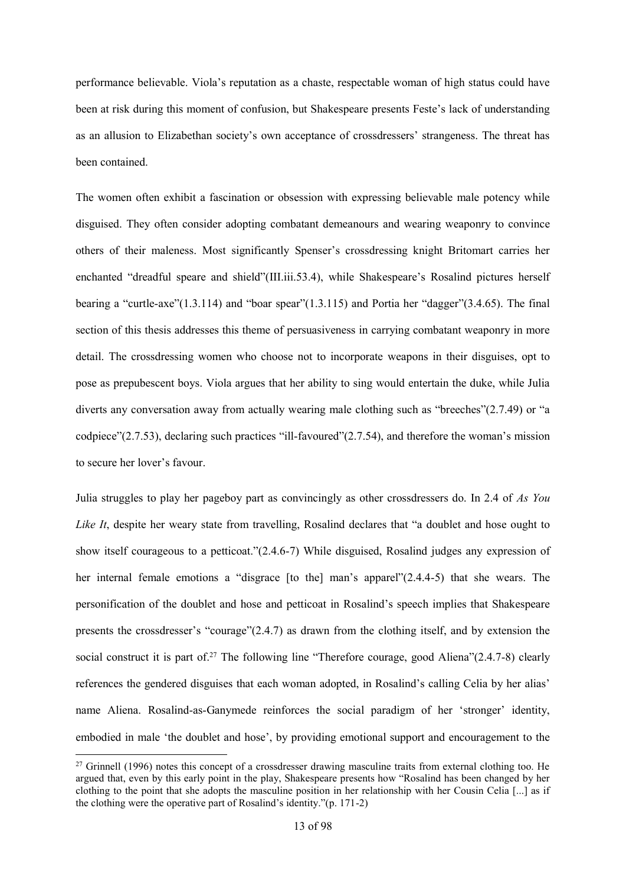performance believable. Viola's reputation as a chaste, respectable woman of high status could have been at risk during this moment of confusion, but Shakespeare presents Feste's lack of understanding as an allusion to Elizabethan society's own acceptance of crossdressers' strangeness. The threat has been contained.

The women often exhibit a fascination or obsession with expressing believable male potency while disguised. They often consider adopting combatant demeanours and wearing weaponry to convince others of their maleness. Most significantly Spenser's crossdressing knight Britomart carries her enchanted "dreadful speare and shield"(III.iii.53.4), while Shakespeare's Rosalind pictures herself bearing a "curtle-axe"(1.3.114) and "boar spear"(1.3.115) and Portia her "dagger"(3.4.65). The final section of this thesis addresses this theme of persuasiveness in carrying combatant weaponry in more detail. The crossdressing women who choose not to incorporate weapons in their disguises, opt to pose as prepubescent boys. Viola argues that her ability to sing would entertain the duke, while Julia diverts any conversation away from actually wearing male clothing such as "breeches"(2.7.49) or "a codpiece"(2.7.53), declaring such practices "ill-favoured"(2.7.54), and therefore the woman's mission to secure her lover's favour.

Julia struggles to play her pageboy part as convincingly as other crossdressers do. In 2.4 of *As You Like It*, despite her weary state from travelling, Rosalind declares that "a doublet and hose ought to show itself courageous to a petticoat."(2.4.6-7) While disguised, Rosalind judges any expression of her internal female emotions a "disgrace [to the] man's apparel"(2.4.4-5) that she wears. The personification of the doublet and hose and petticoat in Rosalind's speech implies that Shakespeare presents the crossdresser's "courage"(2.4.7) as drawn from the clothing itself, and by extension the social construct it is part of.<sup>27</sup> The following line "Therefore courage, good Aliena" $(2.4.7-8)$  clearly references the gendered disguises that each woman adopted, in Rosalind's calling Celia by her alias' name Aliena. Rosalind-as-Ganymede reinforces the social paradigm of her 'stronger' identity, embodied in male 'the doublet and hose', by providing emotional support and encouragement to the

<sup>&</sup>lt;sup>27</sup> Grinnell (1996) notes this concept of a crossdresser drawing masculine traits from external clothing too. He argued that, even by this early point in the play, Shakespeare presents how "Rosalind has been changed by her clothing to the point that she adopts the masculine position in her relationship with her Cousin Celia [...] as if the clothing were the operative part of Rosalind's identity."(p. 171-2)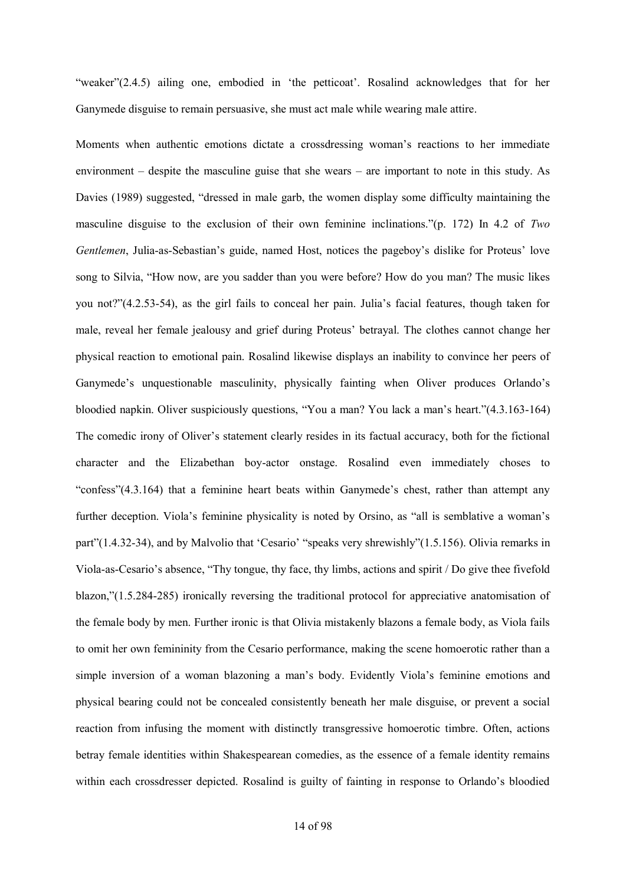"weaker"(2.4.5) ailing one, embodied in 'the petticoat'. Rosalind acknowledges that for her Ganymede disguise to remain persuasive, she must act male while wearing male attire.

Moments when authentic emotions dictate a crossdressing woman's reactions to her immediate environment – despite the masculine guise that she wears – are important to note in this study. As Davies (1989) suggested, "dressed in male garb, the women display some difficulty maintaining the masculine disguise to the exclusion of their own feminine inclinations."(p. 172) In 4.2 of *Two Gentlemen*, Julia-as-Sebastian's guide, named Host, notices the pageboy's dislike for Proteus' love song to Silvia, "How now, are you sadder than you were before? How do you man? The music likes you not?"(4.2.53-54), as the girl fails to conceal her pain. Julia's facial features, though taken for male, reveal her female jealousy and grief during Proteus' betrayal. The clothes cannot change her physical reaction to emotional pain. Rosalind likewise displays an inability to convince her peers of Ganymede's unquestionable masculinity, physically fainting when Oliver produces Orlando's bloodied napkin. Oliver suspiciously questions, "You a man? You lack a man's heart."(4.3.163-164) The comedic irony of Oliver's statement clearly resides in its factual accuracy, both for the fictional character and the Elizabethan boy-actor onstage. Rosalind even immediately choses to "confess"(4.3.164) that a feminine heart beats within Ganymede's chest, rather than attempt any further deception. Viola's feminine physicality is noted by Orsino, as "all is semblative a woman's part"(1.4.32-34), and by Malvolio that 'Cesario' "speaks very shrewishly"(1.5.156). Olivia remarks in Viola-as-Cesario's absence, "Thy tongue, thy face, thy limbs, actions and spirit / Do give thee fivefold blazon,"(1.5.284-285) ironically reversing the traditional protocol for appreciative anatomisation of the female body by men. Further ironic is that Olivia mistakenly blazons a female body, as Viola fails to omit her own femininity from the Cesario performance, making the scene homoerotic rather than a simple inversion of a woman blazoning a man's body. Evidently Viola's feminine emotions and physical bearing could not be concealed consistently beneath her male disguise, or prevent a social reaction from infusing the moment with distinctly transgressive homoerotic timbre. Often, actions betray female identities within Shakespearean comedies, as the essence of a female identity remains within each crossdresser depicted. Rosalind is guilty of fainting in response to Orlando's bloodied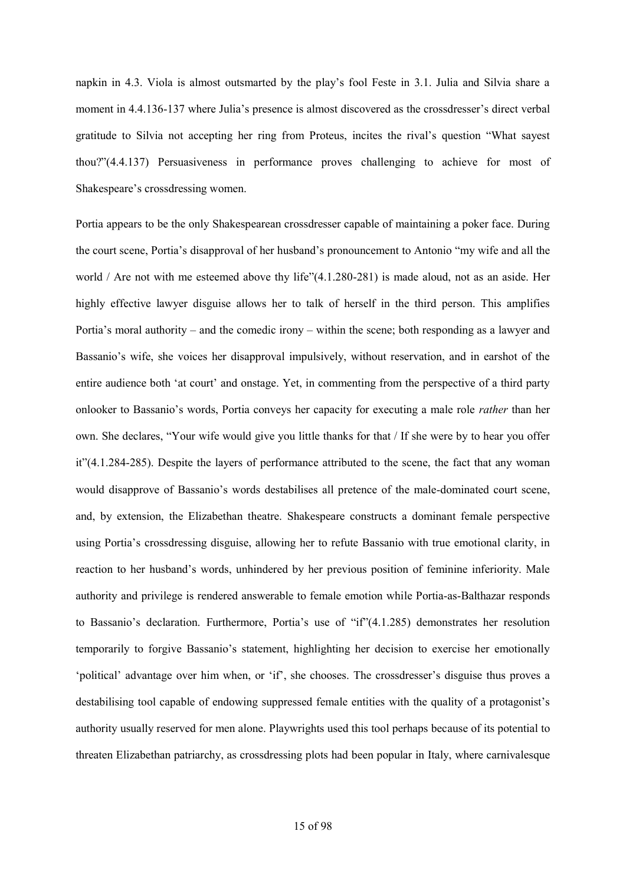napkin in 4.3. Viola is almost outsmarted by the play's fool Feste in 3.1. Julia and Silvia share a moment in 4.4.136-137 where Julia's presence is almost discovered as the crossdresser's direct verbal gratitude to Silvia not accepting her ring from Proteus, incites the rival's question "What sayest thou?"(4.4.137) Persuasiveness in performance proves challenging to achieve for most of Shakespeare's crossdressing women.

Portia appears to be the only Shakespearean crossdresser capable of maintaining a poker face. During the court scene, Portia's disapproval of her husband's pronouncement to Antonio "my wife and all the world / Are not with me esteemed above thy life"(4.1.280-281) is made aloud, not as an aside. Her highly effective lawyer disguise allows her to talk of herself in the third person. This amplifies Portia's moral authority – and the comedic irony – within the scene; both responding as a lawyer and Bassanio's wife, she voices her disapproval impulsively, without reservation, and in earshot of the entire audience both 'at court' and onstage. Yet, in commenting from the perspective of a third party onlooker to Bassanio's words, Portia conveys her capacity for executing a male role *rather* than her own. She declares, "Your wife would give you little thanks for that / If she were by to hear you offer it"(4.1.284-285). Despite the layers of performance attributed to the scene, the fact that any woman would disapprove of Bassanio's words destabilises all pretence of the male-dominated court scene, and, by extension, the Elizabethan theatre. Shakespeare constructs a dominant female perspective using Portia's crossdressing disguise, allowing her to refute Bassanio with true emotional clarity, in reaction to her husband's words, unhindered by her previous position of feminine inferiority. Male authority and privilege is rendered answerable to female emotion while Portia-as-Balthazar responds to Bassanio's declaration. Furthermore, Portia's use of "if"(4.1.285) demonstrates her resolution temporarily to forgive Bassanio's statement, highlighting her decision to exercise her emotionally 'political' advantage over him when, or 'if', she chooses. The crossdresser's disguise thus proves a destabilising tool capable of endowing suppressed female entities with the quality of a protagonist's authority usually reserved for men alone. Playwrights used this tool perhaps because of its potential to threaten Elizabethan patriarchy, as crossdressing plots had been popular in Italy, where carnivalesque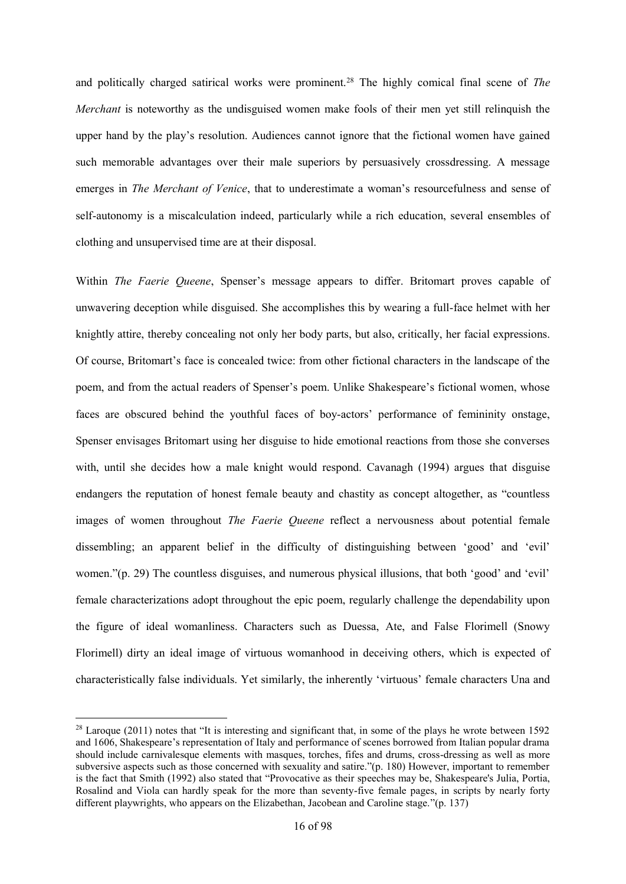and politically charged satirical works were prominent.<sup>28</sup> The highly comical final scene of *The Merchant* is noteworthy as the undisguised women make fools of their men yet still relinquish the upper hand by the play's resolution. Audiences cannot ignore that the fictional women have gained such memorable advantages over their male superiors by persuasively crossdressing. A message emerges in *The Merchant of Venice*, that to underestimate a woman's resourcefulness and sense of self-autonomy is a miscalculation indeed, particularly while a rich education, several ensembles of clothing and unsupervised time are at their disposal.

Within *The Faerie Queene*, Spenser's message appears to differ. Britomart proves capable of unwavering deception while disguised. She accomplishes this by wearing a full-face helmet with her knightly attire, thereby concealing not only her body parts, but also, critically, her facial expressions. Of course, Britomart's face is concealed twice: from other fictional characters in the landscape of the poem, and from the actual readers of Spenser's poem. Unlike Shakespeare's fictional women, whose faces are obscured behind the youthful faces of boy-actors' performance of femininity onstage, Spenser envisages Britomart using her disguise to hide emotional reactions from those she converses with, until she decides how a male knight would respond. Cavanagh (1994) argues that disguise endangers the reputation of honest female beauty and chastity as concept altogether, as "countless images of women throughout *The Faerie Queene* reflect a nervousness about potential female dissembling; an apparent belief in the difficulty of distinguishing between 'good' and 'evil' women."(p. 29) The countless disguises, and numerous physical illusions, that both 'good' and 'evil' female characterizations adopt throughout the epic poem, regularly challenge the dependability upon the figure of ideal womanliness. Characters such as Duessa, Ate, and False Florimell (Snowy Florimell) dirty an ideal image of virtuous womanhood in deceiving others, which is expected of characteristically false individuals. Yet similarly, the inherently 'virtuous' female characters Una and

<sup>&</sup>lt;sup>28</sup> Laroque (2011) notes that "It is interesting and significant that, in some of the plays he wrote between 1592 and 1606, Shakespeare's representation of Italy and performance of scenes borrowed from Italian popular drama should include carnivalesque elements with masques, torches, fifes and drums, cross-dressing as well as more subversive aspects such as those concerned with sexuality and satire."(p. 180) However, important to remember is the fact that Smith (1992) also stated that "Provocative as their speeches may be, Shakespeare's Julia, Portia, Rosalind and Viola can hardly speak for the more than seventy-five female pages, in scripts by nearly forty different playwrights, who appears on the Elizabethan, Jacobean and Caroline stage."(p. 137)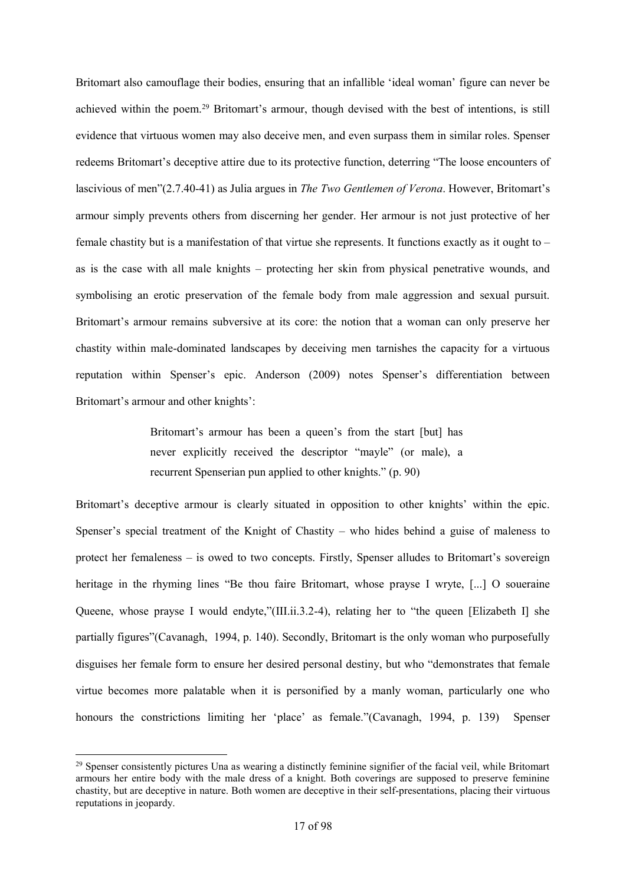Britomart also camouflage their bodies, ensuring that an infallible 'ideal woman' figure can never be achieved within the poem.<sup>29</sup> Britomart's armour, though devised with the best of intentions, is still evidence that virtuous women may also deceive men, and even surpass them in similar roles. Spenser redeems Britomart's deceptive attire due to its protective function, deterring "The loose encounters of lascivious of men"(2.7.40-41) as Julia argues in *The Two Gentlemen of Verona*. However, Britomart's armour simply prevents others from discerning her gender. Her armour is not just protective of her female chastity but is a manifestation of that virtue she represents. It functions exactly as it ought to – as is the case with all male knights – protecting her skin from physical penetrative wounds, and symbolising an erotic preservation of the female body from male aggression and sexual pursuit. Britomart's armour remains subversive at its core: the notion that a woman can only preserve her chastity within male-dominated landscapes by deceiving men tarnishes the capacity for a virtuous reputation within Spenser's epic. Anderson (2009) notes Spenser's differentiation between Britomart's armour and other knights':

> Britomart's armour has been a queen's from the start [but] has never explicitly received the descriptor "mayle" (or male), a recurrent Spenserian pun applied to other knights." (p. 90)

Britomart's deceptive armour is clearly situated in opposition to other knights' within the epic. Spenser's special treatment of the Knight of Chastity – who hides behind a guise of maleness to protect her femaleness – is owed to two concepts. Firstly, Spenser alludes to Britomart's sovereign heritage in the rhyming lines "Be thou faire Britomart, whose prayse I wryte, [...] O soueraine Queene, whose prayse I would endyte,"(III.ii.3.2-4), relating her to "the queen [Elizabeth I] she partially figures"(Cavanagh, 1994, p. 140). Secondly, Britomart is the only woman who purposefully disguises her female form to ensure her desired personal destiny, but who "demonstrates that female virtue becomes more palatable when it is personified by a manly woman, particularly one who honours the constrictions limiting her 'place' as female."(Cavanagh, 1994, p. 139) Spenser

 $^{29}$  Spenser consistently pictures Una as wearing a distinctly feminine signifier of the facial veil, while Britomart armours her entire body with the male dress of a knight. Both coverings are supposed to preserve feminine chastity, but are deceptive in nature. Both women are deceptive in their self-presentations, placing their virtuous reputations in jeopardy.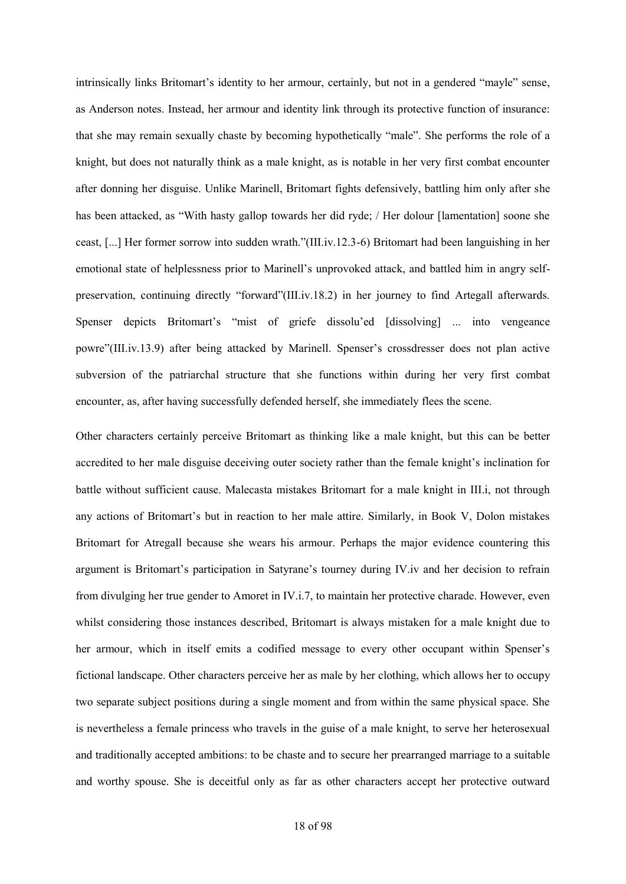intrinsically links Britomart's identity to her armour, certainly, but not in a gendered "mayle" sense, as Anderson notes. Instead, her armour and identity link through its protective function of insurance: that she may remain sexually chaste by becoming hypothetically "male". She performs the role of a knight, but does not naturally think as a male knight, as is notable in her very first combat encounter after donning her disguise. Unlike Marinell, Britomart fights defensively, battling him only after she has been attacked, as "With hasty gallop towards her did ryde; / Her dolour [lamentation] soone she ceast, [...] Her former sorrow into sudden wrath."(III.iv.12.3-6) Britomart had been languishing in her emotional state of helplessness prior to Marinell's unprovoked attack, and battled him in angry selfpreservation, continuing directly "forward"(III.iv.18.2) in her journey to find Artegall afterwards. Spenser depicts Britomart's "mist of griefe dissolu'ed [dissolving] ... into vengeance powre"(III.iv.13.9) after being attacked by Marinell. Spenser's crossdresser does not plan active subversion of the patriarchal structure that she functions within during her very first combat encounter, as, after having successfully defended herself, she immediately flees the scene.

Other characters certainly perceive Britomart as thinking like a male knight, but this can be better accredited to her male disguise deceiving outer society rather than the female knight's inclination for battle without sufficient cause. Malecasta mistakes Britomart for a male knight in III.i, not through any actions of Britomart's but in reaction to her male attire. Similarly, in Book V, Dolon mistakes Britomart for Atregall because she wears his armour. Perhaps the major evidence countering this argument is Britomart's participation in Satyrane's tourney during IV.iv and her decision to refrain from divulging her true gender to Amoret in IV.i.7, to maintain her protective charade. However, even whilst considering those instances described, Britomart is always mistaken for a male knight due to her armour, which in itself emits a codified message to every other occupant within Spenser's fictional landscape. Other characters perceive her as male by her clothing, which allows her to occupy two separate subject positions during a single moment and from within the same physical space. She is nevertheless a female princess who travels in the guise of a male knight, to serve her heterosexual and traditionally accepted ambitions: to be chaste and to secure her prearranged marriage to a suitable and worthy spouse. She is deceitful only as far as other characters accept her protective outward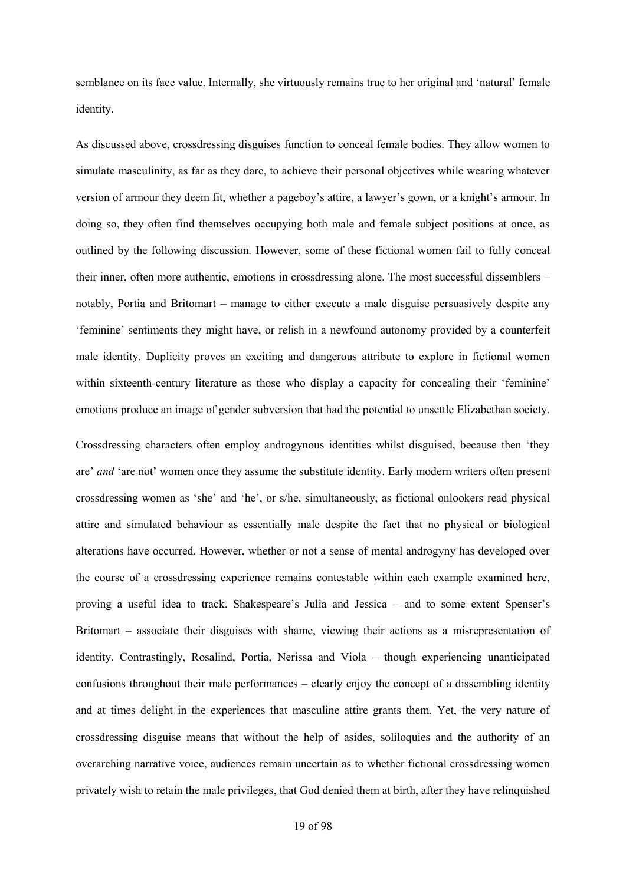semblance on its face value. Internally, she virtuously remains true to her original and 'natural' female identity.

As discussed above, crossdressing disguises function to conceal female bodies. They allow women to simulate masculinity, as far as they dare, to achieve their personal objectives while wearing whatever version of armour they deem fit, whether a pageboy's attire, a lawyer's gown, or a knight's armour. In doing so, they often find themselves occupying both male and female subject positions at once, as outlined by the following discussion. However, some of these fictional women fail to fully conceal their inner, often more authentic, emotions in crossdressing alone. The most successful dissemblers – notably, Portia and Britomart – manage to either execute a male disguise persuasively despite any 'feminine' sentiments they might have, or relish in a newfound autonomy provided by a counterfeit male identity. Duplicity proves an exciting and dangerous attribute to explore in fictional women within sixteenth-century literature as those who display a capacity for concealing their 'feminine' emotions produce an image of gender subversion that had the potential to unsettle Elizabethan society.

Crossdressing characters often employ androgynous identities whilst disguised, because then 'they are' *and* 'are not' women once they assume the substitute identity. Early modern writers often present crossdressing women as 'she' and 'he', or s/he, simultaneously, as fictional onlookers read physical attire and simulated behaviour as essentially male despite the fact that no physical or biological alterations have occurred. However, whether or not a sense of mental androgyny has developed over the course of a crossdressing experience remains contestable within each example examined here, proving a useful idea to track. Shakespeare's Julia and Jessica – and to some extent Spenser's Britomart – associate their disguises with shame, viewing their actions as a misrepresentation of identity. Contrastingly, Rosalind, Portia, Nerissa and Viola – though experiencing unanticipated confusions throughout their male performances – clearly enjoy the concept of a dissembling identity and at times delight in the experiences that masculine attire grants them. Yet, the very nature of crossdressing disguise means that without the help of asides, soliloquies and the authority of an overarching narrative voice, audiences remain uncertain as to whether fictional crossdressing women privately wish to retain the male privileges, that God denied them at birth, after they have relinquished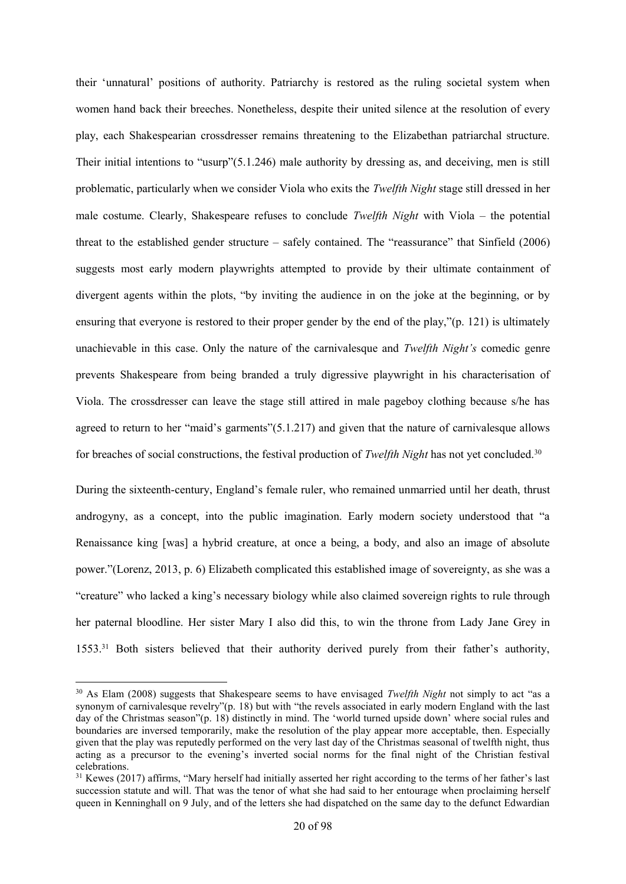their 'unnatural' positions of authority. Patriarchy is restored as the ruling societal system when women hand back their breeches. Nonetheless, despite their united silence at the resolution of every play, each Shakespearian crossdresser remains threatening to the Elizabethan patriarchal structure. Their initial intentions to "usurp"(5.1.246) male authority by dressing as, and deceiving, men is still problematic, particularly when we consider Viola who exits the *Twelfth Night* stage still dressed in her male costume. Clearly, Shakespeare refuses to conclude *Twelfth Night* with Viola – the potential threat to the established gender structure – safely contained. The "reassurance" that Sinfield (2006) suggests most early modern playwrights attempted to provide by their ultimate containment of divergent agents within the plots, "by inviting the audience in on the joke at the beginning, or by ensuring that everyone is restored to their proper gender by the end of the play,"(p. 121) is ultimately unachievable in this case. Only the nature of the carnivalesque and *Twelfth Night's* comedic genre prevents Shakespeare from being branded a truly digressive playwright in his characterisation of Viola. The crossdresser can leave the stage still attired in male pageboy clothing because s/he has agreed to return to her "maid's garments"(5.1.217) and given that the nature of carnivalesque allows for breaches of social constructions, the festival production of *Twelfth Night* has not yet concluded.<sup>30</sup>

During the sixteenth-century, England's female ruler, who remained unmarried until her death, thrust androgyny, as a concept, into the public imagination. Early modern society understood that "a Renaissance king [was] a hybrid creature, at once a being, a body, and also an image of absolute power."(Lorenz, 2013, p. 6) Elizabeth complicated this established image of sovereignty, as she was a "creature" who lacked a king's necessary biology while also claimed sovereign rights to rule through her paternal bloodline. Her sister Mary I also did this, to win the throne from Lady Jane Grey in 1553.<sup>31</sup> Both sisters believed that their authority derived purely from their father's authority,

<sup>30</sup> As Elam (2008) suggests that Shakespeare seems to have envisaged *Twelfth Night* not simply to act "as a synonym of carnivalesque revelry"(p. 18) but with "the revels associated in early modern England with the last day of the Christmas season"(p. 18) distinctly in mind. The 'world turned upside down' where social rules and boundaries are inversed temporarily, make the resolution of the play appear more acceptable, then. Especially given that the play was reputedly performed on the very last day of the Christmas seasonal of twelfth night, thus acting as a precursor to the evening's inverted social norms for the final night of the Christian festival celebrations.

 $31$  Kewes (2017) affirms, "Mary herself had initially asserted her right according to the terms of her father's last succession statute and will. That was the tenor of what she had said to her entourage when proclaiming herself queen in Kenninghall on 9 July, and of the letters she had dispatched on the same day to the defunct Edwardian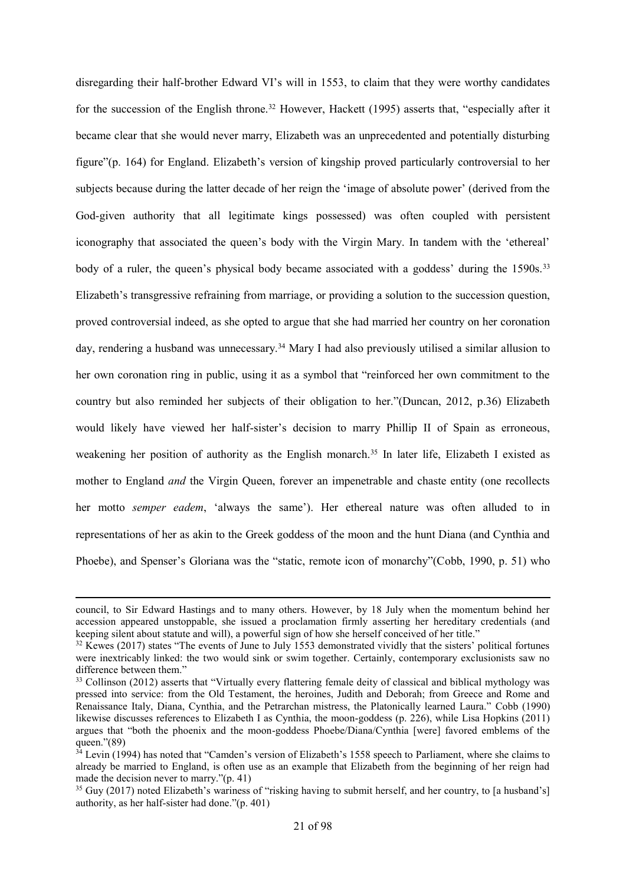disregarding their half-brother Edward VI's will in 1553, to claim that they were worthy candidates for the succession of the English throne.<sup>32</sup> However, Hackett (1995) asserts that, "especially after it became clear that she would never marry, Elizabeth was an unprecedented and potentially disturbing figure"(p. 164) for England. Elizabeth's version of kingship proved particularly controversial to her subjects because during the latter decade of her reign the 'image of absolute power' (derived from the God-given authority that all legitimate kings possessed) was often coupled with persistent iconography that associated the queen's body with the Virgin Mary. In tandem with the 'ethereal' body of a ruler, the queen's physical body became associated with a goddess' during the 1590s.<sup>33</sup> Elizabeth's transgressive refraining from marriage, or providing a solution to the succession question, proved controversial indeed, as she opted to argue that she had married her country on her coronation day, rendering a husband was unnecessary.<sup>34</sup> Mary I had also previously utilised a similar allusion to her own coronation ring in public, using it as a symbol that "reinforced her own commitment to the country but also reminded her subjects of their obligation to her."(Duncan, 2012, p.36) Elizabeth would likely have viewed her half-sister's decision to marry Phillip II of Spain as erroneous, weakening her position of authority as the English monarch.<sup>35</sup> In later life, Elizabeth I existed as mother to England *and* the Virgin Queen, forever an impenetrable and chaste entity (one recollects her motto *semper eadem*, 'always the same'). Her ethereal nature was often alluded to in representations of her as akin to the Greek goddess of the moon and the hunt Diana (and Cynthia and Phoebe), and Spenser's Gloriana was the "static, remote icon of monarchy"(Cobb, 1990, p. 51) who

1

council, to Sir Edward Hastings and to many others. However, by 18 July when the momentum behind her accession appeared unstoppable, she issued a proclamation firmly asserting her hereditary credentials (and keeping silent about statute and will), a powerful sign of how she herself conceived of her title."

<sup>&</sup>lt;sup>32</sup> Kewes (2017) states "The events of June to July 1553 demonstrated vividly that the sisters' political fortunes were inextricably linked: the two would sink or swim together. Certainly, contemporary exclusionists saw no difference between them."

<sup>&</sup>lt;sup>33</sup> Collinson (2012) asserts that "Virtually every flattering female deity of classical and biblical mythology was pressed into service: from the Old Testament, the heroines, Judith and Deborah; from Greece and Rome and Renaissance Italy, Diana, Cynthia, and the Petrarchan mistress, the Platonically learned Laura." Cobb (1990) likewise discusses references to Elizabeth I as Cynthia, the moon-goddess (p. 226), while Lisa Hopkins (2011) argues that "both the phoenix and the moon-goddess Phoebe/Diana/Cynthia [were] favored emblems of the queen."(89)

 $34$  Levin (1994) has noted that "Camden's version of Elizabeth's 1558 speech to Parliament, where she claims to already be married to England, is often use as an example that Elizabeth from the beginning of her reign had made the decision never to marry."(p. 41)

<sup>&</sup>lt;sup>35</sup> Guy (2017) noted Elizabeth's wariness of "risking having to submit herself, and her country, to [a husband's] authority, as her half-sister had done."(p. 401)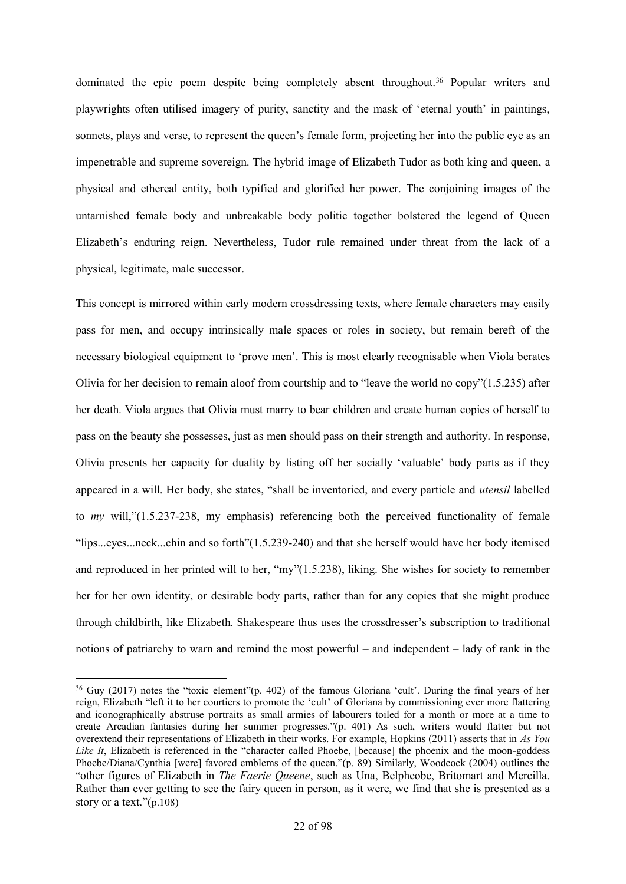dominated the epic poem despite being completely absent throughout.<sup>36</sup> Popular writers and playwrights often utilised imagery of purity, sanctity and the mask of 'eternal youth' in paintings, sonnets, plays and verse, to represent the queen's female form, projecting her into the public eye as an impenetrable and supreme sovereign. The hybrid image of Elizabeth Tudor as both king and queen, a physical and ethereal entity, both typified and glorified her power. The conjoining images of the untarnished female body and unbreakable body politic together bolstered the legend of Queen Elizabeth's enduring reign. Nevertheless, Tudor rule remained under threat from the lack of a physical, legitimate, male successor.

This concept is mirrored within early modern crossdressing texts, where female characters may easily pass for men, and occupy intrinsically male spaces or roles in society, but remain bereft of the necessary biological equipment to 'prove men'. This is most clearly recognisable when Viola berates Olivia for her decision to remain aloof from courtship and to "leave the world no copy"(1.5.235) after her death. Viola argues that Olivia must marry to bear children and create human copies of herself to pass on the beauty she possesses, just as men should pass on their strength and authority. In response, Olivia presents her capacity for duality by listing off her socially 'valuable' body parts as if they appeared in a will. Her body, she states, "shall be inventoried, and every particle and *utensil* labelled to *my* will,"(1.5.237-238, my emphasis) referencing both the perceived functionality of female "lips...eyes...neck...chin and so forth"(1.5.239-240) and that she herself would have her body itemised and reproduced in her printed will to her, "my"(1.5.238), liking. She wishes for society to remember her for her own identity, or desirable body parts, rather than for any copies that she might produce through childbirth, like Elizabeth. Shakespeare thus uses the crossdresser's subscription to traditional notions of patriarchy to warn and remind the most powerful – and independent – lady of rank in the

<sup>36</sup> Guy (2017) notes the "toxic element"(p. 402) of the famous Gloriana 'cult'. During the final years of her reign, Elizabeth "left it to her courtiers to promote the 'cult' of Gloriana by commissioning ever more flattering and iconographically abstruse portraits as small armies of labourers toiled for a month or more at a time to create Arcadian fantasies during her summer progresses."(p. 401) As such, writers would flatter but not overextend their representations of Elizabeth in their works. For example, Hopkins (2011) asserts that in *As You Like It*, Elizabeth is referenced in the "character called Phoebe, [because] the phoenix and the moon-goddess Phoebe/Diana/Cynthia [were] favored emblems of the queen."(p. 89) Similarly, Woodcock (2004) outlines the "other figures of Elizabeth in *The Faerie Queene*, such as Una, Belpheobe, Britomart and Mercilla. Rather than ever getting to see the fairy queen in person, as it were, we find that she is presented as a story or a text." $(p.108)$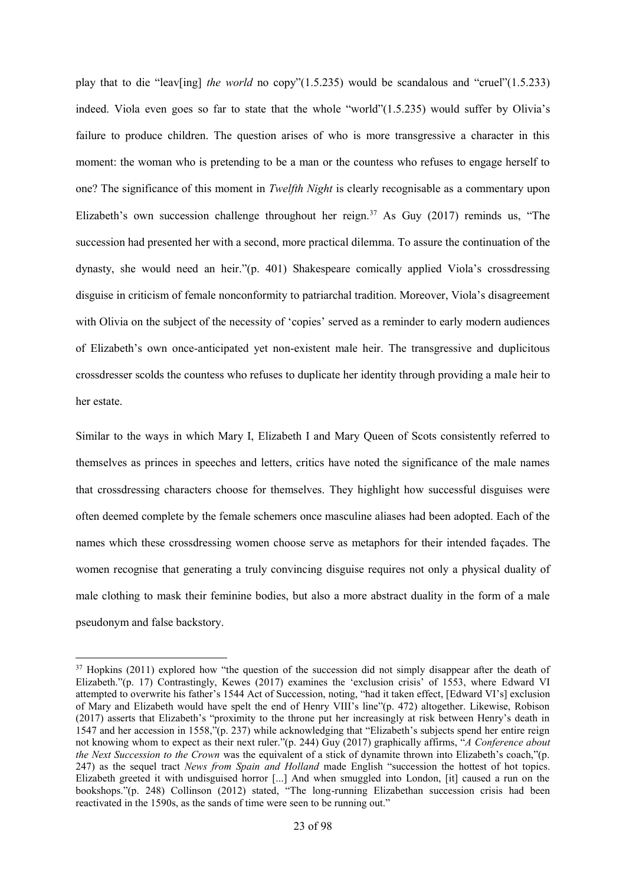play that to die "leav[ing] *the world* no copy"(1.5.235) would be scandalous and "cruel"(1.5.233) indeed. Viola even goes so far to state that the whole "world"(1.5.235) would suffer by Olivia's failure to produce children. The question arises of who is more transgressive a character in this moment: the woman who is pretending to be a man or the countess who refuses to engage herself to one? The significance of this moment in *Twelfth Night* is clearly recognisable as a commentary upon Elizabeth's own succession challenge throughout her reign.<sup>37</sup> As Guy (2017) reminds us, "The succession had presented her with a second, more practical dilemma. To assure the continuation of the dynasty, she would need an heir."(p. 401) Shakespeare comically applied Viola's crossdressing disguise in criticism of female nonconformity to patriarchal tradition. Moreover, Viola's disagreement with Olivia on the subject of the necessity of 'copies' served as a reminder to early modern audiences of Elizabeth's own once-anticipated yet non-existent male heir. The transgressive and duplicitous crossdresser scolds the countess who refuses to duplicate her identity through providing a male heir to her estate.

Similar to the ways in which Mary I, Elizabeth I and Mary Queen of Scots consistently referred to themselves as princes in speeches and letters, critics have noted the significance of the male names that crossdressing characters choose for themselves. They highlight how successful disguises were often deemed complete by the female schemers once masculine aliases had been adopted. Each of the names which these crossdressing women choose serve as metaphors for their intended façades. The women recognise that generating a truly convincing disguise requires not only a physical duality of male clothing to mask their feminine bodies, but also a more abstract duality in the form of a male pseudonym and false backstory.

<sup>&</sup>lt;sup>37</sup> Hopkins (2011) explored how "the question of the succession did not simply disappear after the death of Elizabeth."(p. 17) Contrastingly, Kewes (2017) examines the 'exclusion crisis' of 1553, where Edward VI attempted to overwrite his father's 1544 Act of Succession, noting, "had it taken effect, [Edward VI's] exclusion of Mary and Elizabeth would have spelt the end of Henry VIII's line"(p. 472) altogether. Likewise, Robison (2017) asserts that Elizabeth's "proximity to the throne put her increasingly at risk between Henry's death in 1547 and her accession in 1558,"(p. 237) while acknowledging that "Elizabeth's subjects spend her entire reign not knowing whom to expect as their next ruler."(p. 244) Guy (2017) graphically affirms, "*A Conference about the Next Succession to the Crown* was the equivalent of a stick of dynamite thrown into Elizabeth's coach,"(p. 247) as the sequel tract *News from Spain and Holland* made English "succession the hottest of hot topics. Elizabeth greeted it with undisguised horror [...] And when smuggled into London, [it] caused a run on the bookshops."(p. 248) Collinson (2012) stated, "The long-running Elizabethan succession crisis had been reactivated in the 1590s, as the sands of time were seen to be running out."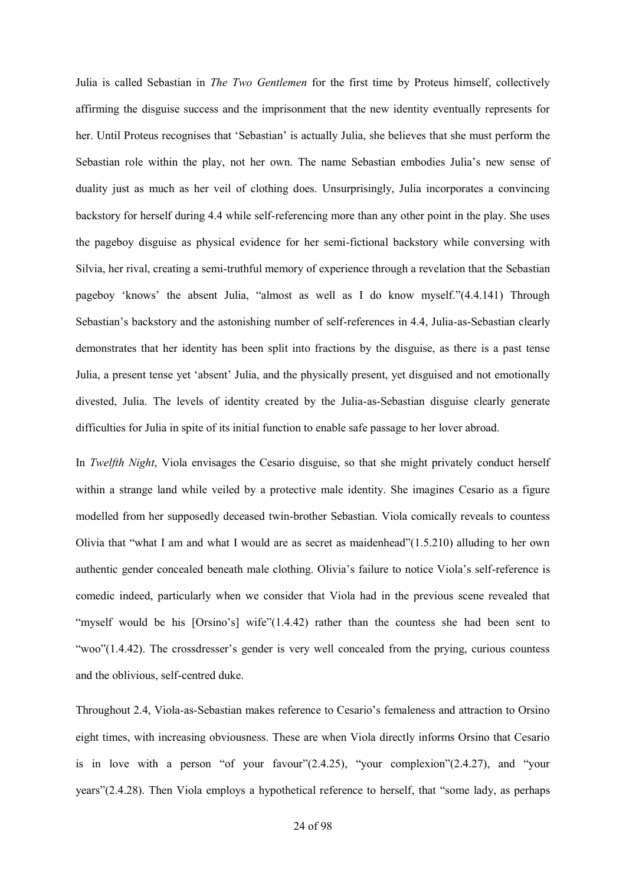Julia is called Sebastian in *The Two Gentlemen* for the first time by Proteus himself, collectively affirming the disguise success and the imprisonment that the new identity eventually represents for her. Until Proteus recognises that 'Sebastian' is actually Julia, she believes that she must perform the Sebastian role within the play, not her own. The name Sebastian embodies Julia's new sense of duality just as much as her veil of clothing does. Unsurprisingly, Julia incorporates a convincing backstory for herself during 4.4 while self-referencing more than any other point in the play. She uses the pageboy disguise as physical evidence for her semi-fictional backstory while conversing with Silvia, her rival, creating a semi-truthful memory of experience through a revelation that the Sebastian pageboy 'knows' the absent Julia, "almost as well as I do know myself."(4.4.141) Through Sebastian's backstory and the astonishing number of self-references in 4.4, Julia-as-Sebastian clearly demonstrates that her identity has been split into fractions by the disguise, as there is a past tense Julia, a present tense yet 'absent' Julia, and the physically present, yet disguised and not emotionally divested, Julia. The levels of identity created by the Julia-as-Sebastian disguise clearly generate difficulties for Julia in spite of its initial function to enable safe passage to her lover abroad.

In *Twelfth Night*, Viola envisages the Cesario disguise, so that she might privately conduct herself within a strange land while veiled by a protective male identity. She imagines Cesario as a figure modelled from her supposedly deceased twin-brother Sebastian. Viola comically reveals to countess Olivia that "what I am and what I would are as secret as maidenhead"(1.5.210) alluding to her own authentic gender concealed beneath male clothing. Olivia's failure to notice Viola's self-reference is comedic indeed, particularly when we consider that Viola had in the previous scene revealed that "myself would be his [Orsino's] wife"(1.4.42) rather than the countess she had been sent to "woo"(1.4.42). The crossdresser's gender is very well concealed from the prying, curious countess and the oblivious, self-centred duke.

Throughout 2.4, Viola-as-Sebastian makes reference to Cesario's femaleness and attraction to Orsino eight times, with increasing obviousness. These are when Viola directly informs Orsino that Cesario is in love with a person "of your favour"(2.4.25), "your complexion"(2.4.27), and "your years"(2.4.28). Then Viola employs a hypothetical reference to herself, that "some lady, as perhaps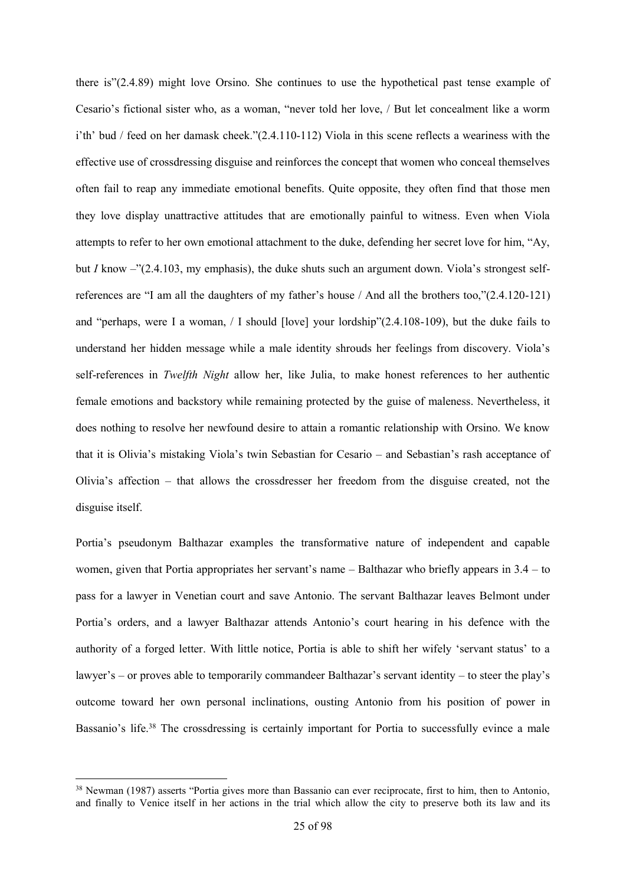there is"(2.4.89) might love Orsino. She continues to use the hypothetical past tense example of Cesario's fictional sister who, as a woman, "never told her love, / But let concealment like a worm i'th' bud / feed on her damask cheek."(2.4.110-112) Viola in this scene reflects a weariness with the effective use of crossdressing disguise and reinforces the concept that women who conceal themselves often fail to reap any immediate emotional benefits. Quite opposite, they often find that those men they love display unattractive attitudes that are emotionally painful to witness. Even when Viola attempts to refer to her own emotional attachment to the duke, defending her secret love for him, "Ay, but *I* know –"(2.4.103, my emphasis), the duke shuts such an argument down. Viola's strongest selfreferences are "I am all the daughters of my father's house / And all the brothers too,"(2.4.120-121) and "perhaps, were I a woman, / I should [love] your lordship"(2.4.108-109), but the duke fails to understand her hidden message while a male identity shrouds her feelings from discovery. Viola's self-references in *Twelfth Night* allow her, like Julia, to make honest references to her authentic female emotions and backstory while remaining protected by the guise of maleness. Nevertheless, it does nothing to resolve her newfound desire to attain a romantic relationship with Orsino. We know that it is Olivia's mistaking Viola's twin Sebastian for Cesario – and Sebastian's rash acceptance of Olivia's affection – that allows the crossdresser her freedom from the disguise created, not the disguise itself.

Portia's pseudonym Balthazar examples the transformative nature of independent and capable women, given that Portia appropriates her servant's name – Balthazar who briefly appears in 3.4 – to pass for a lawyer in Venetian court and save Antonio. The servant Balthazar leaves Belmont under Portia's orders, and a lawyer Balthazar attends Antonio's court hearing in his defence with the authority of a forged letter. With little notice, Portia is able to shift her wifely 'servant status' to a lawyer's – or proves able to temporarily commandeer Balthazar's servant identity – to steer the play's outcome toward her own personal inclinations, ousting Antonio from his position of power in Bassanio's life.<sup>38</sup> The crossdressing is certainly important for Portia to successfully evince a male

1

<sup>&</sup>lt;sup>38</sup> Newman (1987) asserts "Portia gives more than Bassanio can ever reciprocate, first to him, then to Antonio, and finally to Venice itself in her actions in the trial which allow the city to preserve both its law and its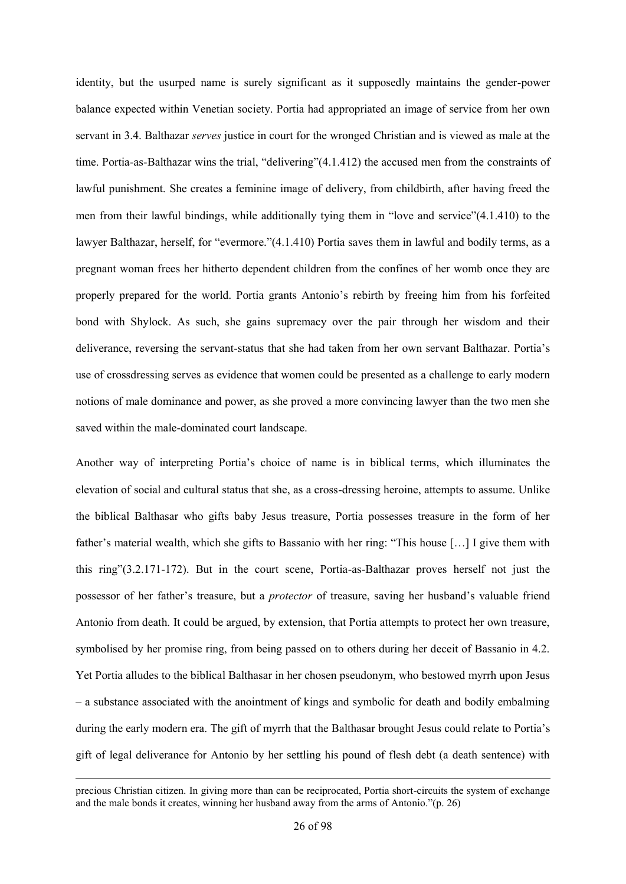identity, but the usurped name is surely significant as it supposedly maintains the gender-power balance expected within Venetian society. Portia had appropriated an image of service from her own servant in 3.4. Balthazar *serves* justice in court for the wronged Christian and is viewed as male at the time. Portia-as-Balthazar wins the trial, "delivering"(4.1.412) the accused men from the constraints of lawful punishment. She creates a feminine image of delivery, from childbirth, after having freed the men from their lawful bindings, while additionally tying them in "love and service"(4.1.410) to the lawyer Balthazar, herself, for "evermore."(4.1.410) Portia saves them in lawful and bodily terms, as a pregnant woman frees her hitherto dependent children from the confines of her womb once they are properly prepared for the world. Portia grants Antonio's rebirth by freeing him from his forfeited bond with Shylock. As such, she gains supremacy over the pair through her wisdom and their deliverance, reversing the servant-status that she had taken from her own servant Balthazar. Portia's use of crossdressing serves as evidence that women could be presented as a challenge to early modern notions of male dominance and power, as she proved a more convincing lawyer than the two men she saved within the male-dominated court landscape.

Another way of interpreting Portia's choice of name is in biblical terms, which illuminates the elevation of social and cultural status that she, as a cross-dressing heroine, attempts to assume. Unlike the biblical Balthasar who gifts baby Jesus treasure, Portia possesses treasure in the form of her father's material wealth, which she gifts to Bassanio with her ring: "This house […] I give them with this ring"(3.2.171-172). But in the court scene, Portia-as-Balthazar proves herself not just the possessor of her father's treasure, but a *protector* of treasure, saving her husband's valuable friend Antonio from death. It could be argued, by extension, that Portia attempts to protect her own treasure, symbolised by her promise ring, from being passed on to others during her deceit of Bassanio in 4.2. Yet Portia alludes to the biblical Balthasar in her chosen pseudonym, who bestowed myrrh upon Jesus – a substance associated with the anointment of kings and symbolic for death and bodily embalming during the early modern era. The gift of myrrh that the Balthasar brought Jesus could relate to Portia's gift of legal deliverance for Antonio by her settling his pound of flesh debt (a death sentence) with

1

precious Christian citizen. In giving more than can be reciprocated, Portia short-circuits the system of exchange and the male bonds it creates, winning her husband away from the arms of Antonio."(p. 26)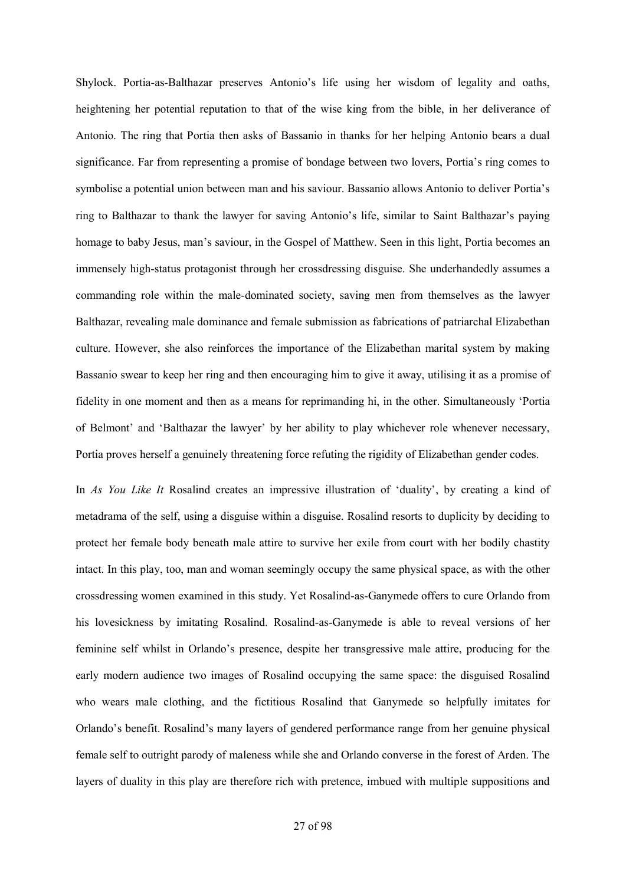Shylock. Portia-as-Balthazar preserves Antonio's life using her wisdom of legality and oaths, heightening her potential reputation to that of the wise king from the bible, in her deliverance of Antonio. The ring that Portia then asks of Bassanio in thanks for her helping Antonio bears a dual significance. Far from representing a promise of bondage between two lovers, Portia's ring comes to symbolise a potential union between man and his saviour. Bassanio allows Antonio to deliver Portia's ring to Balthazar to thank the lawyer for saving Antonio's life, similar to Saint Balthazar's paying homage to baby Jesus, man's saviour, in the Gospel of Matthew. Seen in this light, Portia becomes an immensely high-status protagonist through her crossdressing disguise. She underhandedly assumes a commanding role within the male-dominated society, saving men from themselves as the lawyer Balthazar, revealing male dominance and female submission as fabrications of patriarchal Elizabethan culture. However, she also reinforces the importance of the Elizabethan marital system by making Bassanio swear to keep her ring and then encouraging him to give it away, utilising it as a promise of fidelity in one moment and then as a means for reprimanding hi, in the other. Simultaneously 'Portia of Belmont' and 'Balthazar the lawyer' by her ability to play whichever role whenever necessary, Portia proves herself a genuinely threatening force refuting the rigidity of Elizabethan gender codes.

In *As You Like It* Rosalind creates an impressive illustration of 'duality', by creating a kind of metadrama of the self, using a disguise within a disguise. Rosalind resorts to duplicity by deciding to protect her female body beneath male attire to survive her exile from court with her bodily chastity intact. In this play, too, man and woman seemingly occupy the same physical space, as with the other crossdressing women examined in this study. Yet Rosalind-as-Ganymede offers to cure Orlando from his lovesickness by imitating Rosalind. Rosalind-as-Ganymede is able to reveal versions of her feminine self whilst in Orlando's presence, despite her transgressive male attire, producing for the early modern audience two images of Rosalind occupying the same space: the disguised Rosalind who wears male clothing, and the fictitious Rosalind that Ganymede so helpfully imitates for Orlando's benefit. Rosalind's many layers of gendered performance range from her genuine physical female self to outright parody of maleness while she and Orlando converse in the forest of Arden. The layers of duality in this play are therefore rich with pretence, imbued with multiple suppositions and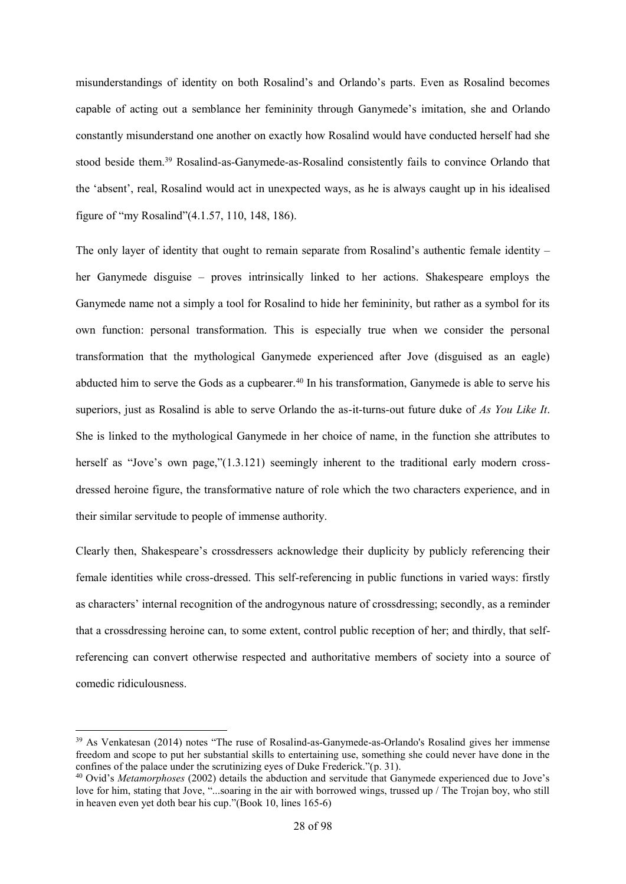misunderstandings of identity on both Rosalind's and Orlando's parts. Even as Rosalind becomes capable of acting out a semblance her femininity through Ganymede's imitation, she and Orlando constantly misunderstand one another on exactly how Rosalind would have conducted herself had she stood beside them.<sup>39</sup> Rosalind-as-Ganymede-as-Rosalind consistently fails to convince Orlando that the 'absent', real, Rosalind would act in unexpected ways, as he is always caught up in his idealised figure of "my Rosalind"(4.1.57, 110, 148, 186).

The only layer of identity that ought to remain separate from Rosalind's authentic female identity – her Ganymede disguise – proves intrinsically linked to her actions. Shakespeare employs the Ganymede name not a simply a tool for Rosalind to hide her femininity, but rather as a symbol for its own function: personal transformation. This is especially true when we consider the personal transformation that the mythological Ganymede experienced after Jove (disguised as an eagle) abducted him to serve the Gods as a cupbearer.<sup>40</sup> In his transformation, Ganymede is able to serve his superiors, just as Rosalind is able to serve Orlando the as-it-turns-out future duke of *As You Like It*. She is linked to the mythological Ganymede in her choice of name, in the function she attributes to herself as "Jove's own page,"(1.3.121) seemingly inherent to the traditional early modern crossdressed heroine figure, the transformative nature of role which the two characters experience, and in their similar servitude to people of immense authority.

Clearly then, Shakespeare's crossdressers acknowledge their duplicity by publicly referencing their female identities while cross-dressed. This self-referencing in public functions in varied ways: firstly as characters' internal recognition of the androgynous nature of crossdressing; secondly, as a reminder that a crossdressing heroine can, to some extent, control public reception of her; and thirdly, that selfreferencing can convert otherwise respected and authoritative members of society into a source of comedic ridiculousness.

<sup>39</sup> As Venkatesan (2014) notes "The ruse of Rosalind-as-Ganymede-as-Orlando's Rosalind gives her immense freedom and scope to put her substantial skills to entertaining use, something she could never have done in the confines of the palace under the scrutinizing eyes of Duke Frederick."(p. 31).

<sup>40</sup> Ovid's *Metamorphoses* (2002) details the abduction and servitude that Ganymede experienced due to Jove's love for him, stating that Jove, "...soaring in the air with borrowed wings, trussed up / The Trojan boy, who still in heaven even yet doth bear his cup."(Book 10, lines 165-6)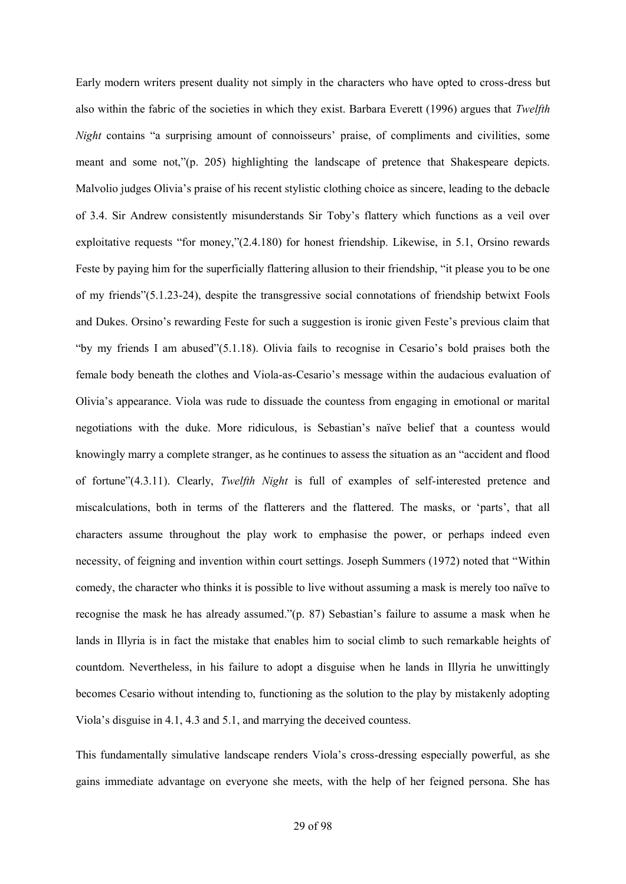Early modern writers present duality not simply in the characters who have opted to cross-dress but also within the fabric of the societies in which they exist. Barbara Everett (1996) argues that *Twelfth Night* contains "a surprising amount of connoisseurs' praise, of compliments and civilities, some meant and some not,"(p. 205) highlighting the landscape of pretence that Shakespeare depicts. Malvolio judges Olivia's praise of his recent stylistic clothing choice as sincere, leading to the debacle of 3.4. Sir Andrew consistently misunderstands Sir Toby's flattery which functions as a veil over exploitative requests "for money,"(2.4.180) for honest friendship. Likewise, in 5.1, Orsino rewards Feste by paying him for the superficially flattering allusion to their friendship, "it please you to be one of my friends"(5.1.23-24), despite the transgressive social connotations of friendship betwixt Fools and Dukes. Orsino's rewarding Feste for such a suggestion is ironic given Feste's previous claim that "by my friends I am abused"(5.1.18). Olivia fails to recognise in Cesario's bold praises both the female body beneath the clothes and Viola-as-Cesario's message within the audacious evaluation of Olivia's appearance. Viola was rude to dissuade the countess from engaging in emotional or marital negotiations with the duke. More ridiculous, is Sebastian's naïve belief that a countess would knowingly marry a complete stranger, as he continues to assess the situation as an "accident and flood of fortune"(4.3.11). Clearly, *Twelfth Night* is full of examples of self-interested pretence and miscalculations, both in terms of the flatterers and the flattered. The masks, or 'parts', that all characters assume throughout the play work to emphasise the power, or perhaps indeed even necessity, of feigning and invention within court settings. Joseph Summers (1972) noted that "Within comedy, the character who thinks it is possible to live without assuming a mask is merely too naïve to recognise the mask he has already assumed."(p. 87) Sebastian's failure to assume a mask when he lands in Illyria is in fact the mistake that enables him to social climb to such remarkable heights of countdom. Nevertheless, in his failure to adopt a disguise when he lands in Illyria he unwittingly becomes Cesario without intending to, functioning as the solution to the play by mistakenly adopting Viola's disguise in 4.1, 4.3 and 5.1, and marrying the deceived countess.

This fundamentally simulative landscape renders Viola's cross-dressing especially powerful, as she gains immediate advantage on everyone she meets, with the help of her feigned persona. She has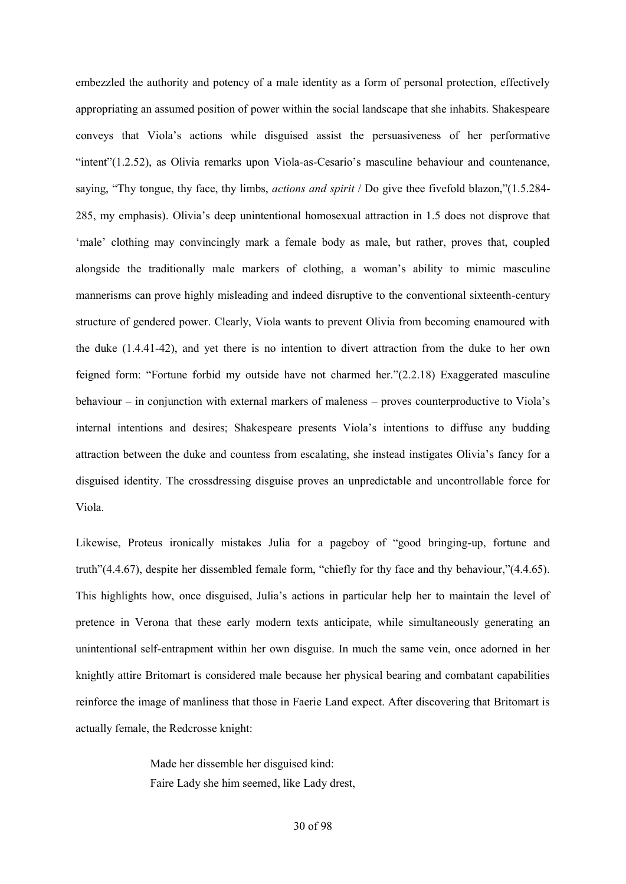embezzled the authority and potency of a male identity as a form of personal protection, effectively appropriating an assumed position of power within the social landscape that she inhabits. Shakespeare conveys that Viola's actions while disguised assist the persuasiveness of her performative "intent"(1.2.52), as Olivia remarks upon Viola-as-Cesario's masculine behaviour and countenance, saying, "Thy tongue, thy face, thy limbs, *actions and spirit* / Do give thee fivefold blazon,"(1.5.284- 285, my emphasis). Olivia's deep unintentional homosexual attraction in 1.5 does not disprove that 'male' clothing may convincingly mark a female body as male, but rather, proves that, coupled alongside the traditionally male markers of clothing, a woman's ability to mimic masculine mannerisms can prove highly misleading and indeed disruptive to the conventional sixteenth-century structure of gendered power. Clearly, Viola wants to prevent Olivia from becoming enamoured with the duke (1.4.41-42), and yet there is no intention to divert attraction from the duke to her own feigned form: "Fortune forbid my outside have not charmed her."(2.2.18) Exaggerated masculine behaviour – in conjunction with external markers of maleness – proves counterproductive to Viola's internal intentions and desires; Shakespeare presents Viola's intentions to diffuse any budding attraction between the duke and countess from escalating, she instead instigates Olivia's fancy for a disguised identity. The crossdressing disguise proves an unpredictable and uncontrollable force for Viola.

Likewise, Proteus ironically mistakes Julia for a pageboy of "good bringing-up, fortune and truth"(4.4.67), despite her dissembled female form, "chiefly for thy face and thy behaviour,"(4.4.65). This highlights how, once disguised, Julia's actions in particular help her to maintain the level of pretence in Verona that these early modern texts anticipate, while simultaneously generating an unintentional self-entrapment within her own disguise. In much the same vein, once adorned in her knightly attire Britomart is considered male because her physical bearing and combatant capabilities reinforce the image of manliness that those in Faerie Land expect. After discovering that Britomart is actually female, the Redcrosse knight:

> Made her dissemble her disguised kind: Faire Lady she him seemed, like Lady drest,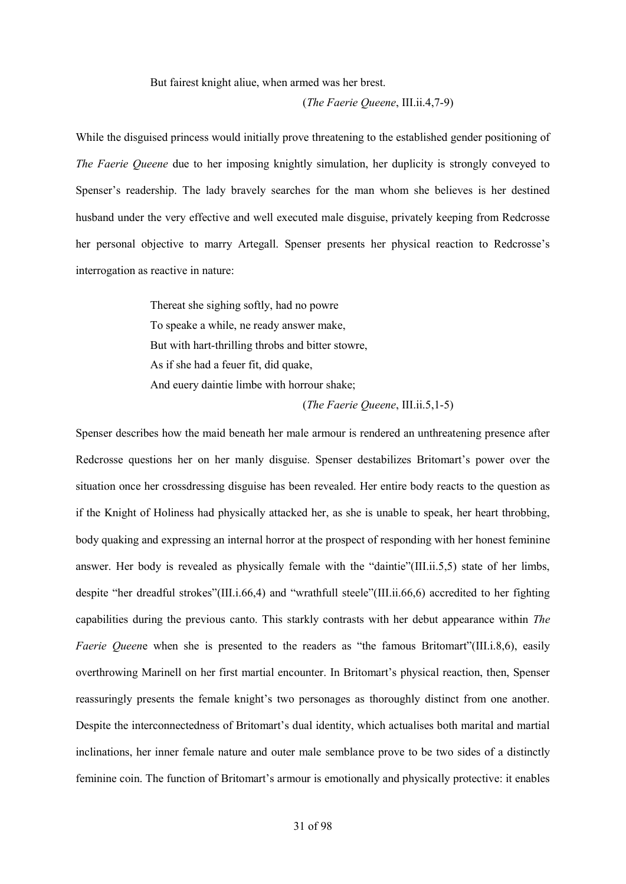But fairest knight aliue, when armed was her brest.

(*The Faerie Queene*, III.ii.4,7-9)

While the disguised princess would initially prove threatening to the established gender positioning of *The Faerie Queene* due to her imposing knightly simulation, her duplicity is strongly conveyed to Spenser's readership. The lady bravely searches for the man whom she believes is her destined husband under the very effective and well executed male disguise, privately keeping from Redcrosse her personal objective to marry Artegall. Spenser presents her physical reaction to Redcrosse's interrogation as reactive in nature:

> Thereat she sighing softly, had no powre To speake a while, ne ready answer make, But with hart-thrilling throbs and bitter stowre, As if she had a feuer fit, did quake, And euery daintie limbe with horrour shake;

(*The Faerie Queene*, III.ii.5,1-5)

Spenser describes how the maid beneath her male armour is rendered an unthreatening presence after Redcrosse questions her on her manly disguise. Spenser destabilizes Britomart's power over the situation once her crossdressing disguise has been revealed. Her entire body reacts to the question as if the Knight of Holiness had physically attacked her, as she is unable to speak, her heart throbbing, body quaking and expressing an internal horror at the prospect of responding with her honest feminine answer. Her body is revealed as physically female with the "daintie"(III.ii.5,5) state of her limbs, despite "her dreadful strokes"(III.i.66,4) and "wrathfull steele"(III.ii.66,6) accredited to her fighting capabilities during the previous canto. This starkly contrasts with her debut appearance within *The Faerie Queene* when she is presented to the readers as "the famous Britomart"(III.i.8,6), easily overthrowing Marinell on her first martial encounter. In Britomart's physical reaction, then, Spenser reassuringly presents the female knight's two personages as thoroughly distinct from one another. Despite the interconnectedness of Britomart's dual identity, which actualises both marital and martial inclinations, her inner female nature and outer male semblance prove to be two sides of a distinctly feminine coin. The function of Britomart's armour is emotionally and physically protective: it enables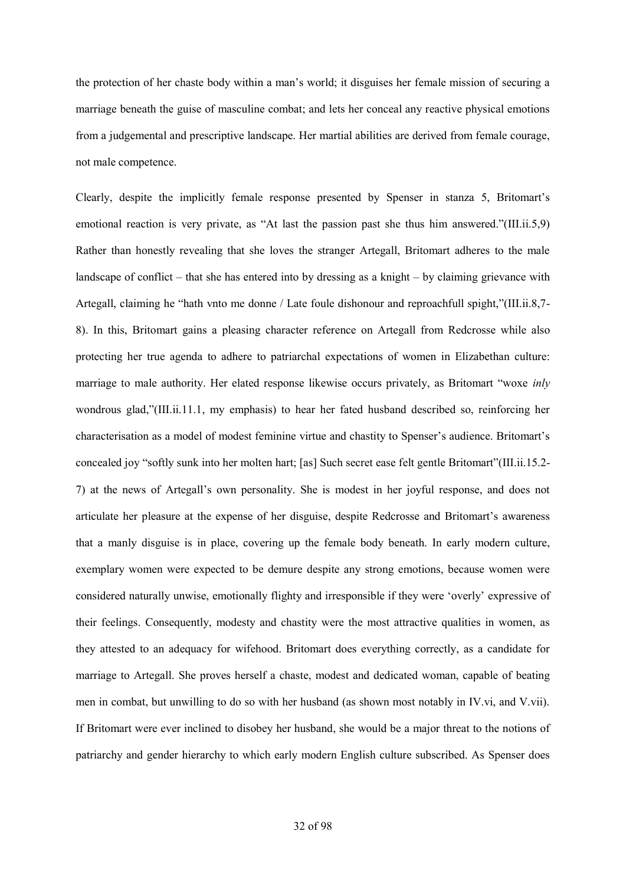the protection of her chaste body within a man's world; it disguises her female mission of securing a marriage beneath the guise of masculine combat; and lets her conceal any reactive physical emotions from a judgemental and prescriptive landscape. Her martial abilities are derived from female courage, not male competence.

Clearly, despite the implicitly female response presented by Spenser in stanza 5, Britomart's emotional reaction is very private, as "At last the passion past she thus him answered."(III.ii.5,9) Rather than honestly revealing that she loves the stranger Artegall, Britomart adheres to the male landscape of conflict – that she has entered into by dressing as a knight – by claiming grievance with Artegall, claiming he "hath vnto me donne / Late foule dishonour and reproachfull spight,"(III.ii.8,7- 8). In this, Britomart gains a pleasing character reference on Artegall from Redcrosse while also protecting her true agenda to adhere to patriarchal expectations of women in Elizabethan culture: marriage to male authority. Her elated response likewise occurs privately, as Britomart "woxe *inly* wondrous glad,"(III.ii.11.1, my emphasis) to hear her fated husband described so, reinforcing her characterisation as a model of modest feminine virtue and chastity to Spenser's audience. Britomart's concealed joy "softly sunk into her molten hart; [as] Such secret ease felt gentle Britomart"(III.ii.15.2- 7) at the news of Artegall's own personality. She is modest in her joyful response, and does not articulate her pleasure at the expense of her disguise, despite Redcrosse and Britomart's awareness that a manly disguise is in place, covering up the female body beneath. In early modern culture, exemplary women were expected to be demure despite any strong emotions, because women were considered naturally unwise, emotionally flighty and irresponsible if they were 'overly' expressive of their feelings. Consequently, modesty and chastity were the most attractive qualities in women, as they attested to an adequacy for wifehood. Britomart does everything correctly, as a candidate for marriage to Artegall. She proves herself a chaste, modest and dedicated woman, capable of beating men in combat, but unwilling to do so with her husband (as shown most notably in IV.vi, and V.vii). If Britomart were ever inclined to disobey her husband, she would be a major threat to the notions of patriarchy and gender hierarchy to which early modern English culture subscribed. As Spenser does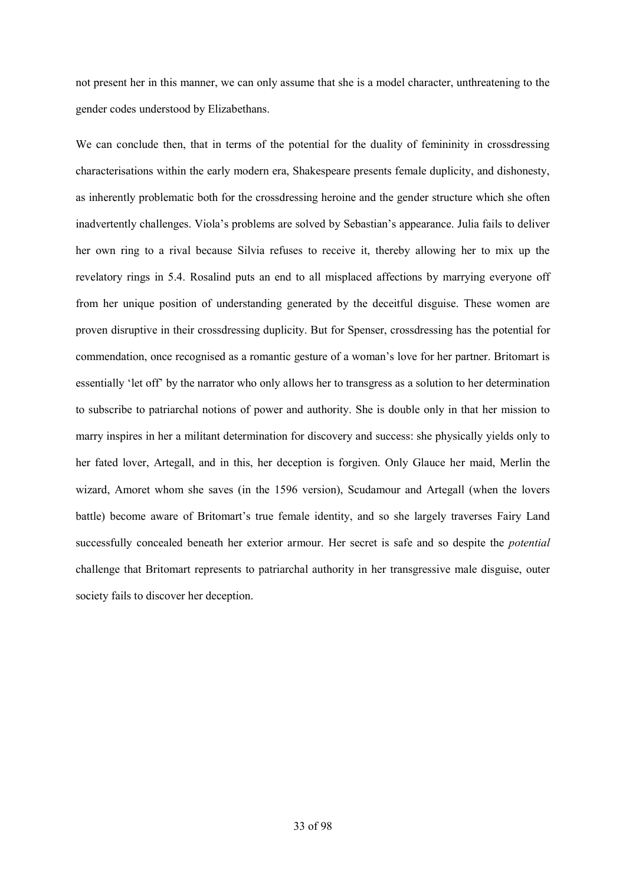not present her in this manner, we can only assume that she is a model character, unthreatening to the gender codes understood by Elizabethans.

We can conclude then, that in terms of the potential for the duality of femininity in crossdressing characterisations within the early modern era, Shakespeare presents female duplicity, and dishonesty, as inherently problematic both for the crossdressing heroine and the gender structure which she often inadvertently challenges. Viola's problems are solved by Sebastian's appearance. Julia fails to deliver her own ring to a rival because Silvia refuses to receive it, thereby allowing her to mix up the revelatory rings in 5.4. Rosalind puts an end to all misplaced affections by marrying everyone off from her unique position of understanding generated by the deceitful disguise. These women are proven disruptive in their crossdressing duplicity. But for Spenser, crossdressing has the potential for commendation, once recognised as a romantic gesture of a woman's love for her partner. Britomart is essentially 'let off' by the narrator who only allows her to transgress as a solution to her determination to subscribe to patriarchal notions of power and authority. She is double only in that her mission to marry inspires in her a militant determination for discovery and success: she physically yields only to her fated lover, Artegall, and in this, her deception is forgiven. Only Glauce her maid, Merlin the wizard, Amoret whom she saves (in the 1596 version), Scudamour and Artegall (when the lovers battle) become aware of Britomart's true female identity, and so she largely traverses Fairy Land successfully concealed beneath her exterior armour. Her secret is safe and so despite the *potential*  challenge that Britomart represents to patriarchal authority in her transgressive male disguise, outer society fails to discover her deception.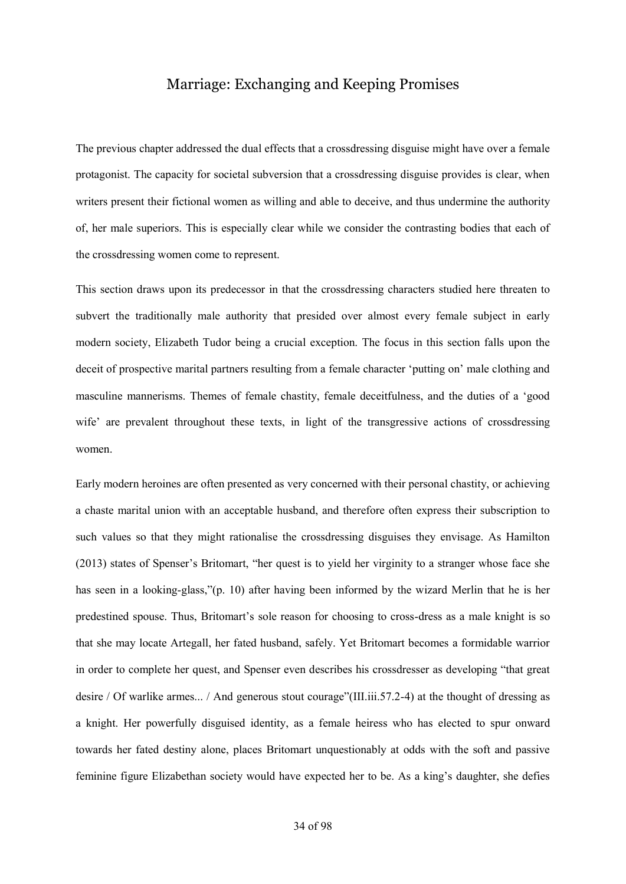## Marriage: Exchanging and Keeping Promises

The previous chapter addressed the dual effects that a crossdressing disguise might have over a female protagonist. The capacity for societal subversion that a crossdressing disguise provides is clear, when writers present their fictional women as willing and able to deceive, and thus undermine the authority of, her male superiors. This is especially clear while we consider the contrasting bodies that each of the crossdressing women come to represent.

This section draws upon its predecessor in that the crossdressing characters studied here threaten to subvert the traditionally male authority that presided over almost every female subject in early modern society, Elizabeth Tudor being a crucial exception. The focus in this section falls upon the deceit of prospective marital partners resulting from a female character 'putting on' male clothing and masculine mannerisms. Themes of female chastity, female deceitfulness, and the duties of a 'good wife' are prevalent throughout these texts, in light of the transgressive actions of crossdressing women.

Early modern heroines are often presented as very concerned with their personal chastity, or achieving a chaste marital union with an acceptable husband, and therefore often express their subscription to such values so that they might rationalise the crossdressing disguises they envisage. As Hamilton (2013) states of Spenser's Britomart, "her quest is to yield her virginity to a stranger whose face she has seen in a looking-glass,"(p. 10) after having been informed by the wizard Merlin that he is her predestined spouse. Thus, Britomart's sole reason for choosing to cross-dress as a male knight is so that she may locate Artegall, her fated husband, safely. Yet Britomart becomes a formidable warrior in order to complete her quest, and Spenser even describes his crossdresser as developing "that great desire / Of warlike armes... / And generous stout courage"(III.iii.57.2-4) at the thought of dressing as a knight. Her powerfully disguised identity, as a female heiress who has elected to spur onward towards her fated destiny alone, places Britomart unquestionably at odds with the soft and passive feminine figure Elizabethan society would have expected her to be. As a king's daughter, she defies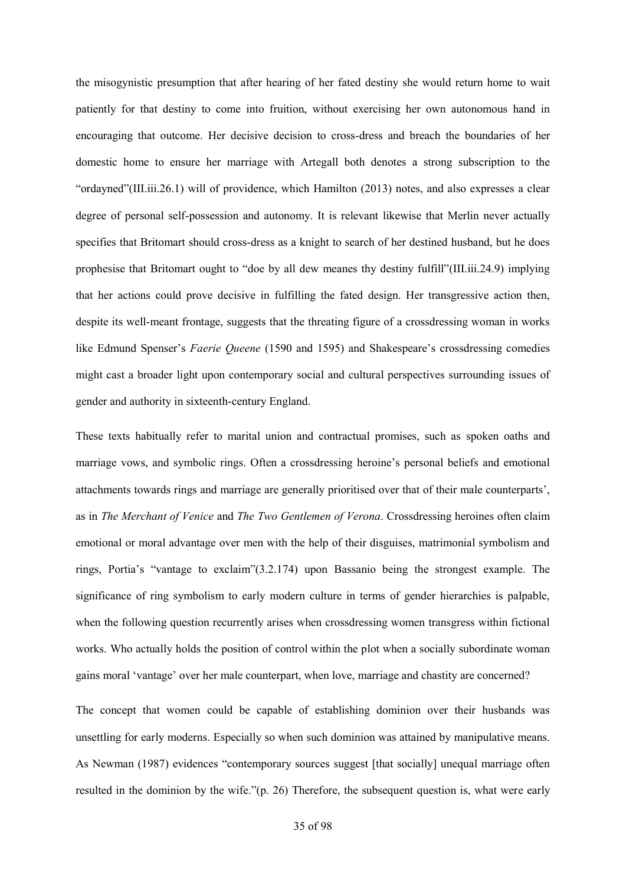the misogynistic presumption that after hearing of her fated destiny she would return home to wait patiently for that destiny to come into fruition, without exercising her own autonomous hand in encouraging that outcome. Her decisive decision to cross-dress and breach the boundaries of her domestic home to ensure her marriage with Artegall both denotes a strong subscription to the "ordayned"(III.iii.26.1) will of providence, which Hamilton (2013) notes, and also expresses a clear degree of personal self-possession and autonomy. It is relevant likewise that Merlin never actually specifies that Britomart should cross-dress as a knight to search of her destined husband, but he does prophesise that Britomart ought to "doe by all dew meanes thy destiny fulfill"(III.iii.24.9) implying that her actions could prove decisive in fulfilling the fated design. Her transgressive action then, despite its well-meant frontage, suggests that the threating figure of a crossdressing woman in works like Edmund Spenser's *Faerie Queene* (1590 and 1595) and Shakespeare's crossdressing comedies might cast a broader light upon contemporary social and cultural perspectives surrounding issues of gender and authority in sixteenth-century England.

These texts habitually refer to marital union and contractual promises, such as spoken oaths and marriage vows, and symbolic rings. Often a crossdressing heroine's personal beliefs and emotional attachments towards rings and marriage are generally prioritised over that of their male counterparts', as in *The Merchant of Venice* and *The Two Gentlemen of Verona*. Crossdressing heroines often claim emotional or moral advantage over men with the help of their disguises, matrimonial symbolism and rings, Portia's "vantage to exclaim"(3.2.174) upon Bassanio being the strongest example. The significance of ring symbolism to early modern culture in terms of gender hierarchies is palpable, when the following question recurrently arises when crossdressing women transgress within fictional works. Who actually holds the position of control within the plot when a socially subordinate woman gains moral 'vantage' over her male counterpart, when love, marriage and chastity are concerned?

The concept that women could be capable of establishing dominion over their husbands was unsettling for early moderns. Especially so when such dominion was attained by manipulative means. As Newman (1987) evidences "contemporary sources suggest [that socially] unequal marriage often resulted in the dominion by the wife."(p. 26) Therefore, the subsequent question is, what were early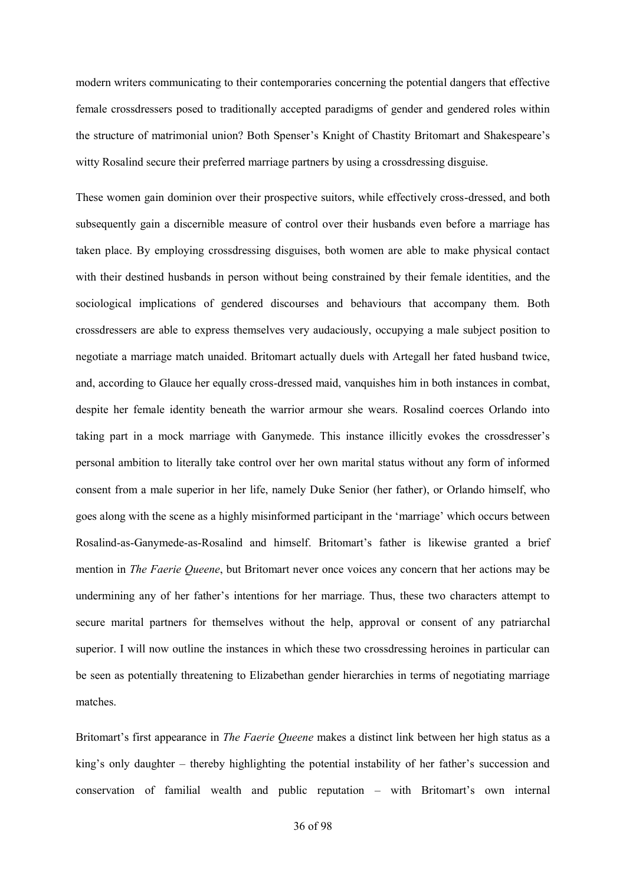modern writers communicating to their contemporaries concerning the potential dangers that effective female crossdressers posed to traditionally accepted paradigms of gender and gendered roles within the structure of matrimonial union? Both Spenser's Knight of Chastity Britomart and Shakespeare's witty Rosalind secure their preferred marriage partners by using a crossdressing disguise.

These women gain dominion over their prospective suitors, while effectively cross-dressed, and both subsequently gain a discernible measure of control over their husbands even before a marriage has taken place. By employing crossdressing disguises, both women are able to make physical contact with their destined husbands in person without being constrained by their female identities, and the sociological implications of gendered discourses and behaviours that accompany them. Both crossdressers are able to express themselves very audaciously, occupying a male subject position to negotiate a marriage match unaided. Britomart actually duels with Artegall her fated husband twice, and, according to Glauce her equally cross-dressed maid, vanquishes him in both instances in combat, despite her female identity beneath the warrior armour she wears. Rosalind coerces Orlando into taking part in a mock marriage with Ganymede. This instance illicitly evokes the crossdresser's personal ambition to literally take control over her own marital status without any form of informed consent from a male superior in her life, namely Duke Senior (her father), or Orlando himself, who goes along with the scene as a highly misinformed participant in the 'marriage' which occurs between Rosalind-as-Ganymede-as-Rosalind and himself. Britomart's father is likewise granted a brief mention in *The Faerie Queene*, but Britomart never once voices any concern that her actions may be undermining any of her father's intentions for her marriage. Thus, these two characters attempt to secure marital partners for themselves without the help, approval or consent of any patriarchal superior. I will now outline the instances in which these two crossdressing heroines in particular can be seen as potentially threatening to Elizabethan gender hierarchies in terms of negotiating marriage matches.

Britomart's first appearance in *The Faerie Queene* makes a distinct link between her high status as a king's only daughter – thereby highlighting the potential instability of her father's succession and conservation of familial wealth and public reputation – with Britomart's own internal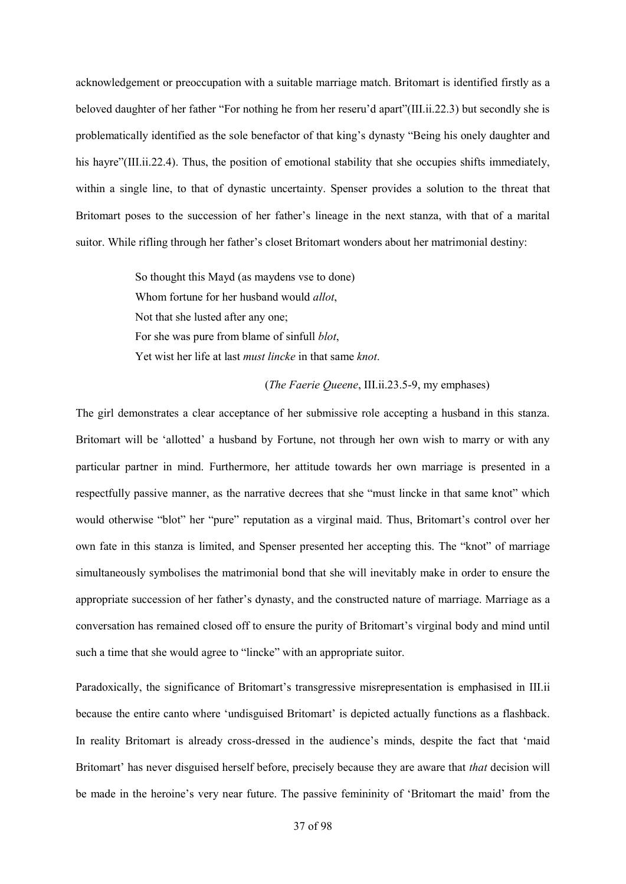acknowledgement or preoccupation with a suitable marriage match. Britomart is identified firstly as a beloved daughter of her father "For nothing he from her reseru'd apart"(III.ii.22.3) but secondly she is problematically identified as the sole benefactor of that king's dynasty "Being his onely daughter and his hayre"(III.ii.22.4). Thus, the position of emotional stability that she occupies shifts immediately, within a single line, to that of dynastic uncertainty. Spenser provides a solution to the threat that Britomart poses to the succession of her father's lineage in the next stanza, with that of a marital suitor. While rifling through her father's closet Britomart wonders about her matrimonial destiny:

> So thought this Mayd (as maydens vse to done) Whom fortune for her husband would *allot*, Not that she lusted after any one; For she was pure from blame of sinfull *blot*, Yet wist her life at last *must lincke* in that same *knot*.

#### (*The Faerie Queene*, III.ii.23.5-9, my emphases)

The girl demonstrates a clear acceptance of her submissive role accepting a husband in this stanza. Britomart will be 'allotted' a husband by Fortune, not through her own wish to marry or with any particular partner in mind. Furthermore, her attitude towards her own marriage is presented in a respectfully passive manner, as the narrative decrees that she "must lincke in that same knot" which would otherwise "blot" her "pure" reputation as a virginal maid. Thus, Britomart's control over her own fate in this stanza is limited, and Spenser presented her accepting this. The "knot" of marriage simultaneously symbolises the matrimonial bond that she will inevitably make in order to ensure the appropriate succession of her father's dynasty, and the constructed nature of marriage. Marriage as a conversation has remained closed off to ensure the purity of Britomart's virginal body and mind until such a time that she would agree to "lincke" with an appropriate suitor.

Paradoxically, the significance of Britomart's transgressive misrepresentation is emphasised in III.ii because the entire canto where 'undisguised Britomart' is depicted actually functions as a flashback. In reality Britomart is already cross-dressed in the audience's minds, despite the fact that 'maid Britomart' has never disguised herself before, precisely because they are aware that *that* decision will be made in the heroine's very near future. The passive femininity of 'Britomart the maid' from the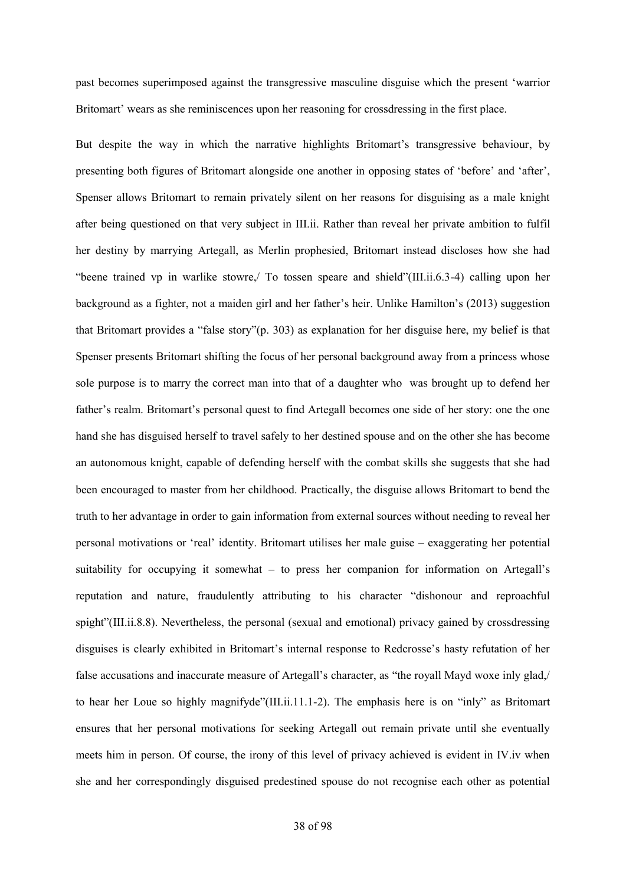past becomes superimposed against the transgressive masculine disguise which the present 'warrior Britomart' wears as she reminiscences upon her reasoning for crossdressing in the first place.

But despite the way in which the narrative highlights Britomart's transgressive behaviour, by presenting both figures of Britomart alongside one another in opposing states of 'before' and 'after', Spenser allows Britomart to remain privately silent on her reasons for disguising as a male knight after being questioned on that very subject in III.ii. Rather than reveal her private ambition to fulfil her destiny by marrying Artegall, as Merlin prophesied, Britomart instead discloses how she had "beene trained vp in warlike stowre,/ To tossen speare and shield"(III.ii.6.3-4) calling upon her background as a fighter, not a maiden girl and her father's heir. Unlike Hamilton's (2013) suggestion that Britomart provides a "false story"(p. 303) as explanation for her disguise here, my belief is that Spenser presents Britomart shifting the focus of her personal background away from a princess whose sole purpose is to marry the correct man into that of a daughter who was brought up to defend her father's realm. Britomart's personal quest to find Artegall becomes one side of her story: one the one hand she has disguised herself to travel safely to her destined spouse and on the other she has become an autonomous knight, capable of defending herself with the combat skills she suggests that she had been encouraged to master from her childhood. Practically, the disguise allows Britomart to bend the truth to her advantage in order to gain information from external sources without needing to reveal her personal motivations or 'real' identity. Britomart utilises her male guise – exaggerating her potential suitability for occupying it somewhat – to press her companion for information on Artegall's reputation and nature, fraudulently attributing to his character "dishonour and reproachful spight"(III.ii.8.8). Nevertheless, the personal (sexual and emotional) privacy gained by crossdressing disguises is clearly exhibited in Britomart's internal response to Redcrosse's hasty refutation of her false accusations and inaccurate measure of Artegall's character, as "the royall Mayd woxe inly glad,/ to hear her Loue so highly magnifyde"(III.ii.11.1-2). The emphasis here is on "inly" as Britomart ensures that her personal motivations for seeking Artegall out remain private until she eventually meets him in person. Of course, the irony of this level of privacy achieved is evident in IV.iv when she and her correspondingly disguised predestined spouse do not recognise each other as potential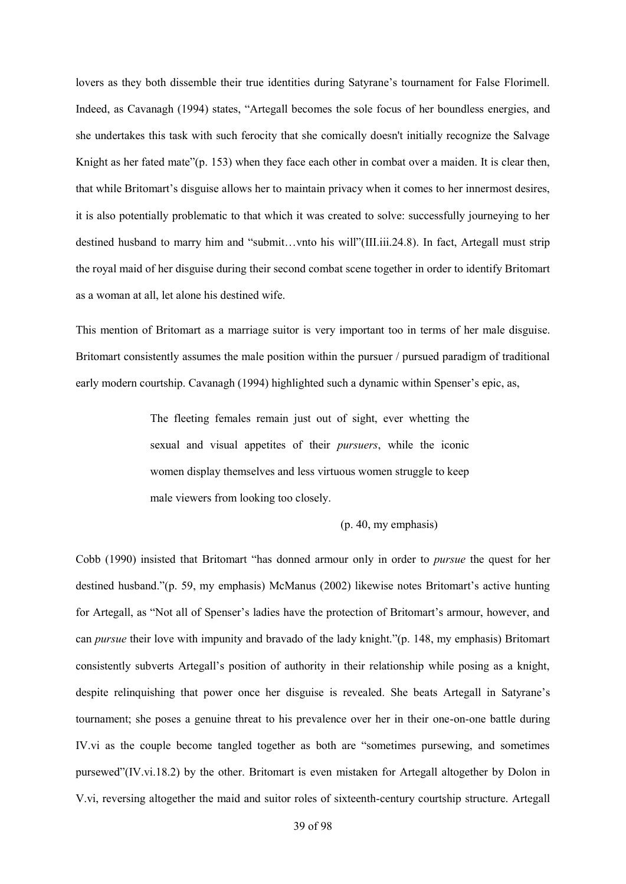lovers as they both dissemble their true identities during Satyrane's tournament for False Florimell. Indeed, as Cavanagh (1994) states, "Artegall becomes the sole focus of her boundless energies, and she undertakes this task with such ferocity that she comically doesn't initially recognize the Salvage Knight as her fated mate"(p. 153) when they face each other in combat over a maiden. It is clear then, that while Britomart's disguise allows her to maintain privacy when it comes to her innermost desires, it is also potentially problematic to that which it was created to solve: successfully journeying to her destined husband to marry him and "submit…vnto his will"(III.iii.24.8). In fact, Artegall must strip the royal maid of her disguise during their second combat scene together in order to identify Britomart as a woman at all, let alone his destined wife.

This mention of Britomart as a marriage suitor is very important too in terms of her male disguise. Britomart consistently assumes the male position within the pursuer / pursued paradigm of traditional early modern courtship. Cavanagh (1994) highlighted such a dynamic within Spenser's epic, as,

> The fleeting females remain just out of sight, ever whetting the sexual and visual appetites of their *pursuers*, while the iconic women display themselves and less virtuous women struggle to keep male viewers from looking too closely.

```
(p. 40, my emphasis)
```
Cobb (1990) insisted that Britomart "has donned armour only in order to *pursue* the quest for her destined husband."(p. 59, my emphasis) McManus (2002) likewise notes Britomart's active hunting for Artegall, as "Not all of Spenser's ladies have the protection of Britomart's armour, however, and can *pursue* their love with impunity and bravado of the lady knight."(p. 148, my emphasis) Britomart consistently subverts Artegall's position of authority in their relationship while posing as a knight, despite relinquishing that power once her disguise is revealed. She beats Artegall in Satyrane's tournament; she poses a genuine threat to his prevalence over her in their one-on-one battle during IV.vi as the couple become tangled together as both are "sometimes pursewing, and sometimes pursewed"(IV.vi.18.2) by the other. Britomart is even mistaken for Artegall altogether by Dolon in V.vi, reversing altogether the maid and suitor roles of sixteenth-century courtship structure. Artegall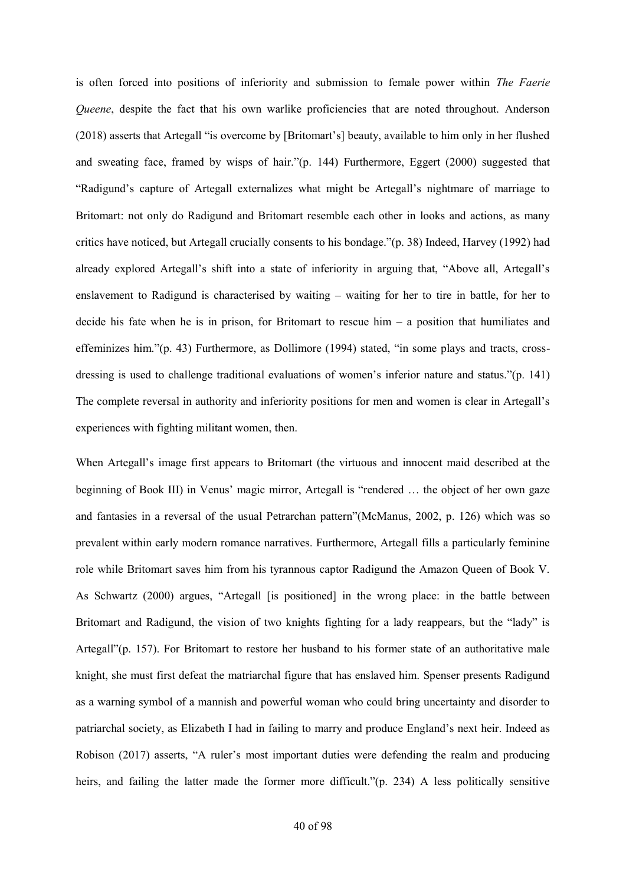is often forced into positions of inferiority and submission to female power within *The Faerie Queene*, despite the fact that his own warlike proficiencies that are noted throughout. Anderson (2018) asserts that Artegall "is overcome by [Britomart's] beauty, available to him only in her flushed and sweating face, framed by wisps of hair."(p. 144) Furthermore, Eggert (2000) suggested that "Radigund's capture of Artegall externalizes what might be Artegall's nightmare of marriage to Britomart: not only do Radigund and Britomart resemble each other in looks and actions, as many critics have noticed, but Artegall crucially consents to his bondage."(p. 38) Indeed, Harvey (1992) had already explored Artegall's shift into a state of inferiority in arguing that, "Above all, Artegall's enslavement to Radigund is characterised by waiting – waiting for her to tire in battle, for her to decide his fate when he is in prison, for Britomart to rescue him – a position that humiliates and effeminizes him."(p. 43) Furthermore, as Dollimore (1994) stated, "in some plays and tracts, crossdressing is used to challenge traditional evaluations of women's inferior nature and status."(p. 141) The complete reversal in authority and inferiority positions for men and women is clear in Artegall's experiences with fighting militant women, then.

When Artegall's image first appears to Britomart (the virtuous and innocent maid described at the beginning of Book III) in Venus' magic mirror, Artegall is "rendered … the object of her own gaze and fantasies in a reversal of the usual Petrarchan pattern"(McManus, 2002, p. 126) which was so prevalent within early modern romance narratives. Furthermore, Artegall fills a particularly feminine role while Britomart saves him from his tyrannous captor Radigund the Amazon Queen of Book V. As Schwartz (2000) argues, "Artegall [is positioned] in the wrong place: in the battle between Britomart and Radigund, the vision of two knights fighting for a lady reappears, but the "lady" is Artegall"(p. 157). For Britomart to restore her husband to his former state of an authoritative male knight, she must first defeat the matriarchal figure that has enslaved him. Spenser presents Radigund as a warning symbol of a mannish and powerful woman who could bring uncertainty and disorder to patriarchal society, as Elizabeth I had in failing to marry and produce England's next heir. Indeed as Robison (2017) asserts, "A ruler's most important duties were defending the realm and producing heirs, and failing the latter made the former more difficult."(p. 234) A less politically sensitive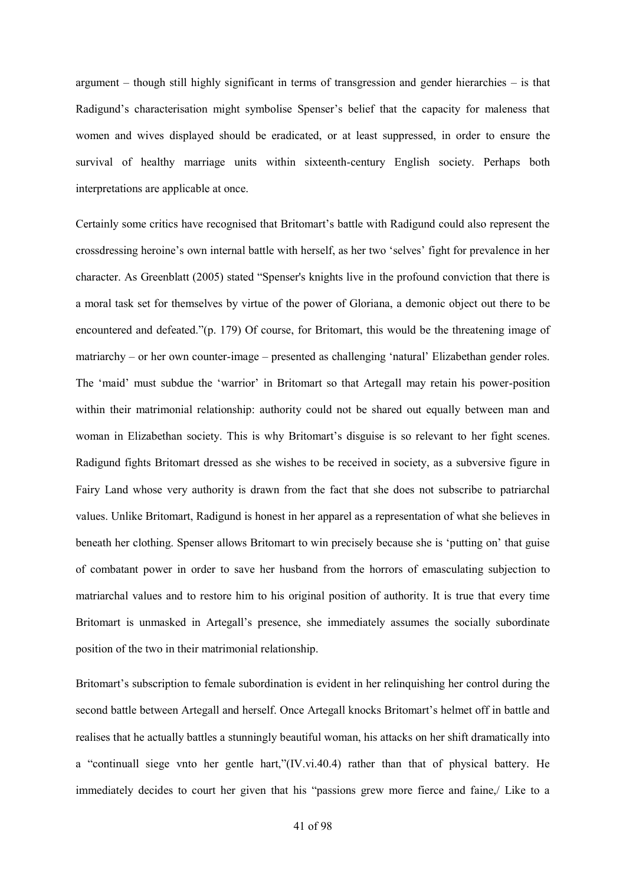argument – though still highly significant in terms of transgression and gender hierarchies – is that Radigund's characterisation might symbolise Spenser's belief that the capacity for maleness that women and wives displayed should be eradicated, or at least suppressed, in order to ensure the survival of healthy marriage units within sixteenth-century English society. Perhaps both interpretations are applicable at once.

Certainly some critics have recognised that Britomart's battle with Radigund could also represent the crossdressing heroine's own internal battle with herself, as her two 'selves' fight for prevalence in her character. As Greenblatt (2005) stated "Spenser's knights live in the profound conviction that there is a moral task set for themselves by virtue of the power of Gloriana, a demonic object out there to be encountered and defeated."(p. 179) Of course, for Britomart, this would be the threatening image of matriarchy – or her own counter-image – presented as challenging 'natural' Elizabethan gender roles. The 'maid' must subdue the 'warrior' in Britomart so that Artegall may retain his power-position within their matrimonial relationship: authority could not be shared out equally between man and woman in Elizabethan society. This is why Britomart's disguise is so relevant to her fight scenes. Radigund fights Britomart dressed as she wishes to be received in society, as a subversive figure in Fairy Land whose very authority is drawn from the fact that she does not subscribe to patriarchal values. Unlike Britomart, Radigund is honest in her apparel as a representation of what she believes in beneath her clothing. Spenser allows Britomart to win precisely because she is 'putting on' that guise of combatant power in order to save her husband from the horrors of emasculating subjection to matriarchal values and to restore him to his original position of authority. It is true that every time Britomart is unmasked in Artegall's presence, she immediately assumes the socially subordinate position of the two in their matrimonial relationship.

Britomart's subscription to female subordination is evident in her relinquishing her control during the second battle between Artegall and herself. Once Artegall knocks Britomart's helmet off in battle and realises that he actually battles a stunningly beautiful woman, his attacks on her shift dramatically into a "continuall siege vnto her gentle hart,"(IV.vi.40.4) rather than that of physical battery. He immediately decides to court her given that his "passions grew more fierce and faine,/ Like to a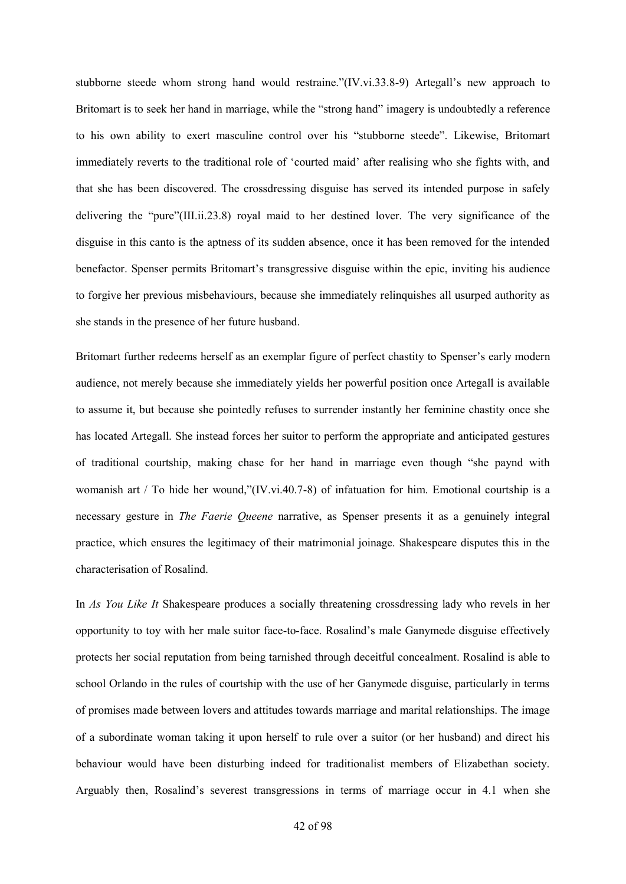stubborne steede whom strong hand would restraine."(IV.vi.33.8-9) Artegall's new approach to Britomart is to seek her hand in marriage, while the "strong hand" imagery is undoubtedly a reference to his own ability to exert masculine control over his "stubborne steede". Likewise, Britomart immediately reverts to the traditional role of 'courted maid' after realising who she fights with, and that she has been discovered. The crossdressing disguise has served its intended purpose in safely delivering the "pure"(III.ii.23.8) royal maid to her destined lover. The very significance of the disguise in this canto is the aptness of its sudden absence, once it has been removed for the intended benefactor. Spenser permits Britomart's transgressive disguise within the epic, inviting his audience to forgive her previous misbehaviours, because she immediately relinquishes all usurped authority as she stands in the presence of her future husband.

Britomart further redeems herself as an exemplar figure of perfect chastity to Spenser's early modern audience, not merely because she immediately yields her powerful position once Artegall is available to assume it, but because she pointedly refuses to surrender instantly her feminine chastity once she has located Artegall. She instead forces her suitor to perform the appropriate and anticipated gestures of traditional courtship, making chase for her hand in marriage even though "she paynd with womanish art / To hide her wound,"(IV.vi.40.7-8) of infatuation for him. Emotional courtship is a necessary gesture in *The Faerie Queene* narrative, as Spenser presents it as a genuinely integral practice, which ensures the legitimacy of their matrimonial joinage. Shakespeare disputes this in the characterisation of Rosalind.

In *As You Like It* Shakespeare produces a socially threatening crossdressing lady who revels in her opportunity to toy with her male suitor face-to-face. Rosalind's male Ganymede disguise effectively protects her social reputation from being tarnished through deceitful concealment. Rosalind is able to school Orlando in the rules of courtship with the use of her Ganymede disguise, particularly in terms of promises made between lovers and attitudes towards marriage and marital relationships. The image of a subordinate woman taking it upon herself to rule over a suitor (or her husband) and direct his behaviour would have been disturbing indeed for traditionalist members of Elizabethan society. Arguably then, Rosalind's severest transgressions in terms of marriage occur in 4.1 when she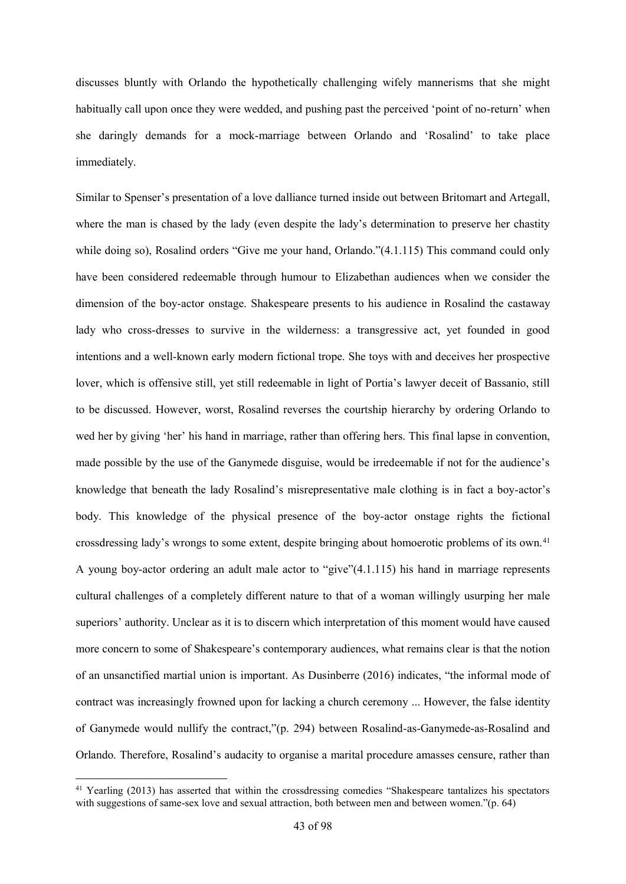discusses bluntly with Orlando the hypothetically challenging wifely mannerisms that she might habitually call upon once they were wedded, and pushing past the perceived 'point of no-return' when she daringly demands for a mock-marriage between Orlando and 'Rosalind' to take place immediately.

Similar to Spenser's presentation of a love dalliance turned inside out between Britomart and Artegall, where the man is chased by the lady (even despite the lady's determination to preserve her chastity while doing so), Rosalind orders "Give me your hand, Orlando."(4.1.115) This command could only have been considered redeemable through humour to Elizabethan audiences when we consider the dimension of the boy-actor onstage. Shakespeare presents to his audience in Rosalind the castaway lady who cross-dresses to survive in the wilderness: a transgressive act, yet founded in good intentions and a well-known early modern fictional trope. She toys with and deceives her prospective lover, which is offensive still, yet still redeemable in light of Portia's lawyer deceit of Bassanio, still to be discussed. However, worst, Rosalind reverses the courtship hierarchy by ordering Orlando to wed her by giving 'her' his hand in marriage, rather than offering hers. This final lapse in convention, made possible by the use of the Ganymede disguise, would be irredeemable if not for the audience's knowledge that beneath the lady Rosalind's misrepresentative male clothing is in fact a boy-actor's body. This knowledge of the physical presence of the boy-actor onstage rights the fictional crossdressing lady's wrongs to some extent, despite bringing about homoerotic problems of its own.<sup>41</sup> A young boy-actor ordering an adult male actor to "give"(4.1.115) his hand in marriage represents cultural challenges of a completely different nature to that of a woman willingly usurping her male superiors' authority. Unclear as it is to discern which interpretation of this moment would have caused more concern to some of Shakespeare's contemporary audiences, what remains clear is that the notion of an unsanctified martial union is important. As Dusinberre (2016) indicates, "the informal mode of contract was increasingly frowned upon for lacking a church ceremony ... However, the false identity of Ganymede would nullify the contract,"(p. 294) between Rosalind-as-Ganymede-as-Rosalind and Orlando. Therefore, Rosalind's audacity to organise a marital procedure amasses censure, rather than

1

<sup>&</sup>lt;sup>41</sup> Yearling (2013) has asserted that within the crossdressing comedies "Shakespeare tantalizes his spectators with suggestions of same-sex love and sexual attraction, both between men and between women."(p. 64)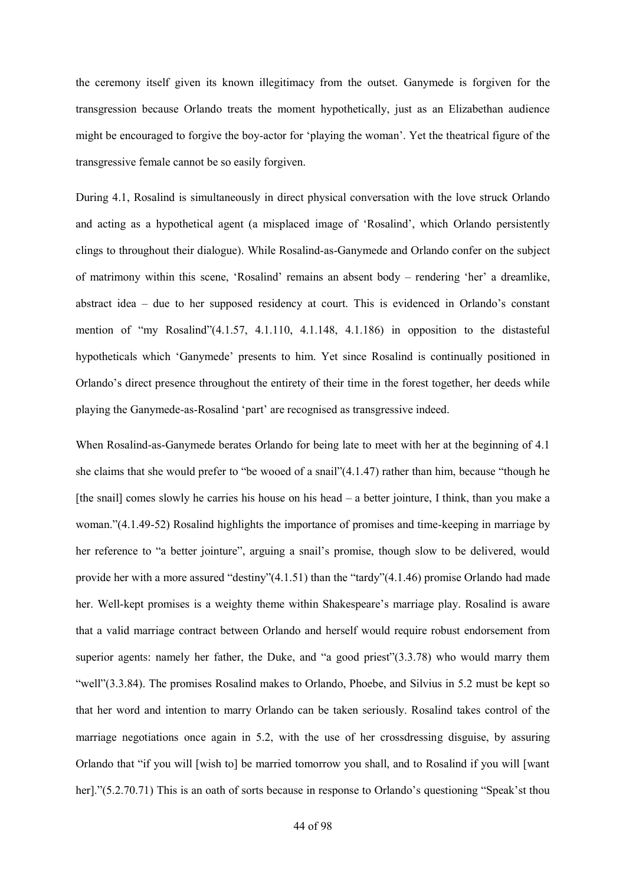the ceremony itself given its known illegitimacy from the outset. Ganymede is forgiven for the transgression because Orlando treats the moment hypothetically, just as an Elizabethan audience might be encouraged to forgive the boy-actor for 'playing the woman'. Yet the theatrical figure of the transgressive female cannot be so easily forgiven.

During 4.1, Rosalind is simultaneously in direct physical conversation with the love struck Orlando and acting as a hypothetical agent (a misplaced image of 'Rosalind', which Orlando persistently clings to throughout their dialogue). While Rosalind-as-Ganymede and Orlando confer on the subject of matrimony within this scene, 'Rosalind' remains an absent body – rendering 'her' a dreamlike, abstract idea – due to her supposed residency at court. This is evidenced in Orlando's constant mention of "my Rosalind"(4.1.57, 4.1.110, 4.1.148, 4.1.186) in opposition to the distasteful hypotheticals which 'Ganymede' presents to him. Yet since Rosalind is continually positioned in Orlando's direct presence throughout the entirety of their time in the forest together, her deeds while playing the Ganymede-as-Rosalind 'part' are recognised as transgressive indeed.

When Rosalind-as-Ganymede berates Orlando for being late to meet with her at the beginning of 4.1 she claims that she would prefer to "be wooed of a snail"(4.1.47) rather than him, because "though he [the snail] comes slowly he carries his house on his head – a better jointure, I think, than you make a woman."(4.1.49-52) Rosalind highlights the importance of promises and time-keeping in marriage by her reference to "a better jointure", arguing a snail's promise, though slow to be delivered, would provide her with a more assured "destiny"(4.1.51) than the "tardy"(4.1.46) promise Orlando had made her. Well-kept promises is a weighty theme within Shakespeare's marriage play. Rosalind is aware that a valid marriage contract between Orlando and herself would require robust endorsement from superior agents: namely her father, the Duke, and "a good priest"(3.3.78) who would marry them "well"(3.3.84). The promises Rosalind makes to Orlando, Phoebe, and Silvius in 5.2 must be kept so that her word and intention to marry Orlando can be taken seriously. Rosalind takes control of the marriage negotiations once again in 5.2, with the use of her crossdressing disguise, by assuring Orlando that "if you will [wish to] be married tomorrow you shall, and to Rosalind if you will [want her]."(5.2.70.71) This is an oath of sorts because in response to Orlando's questioning "Speak'st thou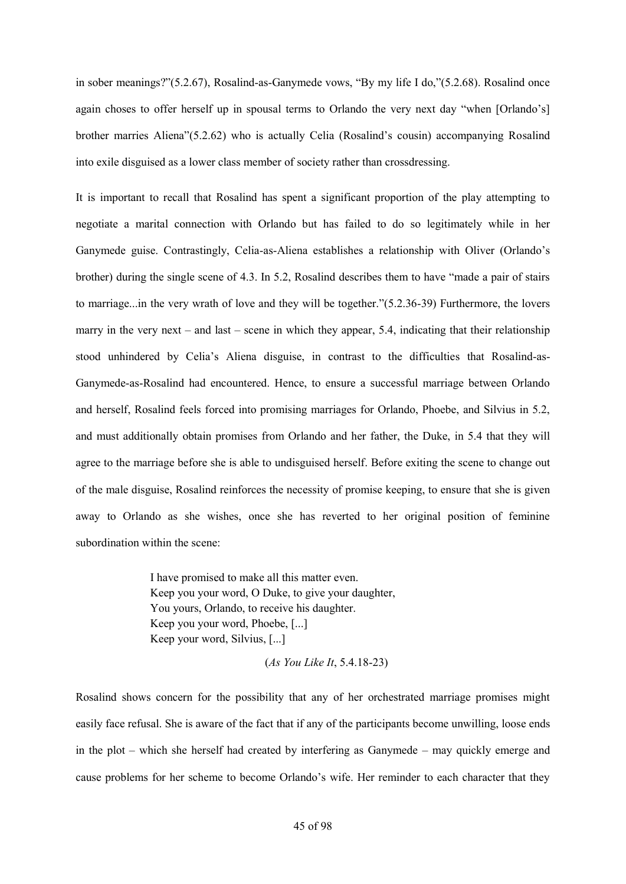in sober meanings?"(5.2.67), Rosalind-as-Ganymede vows, "By my life I do,"(5.2.68). Rosalind once again choses to offer herself up in spousal terms to Orlando the very next day "when [Orlando's] brother marries Aliena"(5.2.62) who is actually Celia (Rosalind's cousin) accompanying Rosalind into exile disguised as a lower class member of society rather than crossdressing.

It is important to recall that Rosalind has spent a significant proportion of the play attempting to negotiate a marital connection with Orlando but has failed to do so legitimately while in her Ganymede guise. Contrastingly, Celia-as-Aliena establishes a relationship with Oliver (Orlando's brother) during the single scene of 4.3. In 5.2, Rosalind describes them to have "made a pair of stairs to marriage...in the very wrath of love and they will be together."(5.2.36-39) Furthermore, the lovers marry in the very next – and last – scene in which they appear, 5.4, indicating that their relationship stood unhindered by Celia's Aliena disguise, in contrast to the difficulties that Rosalind-as-Ganymede-as-Rosalind had encountered. Hence, to ensure a successful marriage between Orlando and herself, Rosalind feels forced into promising marriages for Orlando, Phoebe, and Silvius in 5.2, and must additionally obtain promises from Orlando and her father, the Duke, in 5.4 that they will agree to the marriage before she is able to undisguised herself. Before exiting the scene to change out of the male disguise, Rosalind reinforces the necessity of promise keeping, to ensure that she is given away to Orlando as she wishes, once she has reverted to her original position of feminine subordination within the scene:

> I have promised to make all this matter even. Keep you your word, O Duke, to give your daughter, You yours, Orlando, to receive his daughter. Keep you your word, Phoebe, [...] Keep your word, Silvius, [...]

Rosalind shows concern for the possibility that any of her orchestrated marriage promises might easily face refusal. She is aware of the fact that if any of the participants become unwilling, loose ends in the plot – which she herself had created by interfering as Ganymede – may quickly emerge and cause problems for her scheme to become Orlando's wife. Her reminder to each character that they

<sup>(</sup>*As You Like It*, 5.4.18-23)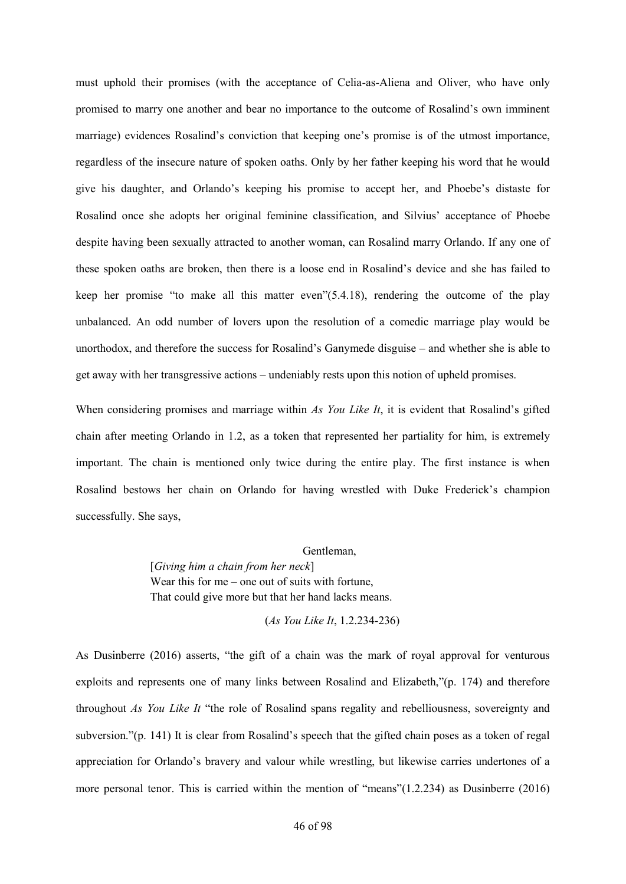must uphold their promises (with the acceptance of Celia-as-Aliena and Oliver, who have only promised to marry one another and bear no importance to the outcome of Rosalind's own imminent marriage) evidences Rosalind's conviction that keeping one's promise is of the utmost importance, regardless of the insecure nature of spoken oaths. Only by her father keeping his word that he would give his daughter, and Orlando's keeping his promise to accept her, and Phoebe's distaste for Rosalind once she adopts her original feminine classification, and Silvius' acceptance of Phoebe despite having been sexually attracted to another woman, can Rosalind marry Orlando. If any one of these spoken oaths are broken, then there is a loose end in Rosalind's device and she has failed to keep her promise "to make all this matter even"(5.4.18), rendering the outcome of the play unbalanced. An odd number of lovers upon the resolution of a comedic marriage play would be unorthodox, and therefore the success for Rosalind's Ganymede disguise – and whether she is able to get away with her transgressive actions – undeniably rests upon this notion of upheld promises.

When considering promises and marriage within *As You Like It*, it is evident that Rosalind's gifted chain after meeting Orlando in 1.2, as a token that represented her partiality for him, is extremely important. The chain is mentioned only twice during the entire play. The first instance is when Rosalind bestows her chain on Orlando for having wrestled with Duke Frederick's champion successfully. She says,

> Gentleman, [*Giving him a chain from her neck*] Wear this for me – one out of suits with fortune, That could give more but that her hand lacks means.

> > (*As You Like It*, 1.2.234-236)

As Dusinberre (2016) asserts, "the gift of a chain was the mark of royal approval for venturous exploits and represents one of many links between Rosalind and Elizabeth,"(p. 174) and therefore throughout *As You Like It* "the role of Rosalind spans regality and rebelliousness, sovereignty and subversion."(p. 141) It is clear from Rosalind's speech that the gifted chain poses as a token of regal appreciation for Orlando's bravery and valour while wrestling, but likewise carries undertones of a more personal tenor. This is carried within the mention of "means"(1.2.234) as Dusinberre (2016)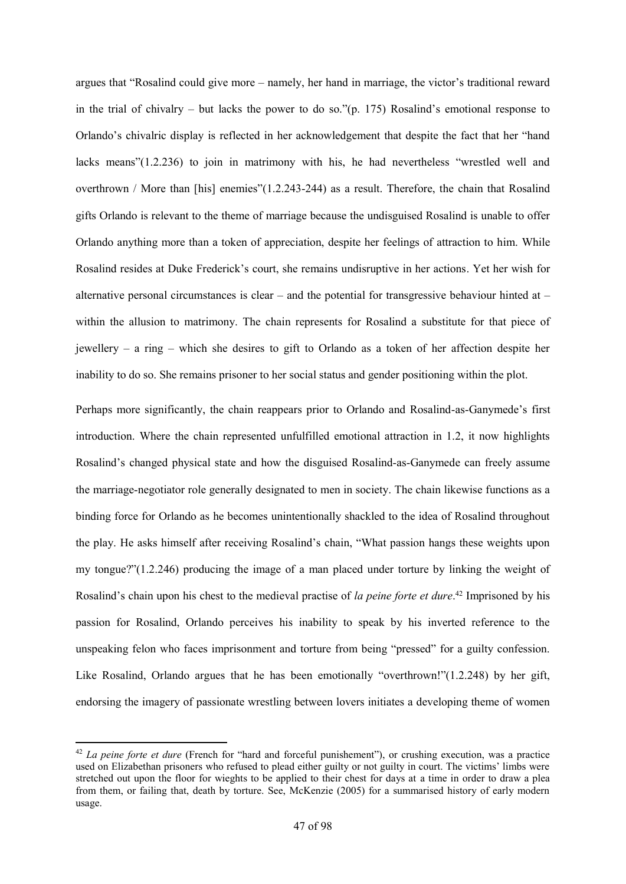argues that "Rosalind could give more – namely, her hand in marriage, the victor's traditional reward in the trial of chivalry – but lacks the power to do so." $(p. 175)$  Rosalind's emotional response to Orlando's chivalric display is reflected in her acknowledgement that despite the fact that her "hand lacks means"(1.2.236) to join in matrimony with his, he had nevertheless "wrestled well and overthrown / More than [his] enemies"(1.2.243-244) as a result. Therefore, the chain that Rosalind gifts Orlando is relevant to the theme of marriage because the undisguised Rosalind is unable to offer Orlando anything more than a token of appreciation, despite her feelings of attraction to him. While Rosalind resides at Duke Frederick's court, she remains undisruptive in her actions. Yet her wish for alternative personal circumstances is clear – and the potential for transgressive behaviour hinted at – within the allusion to matrimony. The chain represents for Rosalind a substitute for that piece of jewellery – a ring – which she desires to gift to Orlando as a token of her affection despite her inability to do so. She remains prisoner to her social status and gender positioning within the plot.

Perhaps more significantly, the chain reappears prior to Orlando and Rosalind-as-Ganymede's first introduction. Where the chain represented unfulfilled emotional attraction in 1.2, it now highlights Rosalind's changed physical state and how the disguised Rosalind-as-Ganymede can freely assume the marriage-negotiator role generally designated to men in society. The chain likewise functions as a binding force for Orlando as he becomes unintentionally shackled to the idea of Rosalind throughout the play. He asks himself after receiving Rosalind's chain, "What passion hangs these weights upon my tongue?"(1.2.246) producing the image of a man placed under torture by linking the weight of Rosalind's chain upon his chest to the medieval practise of *la peine forte et dure*. <sup>42</sup> Imprisoned by his passion for Rosalind, Orlando perceives his inability to speak by his inverted reference to the unspeaking felon who faces imprisonment and torture from being "pressed" for a guilty confession. Like Rosalind, Orlando argues that he has been emotionally "overthrown!"(1.2.248) by her gift, endorsing the imagery of passionate wrestling between lovers initiates a developing theme of women

1

<sup>&</sup>lt;sup>42</sup> *La peine forte et dure* (French for "hard and forceful punishement"), or crushing execution, was a practice used on Elizabethan prisoners who refused to plead either guilty or not guilty in court. The victims' limbs were stretched out upon the floor for wieghts to be applied to their chest for days at a time in order to draw a plea from them, or failing that, death by torture. See, McKenzie (2005) for a summarised history of early modern usage.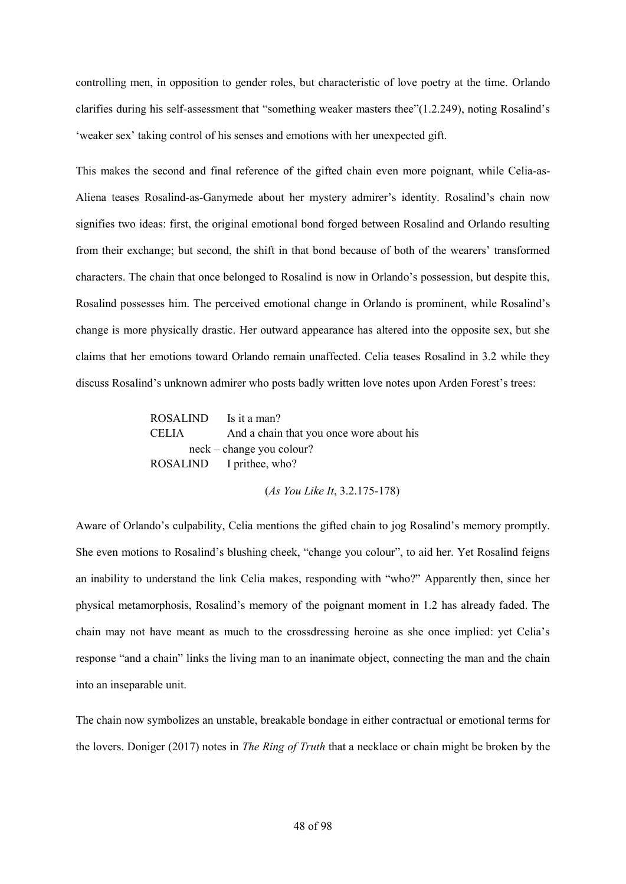controlling men, in opposition to gender roles, but characteristic of love poetry at the time. Orlando clarifies during his self-assessment that "something weaker masters thee"(1.2.249), noting Rosalind's 'weaker sex' taking control of his senses and emotions with her unexpected gift.

This makes the second and final reference of the gifted chain even more poignant, while Celia-as-Aliena teases Rosalind-as-Ganymede about her mystery admirer's identity. Rosalind's chain now signifies two ideas: first, the original emotional bond forged between Rosalind and Orlando resulting from their exchange; but second, the shift in that bond because of both of the wearers' transformed characters. The chain that once belonged to Rosalind is now in Orlando's possession, but despite this, Rosalind possesses him. The perceived emotional change in Orlando is prominent, while Rosalind's change is more physically drastic. Her outward appearance has altered into the opposite sex, but she claims that her emotions toward Orlando remain unaffected. Celia teases Rosalind in 3.2 while they discuss Rosalind's unknown admirer who posts badly written love notes upon Arden Forest's trees:

| ROSALIND Is it a man?       |                                          |
|-----------------------------|------------------------------------------|
| <b>CELIA</b>                | And a chain that you once wore about his |
| $neck$ – change you colour? |                                          |
|                             | ROSALIND I prithee, who?                 |

(*As You Like It*, 3.2.175-178)

Aware of Orlando's culpability, Celia mentions the gifted chain to jog Rosalind's memory promptly. She even motions to Rosalind's blushing cheek, "change you colour", to aid her. Yet Rosalind feigns an inability to understand the link Celia makes, responding with "who?" Apparently then, since her physical metamorphosis, Rosalind's memory of the poignant moment in 1.2 has already faded. The chain may not have meant as much to the crossdressing heroine as she once implied: yet Celia's response "and a chain" links the living man to an inanimate object, connecting the man and the chain into an inseparable unit.

The chain now symbolizes an unstable, breakable bondage in either contractual or emotional terms for the lovers. Doniger (2017) notes in *The Ring of Truth* that a necklace or chain might be broken by the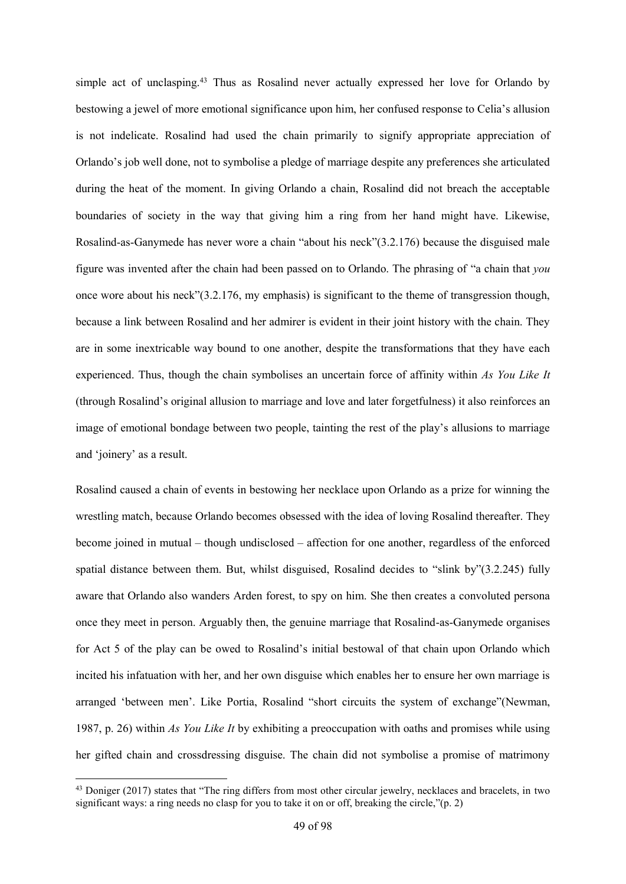simple act of unclasping.<sup>43</sup> Thus as Rosalind never actually expressed her love for Orlando by bestowing a jewel of more emotional significance upon him, her confused response to Celia's allusion is not indelicate. Rosalind had used the chain primarily to signify appropriate appreciation of Orlando's job well done, not to symbolise a pledge of marriage despite any preferences she articulated during the heat of the moment. In giving Orlando a chain, Rosalind did not breach the acceptable boundaries of society in the way that giving him a ring from her hand might have. Likewise, Rosalind-as-Ganymede has never wore a chain "about his neck"(3.2.176) because the disguised male figure was invented after the chain had been passed on to Orlando. The phrasing of "a chain that *you* once wore about his neck"(3.2.176, my emphasis) is significant to the theme of transgression though, because a link between Rosalind and her admirer is evident in their joint history with the chain. They are in some inextricable way bound to one another, despite the transformations that they have each experienced. Thus, though the chain symbolises an uncertain force of affinity within *As You Like It* (through Rosalind's original allusion to marriage and love and later forgetfulness) it also reinforces an image of emotional bondage between two people, tainting the rest of the play's allusions to marriage and 'joinery' as a result.

Rosalind caused a chain of events in bestowing her necklace upon Orlando as a prize for winning the wrestling match, because Orlando becomes obsessed with the idea of loving Rosalind thereafter. They become joined in mutual – though undisclosed – affection for one another, regardless of the enforced spatial distance between them. But, whilst disguised, Rosalind decides to "slink by"(3.2.245) fully aware that Orlando also wanders Arden forest, to spy on him. She then creates a convoluted persona once they meet in person. Arguably then, the genuine marriage that Rosalind-as-Ganymede organises for Act 5 of the play can be owed to Rosalind's initial bestowal of that chain upon Orlando which incited his infatuation with her, and her own disguise which enables her to ensure her own marriage is arranged 'between men'. Like Portia, Rosalind "short circuits the system of exchange"(Newman, 1987, p. 26) within *As You Like It* by exhibiting a preoccupation with oaths and promises while using her gifted chain and crossdressing disguise. The chain did not symbolise a promise of matrimony

1

<sup>&</sup>lt;sup>43</sup> Doniger (2017) states that "The ring differs from most other circular jewelry, necklaces and bracelets, in two significant ways: a ring needs no clasp for you to take it on or off, breaking the circle,"(p. 2)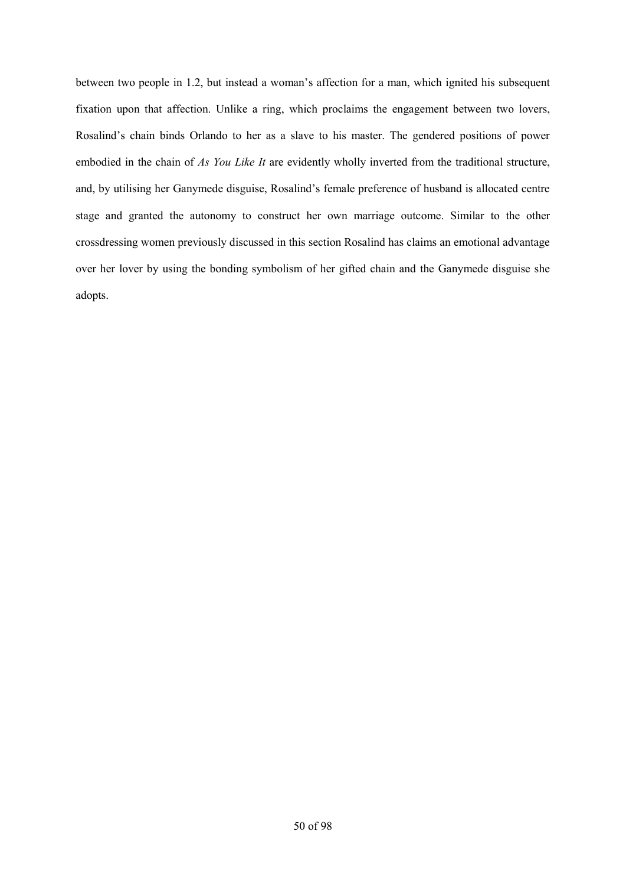between two people in 1.2, but instead a woman's affection for a man, which ignited his subsequent fixation upon that affection. Unlike a ring, which proclaims the engagement between two lovers, Rosalind's chain binds Orlando to her as a slave to his master. The gendered positions of power embodied in the chain of *As You Like It* are evidently wholly inverted from the traditional structure, and, by utilising her Ganymede disguise, Rosalind's female preference of husband is allocated centre stage and granted the autonomy to construct her own marriage outcome. Similar to the other crossdressing women previously discussed in this section Rosalind has claims an emotional advantage over her lover by using the bonding symbolism of her gifted chain and the Ganymede disguise she adopts.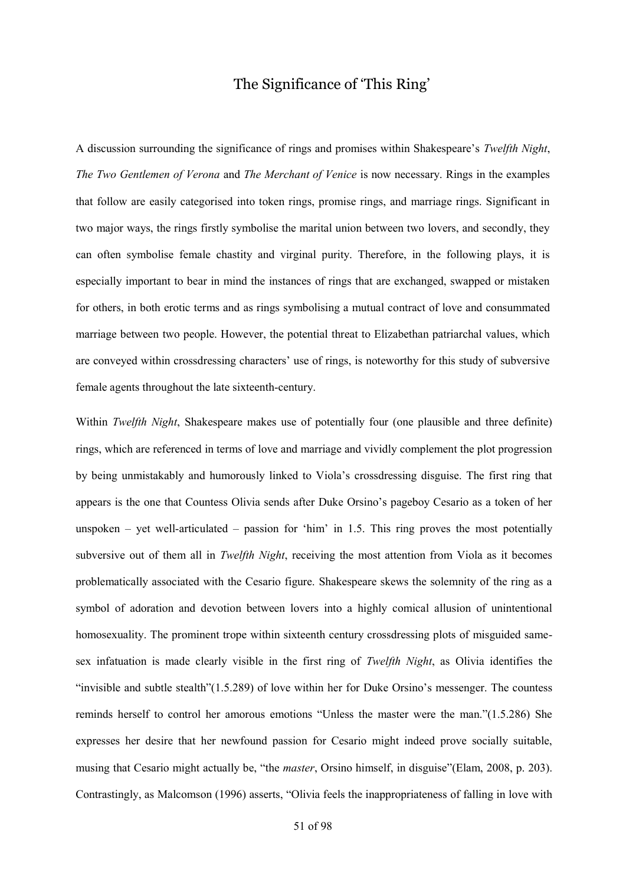# The Significance of 'This Ring'

A discussion surrounding the significance of rings and promises within Shakespeare's *Twelfth Night*, *The Two Gentlemen of Verona* and *The Merchant of Venice* is now necessary. Rings in the examples that follow are easily categorised into token rings, promise rings, and marriage rings. Significant in two major ways, the rings firstly symbolise the marital union between two lovers, and secondly, they can often symbolise female chastity and virginal purity. Therefore, in the following plays, it is especially important to bear in mind the instances of rings that are exchanged, swapped or mistaken for others, in both erotic terms and as rings symbolising a mutual contract of love and consummated marriage between two people. However, the potential threat to Elizabethan patriarchal values, which are conveyed within crossdressing characters' use of rings, is noteworthy for this study of subversive female agents throughout the late sixteenth-century.

Within *Twelfth Night*, Shakespeare makes use of potentially four (one plausible and three definite) rings, which are referenced in terms of love and marriage and vividly complement the plot progression by being unmistakably and humorously linked to Viola's crossdressing disguise. The first ring that appears is the one that Countess Olivia sends after Duke Orsino's pageboy Cesario as a token of her unspoken – yet well-articulated – passion for 'him' in 1.5. This ring proves the most potentially subversive out of them all in *Twelfth Night*, receiving the most attention from Viola as it becomes problematically associated with the Cesario figure. Shakespeare skews the solemnity of the ring as a symbol of adoration and devotion between lovers into a highly comical allusion of unintentional homosexuality. The prominent trope within sixteenth century crossdressing plots of misguided samesex infatuation is made clearly visible in the first ring of *Twelfth Night*, as Olivia identifies the "invisible and subtle stealth"(1.5.289) of love within her for Duke Orsino's messenger. The countess reminds herself to control her amorous emotions "Unless the master were the man."(1.5.286) She expresses her desire that her newfound passion for Cesario might indeed prove socially suitable, musing that Cesario might actually be, "the *master*, Orsino himself, in disguise"(Elam, 2008, p. 203). Contrastingly, as Malcomson (1996) asserts, "Olivia feels the inappropriateness of falling in love with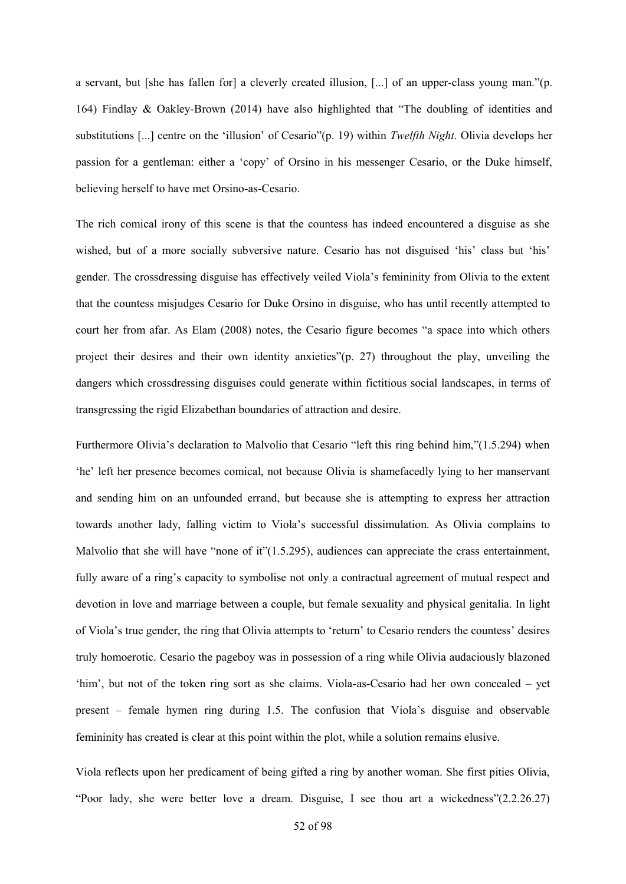a servant, but [she has fallen for] a cleverly created illusion, [...] of an upper-class young man."(p. 164) Findlay & Oakley-Brown (2014) have also highlighted that "The doubling of identities and substitutions [...] centre on the 'illusion' of Cesario"(p. 19) within *Twelfth Night*. Olivia develops her passion for a gentleman: either a 'copy' of Orsino in his messenger Cesario, or the Duke himself, believing herself to have met Orsino-as-Cesario.

The rich comical irony of this scene is that the countess has indeed encountered a disguise as she wished, but of a more socially subversive nature. Cesario has not disguised 'his' class but 'his' gender. The crossdressing disguise has effectively veiled Viola's femininity from Olivia to the extent that the countess misjudges Cesario for Duke Orsino in disguise, who has until recently attempted to court her from afar. As Elam (2008) notes, the Cesario figure becomes "a space into which others project their desires and their own identity anxieties"(p. 27) throughout the play, unveiling the dangers which crossdressing disguises could generate within fictitious social landscapes, in terms of transgressing the rigid Elizabethan boundaries of attraction and desire.

Furthermore Olivia's declaration to Malvolio that Cesario "left this ring behind him,"(1.5.294) when 'he' left her presence becomes comical, not because Olivia is shamefacedly lying to her manservant and sending him on an unfounded errand, but because she is attempting to express her attraction towards another lady, falling victim to Viola's successful dissimulation. As Olivia complains to Malvolio that she will have "none of it" $(1.5.295)$ , audiences can appreciate the crass entertainment, fully aware of a ring's capacity to symbolise not only a contractual agreement of mutual respect and devotion in love and marriage between a couple, but female sexuality and physical genitalia. In light of Viola's true gender, the ring that Olivia attempts to 'return' to Cesario renders the countess' desires truly homoerotic. Cesario the pageboy was in possession of a ring while Olivia audaciously blazoned 'him', but not of the token ring sort as she claims. Viola-as-Cesario had her own concealed – yet present – female hymen ring during 1.5. The confusion that Viola's disguise and observable femininity has created is clear at this point within the plot, while a solution remains elusive.

Viola reflects upon her predicament of being gifted a ring by another woman. She first pities Olivia, "Poor lady, she were better love a dream. Disguise, I see thou art a wickedness"(2.2.26.27)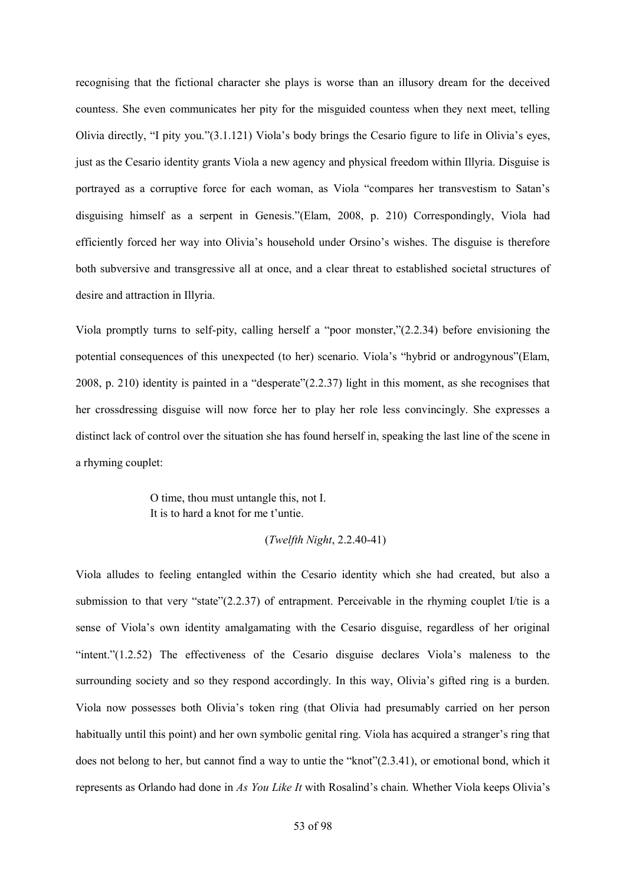recognising that the fictional character she plays is worse than an illusory dream for the deceived countess. She even communicates her pity for the misguided countess when they next meet, telling Olivia directly, "I pity you."(3.1.121) Viola's body brings the Cesario figure to life in Olivia's eyes, just as the Cesario identity grants Viola a new agency and physical freedom within Illyria. Disguise is portrayed as a corruptive force for each woman, as Viola "compares her transvestism to Satan's disguising himself as a serpent in Genesis."(Elam, 2008, p. 210) Correspondingly, Viola had efficiently forced her way into Olivia's household under Orsino's wishes. The disguise is therefore both subversive and transgressive all at once, and a clear threat to established societal structures of desire and attraction in Illyria.

Viola promptly turns to self-pity, calling herself a "poor monster,"(2.2.34) before envisioning the potential consequences of this unexpected (to her) scenario. Viola's "hybrid or androgynous"(Elam, 2008, p. 210) identity is painted in a "desperate"(2.2.37) light in this moment, as she recognises that her crossdressing disguise will now force her to play her role less convincingly. She expresses a distinct lack of control over the situation she has found herself in, speaking the last line of the scene in a rhyming couplet:

> O time, thou must untangle this, not I. It is to hard a knot for me t'untie.

## (*Twelfth Night*, 2.2.40-41)

Viola alludes to feeling entangled within the Cesario identity which she had created, but also a submission to that very "state"(2.2.37) of entrapment. Perceivable in the rhyming couplet I/tie is a sense of Viola's own identity amalgamating with the Cesario disguise, regardless of her original "intent."(1.2.52) The effectiveness of the Cesario disguise declares Viola's maleness to the surrounding society and so they respond accordingly. In this way, Olivia's gifted ring is a burden. Viola now possesses both Olivia's token ring (that Olivia had presumably carried on her person habitually until this point) and her own symbolic genital ring. Viola has acquired a stranger's ring that does not belong to her, but cannot find a way to untie the "knot"(2.3.41), or emotional bond, which it represents as Orlando had done in *As You Like It* with Rosalind's chain. Whether Viola keeps Olivia's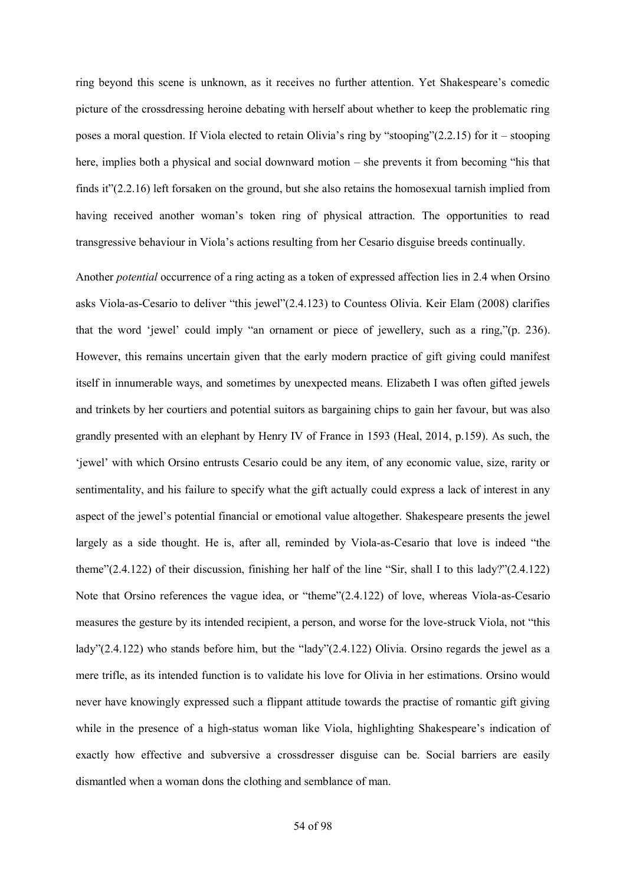ring beyond this scene is unknown, as it receives no further attention. Yet Shakespeare's comedic picture of the crossdressing heroine debating with herself about whether to keep the problematic ring poses a moral question. If Viola elected to retain Olivia's ring by "stooping"(2.2.15) for it – stooping here, implies both a physical and social downward motion – she prevents it from becoming "his that finds it"(2.2.16) left forsaken on the ground, but she also retains the homosexual tarnish implied from having received another woman's token ring of physical attraction. The opportunities to read transgressive behaviour in Viola's actions resulting from her Cesario disguise breeds continually.

Another *potential* occurrence of a ring acting as a token of expressed affection lies in 2.4 when Orsino asks Viola-as-Cesario to deliver "this jewel"(2.4.123) to Countess Olivia. Keir Elam (2008) clarifies that the word 'jewel' could imply "an ornament or piece of jewellery, such as a ring,"(p. 236). However, this remains uncertain given that the early modern practice of gift giving could manifest itself in innumerable ways, and sometimes by unexpected means. Elizabeth I was often gifted jewels and trinkets by her courtiers and potential suitors as bargaining chips to gain her favour, but was also grandly presented with an elephant by Henry IV of France in 1593 (Heal, 2014, p.159). As such, the 'jewel' with which Orsino entrusts Cesario could be any item, of any economic value, size, rarity or sentimentality, and his failure to specify what the gift actually could express a lack of interest in any aspect of the jewel's potential financial or emotional value altogether. Shakespeare presents the jewel largely as a side thought. He is, after all, reminded by Viola-as-Cesario that love is indeed "the theme"(2.4.122) of their discussion, finishing her half of the line "Sir, shall I to this lady?"(2.4.122) Note that Orsino references the vague idea, or "theme"(2.4.122) of love, whereas Viola-as-Cesario measures the gesture by its intended recipient, a person, and worse for the love-struck Viola, not "this lady"(2.4.122) who stands before him, but the "lady"(2.4.122) Olivia. Orsino regards the jewel as a mere trifle, as its intended function is to validate his love for Olivia in her estimations. Orsino would never have knowingly expressed such a flippant attitude towards the practise of romantic gift giving while in the presence of a high-status woman like Viola, highlighting Shakespeare's indication of exactly how effective and subversive a crossdresser disguise can be. Social barriers are easily dismantled when a woman dons the clothing and semblance of man.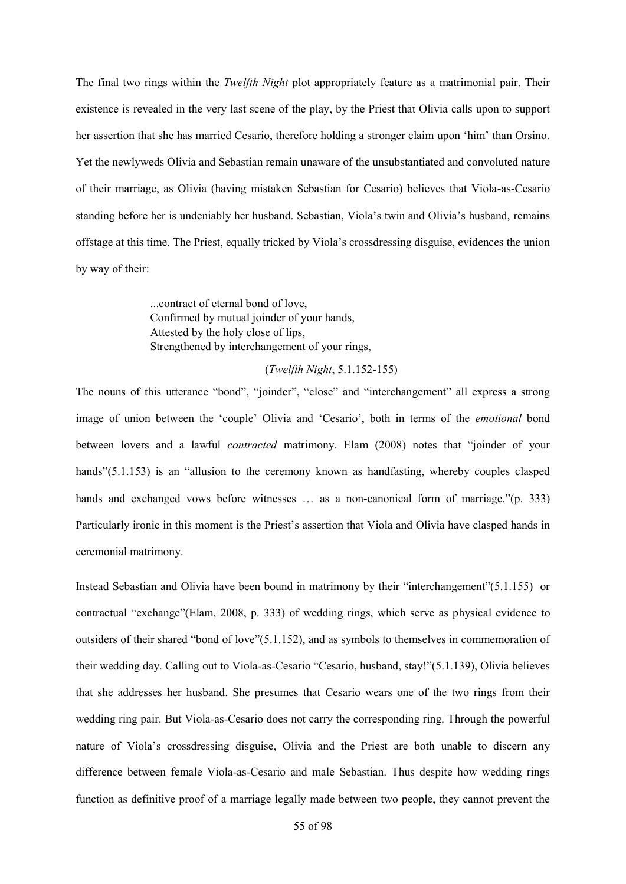The final two rings within the *Twelfth Night* plot appropriately feature as a matrimonial pair. Their existence is revealed in the very last scene of the play, by the Priest that Olivia calls upon to support her assertion that she has married Cesario, therefore holding a stronger claim upon 'him' than Orsino. Yet the newlyweds Olivia and Sebastian remain unaware of the unsubstantiated and convoluted nature of their marriage, as Olivia (having mistaken Sebastian for Cesario) believes that Viola-as-Cesario standing before her is undeniably her husband. Sebastian, Viola's twin and Olivia's husband, remains offstage at this time. The Priest, equally tricked by Viola's crossdressing disguise, evidences the union by way of their:

> ...contract of eternal bond of love, Confirmed by mutual joinder of your hands, Attested by the holy close of lips, Strengthened by interchangement of your rings,

#### (*Twelfth Night*, 5.1.152-155)

The nouns of this utterance "bond", "joinder", "close" and "interchangement" all express a strong image of union between the 'couple' Olivia and 'Cesario', both in terms of the *emotional* bond between lovers and a lawful *contracted* matrimony. Elam (2008) notes that "joinder of your hands"(5.1.153) is an "allusion to the ceremony known as handfasting, whereby couples clasped hands and exchanged vows before witnesses ... as a non-canonical form of marriage."(p. 333) Particularly ironic in this moment is the Priest's assertion that Viola and Olivia have clasped hands in ceremonial matrimony.

Instead Sebastian and Olivia have been bound in matrimony by their "interchangement"(5.1.155) or contractual "exchange"(Elam, 2008, p. 333) of wedding rings, which serve as physical evidence to outsiders of their shared "bond of love"(5.1.152), and as symbols to themselves in commemoration of their wedding day. Calling out to Viola-as-Cesario "Cesario, husband, stay!"(5.1.139), Olivia believes that she addresses her husband. She presumes that Cesario wears one of the two rings from their wedding ring pair. But Viola-as-Cesario does not carry the corresponding ring. Through the powerful nature of Viola's crossdressing disguise, Olivia and the Priest are both unable to discern any difference between female Viola-as-Cesario and male Sebastian. Thus despite how wedding rings function as definitive proof of a marriage legally made between two people, they cannot prevent the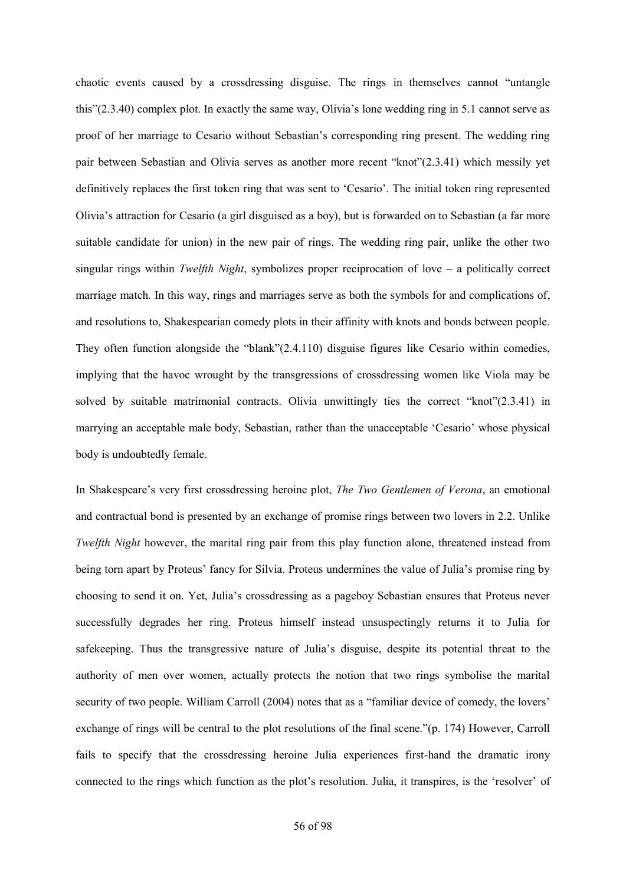chaotic events caused by a crossdressing disguise. The rings in themselves cannot "untangle this"(2.3.40) complex plot. In exactly the same way, Olivia's lone wedding ring in 5.1 cannot serve as proof of her marriage to Cesario without Sebastian's corresponding ring present. The wedding ring pair between Sebastian and Olivia serves as another more recent "knot"(2.3.41) which messily yet definitively replaces the first token ring that was sent to 'Cesario'. The initial token ring represented Olivia's attraction for Cesario (a girl disguised as a boy), but is forwarded on to Sebastian (a far more suitable candidate for union) in the new pair of rings. The wedding ring pair, unlike the other two singular rings within *Twelfth Night*, symbolizes proper reciprocation of love – a politically correct marriage match. In this way, rings and marriages serve as both the symbols for and complications of, and resolutions to, Shakespearian comedy plots in their affinity with knots and bonds between people. They often function alongside the "blank"(2.4.110) disguise figures like Cesario within comedies, implying that the havoc wrought by the transgressions of crossdressing women like Viola may be solved by suitable matrimonial contracts. Olivia unwittingly ties the correct "knot"(2.3.41) in marrying an acceptable male body, Sebastian, rather than the unacceptable 'Cesario' whose physical body is undoubtedly female.

In Shakespeare's very first crossdressing heroine plot, *The Two Gentlemen of Verona*, an emotional and contractual bond is presented by an exchange of promise rings between two lovers in 2.2. Unlike *Twelfth Night* however, the marital ring pair from this play function alone, threatened instead from being torn apart by Proteus' fancy for Silvia. Proteus undermines the value of Julia's promise ring by choosing to send it on. Yet, Julia's crossdressing as a pageboy Sebastian ensures that Proteus never successfully degrades her ring. Proteus himself instead unsuspectingly returns it to Julia for safekeeping. Thus the transgressive nature of Julia's disguise, despite its potential threat to the authority of men over women, actually protects the notion that two rings symbolise the marital security of two people. William Carroll (2004) notes that as a "familiar device of comedy, the lovers' exchange of rings will be central to the plot resolutions of the final scene."(p. 174) However, Carroll fails to specify that the crossdressing heroine Julia experiences first-hand the dramatic irony connected to the rings which function as the plot's resolution. Julia, it transpires, is the 'resolver' of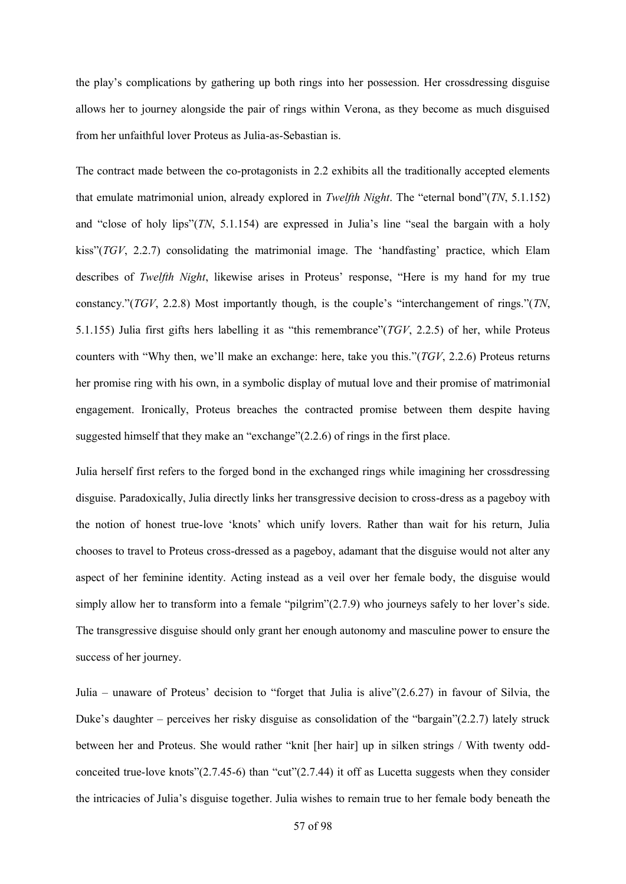the play's complications by gathering up both rings into her possession. Her crossdressing disguise allows her to journey alongside the pair of rings within Verona, as they become as much disguised from her unfaithful lover Proteus as Julia-as-Sebastian is.

The contract made between the co-protagonists in 2.2 exhibits all the traditionally accepted elements that emulate matrimonial union, already explored in *Twelfth Night*. The "eternal bond"(*TN*, 5.1.152) and "close of holy lips"(*TN*, 5.1.154) are expressed in Julia's line "seal the bargain with a holy kiss"(*TGV*, 2.2.7) consolidating the matrimonial image. The 'handfasting' practice, which Elam describes of *Twelfth Night*, likewise arises in Proteus' response, "Here is my hand for my true constancy."(*TGV*, 2.2.8) Most importantly though, is the couple's "interchangement of rings."(*TN*, 5.1.155) Julia first gifts hers labelling it as "this remembrance"(*TGV*, 2.2.5) of her, while Proteus counters with "Why then, we'll make an exchange: here, take you this."(*TGV*, 2.2.6) Proteus returns her promise ring with his own, in a symbolic display of mutual love and their promise of matrimonial engagement. Ironically, Proteus breaches the contracted promise between them despite having suggested himself that they make an "exchange"(2.2.6) of rings in the first place.

Julia herself first refers to the forged bond in the exchanged rings while imagining her crossdressing disguise. Paradoxically, Julia directly links her transgressive decision to cross-dress as a pageboy with the notion of honest true-love 'knots' which unify lovers. Rather than wait for his return, Julia chooses to travel to Proteus cross-dressed as a pageboy, adamant that the disguise would not alter any aspect of her feminine identity. Acting instead as a veil over her female body, the disguise would simply allow her to transform into a female "pilgrim"(2.7.9) who journeys safely to her lover's side. The transgressive disguise should only grant her enough autonomy and masculine power to ensure the success of her journey.

Julia – unaware of Proteus' decision to "forget that Julia is alive"(2.6.27) in favour of Silvia, the Duke's daughter – perceives her risky disguise as consolidation of the "bargain"(2.2.7) lately struck between her and Proteus. She would rather "knit [her hair] up in silken strings / With twenty oddconceited true-love knots" $(2.7.45-6)$  than "cut" $(2.7.44)$  it off as Lucetta suggests when they consider the intricacies of Julia's disguise together. Julia wishes to remain true to her female body beneath the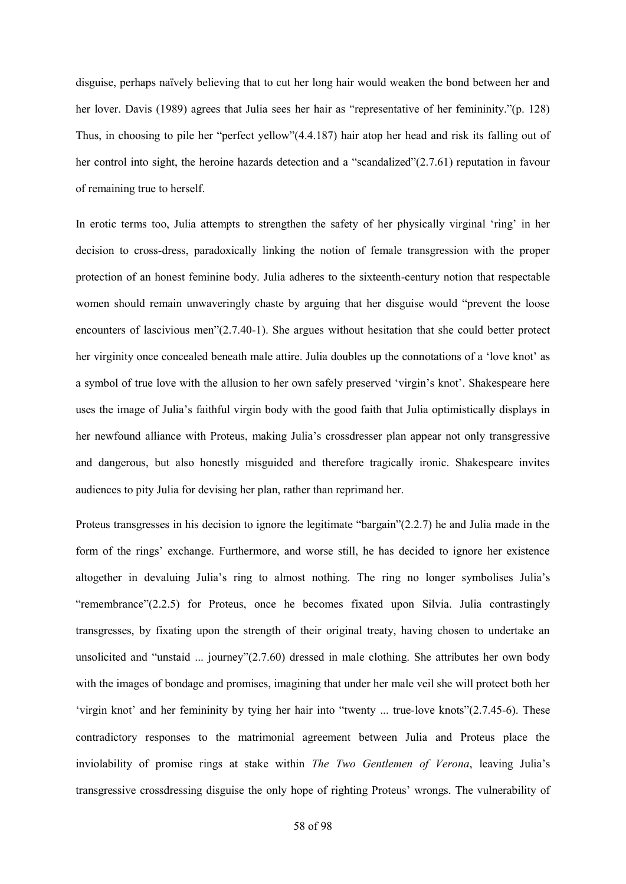disguise, perhaps naïvely believing that to cut her long hair would weaken the bond between her and her lover. Davis (1989) agrees that Julia sees her hair as "representative of her femininity."(p. 128) Thus, in choosing to pile her "perfect yellow"(4.4.187) hair atop her head and risk its falling out of her control into sight, the heroine hazards detection and a "scandalized"(2.7.61) reputation in favour of remaining true to herself.

In erotic terms too, Julia attempts to strengthen the safety of her physically virginal 'ring' in her decision to cross-dress, paradoxically linking the notion of female transgression with the proper protection of an honest feminine body. Julia adheres to the sixteenth-century notion that respectable women should remain unwaveringly chaste by arguing that her disguise would "prevent the loose encounters of lascivious men"(2.7.40-1). She argues without hesitation that she could better protect her virginity once concealed beneath male attire. Julia doubles up the connotations of a 'love knot' as a symbol of true love with the allusion to her own safely preserved 'virgin's knot'. Shakespeare here uses the image of Julia's faithful virgin body with the good faith that Julia optimistically displays in her newfound alliance with Proteus, making Julia's crossdresser plan appear not only transgressive and dangerous, but also honestly misguided and therefore tragically ironic. Shakespeare invites audiences to pity Julia for devising her plan, rather than reprimand her.

Proteus transgresses in his decision to ignore the legitimate "bargain"(2.2.7) he and Julia made in the form of the rings' exchange. Furthermore, and worse still, he has decided to ignore her existence altogether in devaluing Julia's ring to almost nothing. The ring no longer symbolises Julia's "remembrance"(2.2.5) for Proteus, once he becomes fixated upon Silvia. Julia contrastingly transgresses, by fixating upon the strength of their original treaty, having chosen to undertake an unsolicited and "unstaid ... journey"(2.7.60) dressed in male clothing. She attributes her own body with the images of bondage and promises, imagining that under her male veil she will protect both her 'virgin knot' and her femininity by tying her hair into "twenty ... true-love knots"(2.7.45-6). These contradictory responses to the matrimonial agreement between Julia and Proteus place the inviolability of promise rings at stake within *The Two Gentlemen of Verona*, leaving Julia's transgressive crossdressing disguise the only hope of righting Proteus' wrongs. The vulnerability of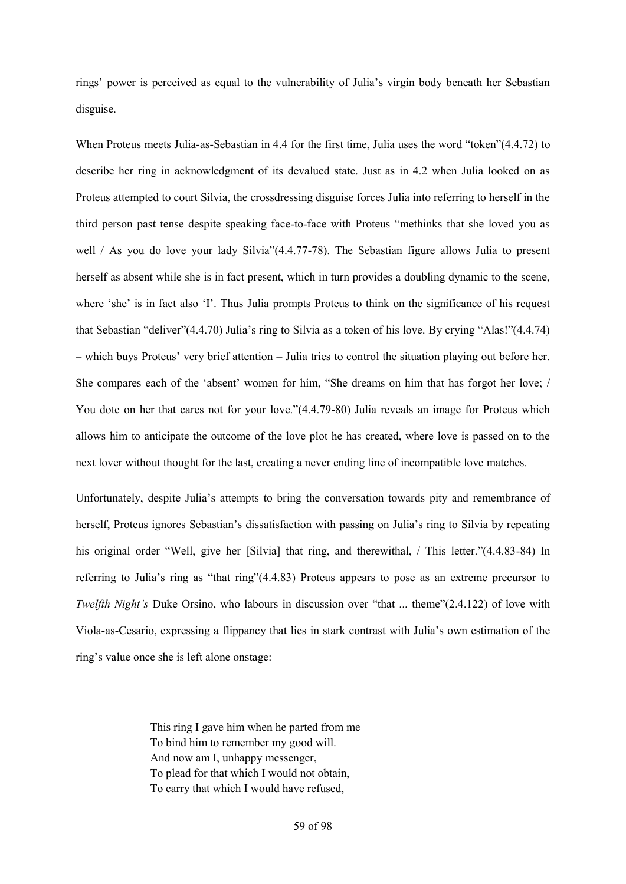rings' power is perceived as equal to the vulnerability of Julia's virgin body beneath her Sebastian disguise.

When Proteus meets Julia-as-Sebastian in 4.4 for the first time, Julia uses the word "token"(4.4.72) to describe her ring in acknowledgment of its devalued state. Just as in 4.2 when Julia looked on as Proteus attempted to court Silvia, the crossdressing disguise forces Julia into referring to herself in the third person past tense despite speaking face-to-face with Proteus "methinks that she loved you as well / As you do love your lady Silvia"(4.4.77-78). The Sebastian figure allows Julia to present herself as absent while she is in fact present, which in turn provides a doubling dynamic to the scene, where 'she' is in fact also 'I'. Thus Julia prompts Proteus to think on the significance of his request that Sebastian "deliver"(4.4.70) Julia's ring to Silvia as a token of his love. By crying "Alas!"(4.4.74) – which buys Proteus' very brief attention – Julia tries to control the situation playing out before her. She compares each of the 'absent' women for him, "She dreams on him that has forgot her love; / You dote on her that cares not for your love."(4.4.79-80) Julia reveals an image for Proteus which allows him to anticipate the outcome of the love plot he has created, where love is passed on to the next lover without thought for the last, creating a never ending line of incompatible love matches.

Unfortunately, despite Julia's attempts to bring the conversation towards pity and remembrance of herself, Proteus ignores Sebastian's dissatisfaction with passing on Julia's ring to Silvia by repeating his original order "Well, give her [Silvia] that ring, and therewithal, / This letter."(4.4.83-84) In referring to Julia's ring as "that ring"(4.4.83) Proteus appears to pose as an extreme precursor to *Twelfth Night's* Duke Orsino, who labours in discussion over "that ... theme"(2.4.122) of love with Viola-as-Cesario, expressing a flippancy that lies in stark contrast with Julia's own estimation of the ring's value once she is left alone onstage:

> This ring I gave him when he parted from me To bind him to remember my good will. And now am I, unhappy messenger, To plead for that which I would not obtain, To carry that which I would have refused,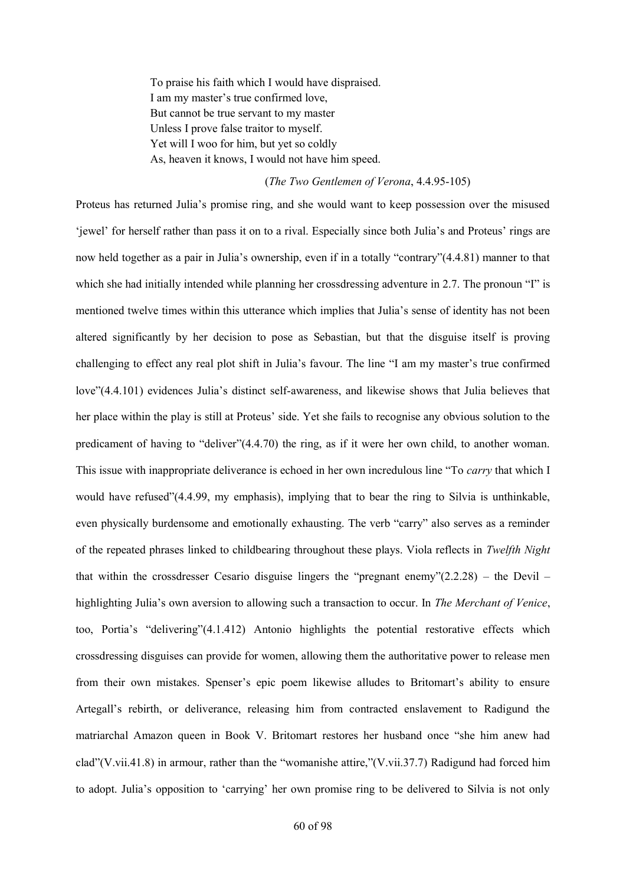To praise his faith which I would have dispraised. I am my master's true confirmed love, But cannot be true servant to my master Unless I prove false traitor to myself. Yet will I woo for him, but yet so coldly As, heaven it knows, I would not have him speed.

## (*The Two Gentlemen of Verona*, 4.4.95-105)

Proteus has returned Julia's promise ring, and she would want to keep possession over the misused 'jewel' for herself rather than pass it on to a rival. Especially since both Julia's and Proteus' rings are now held together as a pair in Julia's ownership, even if in a totally "contrary"(4.4.81) manner to that which she had initially intended while planning her crossdressing adventure in 2.7. The pronoun "I" is mentioned twelve times within this utterance which implies that Julia's sense of identity has not been altered significantly by her decision to pose as Sebastian, but that the disguise itself is proving challenging to effect any real plot shift in Julia's favour. The line "I am my master's true confirmed love"(4.4.101) evidences Julia's distinct self-awareness, and likewise shows that Julia believes that her place within the play is still at Proteus' side. Yet she fails to recognise any obvious solution to the predicament of having to "deliver"(4.4.70) the ring, as if it were her own child, to another woman. This issue with inappropriate deliverance is echoed in her own incredulous line "To *carry* that which I would have refused"(4.4.99, my emphasis), implying that to bear the ring to Silvia is unthinkable, even physically burdensome and emotionally exhausting. The verb "carry" also serves as a reminder of the repeated phrases linked to childbearing throughout these plays. Viola reflects in *Twelfth Night* that within the crossdresser Cesario disguise lingers the "pregnant enemy" $(2.2.28)$  – the Devil – highlighting Julia's own aversion to allowing such a transaction to occur. In *The Merchant of Venice*, too, Portia's "delivering"(4.1.412) Antonio highlights the potential restorative effects which crossdressing disguises can provide for women, allowing them the authoritative power to release men from their own mistakes. Spenser's epic poem likewise alludes to Britomart's ability to ensure Artegall's rebirth, or deliverance, releasing him from contracted enslavement to Radigund the matriarchal Amazon queen in Book V. Britomart restores her husband once "she him anew had clad"(V.vii.41.8) in armour, rather than the "womanishe attire,"(V.vii.37.7) Radigund had forced him to adopt. Julia's opposition to 'carrying' her own promise ring to be delivered to Silvia is not only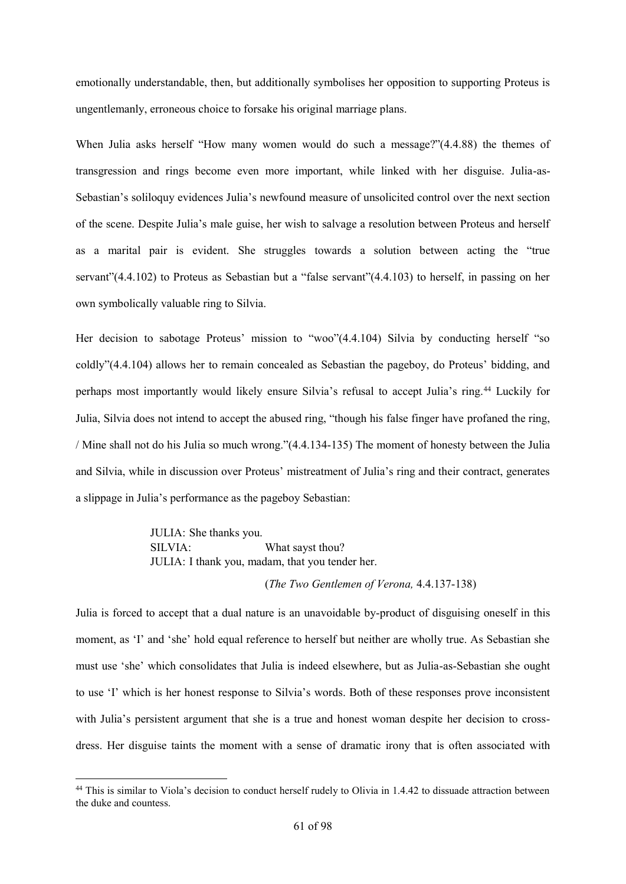emotionally understandable, then, but additionally symbolises her opposition to supporting Proteus is ungentlemanly, erroneous choice to forsake his original marriage plans.

When Julia asks herself "How many women would do such a message?"(4.4.88) the themes of transgression and rings become even more important, while linked with her disguise. Julia-as-Sebastian's soliloquy evidences Julia's newfound measure of unsolicited control over the next section of the scene. Despite Julia's male guise, her wish to salvage a resolution between Proteus and herself as a marital pair is evident. She struggles towards a solution between acting the "true servant"(4.4.102) to Proteus as Sebastian but a "false servant"(4.4.103) to herself, in passing on her own symbolically valuable ring to Silvia.

Her decision to sabotage Proteus' mission to "woo"(4.4.104) Silvia by conducting herself "so coldly"(4.4.104) allows her to remain concealed as Sebastian the pageboy, do Proteus' bidding, and perhaps most importantly would likely ensure Silvia's refusal to accept Julia's ring.<sup>44</sup> Luckily for Julia, Silvia does not intend to accept the abused ring, "though his false finger have profaned the ring, / Mine shall not do his Julia so much wrong."(4.4.134-135) The moment of honesty between the Julia and Silvia, while in discussion over Proteus' mistreatment of Julia's ring and their contract, generates a slippage in Julia's performance as the pageboy Sebastian:

> JULIA: She thanks you. SILVIA: What sayst thou? JULIA: I thank you, madam, that you tender her.

1

### (*The Two Gentlemen of Verona,* 4.4.137-138)

Julia is forced to accept that a dual nature is an unavoidable by-product of disguising oneself in this moment, as 'I' and 'she' hold equal reference to herself but neither are wholly true. As Sebastian she must use 'she' which consolidates that Julia is indeed elsewhere, but as Julia-as-Sebastian she ought to use 'I' which is her honest response to Silvia's words. Both of these responses prove inconsistent with Julia's persistent argument that she is a true and honest woman despite her decision to crossdress. Her disguise taints the moment with a sense of dramatic irony that is often associated with

<sup>&</sup>lt;sup>44</sup> This is similar to Viola's decision to conduct herself rudely to Olivia in 1.4.42 to dissuade attraction between the duke and countess.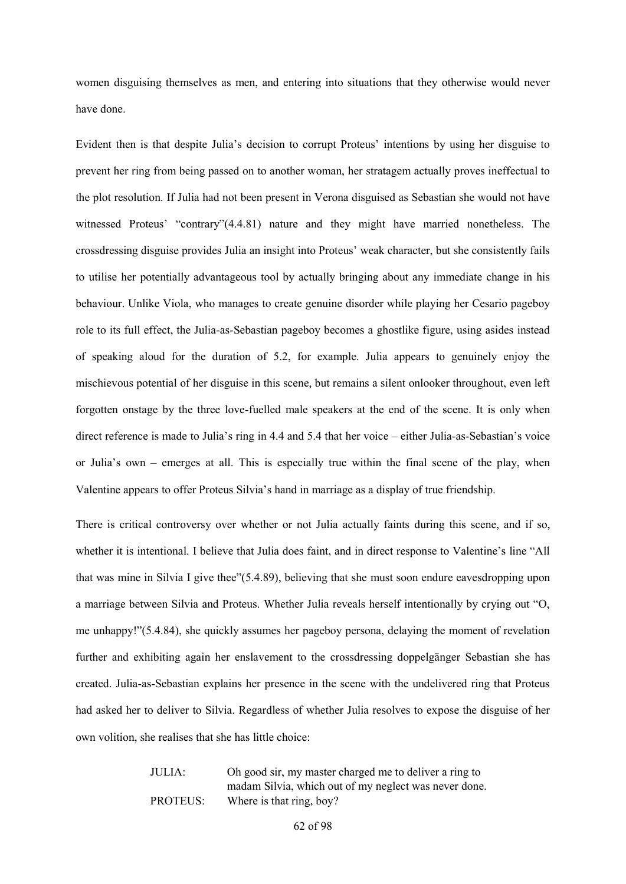women disguising themselves as men, and entering into situations that they otherwise would never have done.

Evident then is that despite Julia's decision to corrupt Proteus' intentions by using her disguise to prevent her ring from being passed on to another woman, her stratagem actually proves ineffectual to the plot resolution. If Julia had not been present in Verona disguised as Sebastian she would not have witnessed Proteus' "contrary"(4.4.81) nature and they might have married nonetheless. The crossdressing disguise provides Julia an insight into Proteus' weak character, but she consistently fails to utilise her potentially advantageous tool by actually bringing about any immediate change in his behaviour. Unlike Viola, who manages to create genuine disorder while playing her Cesario pageboy role to its full effect, the Julia-as-Sebastian pageboy becomes a ghostlike figure, using asides instead of speaking aloud for the duration of 5.2, for example. Julia appears to genuinely enjoy the mischievous potential of her disguise in this scene, but remains a silent onlooker throughout, even left forgotten onstage by the three love-fuelled male speakers at the end of the scene. It is only when direct reference is made to Julia's ring in 4.4 and 5.4 that her voice – either Julia-as-Sebastian's voice or Julia's own – emerges at all. This is especially true within the final scene of the play, when Valentine appears to offer Proteus Silvia's hand in marriage as a display of true friendship.

There is critical controversy over whether or not Julia actually faints during this scene, and if so, whether it is intentional. I believe that Julia does faint, and in direct response to Valentine's line "All that was mine in Silvia I give thee"(5.4.89), believing that she must soon endure eavesdropping upon a marriage between Silvia and Proteus. Whether Julia reveals herself intentionally by crying out "O, me unhappy!"(5.4.84), she quickly assumes her pageboy persona, delaying the moment of revelation further and exhibiting again her enslavement to the crossdressing doppelgänger Sebastian she has created. Julia-as-Sebastian explains her presence in the scene with the undelivered ring that Proteus had asked her to deliver to Silvia. Regardless of whether Julia resolves to expose the disguise of her own volition, she realises that she has little choice:

> JULIA: Oh good sir, my master charged me to deliver a ring to madam Silvia, which out of my neglect was never done. PROTEUS: Where is that ring, boy?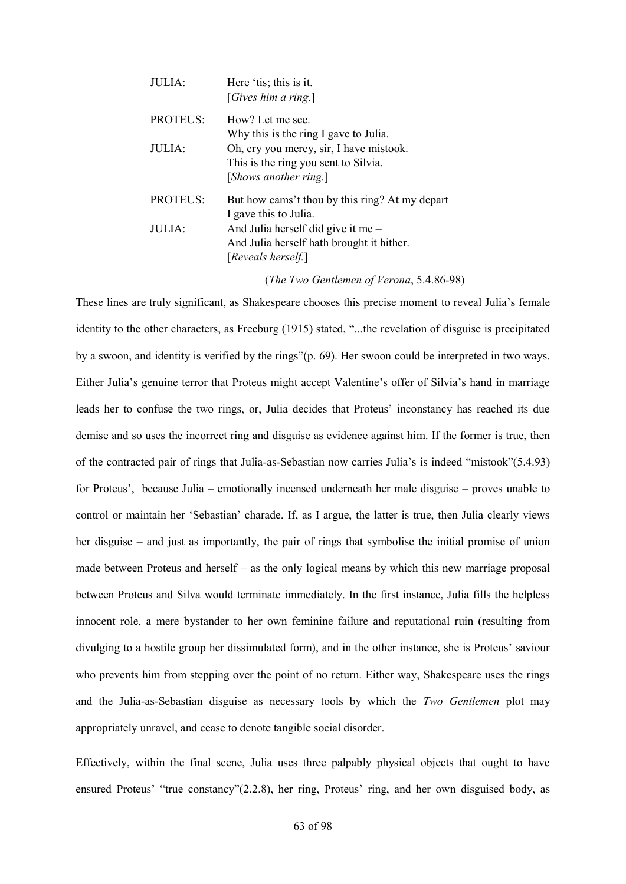| JULIA:          | Here 'tis; this is it.<br>[ <i>Gives him a ring.</i> ]                                                   |
|-----------------|----------------------------------------------------------------------------------------------------------|
| <b>PROTEUS:</b> | How? Let me see.<br>Why this is the ring I gave to Julia.                                                |
| $JUIIJA$ :      | Oh, cry you mercy, sir, I have mistook.<br>This is the ring you sent to Silvia.<br>[Shows another ring.] |
| <b>PROTEUS:</b> | But how cams't thou by this ring? At my depart<br>I gave this to Julia.                                  |
| JULIA:          | And Julia herself did give it me $-$<br>And Julia herself hath brought it hither.<br>[Reveals herself.]  |

(*The Two Gentlemen of Verona*, 5.4.86-98)

These lines are truly significant, as Shakespeare chooses this precise moment to reveal Julia's female identity to the other characters, as Freeburg (1915) stated, "...the revelation of disguise is precipitated by a swoon, and identity is verified by the rings"(p. 69). Her swoon could be interpreted in two ways. Either Julia's genuine terror that Proteus might accept Valentine's offer of Silvia's hand in marriage leads her to confuse the two rings, or, Julia decides that Proteus' inconstancy has reached its due demise and so uses the incorrect ring and disguise as evidence against him. If the former is true, then of the contracted pair of rings that Julia-as-Sebastian now carries Julia's is indeed "mistook"(5.4.93) for Proteus', because Julia – emotionally incensed underneath her male disguise – proves unable to control or maintain her 'Sebastian' charade. If, as I argue, the latter is true, then Julia clearly views her disguise – and just as importantly, the pair of rings that symbolise the initial promise of union made between Proteus and herself – as the only logical means by which this new marriage proposal between Proteus and Silva would terminate immediately. In the first instance, Julia fills the helpless innocent role, a mere bystander to her own feminine failure and reputational ruin (resulting from divulging to a hostile group her dissimulated form), and in the other instance, she is Proteus' saviour who prevents him from stepping over the point of no return. Either way, Shakespeare uses the rings and the Julia-as-Sebastian disguise as necessary tools by which the *Two Gentlemen* plot may appropriately unravel, and cease to denote tangible social disorder.

Effectively, within the final scene, Julia uses three palpably physical objects that ought to have ensured Proteus' "true constancy"(2.2.8), her ring, Proteus' ring, and her own disguised body, as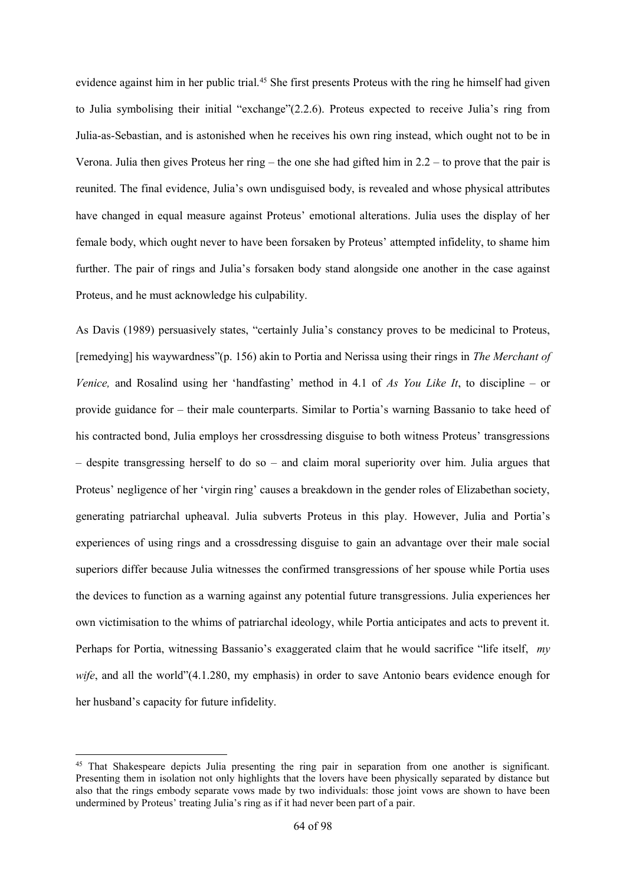evidence against him in her public trial.<sup>45</sup> She first presents Proteus with the ring he himself had given to Julia symbolising their initial "exchange"(2.2.6). Proteus expected to receive Julia's ring from Julia-as-Sebastian, and is astonished when he receives his own ring instead, which ought not to be in Verona. Julia then gives Proteus her ring – the one she had gifted him in 2.2 – to prove that the pair is reunited. The final evidence, Julia's own undisguised body, is revealed and whose physical attributes have changed in equal measure against Proteus' emotional alterations. Julia uses the display of her female body, which ought never to have been forsaken by Proteus' attempted infidelity, to shame him further. The pair of rings and Julia's forsaken body stand alongside one another in the case against Proteus, and he must acknowledge his culpability.

As Davis (1989) persuasively states, "certainly Julia's constancy proves to be medicinal to Proteus, [remedying] his waywardness"(p. 156) akin to Portia and Nerissa using their rings in *The Merchant of Venice,* and Rosalind using her 'handfasting' method in 4.1 of *As You Like It*, to discipline – or provide guidance for – their male counterparts. Similar to Portia's warning Bassanio to take heed of his contracted bond, Julia employs her crossdressing disguise to both witness Proteus' transgressions – despite transgressing herself to do so – and claim moral superiority over him. Julia argues that Proteus' negligence of her 'virgin ring' causes a breakdown in the gender roles of Elizabethan society, generating patriarchal upheaval. Julia subverts Proteus in this play. However, Julia and Portia's experiences of using rings and a crossdressing disguise to gain an advantage over their male social superiors differ because Julia witnesses the confirmed transgressions of her spouse while Portia uses the devices to function as a warning against any potential future transgressions. Julia experiences her own victimisation to the whims of patriarchal ideology, while Portia anticipates and acts to prevent it. Perhaps for Portia, witnessing Bassanio's exaggerated claim that he would sacrifice "life itself, *my wife*, and all the world"(4.1.280, my emphasis) in order to save Antonio bears evidence enough for her husband's capacity for future infidelity.

**.** 

<sup>45</sup> That Shakespeare depicts Julia presenting the ring pair in separation from one another is significant. Presenting them in isolation not only highlights that the lovers have been physically separated by distance but also that the rings embody separate vows made by two individuals: those joint vows are shown to have been undermined by Proteus' treating Julia's ring as if it had never been part of a pair.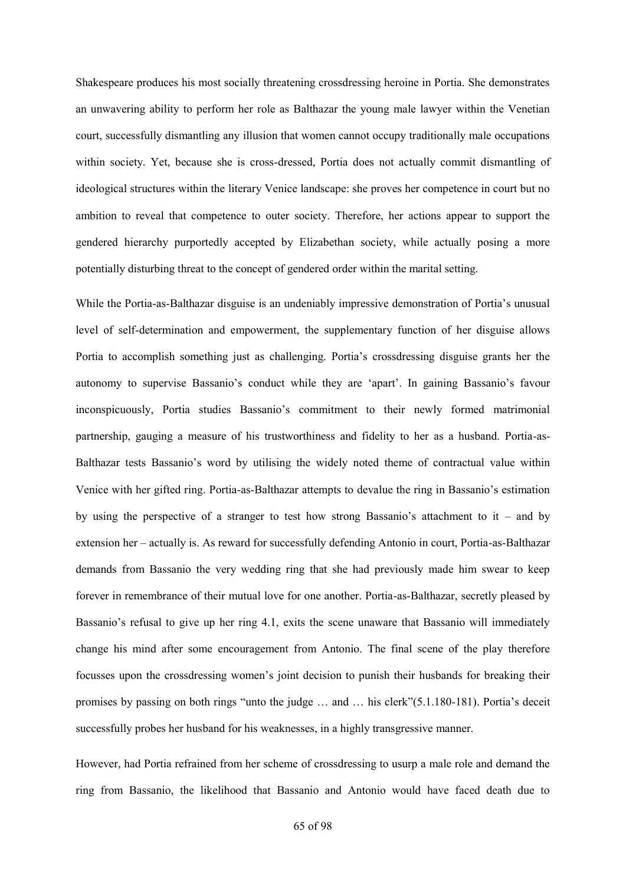Shakespeare produces his most socially threatening crossdressing heroine in Portia. She demonstrates an unwavering ability to perform her role as Balthazar the young male lawyer within the Venetian court, successfully dismantling any illusion that women cannot occupy traditionally male occupations within society. Yet, because she is cross-dressed, Portia does not actually commit dismantling of ideological structures within the literary Venice landscape: she proves her competence in court but no ambition to reveal that competence to outer society. Therefore, her actions appear to support the gendered hierarchy purportedly accepted by Elizabethan society, while actually posing a more potentially disturbing threat to the concept of gendered order within the marital setting.

While the Portia-as-Balthazar disguise is an undeniably impressive demonstration of Portia's unusual level of self-determination and empowerment, the supplementary function of her disguise allows Portia to accomplish something just as challenging. Portia's crossdressing disguise grants her the autonomy to supervise Bassanio's conduct while they are 'apart'. In gaining Bassanio's favour inconspicuously, Portia studies Bassanio's commitment to their newly formed matrimonial partnership, gauging a measure of his trustworthiness and fidelity to her as a husband. Portia-as-Balthazar tests Bassanio's word by utilising the widely noted theme of contractual value within Venice with her gifted ring. Portia-as-Balthazar attempts to devalue the ring in Bassanio's estimation by using the perspective of a stranger to test how strong Bassanio's attachment to it – and by extension her – actually is. As reward for successfully defending Antonio in court, Portia-as-Balthazar demands from Bassanio the very wedding ring that she had previously made him swear to keep forever in remembrance of their mutual love for one another. Portia-as-Balthazar, secretly pleased by Bassanio's refusal to give up her ring 4.1, exits the scene unaware that Bassanio will immediately change his mind after some encouragement from Antonio. The final scene of the play therefore focusses upon the crossdressing women's joint decision to punish their husbands for breaking their promises by passing on both rings "unto the judge … and … his clerk"(5.1.180-181). Portia's deceit successfully probes her husband for his weaknesses, in a highly transgressive manner.

However, had Portia refrained from her scheme of crossdressing to usurp a male role and demand the ring from Bassanio, the likelihood that Bassanio and Antonio would have faced death due to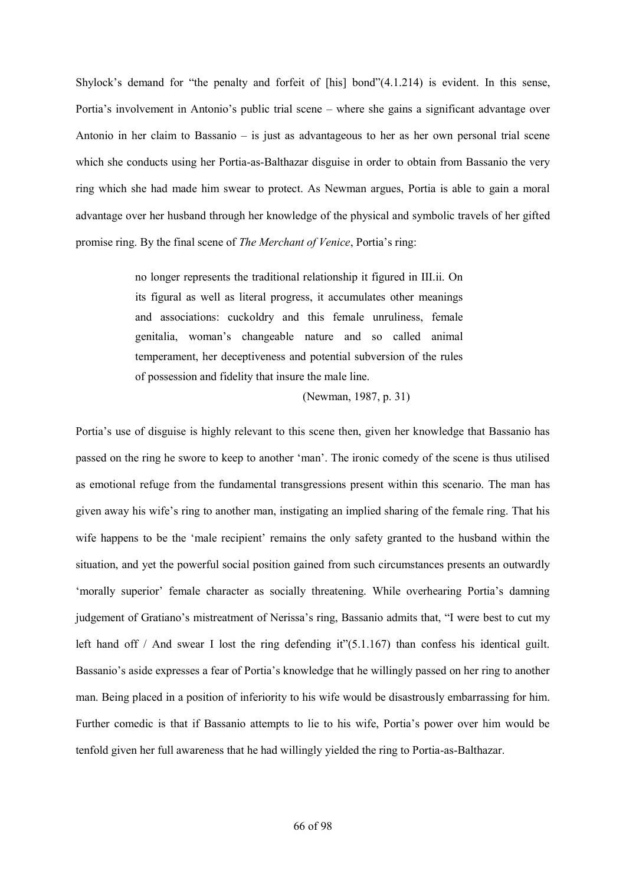Shylock's demand for "the penalty and forfeit of [his] bond"(4.1.214) is evident. In this sense, Portia's involvement in Antonio's public trial scene – where she gains a significant advantage over Antonio in her claim to Bassanio – is just as advantageous to her as her own personal trial scene which she conducts using her Portia-as-Balthazar disguise in order to obtain from Bassanio the very ring which she had made him swear to protect. As Newman argues, Portia is able to gain a moral advantage over her husband through her knowledge of the physical and symbolic travels of her gifted promise ring. By the final scene of *The Merchant of Venice*, Portia's ring:

> no longer represents the traditional relationship it figured in III.ii. On its figural as well as literal progress, it accumulates other meanings and associations: cuckoldry and this female unruliness, female genitalia, woman's changeable nature and so called animal temperament, her deceptiveness and potential subversion of the rules of possession and fidelity that insure the male line.

> > (Newman, 1987, p. 31)

Portia's use of disguise is highly relevant to this scene then, given her knowledge that Bassanio has passed on the ring he swore to keep to another 'man'. The ironic comedy of the scene is thus utilised as emotional refuge from the fundamental transgressions present within this scenario. The man has given away his wife's ring to another man, instigating an implied sharing of the female ring. That his wife happens to be the 'male recipient' remains the only safety granted to the husband within the situation, and yet the powerful social position gained from such circumstances presents an outwardly 'morally superior' female character as socially threatening. While overhearing Portia's damning judgement of Gratiano's mistreatment of Nerissa's ring, Bassanio admits that, "I were best to cut my left hand off / And swear I lost the ring defending it"(5.1.167) than confess his identical guilt. Bassanio's aside expresses a fear of Portia's knowledge that he willingly passed on her ring to another man. Being placed in a position of inferiority to his wife would be disastrously embarrassing for him. Further comedic is that if Bassanio attempts to lie to his wife, Portia's power over him would be tenfold given her full awareness that he had willingly yielded the ring to Portia-as-Balthazar.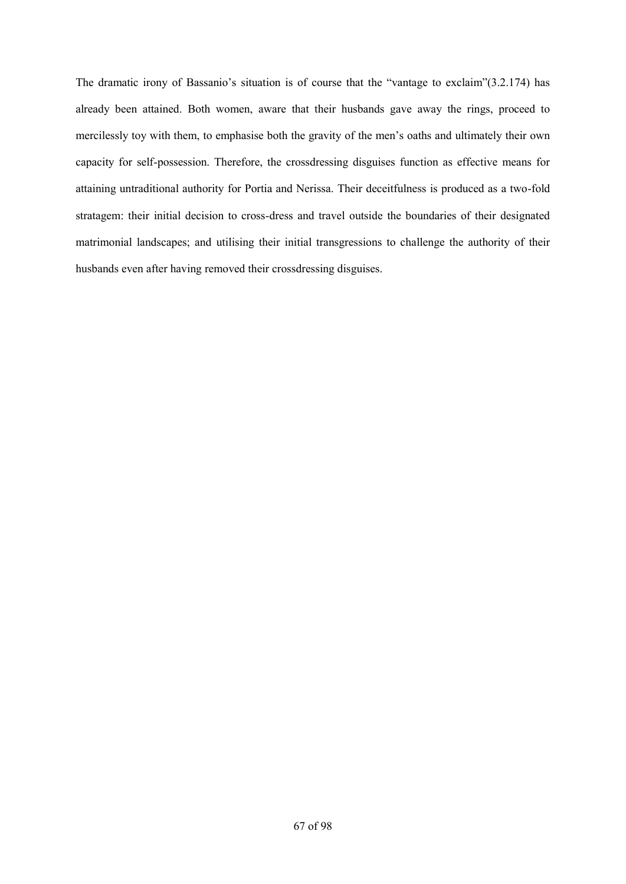The dramatic irony of Bassanio's situation is of course that the "vantage to exclaim"(3.2.174) has already been attained. Both women, aware that their husbands gave away the rings, proceed to mercilessly toy with them, to emphasise both the gravity of the men's oaths and ultimately their own capacity for self-possession. Therefore, the crossdressing disguises function as effective means for attaining untraditional authority for Portia and Nerissa. Their deceitfulness is produced as a two-fold stratagem: their initial decision to cross-dress and travel outside the boundaries of their designated matrimonial landscapes; and utilising their initial transgressions to challenge the authority of their husbands even after having removed their crossdressing disguises.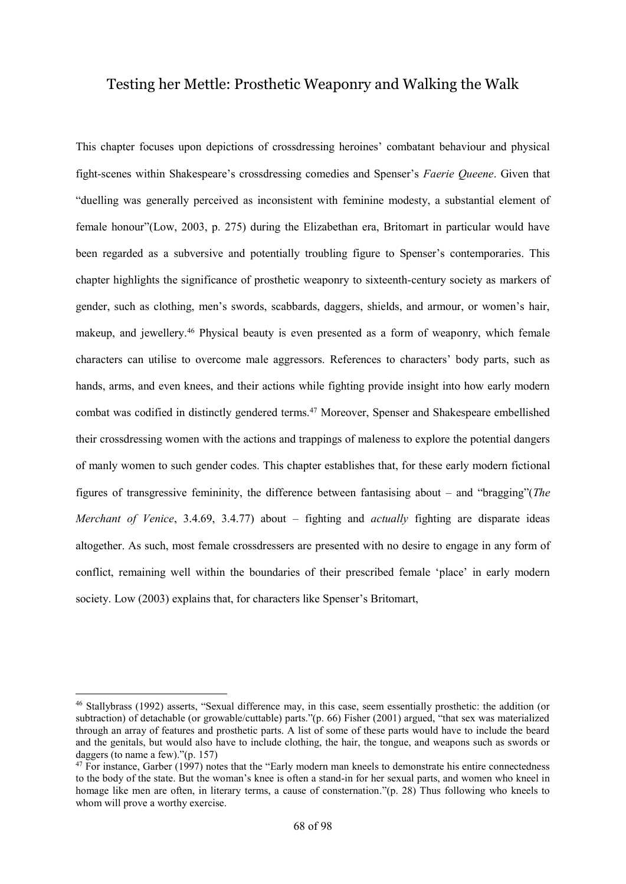## Testing her Mettle: Prosthetic Weaponry and Walking the Walk

This chapter focuses upon depictions of crossdressing heroines' combatant behaviour and physical fight-scenes within Shakespeare's crossdressing comedies and Spenser's *Faerie Queene*. Given that "duelling was generally perceived as inconsistent with feminine modesty, a substantial element of female honour"(Low, 2003, p. 275) during the Elizabethan era, Britomart in particular would have been regarded as a subversive and potentially troubling figure to Spenser's contemporaries. This chapter highlights the significance of prosthetic weaponry to sixteenth-century society as markers of gender, such as clothing, men's swords, scabbards, daggers, shields, and armour, or women's hair, makeup, and jewellery.<sup>46</sup> Physical beauty is even presented as a form of weaponry, which female characters can utilise to overcome male aggressors. References to characters' body parts, such as hands, arms, and even knees, and their actions while fighting provide insight into how early modern combat was codified in distinctly gendered terms.<sup>47</sup> Moreover, Spenser and Shakespeare embellished their crossdressing women with the actions and trappings of maleness to explore the potential dangers of manly women to such gender codes. This chapter establishes that, for these early modern fictional figures of transgressive femininity, the difference between fantasising about – and "bragging"(*The Merchant of Venice*, 3.4.69, 3.4.77) about – fighting and *actually* fighting are disparate ideas altogether. As such, most female crossdressers are presented with no desire to engage in any form of conflict, remaining well within the boundaries of their prescribed female 'place' in early modern society. Low (2003) explains that, for characters like Spenser's Britomart,

 $\overline{a}$ 

<sup>46</sup> Stallybrass (1992) asserts, "Sexual difference may, in this case, seem essentially prosthetic: the addition (or subtraction) of detachable (or growable/cuttable) parts."(p. 66) Fisher (2001) argued, "that sex was materialized through an array of features and prosthetic parts. A list of some of these parts would have to include the beard and the genitals, but would also have to include clothing, the hair, the tongue, and weapons such as swords or daggers (to name a few)."(p. 157)

<sup>&</sup>lt;sup>47</sup> For instance, Garber (1997) notes that the "Early modern man kneels to demonstrate his entire connectedness to the body of the state. But the woman's knee is often a stand-in for her sexual parts, and women who kneel in homage like men are often, in literary terms, a cause of consternation."(p. 28) Thus following who kneels to whom will prove a worthy exercise.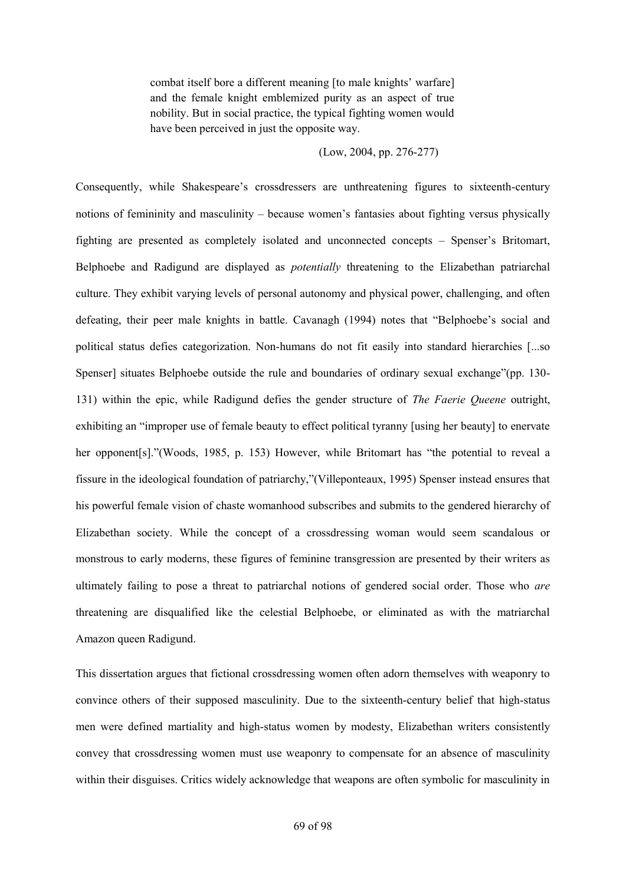combat itself bore a different meaning [to male knights' warfare] and the female knight emblemized purity as an aspect of true nobility. But in social practice, the typical fighting women would have been perceived in just the opposite way.

(Low, 2004, pp. 276-277)

Consequently, while Shakespeare's crossdressers are unthreatening figures to sixteenth-century notions of femininity and masculinity – because women's fantasies about fighting versus physically fighting are presented as completely isolated and unconnected concepts – Spenser's Britomart, Belphoebe and Radigund are displayed as *potentially* threatening to the Elizabethan patriarchal culture. They exhibit varying levels of personal autonomy and physical power, challenging, and often defeating, their peer male knights in battle. Cavanagh (1994) notes that "Belphoebe's social and political status defies categorization. Non-humans do not fit easily into standard hierarchies [...so Spenser] situates Belphoebe outside the rule and boundaries of ordinary sexual exchange"(pp. 130- 131) within the epic, while Radigund defies the gender structure of *The Faerie Queene* outright, exhibiting an "improper use of female beauty to effect political tyranny [using her beauty] to enervate her opponent[s]."(Woods, 1985, p. 153) However, while Britomart has "the potential to reveal a fissure in the ideological foundation of patriarchy,"(Villeponteaux, 1995) Spenser instead ensures that his powerful female vision of chaste womanhood subscribes and submits to the gendered hierarchy of Elizabethan society. While the concept of a crossdressing woman would seem scandalous or monstrous to early moderns, these figures of feminine transgression are presented by their writers as ultimately failing to pose a threat to patriarchal notions of gendered social order. Those who *are* threatening are disqualified like the celestial Belphoebe, or eliminated as with the matriarchal Amazon queen Radigund.

This dissertation argues that fictional crossdressing women often adorn themselves with weaponry to convince others of their supposed masculinity. Due to the sixteenth-century belief that high-status men were defined martiality and high-status women by modesty, Elizabethan writers consistently convey that crossdressing women must use weaponry to compensate for an absence of masculinity within their disguises. Critics widely acknowledge that weapons are often symbolic for masculinity in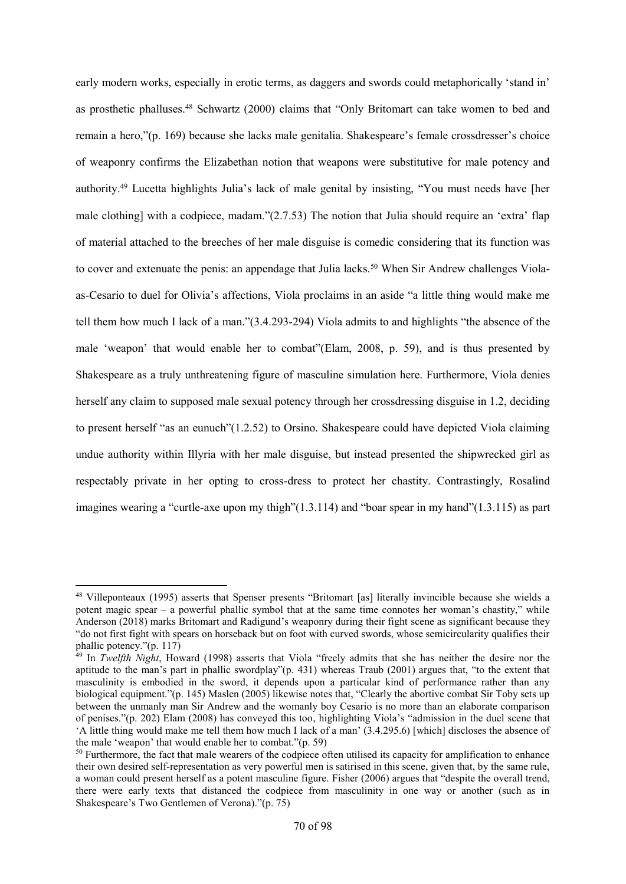early modern works, especially in erotic terms, as daggers and swords could metaphorically 'stand in' as prosthetic phalluses.<sup>48</sup> Schwartz (2000) claims that "Only Britomart can take women to bed and remain a hero,"(p. 169) because she lacks male genitalia. Shakespeare's female crossdresser's choice of weaponry confirms the Elizabethan notion that weapons were substitutive for male potency and authority.<sup>49</sup> Lucetta highlights Julia's lack of male genital by insisting, "You must needs have [her male clothing] with a codpiece, madam."(2.7.53) The notion that Julia should require an 'extra' flap of material attached to the breeches of her male disguise is comedic considering that its function was to cover and extenuate the penis: an appendage that Julia lacks.<sup>50</sup> When Sir Andrew challenges Violaas-Cesario to duel for Olivia's affections, Viola proclaims in an aside "a little thing would make me tell them how much I lack of a man."(3.4.293-294) Viola admits to and highlights "the absence of the male 'weapon' that would enable her to combat"(Elam, 2008, p. 59), and is thus presented by Shakespeare as a truly unthreatening figure of masculine simulation here. Furthermore, Viola denies herself any claim to supposed male sexual potency through her crossdressing disguise in 1.2, deciding to present herself "as an eunuch"(1.2.52) to Orsino. Shakespeare could have depicted Viola claiming undue authority within Illyria with her male disguise, but instead presented the shipwrecked girl as respectably private in her opting to cross-dress to protect her chastity. Contrastingly, Rosalind imagines wearing a "curtle-axe upon my thigh"(1.3.114) and "boar spear in my hand"(1.3.115) as part

1

<sup>48</sup> Villeponteaux (1995) asserts that Spenser presents "Britomart [as] literally invincible because she wields a potent magic spear – a powerful phallic symbol that at the same time connotes her woman's chastity," while Anderson (2018) marks Britomart and Radigund's weaponry during their fight scene as significant because they "do not first fight with spears on horseback but on foot with curved swords, whose semicircularity qualifies their phallic potency."(p. 117)

<sup>49</sup> In *Twelfth Night*, Howard (1998) asserts that Viola "freely admits that she has neither the desire nor the aptitude to the man's part in phallic swordplay"(p. 431) whereas Traub (2001) argues that, "to the extent that masculinity is embodied in the sword, it depends upon a particular kind of performance rather than any biological equipment."(p. 145) Maslen (2005) likewise notes that, "Clearly the abortive combat Sir Toby sets up between the unmanly man Sir Andrew and the womanly boy Cesario is no more than an elaborate comparison of penises."(p. 202) Elam (2008) has conveyed this too, highlighting Viola's "admission in the duel scene that 'A little thing would make me tell them how much I lack of a man' (3.4.295.6) [which] discloses the absence of the male 'weapon' that would enable her to combat."(p. 59)

<sup>&</sup>lt;sup>50</sup> Furthermore, the fact that male wearers of the codpiece often utilised its capacity for amplification to enhance their own desired self-representation as very powerful men is satirised in this scene, given that, by the same rule, a woman could present herself as a potent masculine figure. Fisher (2006) argues that "despite the overall trend, there were early texts that distanced the codpiece from masculinity in one way or another (such as in Shakespeare's Two Gentlemen of Verona)."(p. 75)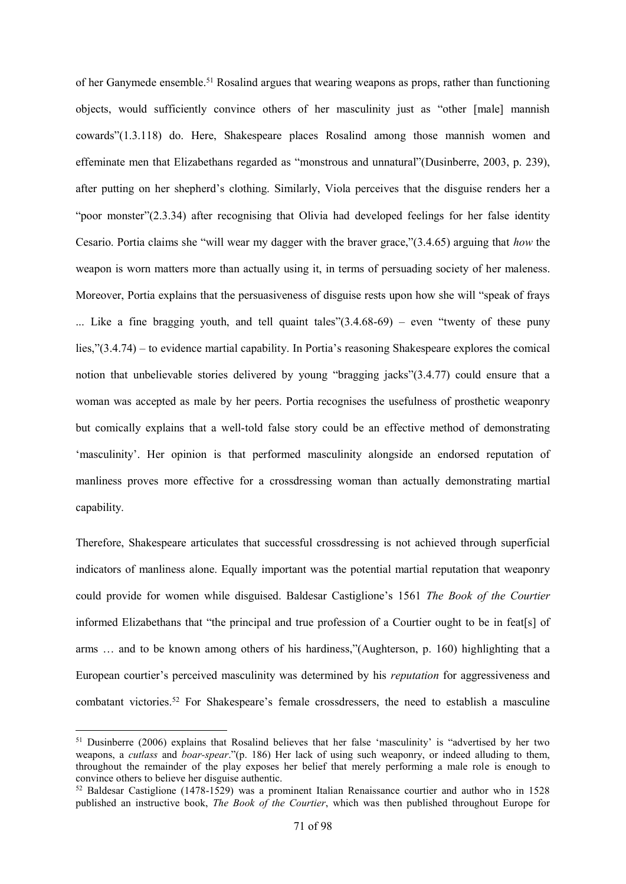of her Ganymede ensemble.<sup>51</sup> Rosalind argues that wearing weapons as props, rather than functioning objects, would sufficiently convince others of her masculinity just as "other [male] mannish cowards"(1.3.118) do. Here, Shakespeare places Rosalind among those mannish women and effeminate men that Elizabethans regarded as "monstrous and unnatural"(Dusinberre, 2003, p. 239), after putting on her shepherd's clothing. Similarly, Viola perceives that the disguise renders her a "poor monster"(2.3.34) after recognising that Olivia had developed feelings for her false identity Cesario. Portia claims she "will wear my dagger with the braver grace,"(3.4.65) arguing that *how* the weapon is worn matters more than actually using it, in terms of persuading society of her maleness. Moreover, Portia explains that the persuasiveness of disguise rests upon how she will "speak of frays ... Like a fine bragging youth, and tell quaint tales" $(3.4.68-69)$  – even "twenty of these puny lies,"(3.4.74) – to evidence martial capability. In Portia's reasoning Shakespeare explores the comical notion that unbelievable stories delivered by young "bragging jacks"(3.4.77) could ensure that a woman was accepted as male by her peers. Portia recognises the usefulness of prosthetic weaponry but comically explains that a well-told false story could be an effective method of demonstrating 'masculinity'. Her opinion is that performed masculinity alongside an endorsed reputation of manliness proves more effective for a crossdressing woman than actually demonstrating martial capability.

Therefore, Shakespeare articulates that successful crossdressing is not achieved through superficial indicators of manliness alone. Equally important was the potential martial reputation that weaponry could provide for women while disguised. Baldesar Castiglione's 1561 *The Book of the Courtier* informed Elizabethans that "the principal and true profession of a Courtier ought to be in feat[s] of arms … and to be known among others of his hardiness,"(Aughterson, p. 160) highlighting that a European courtier's perceived masculinity was determined by his *reputation* for aggressiveness and combatant victories.<sup>52</sup> For Shakespeare's female crossdressers, the need to establish a masculine

<sup>&</sup>lt;sup>51</sup> Dusinberre (2006) explains that Rosalind believes that her false 'masculinity' is "advertised by her two weapons, a *cutlass* and *boar-spear*."(p. 186) Her lack of using such weaponry, or indeed alluding to them, throughout the remainder of the play exposes her belief that merely performing a male role is enough to convince others to believe her disguise authentic.

 $52$  Baldesar Castiglione (1478-1529) was a prominent Italian Renaissance courtier and author who in 1528 published an instructive book, *The Book of the Courtier*, which was then published throughout Europe for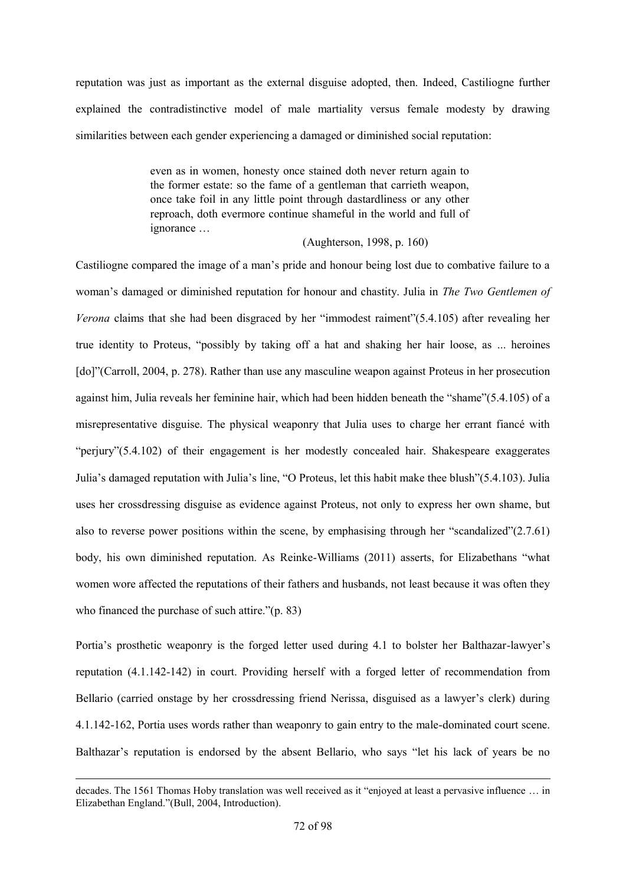reputation was just as important as the external disguise adopted, then. Indeed, Castiliogne further explained the contradistinctive model of male martiality versus female modesty by drawing similarities between each gender experiencing a damaged or diminished social reputation:

> even as in women, honesty once stained doth never return again to the former estate: so the fame of a gentleman that carrieth weapon, once take foil in any little point through dastardliness or any other reproach, doth evermore continue shameful in the world and full of ignorance …

> > (Aughterson, 1998, p. 160)

Castiliogne compared the image of a man's pride and honour being lost due to combative failure to a woman's damaged or diminished reputation for honour and chastity. Julia in *The Two Gentlemen of Verona* claims that she had been disgraced by her "immodest raiment"(5.4.105) after revealing her true identity to Proteus, "possibly by taking off a hat and shaking her hair loose, as ... heroines [do]"(Carroll, 2004, p. 278). Rather than use any masculine weapon against Proteus in her prosecution against him, Julia reveals her feminine hair, which had been hidden beneath the "shame"(5.4.105) of a misrepresentative disguise. The physical weaponry that Julia uses to charge her errant fiancé with "perjury"(5.4.102) of their engagement is her modestly concealed hair. Shakespeare exaggerates Julia's damaged reputation with Julia's line, "O Proteus, let this habit make thee blush"(5.4.103). Julia uses her crossdressing disguise as evidence against Proteus, not only to express her own shame, but also to reverse power positions within the scene, by emphasising through her "scandalized"(2.7.61) body, his own diminished reputation. As Reinke-Williams (2011) asserts, for Elizabethans "what women wore affected the reputations of their fathers and husbands, not least because it was often they who financed the purchase of such attire."(p. 83)

Portia's prosthetic weaponry is the forged letter used during 4.1 to bolster her Balthazar-lawyer's reputation (4.1.142-142) in court. Providing herself with a forged letter of recommendation from Bellario (carried onstage by her crossdressing friend Nerissa, disguised as a lawyer's clerk) during 4.1.142-162, Portia uses words rather than weaponry to gain entry to the male-dominated court scene. Balthazar's reputation is endorsed by the absent Bellario, who says "let his lack of years be no

1

decades. The 1561 Thomas Hoby translation was well received as it "enjoyed at least a pervasive influence … in Elizabethan England."(Bull, 2004, Introduction).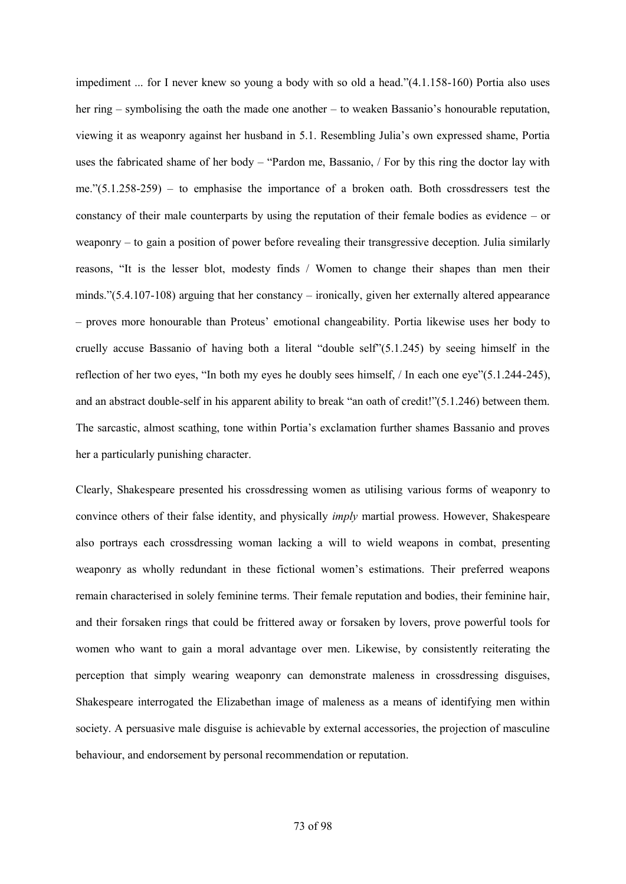impediment ... for I never knew so young a body with so old a head."(4.1.158-160) Portia also uses her ring – symbolising the oath the made one another – to weaken Bassanio's honourable reputation, viewing it as weaponry against her husband in 5.1. Resembling Julia's own expressed shame, Portia uses the fabricated shame of her body – "Pardon me, Bassanio, / For by this ring the doctor lay with me."(5.1.258-259) – to emphasise the importance of a broken oath. Both crossdressers test the constancy of their male counterparts by using the reputation of their female bodies as evidence – or weaponry – to gain a position of power before revealing their transgressive deception. Julia similarly reasons, "It is the lesser blot, modesty finds / Women to change their shapes than men their minds."(5.4.107-108) arguing that her constancy – ironically, given her externally altered appearance – proves more honourable than Proteus' emotional changeability. Portia likewise uses her body to cruelly accuse Bassanio of having both a literal "double self"(5.1.245) by seeing himself in the reflection of her two eyes, "In both my eyes he doubly sees himself, / In each one eye"(5.1.244-245), and an abstract double-self in his apparent ability to break "an oath of credit!"(5.1.246) between them. The sarcastic, almost scathing, tone within Portia's exclamation further shames Bassanio and proves her a particularly punishing character.

Clearly, Shakespeare presented his crossdressing women as utilising various forms of weaponry to convince others of their false identity, and physically *imply* martial prowess. However, Shakespeare also portrays each crossdressing woman lacking a will to wield weapons in combat, presenting weaponry as wholly redundant in these fictional women's estimations. Their preferred weapons remain characterised in solely feminine terms. Their female reputation and bodies, their feminine hair, and their forsaken rings that could be frittered away or forsaken by lovers, prove powerful tools for women who want to gain a moral advantage over men. Likewise, by consistently reiterating the perception that simply wearing weaponry can demonstrate maleness in crossdressing disguises, Shakespeare interrogated the Elizabethan image of maleness as a means of identifying men within society. A persuasive male disguise is achievable by external accessories, the projection of masculine behaviour, and endorsement by personal recommendation or reputation.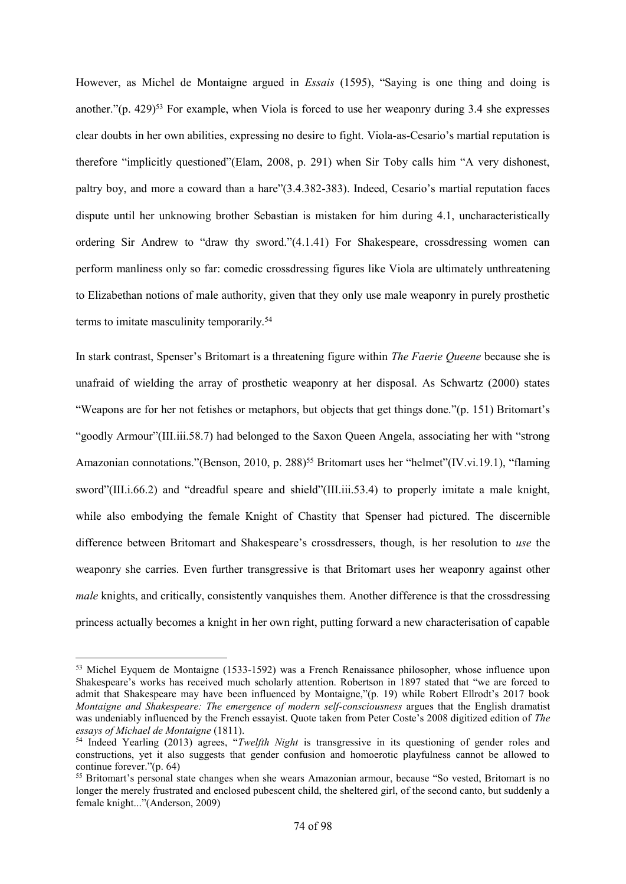However, as Michel de Montaigne argued in *Essais* (1595), "Saying is one thing and doing is another." $(p. 429)^{53}$  For example, when Viola is forced to use her weaponry during 3.4 she expresses clear doubts in her own abilities, expressing no desire to fight. Viola-as-Cesario's martial reputation is therefore "implicitly questioned"(Elam, 2008, p. 291) when Sir Toby calls him "A very dishonest, paltry boy, and more a coward than a hare"(3.4.382-383). Indeed, Cesario's martial reputation faces dispute until her unknowing brother Sebastian is mistaken for him during 4.1, uncharacteristically ordering Sir Andrew to "draw thy sword."(4.1.41) For Shakespeare, crossdressing women can perform manliness only so far: comedic crossdressing figures like Viola are ultimately unthreatening to Elizabethan notions of male authority, given that they only use male weaponry in purely prosthetic terms to imitate masculinity temporarily.<sup>54</sup>

In stark contrast, Spenser's Britomart is a threatening figure within *The Faerie Queene* because she is unafraid of wielding the array of prosthetic weaponry at her disposal. As Schwartz (2000) states "Weapons are for her not fetishes or metaphors, but objects that get things done."(p. 151) Britomart's "goodly Armour"(III.iii.58.7) had belonged to the Saxon Queen Angela, associating her with "strong Amazonian connotations."(Benson, 2010, p. 288)<sup>55</sup> Britomart uses her "helmet"(IV.vi.19.1), "flaming sword"(III.i.66.2) and "dreadful speare and shield"(III.iii.53.4) to properly imitate a male knight, while also embodying the female Knight of Chastity that Spenser had pictured. The discernible difference between Britomart and Shakespeare's crossdressers, though, is her resolution to *use* the weaponry she carries. Even further transgressive is that Britomart uses her weaponry against other *male* knights, and critically, consistently vanquishes them. Another difference is that the crossdressing princess actually becomes a knight in her own right, putting forward a new characterisation of capable

<sup>53</sup> Michel Eyquem de Montaigne (1533-1592) was a French Renaissance philosopher, whose influence upon Shakespeare's works has received much scholarly attention. Robertson in 1897 stated that "we are forced to admit that Shakespeare may have been influenced by Montaigne,"(p. 19) while Robert Ellrodt's 2017 book *Montaigne and Shakespeare: The emergence of modern self-consciousness* argues that the English dramatist was undeniably influenced by the French essayist. Quote taken from Peter Coste's 2008 digitized edition of *The essays of Michael de Montaigne* (1811).

<sup>54</sup> Indeed Yearling (2013) agrees, "*Twelfth Night* is transgressive in its questioning of gender roles and constructions, yet it also suggests that gender confusion and homoerotic playfulness cannot be allowed to continue forever."(p. 64)

<sup>&</sup>lt;sup>55</sup> Britomart's personal state changes when she wears Amazonian armour, because "So vested, Britomart is no longer the merely frustrated and enclosed pubescent child, the sheltered girl, of the second canto, but suddenly a female knight..."(Anderson, 2009)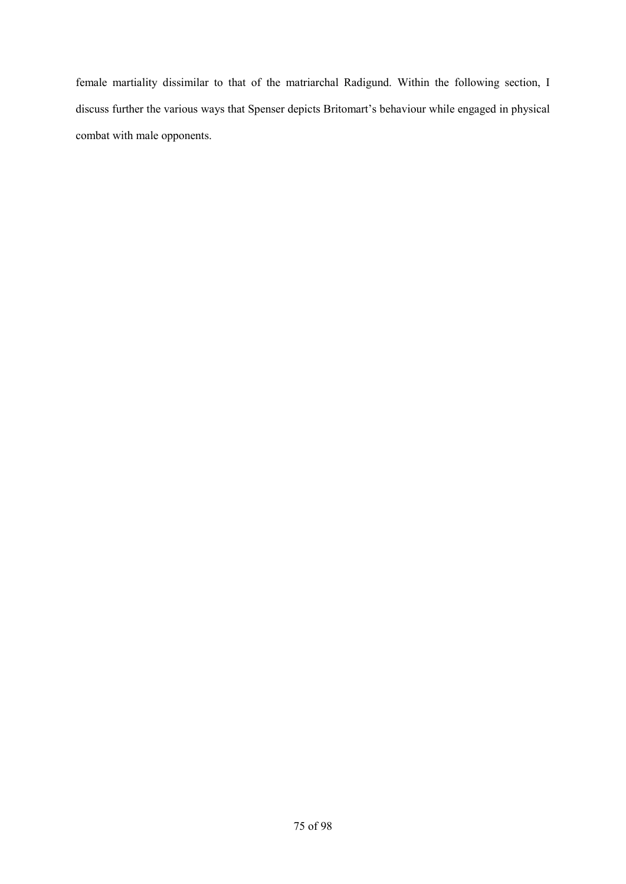female martiality dissimilar to that of the matriarchal Radigund. Within the following section, I discuss further the various ways that Spenser depicts Britomart's behaviour while engaged in physical combat with male opponents.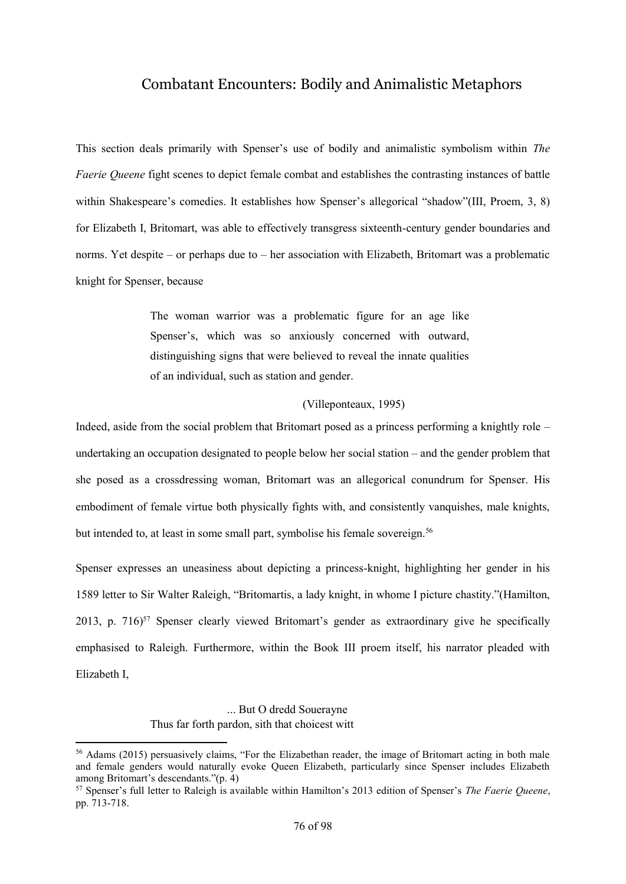## Combatant Encounters: Bodily and Animalistic Metaphors

This section deals primarily with Spenser's use of bodily and animalistic symbolism within *The Faerie Queene* fight scenes to depict female combat and establishes the contrasting instances of battle within Shakespeare's comedies. It establishes how Spenser's allegorical "shadow"(III, Proem, 3, 8) for Elizabeth I, Britomart, was able to effectively transgress sixteenth-century gender boundaries and norms. Yet despite – or perhaps due to – her association with Elizabeth, Britomart was a problematic knight for Spenser, because

> The woman warrior was a problematic figure for an age like Spenser's, which was so anxiously concerned with outward, distinguishing signs that were believed to reveal the innate qualities of an individual, such as station and gender.

#### (Villeponteaux, 1995)

Indeed, aside from the social problem that Britomart posed as a princess performing a knightly role – undertaking an occupation designated to people below her social station – and the gender problem that she posed as a crossdressing woman, Britomart was an allegorical conundrum for Spenser. His embodiment of female virtue both physically fights with, and consistently vanquishes, male knights, but intended to, at least in some small part, symbolise his female sovereign.<sup>56</sup>

Spenser expresses an uneasiness about depicting a princess-knight, highlighting her gender in his 1589 letter to Sir Walter Raleigh, "Britomartis, a lady knight, in whome I picture chastity."(Hamilton, 2013, p. 716)<sup>57</sup> Spenser clearly viewed Britomart's gender as extraordinary give he specifically emphasised to Raleigh. Furthermore, within the Book III proem itself, his narrator pleaded with Elizabeth I,

## ... But O dredd Souerayne Thus far forth pardon, sith that choicest witt

1

<sup>56</sup> Adams (2015) persuasively claims, "For the Elizabethan reader, the image of Britomart acting in both male and female genders would naturally evoke Queen Elizabeth, particularly since Spenser includes Elizabeth among Britomart's descendants."(p. 4)

<sup>57</sup> Spenser's full letter to Raleigh is available within Hamilton's 2013 edition of Spenser's *The Faerie Queene*, pp. 713-718.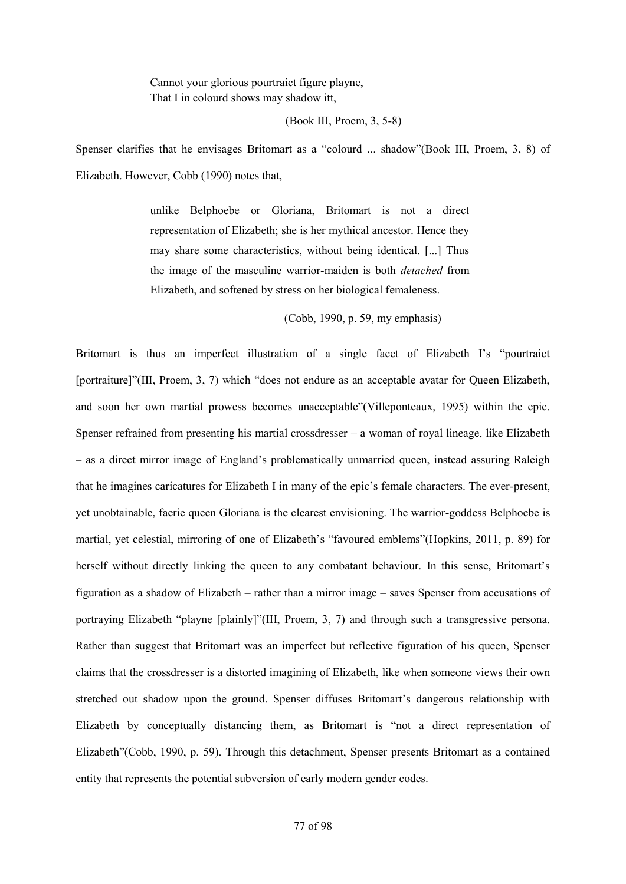Cannot your glorious pourtraict figure playne, That I in colourd shows may shadow itt,

#### (Book III, Proem, 3, 5-8)

Spenser clarifies that he envisages Britomart as a "colourd ... shadow"(Book III, Proem, 3, 8) of Elizabeth. However, Cobb (1990) notes that,

> unlike Belphoebe or Gloriana, Britomart is not a direct representation of Elizabeth; she is her mythical ancestor. Hence they may share some characteristics, without being identical. [...] Thus the image of the masculine warrior-maiden is both *detached* from Elizabeth, and softened by stress on her biological femaleness.

> > (Cobb, 1990, p. 59, my emphasis)

Britomart is thus an imperfect illustration of a single facet of Elizabeth I's "pourtraict [portraiture]"(III, Proem, 3, 7) which "does not endure as an acceptable avatar for Queen Elizabeth, and soon her own martial prowess becomes unacceptable"(Villeponteaux, 1995) within the epic. Spenser refrained from presenting his martial crossdresser – a woman of royal lineage, like Elizabeth – as a direct mirror image of England's problematically unmarried queen, instead assuring Raleigh that he imagines caricatures for Elizabeth I in many of the epic's female characters. The ever-present, yet unobtainable, faerie queen Gloriana is the clearest envisioning. The warrior-goddess Belphoebe is martial, yet celestial, mirroring of one of Elizabeth's "favoured emblems"(Hopkins, 2011, p. 89) for herself without directly linking the queen to any combatant behaviour. In this sense, Britomart's figuration as a shadow of Elizabeth – rather than a mirror image – saves Spenser from accusations of portraying Elizabeth "playne [plainly]"(III, Proem, 3, 7) and through such a transgressive persona. Rather than suggest that Britomart was an imperfect but reflective figuration of his queen, Spenser claims that the crossdresser is a distorted imagining of Elizabeth, like when someone views their own stretched out shadow upon the ground. Spenser diffuses Britomart's dangerous relationship with Elizabeth by conceptually distancing them, as Britomart is "not a direct representation of Elizabeth"(Cobb, 1990, p. 59). Through this detachment, Spenser presents Britomart as a contained entity that represents the potential subversion of early modern gender codes.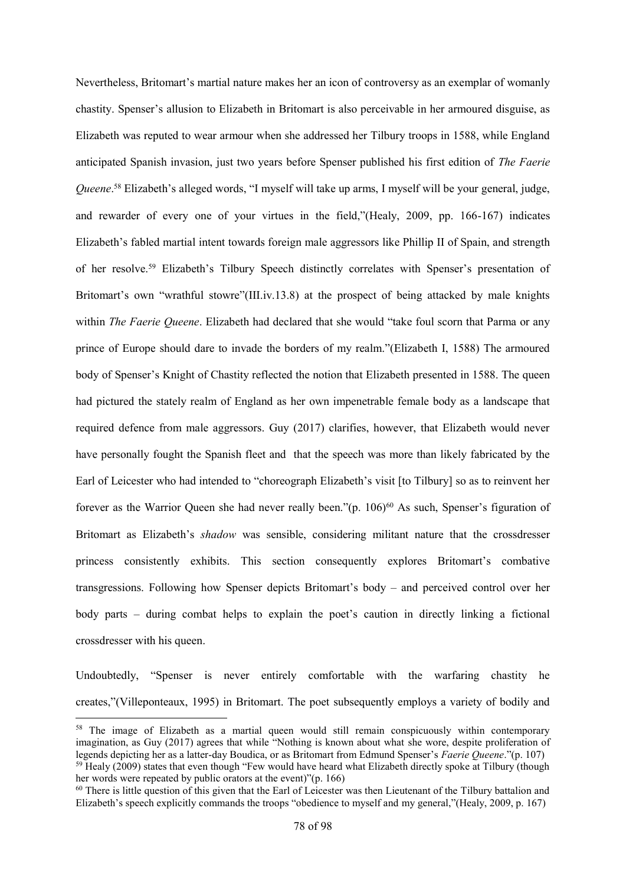Nevertheless, Britomart's martial nature makes her an icon of controversy as an exemplar of womanly chastity. Spenser's allusion to Elizabeth in Britomart is also perceivable in her armoured disguise, as Elizabeth was reputed to wear armour when she addressed her Tilbury troops in 1588, while England anticipated Spanish invasion, just two years before Spenser published his first edition of *The Faerie Queene*. <sup>58</sup> Elizabeth's alleged words, "I myself will take up arms, I myself will be your general, judge, and rewarder of every one of your virtues in the field,"(Healy, 2009, pp. 166-167) indicates Elizabeth's fabled martial intent towards foreign male aggressors like Phillip II of Spain, and strength of her resolve.<sup>59</sup> Elizabeth's Tilbury Speech distinctly correlates with Spenser's presentation of Britomart's own "wrathful stowre"(III.iv.13.8) at the prospect of being attacked by male knights within *The Faerie Queene*. Elizabeth had declared that she would "take foul scorn that Parma or any prince of Europe should dare to invade the borders of my realm."(Elizabeth I, 1588) The armoured body of Spenser's Knight of Chastity reflected the notion that Elizabeth presented in 1588. The queen had pictured the stately realm of England as her own impenetrable female body as a landscape that required defence from male aggressors. Guy (2017) clarifies, however, that Elizabeth would never have personally fought the Spanish fleet and that the speech was more than likely fabricated by the Earl of Leicester who had intended to "choreograph Elizabeth's visit [to Tilbury] so as to reinvent her forever as the Warrior Queen she had never really been." $(p. 106)^{60}$  As such, Spenser's figuration of Britomart as Elizabeth's *shadow* was sensible, considering militant nature that the crossdresser princess consistently exhibits. This section consequently explores Britomart's combative transgressions. Following how Spenser depicts Britomart's body – and perceived control over her body parts – during combat helps to explain the poet's caution in directly linking a fictional crossdresser with his queen.

Undoubtedly, "Spenser is never entirely comfortable with the warfaring chastity he creates,"(Villeponteaux, 1995) in Britomart. The poet subsequently employs a variety of bodily and

<sup>&</sup>lt;sup>58</sup> The image of Elizabeth as a martial queen would still remain conspicuously within contemporary imagination, as Guy (2017) agrees that while "Nothing is known about what she wore, despite proliferation of legends depicting her as a latter-day Boudica, or as Britomart from Edmund Spenser's *Faerie Queene*."(p. 107) <sup>59</sup> Healy (2009) states that even though "Few would have heard what Elizabeth directly spoke at Tilbury (though her words were repeated by public orators at the event)"(p. 166)

 $60$  There is little question of this given that the Earl of Leicester was then Lieutenant of the Tilbury battalion and Elizabeth's speech explicitly commands the troops "obedience to myself and my general,"(Healy, 2009, p. 167)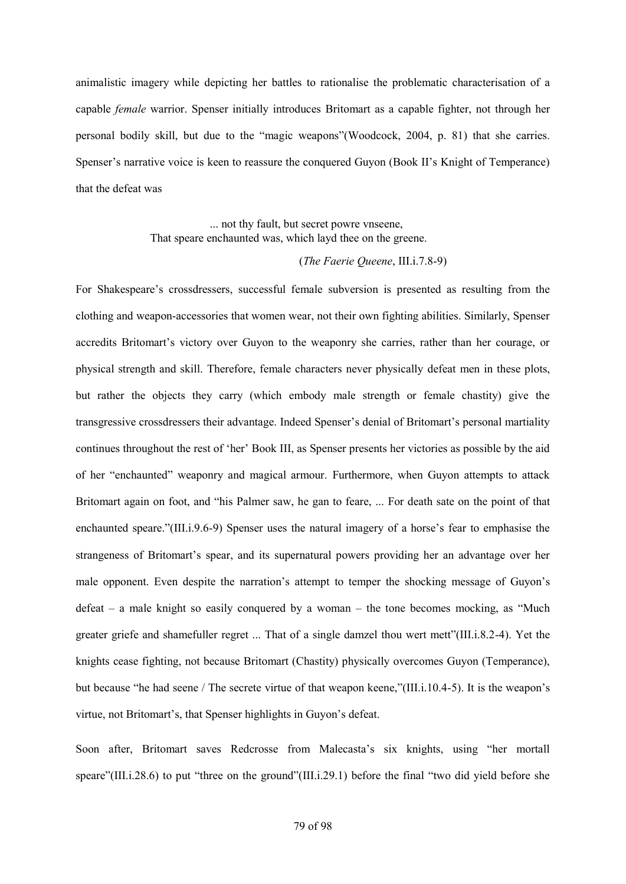animalistic imagery while depicting her battles to rationalise the problematic characterisation of a capable *female* warrior. Spenser initially introduces Britomart as a capable fighter, not through her personal bodily skill, but due to the "magic weapons"(Woodcock, 2004, p. 81) that she carries. Spenser's narrative voice is keen to reassure the conquered Guyon (Book II's Knight of Temperance) that the defeat was

> ... not thy fault, but secret powre vnseene, That speare enchaunted was, which layd thee on the greene.

### (*The Faerie Queene*, III.i.7.8-9)

For Shakespeare's crossdressers, successful female subversion is presented as resulting from the clothing and weapon-accessories that women wear, not their own fighting abilities. Similarly, Spenser accredits Britomart's victory over Guyon to the weaponry she carries, rather than her courage, or physical strength and skill. Therefore, female characters never physically defeat men in these plots, but rather the objects they carry (which embody male strength or female chastity) give the transgressive crossdressers their advantage. Indeed Spenser's denial of Britomart's personal martiality continues throughout the rest of 'her' Book III, as Spenser presents her victories as possible by the aid of her "enchaunted" weaponry and magical armour. Furthermore, when Guyon attempts to attack Britomart again on foot, and "his Palmer saw, he gan to feare, ... For death sate on the point of that enchaunted speare."(III.i.9.6-9) Spenser uses the natural imagery of a horse's fear to emphasise the strangeness of Britomart's spear, and its supernatural powers providing her an advantage over her male opponent. Even despite the narration's attempt to temper the shocking message of Guyon's defeat – a male knight so easily conquered by a woman – the tone becomes mocking, as "Much greater griefe and shamefuller regret ... That of a single damzel thou wert mett"(III.i.8.2-4). Yet the knights cease fighting, not because Britomart (Chastity) physically overcomes Guyon (Temperance), but because "he had seene / The secrete virtue of that weapon keene,"(III.i.10.4-5). It is the weapon's virtue, not Britomart's, that Spenser highlights in Guyon's defeat.

Soon after, Britomart saves Redcrosse from Malecasta's six knights, using "her mortall speare"(III.i.28.6) to put "three on the ground"(III.i.29.1) before the final "two did yield before she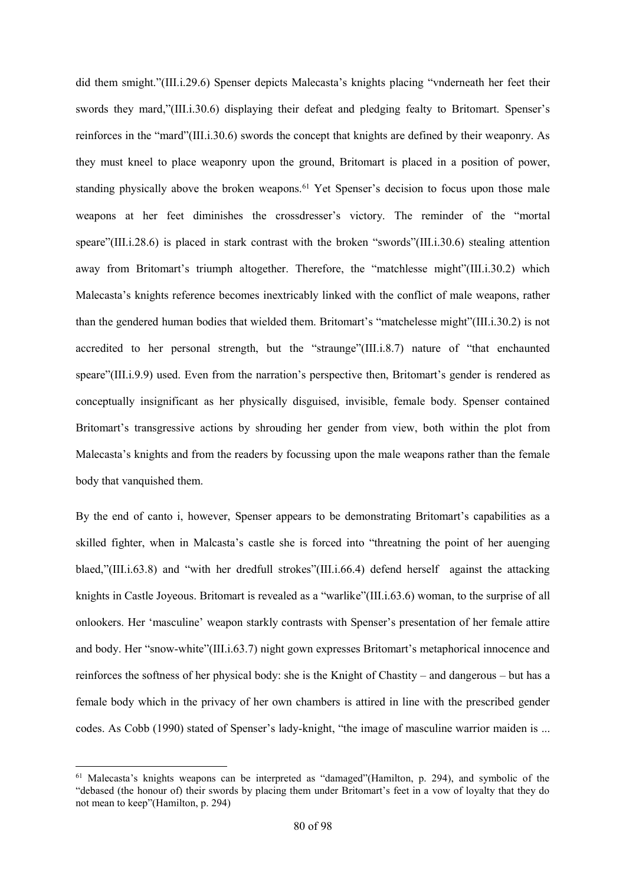did them smight."(III.i.29.6) Spenser depicts Malecasta's knights placing "vnderneath her feet their swords they mard,"(III.i.30.6) displaying their defeat and pledging fealty to Britomart. Spenser's reinforces in the "mard"(III.i.30.6) swords the concept that knights are defined by their weaponry. As they must kneel to place weaponry upon the ground, Britomart is placed in a position of power, standing physically above the broken weapons.<sup>61</sup> Yet Spenser's decision to focus upon those male weapons at her feet diminishes the crossdresser's victory. The reminder of the "mortal speare"(III.i.28.6) is placed in stark contrast with the broken "swords"(III.i.30.6) stealing attention away from Britomart's triumph altogether. Therefore, the "matchlesse might"(III.i.30.2) which Malecasta's knights reference becomes inextricably linked with the conflict of male weapons, rather than the gendered human bodies that wielded them. Britomart's "matchelesse might"(III.i.30.2) is not accredited to her personal strength, but the "straunge"(III.i.8.7) nature of "that enchaunted speare"(III.i.9.9) used. Even from the narration's perspective then, Britomart's gender is rendered as conceptually insignificant as her physically disguised, invisible, female body. Spenser contained Britomart's transgressive actions by shrouding her gender from view, both within the plot from Malecasta's knights and from the readers by focussing upon the male weapons rather than the female body that vanquished them.

By the end of canto i, however, Spenser appears to be demonstrating Britomart's capabilities as a skilled fighter, when in Malcasta's castle she is forced into "threatning the point of her auenging blaed,"(III.i.63.8) and "with her dredfull strokes"(III.i.66.4) defend herself against the attacking knights in Castle Joyeous. Britomart is revealed as a "warlike"(III.i.63.6) woman, to the surprise of all onlookers. Her 'masculine' weapon starkly contrasts with Spenser's presentation of her female attire and body. Her "snow-white"(III.i.63.7) night gown expresses Britomart's metaphorical innocence and reinforces the softness of her physical body: she is the Knight of Chastity – and dangerous – but has a female body which in the privacy of her own chambers is attired in line with the prescribed gender codes. As Cobb (1990) stated of Spenser's lady-knight, "the image of masculine warrior maiden is ...

 $\overline{a}$ 

<sup>61</sup> Malecasta's knights weapons can be interpreted as "damaged"(Hamilton, p. 294), and symbolic of the "debased (the honour of) their swords by placing them under Britomart's feet in a vow of loyalty that they do not mean to keep"(Hamilton, p. 294)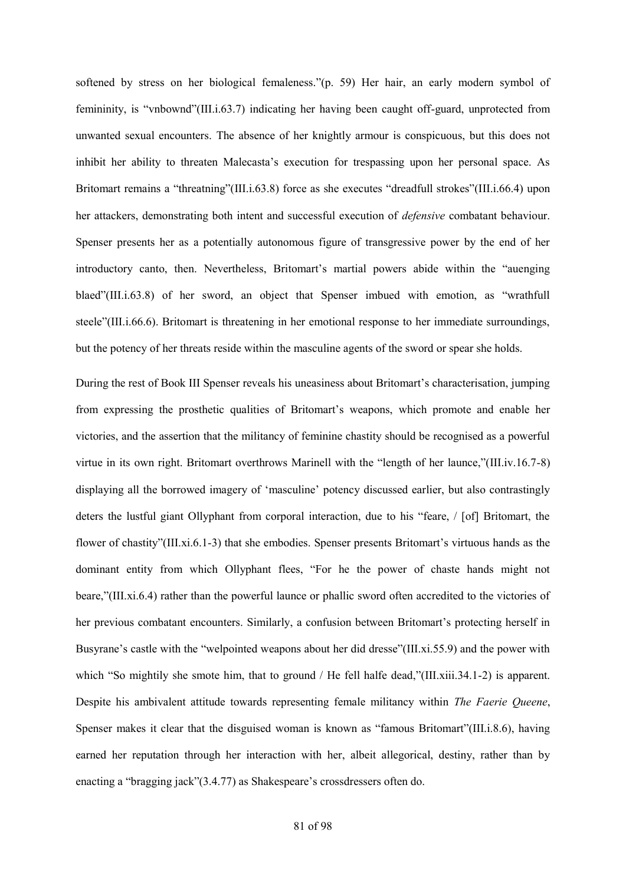softened by stress on her biological femaleness."(p. 59) Her hair, an early modern symbol of femininity, is "vnbownd"(III.i.63.7) indicating her having been caught off-guard, unprotected from unwanted sexual encounters. The absence of her knightly armour is conspicuous, but this does not inhibit her ability to threaten Malecasta's execution for trespassing upon her personal space. As Britomart remains a "threatning"(III.i.63.8) force as she executes "dreadfull strokes"(III.i.66.4) upon her attackers, demonstrating both intent and successful execution of *defensive* combatant behaviour. Spenser presents her as a potentially autonomous figure of transgressive power by the end of her introductory canto, then. Nevertheless, Britomart's martial powers abide within the "auenging blaed"(III.i.63.8) of her sword, an object that Spenser imbued with emotion, as "wrathfull steele"(III.i.66.6). Britomart is threatening in her emotional response to her immediate surroundings, but the potency of her threats reside within the masculine agents of the sword or spear she holds.

During the rest of Book III Spenser reveals his uneasiness about Britomart's characterisation, jumping from expressing the prosthetic qualities of Britomart's weapons, which promote and enable her victories, and the assertion that the militancy of feminine chastity should be recognised as a powerful virtue in its own right. Britomart overthrows Marinell with the "length of her launce,"(III.iv.16.7-8) displaying all the borrowed imagery of 'masculine' potency discussed earlier, but also contrastingly deters the lustful giant Ollyphant from corporal interaction, due to his "feare, / [of] Britomart, the flower of chastity"(III.xi.6.1-3) that she embodies. Spenser presents Britomart's virtuous hands as the dominant entity from which Ollyphant flees, "For he the power of chaste hands might not beare,"(III.xi.6.4) rather than the powerful launce or phallic sword often accredited to the victories of her previous combatant encounters. Similarly, a confusion between Britomart's protecting herself in Busyrane's castle with the "welpointed weapons about her did dresse"(III.xi.55.9) and the power with which "So mightily she smote him, that to ground / He fell halfe dead,"(III.xiii.34.1-2) is apparent. Despite his ambivalent attitude towards representing female militancy within *The Faerie Queene*, Spenser makes it clear that the disguised woman is known as "famous Britomart"(III.i.8.6), having earned her reputation through her interaction with her, albeit allegorical, destiny, rather than by enacting a "bragging jack"(3.4.77) as Shakespeare's crossdressers often do.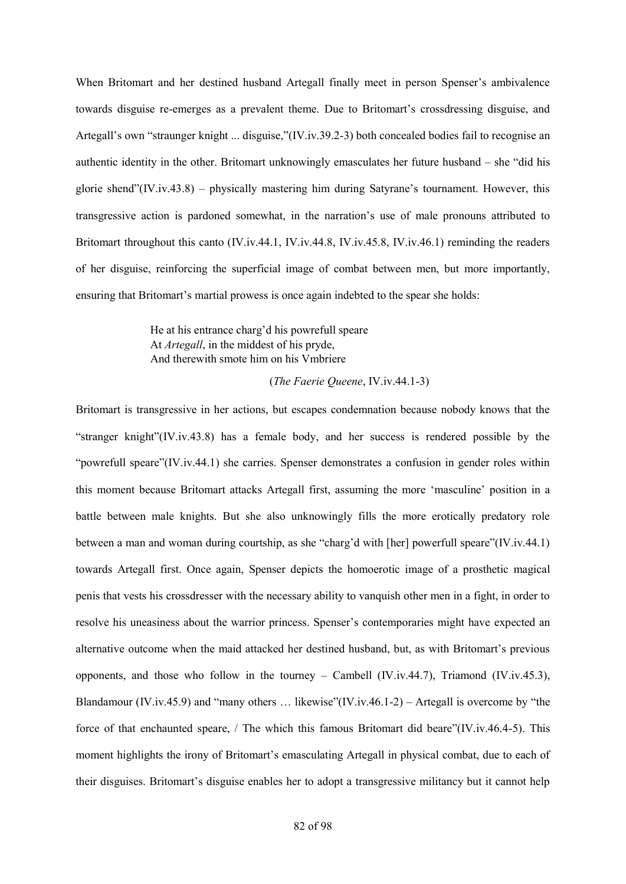When Britomart and her destined husband Artegall finally meet in person Spenser's ambivalence towards disguise re-emerges as a prevalent theme. Due to Britomart's crossdressing disguise, and Artegall's own "straunger knight ... disguise,"(IV.iv.39.2-3) both concealed bodies fail to recognise an authentic identity in the other. Britomart unknowingly emasculates her future husband – she "did his glorie shend"(IV.iv.43.8) – physically mastering him during Satyrane's tournament. However, this transgressive action is pardoned somewhat, in the narration's use of male pronouns attributed to Britomart throughout this canto (IV.iv.44.1, IV.iv.44.8, IV.iv.45.8, IV.iv.46.1) reminding the readers of her disguise, reinforcing the superficial image of combat between men, but more importantly, ensuring that Britomart's martial prowess is once again indebted to the spear she holds:

> He at his entrance charg'd his powrefull speare At *Artegall*, in the middest of his pryde, And therewith smote him on his Vmbriere

#### (*The Faerie Queene*, IV.iv.44.1-3)

Britomart is transgressive in her actions, but escapes condemnation because nobody knows that the "stranger knight"(IV.iv.43.8) has a female body, and her success is rendered possible by the "powrefull speare"(IV.iv.44.1) she carries. Spenser demonstrates a confusion in gender roles within this moment because Britomart attacks Artegall first, assuming the more 'masculine' position in a battle between male knights. But she also unknowingly fills the more erotically predatory role between a man and woman during courtship, as she "charg'd with [her] powerfull speare"(IV.iv.44.1) towards Artegall first. Once again, Spenser depicts the homoerotic image of a prosthetic magical penis that vests his crossdresser with the necessary ability to vanquish other men in a fight, in order to resolve his uneasiness about the warrior princess. Spenser's contemporaries might have expected an alternative outcome when the maid attacked her destined husband, but, as with Britomart's previous opponents, and those who follow in the tourney – Cambell (IV.iv.44.7), Triamond (IV.iv.45.3), Blandamour (IV.iv.45.9) and "many others … likewise"(IV.iv.46.1-2) – Artegall is overcome by "the force of that enchaunted speare, / The which this famous Britomart did beare"(IV.iv.46.4-5). This moment highlights the irony of Britomart's emasculating Artegall in physical combat, due to each of their disguises. Britomart's disguise enables her to adopt a transgressive militancy but it cannot help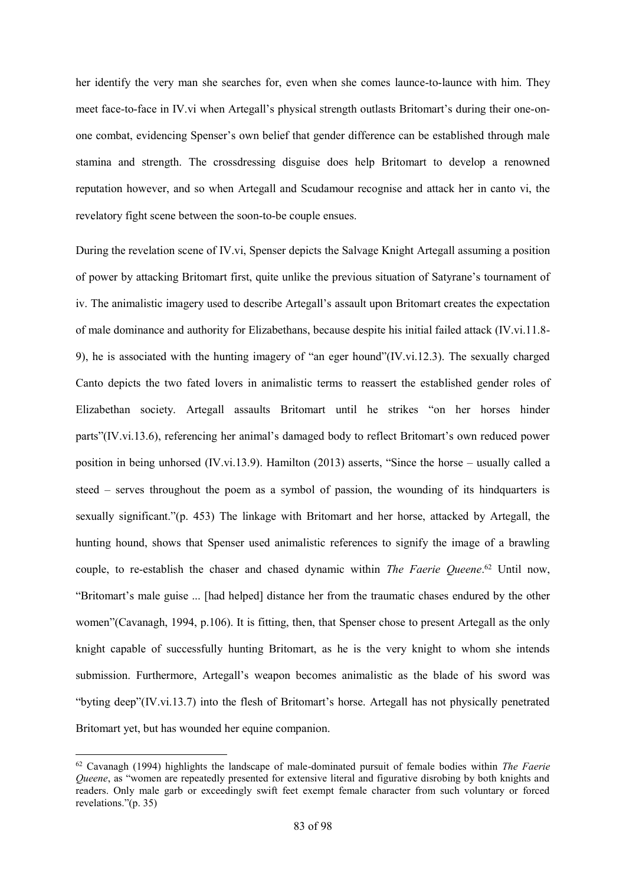her identify the very man she searches for, even when she comes launce-to-launce with him. They meet face-to-face in IV.vi when Artegall's physical strength outlasts Britomart's during their one-onone combat, evidencing Spenser's own belief that gender difference can be established through male stamina and strength. The crossdressing disguise does help Britomart to develop a renowned reputation however, and so when Artegall and Scudamour recognise and attack her in canto vi, the revelatory fight scene between the soon-to-be couple ensues.

During the revelation scene of IV.vi, Spenser depicts the Salvage Knight Artegall assuming a position of power by attacking Britomart first, quite unlike the previous situation of Satyrane's tournament of iv. The animalistic imagery used to describe Artegall's assault upon Britomart creates the expectation of male dominance and authority for Elizabethans, because despite his initial failed attack (IV.vi.11.8- 9), he is associated with the hunting imagery of "an eger hound"(IV.vi.12.3). The sexually charged Canto depicts the two fated lovers in animalistic terms to reassert the established gender roles of Elizabethan society. Artegall assaults Britomart until he strikes "on her horses hinder parts"(IV.vi.13.6), referencing her animal's damaged body to reflect Britomart's own reduced power position in being unhorsed (IV.vi.13.9). Hamilton (2013) asserts, "Since the horse – usually called a steed – serves throughout the poem as a symbol of passion, the wounding of its hindquarters is sexually significant."(p. 453) The linkage with Britomart and her horse, attacked by Artegall, the hunting hound, shows that Spenser used animalistic references to signify the image of a brawling couple, to re-establish the chaser and chased dynamic within *The Faerie Queene*. <sup>62</sup> Until now, "Britomart's male guise ... [had helped] distance her from the traumatic chases endured by the other women"(Cavanagh, 1994, p.106). It is fitting, then, that Spenser chose to present Artegall as the only knight capable of successfully hunting Britomart, as he is the very knight to whom she intends submission. Furthermore, Artegall's weapon becomes animalistic as the blade of his sword was "byting deep"(IV.vi.13.7) into the flesh of Britomart's horse. Artegall has not physically penetrated Britomart yet, but has wounded her equine companion.

<sup>62</sup> Cavanagh (1994) highlights the landscape of male-dominated pursuit of female bodies within *The Faerie Queene*, as "women are repeatedly presented for extensive literal and figurative disrobing by both knights and readers. Only male garb or exceedingly swift feet exempt female character from such voluntary or forced revelations."(p. 35)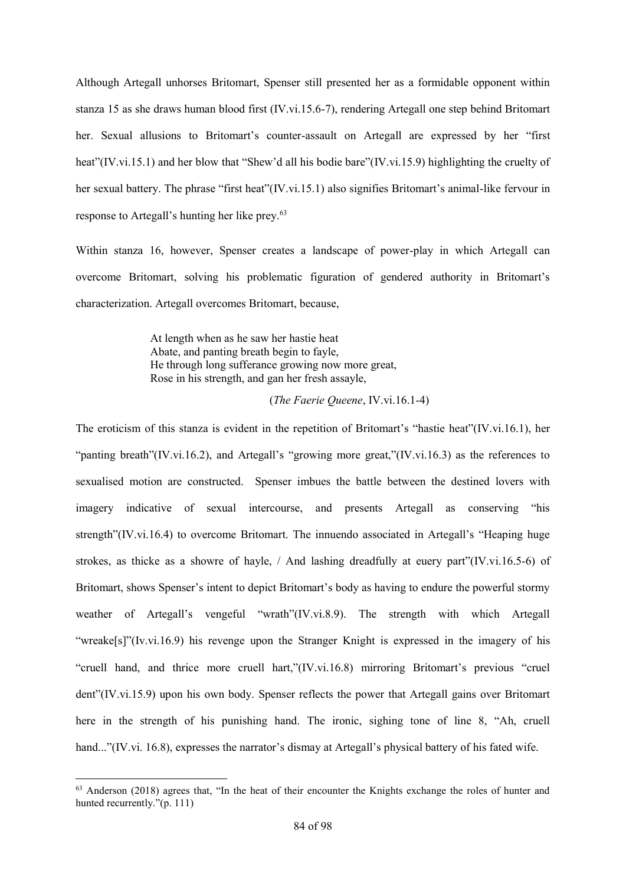Although Artegall unhorses Britomart, Spenser still presented her as a formidable opponent within stanza 15 as she draws human blood first (IV.vi.15.6-7), rendering Artegall one step behind Britomart her. Sexual allusions to Britomart's counter-assault on Artegall are expressed by her "first heat"(IV.vi.15.1) and her blow that "Shew'd all his bodie bare"(IV.vi.15.9) highlighting the cruelty of her sexual battery. The phrase "first heat"(IV.vi.15.1) also signifies Britomart's animal-like fervour in response to Artegall's hunting her like prey. 63

Within stanza 16, however, Spenser creates a landscape of power-play in which Artegall can overcome Britomart, solving his problematic figuration of gendered authority in Britomart's characterization. Artegall overcomes Britomart, because,

> At length when as he saw her hastie heat Abate, and panting breath begin to fayle, He through long sufferance growing now more great, Rose in his strength, and gan her fresh assayle,

#### (*The Faerie Queene*, IV.vi.16.1-4)

The eroticism of this stanza is evident in the repetition of Britomart's "hastie heat"(IV.vi.16.1), her "panting breath"(IV.vi.16.2), and Artegall's "growing more great,"(IV.vi.16.3) as the references to sexualised motion are constructed. Spenser imbues the battle between the destined lovers with imagery indicative of sexual intercourse, and presents Artegall as conserving "his strength"(IV.vi.16.4) to overcome Britomart. The innuendo associated in Artegall's "Heaping huge strokes, as thicke as a showre of hayle, / And lashing dreadfully at euery part"(IV.vi.16.5-6) of Britomart, shows Spenser's intent to depict Britomart's body as having to endure the powerful stormy weather of Artegall's vengeful "wrath"(IV.vi.8.9). The strength with which Artegall "wreake[s]"(Iv.vi.16.9) his revenge upon the Stranger Knight is expressed in the imagery of his "cruell hand, and thrice more cruell hart,"(IV.vi.16.8) mirroring Britomart's previous "cruel dent"(IV.vi.15.9) upon his own body. Spenser reflects the power that Artegall gains over Britomart here in the strength of his punishing hand. The ironic, sighing tone of line 8, "Ah, cruell hand..."(IV.vi. 16.8), expresses the narrator's dismay at Artegall's physical battery of his fated wife.

1

<sup>&</sup>lt;sup>63</sup> Anderson (2018) agrees that, "In the heat of their encounter the Knights exchange the roles of hunter and hunted recurrently."(p. 111)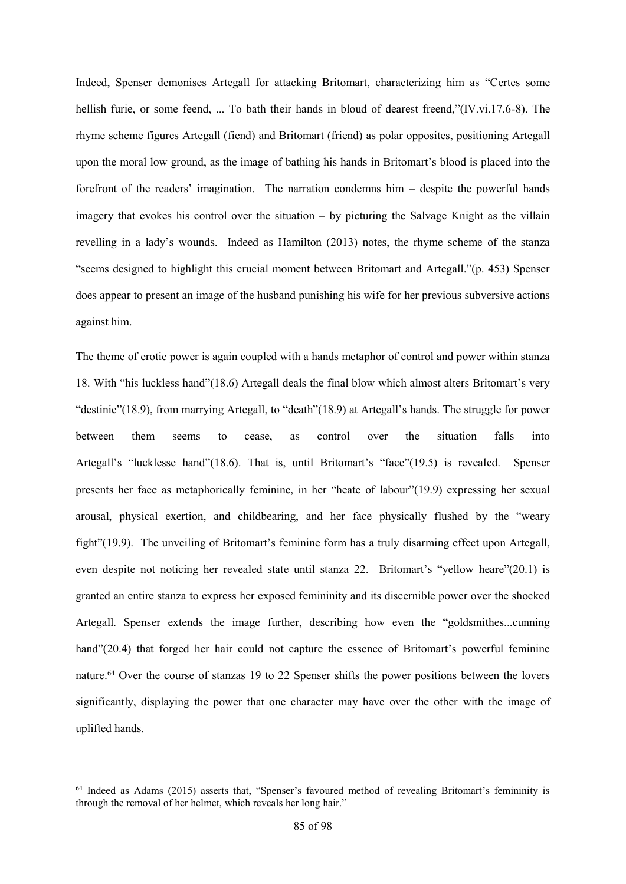Indeed, Spenser demonises Artegall for attacking Britomart, characterizing him as "Certes some hellish furie, or some feend, ... To bath their hands in bloud of dearest freend,"(IV.vi.17.6-8). The rhyme scheme figures Artegall (fiend) and Britomart (friend) as polar opposites, positioning Artegall upon the moral low ground, as the image of bathing his hands in Britomart's blood is placed into the forefront of the readers' imagination. The narration condemns him – despite the powerful hands imagery that evokes his control over the situation – by picturing the Salvage Knight as the villain revelling in a lady's wounds. Indeed as Hamilton (2013) notes, the rhyme scheme of the stanza "seems designed to highlight this crucial moment between Britomart and Artegall."(p. 453) Spenser does appear to present an image of the husband punishing his wife for her previous subversive actions against him.

The theme of erotic power is again coupled with a hands metaphor of control and power within stanza 18. With "his luckless hand"(18.6) Artegall deals the final blow which almost alters Britomart's very "destinie"(18.9), from marrying Artegall, to "death"(18.9) at Artegall's hands. The struggle for power between them seems to cease, as control over the situation falls into Artegall's "lucklesse hand"(18.6). That is, until Britomart's "face"(19.5) is revealed. Spenser presents her face as metaphorically feminine, in her "heate of labour"(19.9) expressing her sexual arousal, physical exertion, and childbearing, and her face physically flushed by the "weary fight"(19.9). The unveiling of Britomart's feminine form has a truly disarming effect upon Artegall, even despite not noticing her revealed state until stanza 22. Britomart's "yellow heare"(20.1) is granted an entire stanza to express her exposed femininity and its discernible power over the shocked Artegall. Spenser extends the image further, describing how even the "goldsmithes...cunning hand"(20.4) that forged her hair could not capture the essence of Britomart's powerful feminine nature.<sup>64</sup> Over the course of stanzas 19 to 22 Spenser shifts the power positions between the lovers significantly, displaying the power that one character may have over the other with the image of uplifted hands.

1

<sup>64</sup> Indeed as Adams (2015) asserts that, "Spenser's favoured method of revealing Britomart's femininity is through the removal of her helmet, which reveals her long hair."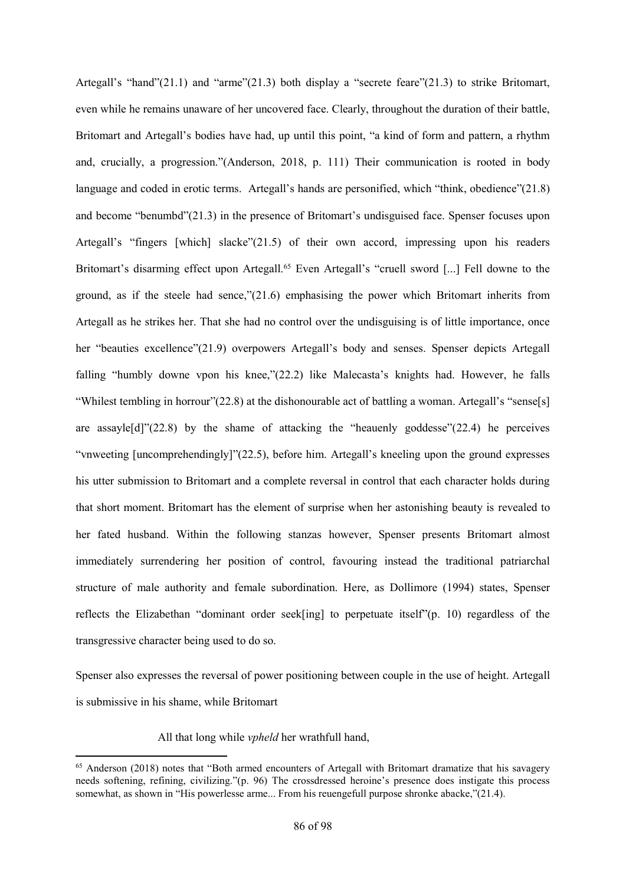Artegall's "hand"(21.1) and "arme"(21.3) both display a "secrete feare"(21.3) to strike Britomart, even while he remains unaware of her uncovered face. Clearly, throughout the duration of their battle, Britomart and Artegall's bodies have had, up until this point, "a kind of form and pattern, a rhythm and, crucially, a progression."(Anderson, 2018, p. 111) Their communication is rooted in body language and coded in erotic terms. Artegall's hands are personified, which "think, obedience"(21.8) and become "benumbd"(21.3) in the presence of Britomart's undisguised face. Spenser focuses upon Artegall's "fingers [which] slacke"(21.5) of their own accord, impressing upon his readers Britomart's disarming effect upon Artegall.<sup>65</sup> Even Artegall's "cruell sword [...] Fell downe to the ground, as if the steele had sence," $(21.6)$  emphasising the power which Britomart inherits from Artegall as he strikes her. That she had no control over the undisguising is of little importance, once her "beauties excellence"(21.9) overpowers Artegall's body and senses. Spenser depicts Artegall falling "humbly downe vpon his knee,"(22.2) like Malecasta's knights had. However, he falls "Whilest tembling in horrour"(22.8) at the dishonourable act of battling a woman. Artegall's "sense[s] are assayle[d]"(22.8) by the shame of attacking the "heauenly goddesse"(22.4) he perceives "vnweeting [uncomprehendingly]"(22.5), before him. Artegall's kneeling upon the ground expresses his utter submission to Britomart and a complete reversal in control that each character holds during that short moment. Britomart has the element of surprise when her astonishing beauty is revealed to her fated husband. Within the following stanzas however, Spenser presents Britomart almost immediately surrendering her position of control, favouring instead the traditional patriarchal structure of male authority and female subordination. Here, as Dollimore (1994) states, Spenser reflects the Elizabethan "dominant order seek[ing] to perpetuate itself"(p. 10) regardless of the transgressive character being used to do so.

Spenser also expresses the reversal of power positioning between couple in the use of height. Artegall is submissive in his shame, while Britomart

All that long while *vpheld* her wrathfull hand,

<sup>65</sup> Anderson (2018) notes that "Both armed encounters of Artegall with Britomart dramatize that his savagery needs softening, refining, civilizing."(p. 96) The crossdressed heroine's presence does instigate this process somewhat, as shown in "His powerlesse arme... From his reuengefull purpose shronke abacke,"(21.4).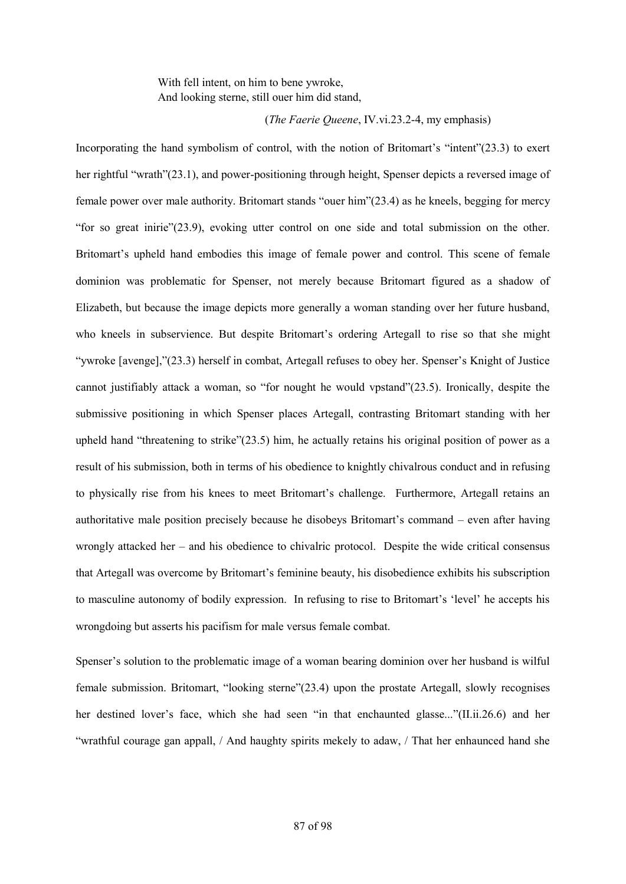With fell intent, on him to bene ywroke, And looking sterne, still ouer him did stand,

(*The Faerie Queene*, IV.vi.23.2-4, my emphasis)

Incorporating the hand symbolism of control, with the notion of Britomart's "intent"(23.3) to exert her rightful "wrath"(23.1), and power-positioning through height, Spenser depicts a reversed image of female power over male authority. Britomart stands "ouer him"(23.4) as he kneels, begging for mercy "for so great inirie"(23.9), evoking utter control on one side and total submission on the other. Britomart's upheld hand embodies this image of female power and control. This scene of female dominion was problematic for Spenser, not merely because Britomart figured as a shadow of Elizabeth, but because the image depicts more generally a woman standing over her future husband, who kneels in subservience. But despite Britomart's ordering Artegall to rise so that she might "ywroke [avenge],"(23.3) herself in combat, Artegall refuses to obey her. Spenser's Knight of Justice cannot justifiably attack a woman, so "for nought he would vpstand"(23.5). Ironically, despite the submissive positioning in which Spenser places Artegall, contrasting Britomart standing with her upheld hand "threatening to strike"(23.5) him, he actually retains his original position of power as a result of his submission, both in terms of his obedience to knightly chivalrous conduct and in refusing to physically rise from his knees to meet Britomart's challenge. Furthermore, Artegall retains an authoritative male position precisely because he disobeys Britomart's command – even after having wrongly attacked her – and his obedience to chivalric protocol. Despite the wide critical consensus that Artegall was overcome by Britomart's feminine beauty, his disobedience exhibits his subscription to masculine autonomy of bodily expression. In refusing to rise to Britomart's 'level' he accepts his wrongdoing but asserts his pacifism for male versus female combat.

Spenser's solution to the problematic image of a woman bearing dominion over her husband is wilful female submission. Britomart, "looking sterne"(23.4) upon the prostate Artegall, slowly recognises her destined lover's face, which she had seen "in that enchaunted glasse..."(II.ii.26.6) and her "wrathful courage gan appall, / And haughty spirits mekely to adaw, / That her enhaunced hand she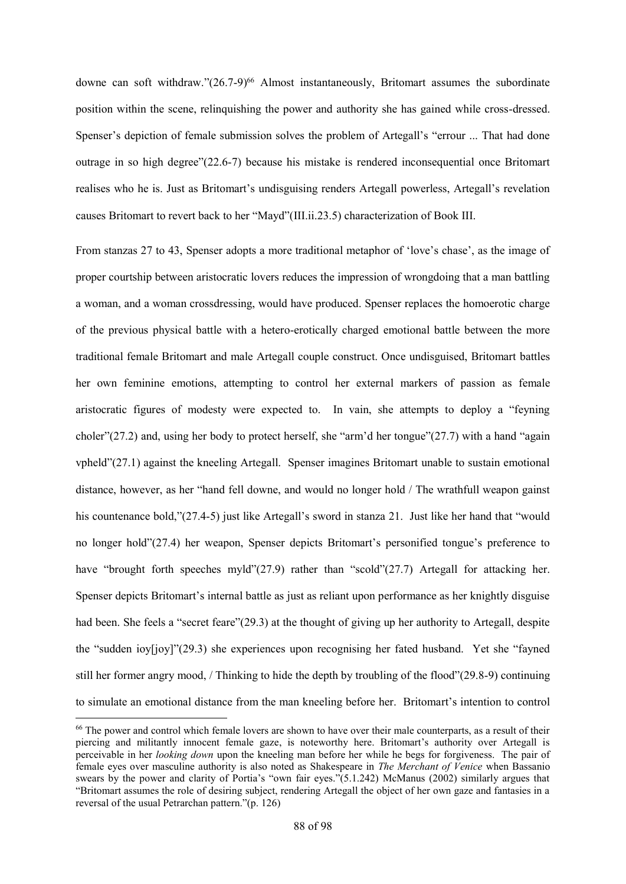downe can soft withdraw."(26.7-9)<sup>66</sup> Almost instantaneously, Britomart assumes the subordinate position within the scene, relinquishing the power and authority she has gained while cross-dressed. Spenser's depiction of female submission solves the problem of Artegall's "errour ... That had done outrage in so high degree"(22.6-7) because his mistake is rendered inconsequential once Britomart realises who he is. Just as Britomart's undisguising renders Artegall powerless, Artegall's revelation causes Britomart to revert back to her "Mayd"(III.ii.23.5) characterization of Book III.

From stanzas 27 to 43, Spenser adopts a more traditional metaphor of 'love's chase', as the image of proper courtship between aristocratic lovers reduces the impression of wrongdoing that a man battling a woman, and a woman crossdressing, would have produced. Spenser replaces the homoerotic charge of the previous physical battle with a hetero-erotically charged emotional battle between the more traditional female Britomart and male Artegall couple construct. Once undisguised, Britomart battles her own feminine emotions, attempting to control her external markers of passion as female aristocratic figures of modesty were expected to. In vain, she attempts to deploy a "feyning choler"(27.2) and, using her body to protect herself, she "arm'd her tongue"(27.7) with a hand "again vpheld"(27.1) against the kneeling Artegall. Spenser imagines Britomart unable to sustain emotional distance, however, as her "hand fell downe, and would no longer hold / The wrathfull weapon gainst his countenance bold,"(27.4-5) just like Artegall's sword in stanza 21. Just like her hand that "would no longer hold"(27.4) her weapon, Spenser depicts Britomart's personified tongue's preference to have "brought forth speeches myld"(27.9) rather than "scold"(27.7) Artegall for attacking her. Spenser depicts Britomart's internal battle as just as reliant upon performance as her knightly disguise had been. She feels a "secret feare"(29.3) at the thought of giving up her authority to Artegall, despite the "sudden ioy[joy]"(29.3) she experiences upon recognising her fated husband. Yet she "fayned still her former angry mood, / Thinking to hide the depth by troubling of the flood"(29.8-9) continuing to simulate an emotional distance from the man kneeling before her. Britomart's intention to control

<sup>&</sup>lt;sup>66</sup> The power and control which female lovers are shown to have over their male counterparts, as a result of their piercing and militantly innocent female gaze, is noteworthy here. Britomart's authority over Artegall is perceivable in her *looking down* upon the kneeling man before her while he begs for forgiveness. The pair of female eyes over masculine authority is also noted as Shakespeare in *The Merchant of Venice* when Bassanio swears by the power and clarity of Portia's "own fair eyes."(5.1.242) McManus (2002) similarly argues that "Britomart assumes the role of desiring subject, rendering Artegall the object of her own gaze and fantasies in a reversal of the usual Petrarchan pattern."(p. 126)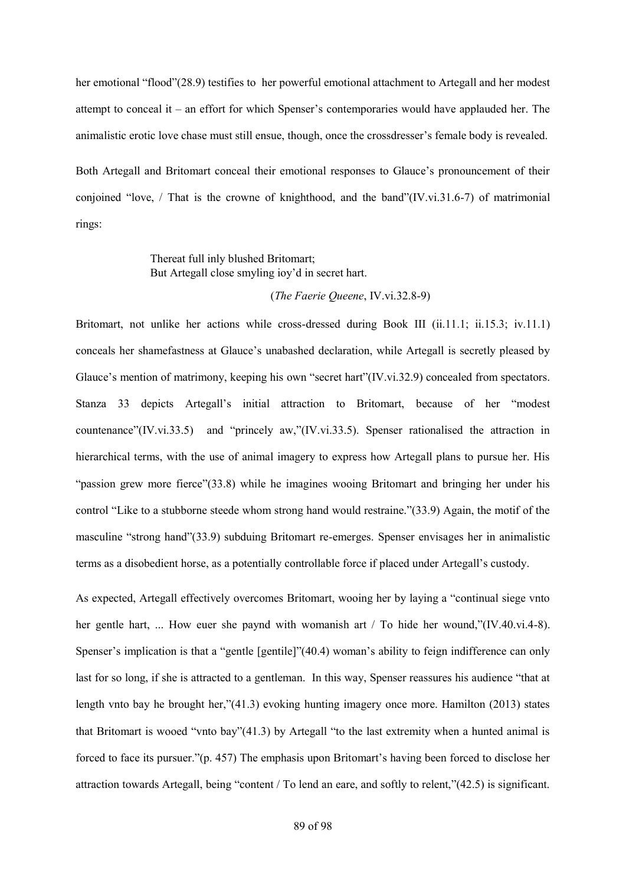her emotional "flood"(28.9) testifies to her powerful emotional attachment to Artegall and her modest attempt to conceal it – an effort for which Spenser's contemporaries would have applauded her. The animalistic erotic love chase must still ensue, though, once the crossdresser's female body is revealed.

Both Artegall and Britomart conceal their emotional responses to Glauce's pronouncement of their conjoined "love, / That is the crowne of knighthood, and the band" $(IV.vi.31.6-7)$  of matrimonial rings:

## Thereat full inly blushed Britomart; But Artegall close smyling ioy'd in secret hart.

## (*The Faerie Queene*, IV.vi.32.8-9)

Britomart, not unlike her actions while cross-dressed during Book III (ii.11.1; ii.15.3; iv.11.1) conceals her shamefastness at Glauce's unabashed declaration, while Artegall is secretly pleased by Glauce's mention of matrimony, keeping his own "secret hart"(IV.vi.32.9) concealed from spectators. Stanza 33 depicts Artegall's initial attraction to Britomart, because of her "modest countenance"(IV.vi.33.5) and "princely aw,"(IV.vi.33.5). Spenser rationalised the attraction in hierarchical terms, with the use of animal imagery to express how Artegall plans to pursue her. His "passion grew more fierce"(33.8) while he imagines wooing Britomart and bringing her under his control "Like to a stubborne steede whom strong hand would restraine."(33.9) Again, the motif of the masculine "strong hand"(33.9) subduing Britomart re-emerges. Spenser envisages her in animalistic terms as a disobedient horse, as a potentially controllable force if placed under Artegall's custody.

As expected, Artegall effectively overcomes Britomart, wooing her by laying a "continual siege vnto her gentle hart, ... How euer she paynd with womanish art / To hide her wound,"(IV.40.vi.4-8). Spenser's implication is that a "gentle [gentile]"(40.4) woman's ability to feign indifference can only last for so long, if she is attracted to a gentleman. In this way, Spenser reassures his audience "that at length vnto bay he brought her,"(41.3) evoking hunting imagery once more. Hamilton (2013) states that Britomart is wooed "vnto bay"(41.3) by Artegall "to the last extremity when a hunted animal is forced to face its pursuer."(p. 457) The emphasis upon Britomart's having been forced to disclose her attraction towards Artegall, being "content / To lend an eare, and softly to relent,"(42.5) is significant.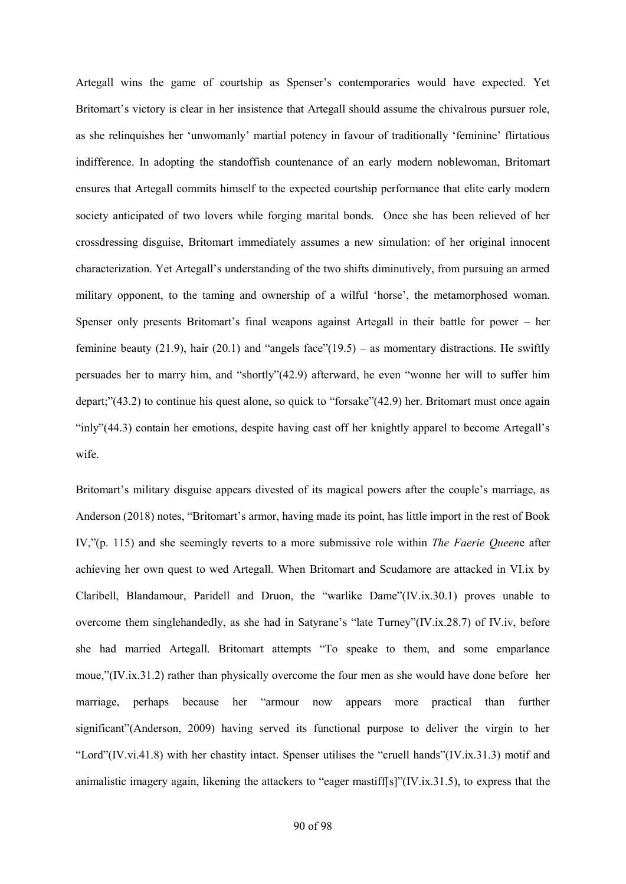Artegall wins the game of courtship as Spenser's contemporaries would have expected. Yet Britomart's victory is clear in her insistence that Artegall should assume the chivalrous pursuer role, as she relinquishes her 'unwomanly' martial potency in favour of traditionally 'feminine' flirtatious indifference. In adopting the standoffish countenance of an early modern noblewoman, Britomart ensures that Artegall commits himself to the expected courtship performance that elite early modern society anticipated of two lovers while forging marital bonds. Once she has been relieved of her crossdressing disguise, Britomart immediately assumes a new simulation: of her original innocent characterization. Yet Artegall's understanding of the two shifts diminutively, from pursuing an armed military opponent, to the taming and ownership of a wilful 'horse', the metamorphosed woman. Spenser only presents Britomart's final weapons against Artegall in their battle for power – her feminine beauty (21.9), hair (20.1) and "angels face"(19.5) – as momentary distractions. He swiftly persuades her to marry him, and "shortly"(42.9) afterward, he even "wonne her will to suffer him depart;"(43.2) to continue his quest alone, so quick to "forsake"(42.9) her. Britomart must once again "inly"(44.3) contain her emotions, despite having cast off her knightly apparel to become Artegall's wife.

Britomart's military disguise appears divested of its magical powers after the couple's marriage, as Anderson (2018) notes, "Britomart's armor, having made its point, has little import in the rest of Book IV,"(p. 115) and she seemingly reverts to a more submissive role within *The Faerie Queen*e after achieving her own quest to wed Artegall. When Britomart and Scudamore are attacked in VI.ix by Claribell, Blandamour, Paridell and Druon, the "warlike Dame"(IV.ix.30.1) proves unable to overcome them singlehandedly, as she had in Satyrane's "late Turney"(IV.ix.28.7) of IV.iv, before she had married Artegall. Britomart attempts "To speake to them, and some emparlance moue,"(IV.ix.31.2) rather than physically overcome the four men as she would have done before her marriage, perhaps because her "armour now appears more practical than further significant"(Anderson, 2009) having served its functional purpose to deliver the virgin to her "Lord"(IV.vi.41.8) with her chastity intact. Spenser utilises the "cruell hands"(IV.ix.31.3) motif and animalistic imagery again, likening the attackers to "eager mastiff[s]"(IV.ix.31.5), to express that the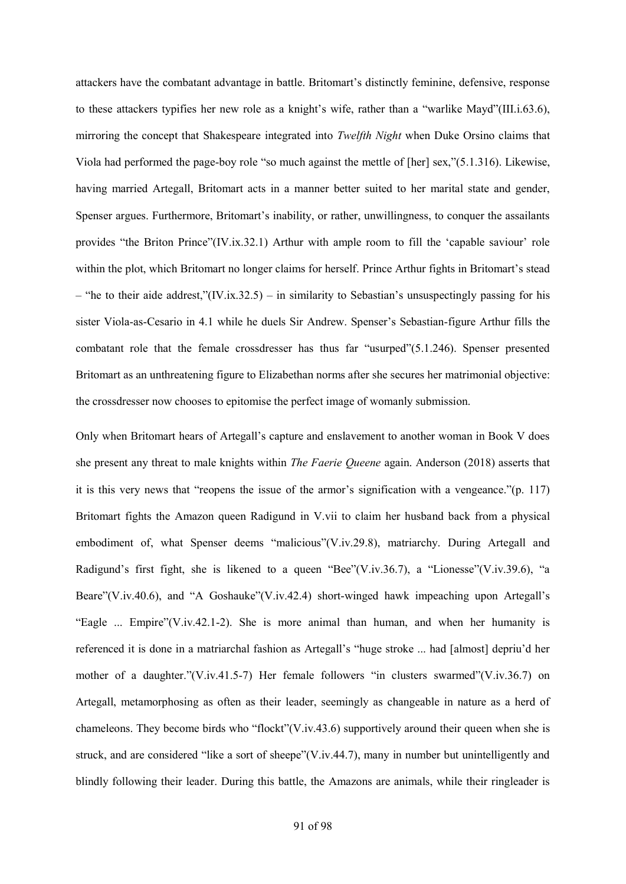attackers have the combatant advantage in battle. Britomart's distinctly feminine, defensive, response to these attackers typifies her new role as a knight's wife, rather than a "warlike Mayd"(III.i.63.6), mirroring the concept that Shakespeare integrated into *Twelfth Night* when Duke Orsino claims that Viola had performed the page-boy role "so much against the mettle of [her] sex,"(5.1.316). Likewise, having married Artegall, Britomart acts in a manner better suited to her marital state and gender, Spenser argues. Furthermore, Britomart's inability, or rather, unwillingness, to conquer the assailants provides "the Briton Prince"(IV.ix.32.1) Arthur with ample room to fill the 'capable saviour' role within the plot, which Britomart no longer claims for herself. Prince Arthur fights in Britomart's stead – "he to their aide addrest," $(IV.ix.32.5)$  – in similarity to Sebastian's unsuspectingly passing for his sister Viola-as-Cesario in 4.1 while he duels Sir Andrew. Spenser's Sebastian-figure Arthur fills the combatant role that the female crossdresser has thus far "usurped"(5.1.246). Spenser presented Britomart as an unthreatening figure to Elizabethan norms after she secures her matrimonial objective: the crossdresser now chooses to epitomise the perfect image of womanly submission.

Only when Britomart hears of Artegall's capture and enslavement to another woman in Book V does she present any threat to male knights within *The Faerie Queene* again. Anderson (2018) asserts that it is this very news that "reopens the issue of the armor's signification with a vengeance."(p. 117) Britomart fights the Amazon queen Radigund in V.vii to claim her husband back from a physical embodiment of, what Spenser deems "malicious"(V.iv.29.8), matriarchy. During Artegall and Radigund's first fight, she is likened to a queen "Bee"(V.iv.36.7), a "Lionesse"(V.iv.39.6), "a Beare"(V.iv.40.6), and "A Goshauke"(V.iv.42.4) short-winged hawk impeaching upon Artegall's "Eagle ... Empire"(V.iv.42.1-2). She is more animal than human, and when her humanity is referenced it is done in a matriarchal fashion as Artegall's "huge stroke ... had [almost] depriu'd her mother of a daughter."(V.iv.41.5-7) Her female followers "in clusters swarmed"(V.iv.36.7) on Artegall, metamorphosing as often as their leader, seemingly as changeable in nature as a herd of chameleons. They become birds who "flockt"(V.iv.43.6) supportively around their queen when she is struck, and are considered "like a sort of sheepe"(V.iv.44.7), many in number but unintelligently and blindly following their leader. During this battle, the Amazons are animals, while their ringleader is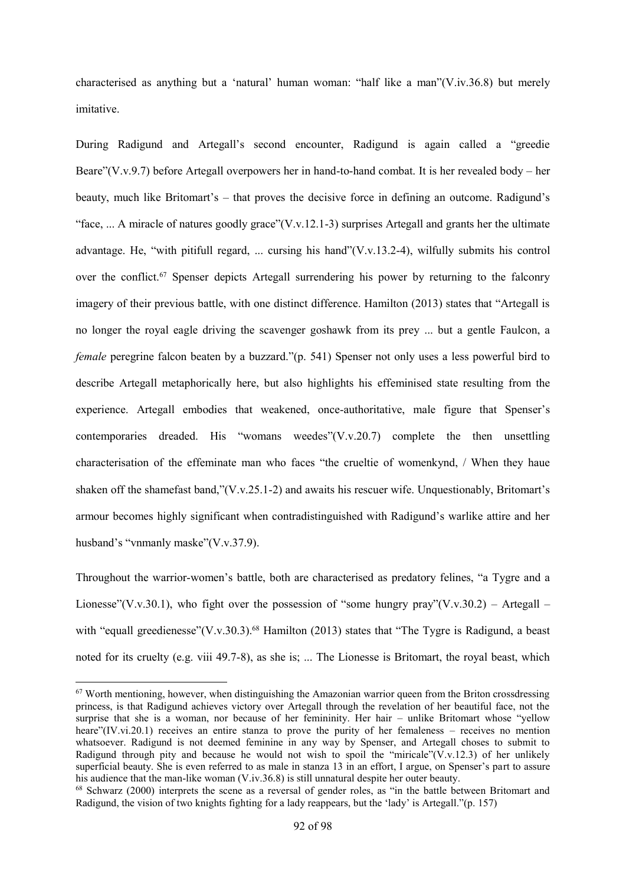characterised as anything but a 'natural' human woman: "half like a man"(V.iv.36.8) but merely imitative.

During Radigund and Artegall's second encounter, Radigund is again called a "greedie Beare"(V.v.9.7) before Artegall overpowers her in hand-to-hand combat. It is her revealed body – her beauty, much like Britomart's – that proves the decisive force in defining an outcome. Radigund's "face, ... A miracle of natures goodly grace"(V.v.12.1-3) surprises Artegall and grants her the ultimate advantage. He, "with pitifull regard, ... cursing his hand"(V.v.13.2-4), wilfully submits his control over the conflict.<sup>67</sup> Spenser depicts Artegall surrendering his power by returning to the falconry imagery of their previous battle, with one distinct difference. Hamilton (2013) states that "Artegall is no longer the royal eagle driving the scavenger goshawk from its prey ... but a gentle Faulcon, a *female* peregrine falcon beaten by a buzzard."(p. 541) Spenser not only uses a less powerful bird to describe Artegall metaphorically here, but also highlights his effeminised state resulting from the experience. Artegall embodies that weakened, once-authoritative, male figure that Spenser's contemporaries dreaded. His "womans weedes"(V.v.20.7) complete the then unsettling characterisation of the effeminate man who faces "the crueltie of womenkynd, / When they haue shaken off the shamefast band,"(V.v.25.1-2) and awaits his rescuer wife. Unquestionably, Britomart's armour becomes highly significant when contradistinguished with Radigund's warlike attire and her husband's "vnmanly maske"(V.v.37.9).

Throughout the warrior-women's battle, both are characterised as predatory felines, "a Tygre and a Lionesse"(V.v.30.1), who fight over the possession of "some hungry pray"(V.v.30.2) – Artegall – with "equall greedienesse"(V.v.30.3).<sup>68</sup> Hamilton (2013) states that "The Tygre is Radigund, a beast noted for its cruelty (e.g. viii 49.7-8), as she is; ... The Lionesse is Britomart, the royal beast, which

 $67$  Worth mentioning, however, when distinguishing the Amazonian warrior queen from the Briton crossdressing princess, is that Radigund achieves victory over Artegall through the revelation of her beautiful face, not the surprise that she is a woman, nor because of her femininity. Her hair – unlike Britomart whose "yellow heare"(IV.vi.20.1) receives an entire stanza to prove the purity of her femaleness – receives no mention whatsoever. Radigund is not deemed feminine in any way by Spenser, and Artegall choses to submit to Radigund through pity and because he would not wish to spoil the "miricale" $(V.v.12.3)$  of her unlikely superficial beauty. She is even referred to as male in stanza 13 in an effort, I argue, on Spenser's part to assure his audience that the man-like woman (V.iv.36.8) is still unnatural despite her outer beauty.

<sup>68</sup> Schwarz (2000) interprets the scene as a reversal of gender roles, as "in the battle between Britomart and Radigund, the vision of two knights fighting for a lady reappears, but the 'lady' is Artegall."(p. 157)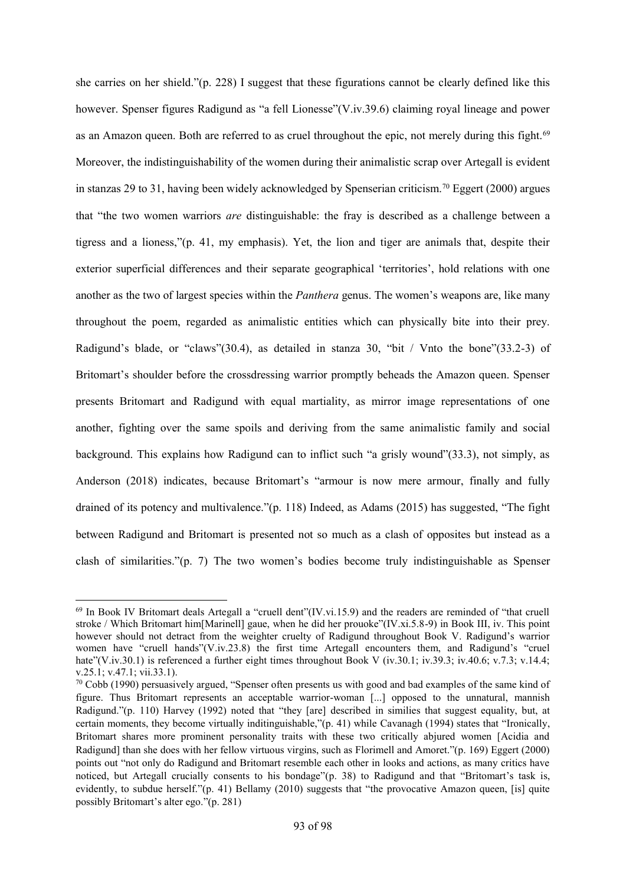she carries on her shield."(p. 228) I suggest that these figurations cannot be clearly defined like this however. Spenser figures Radigund as "a fell Lionesse"(V.iv.39.6) claiming royal lineage and power as an Amazon queen. Both are referred to as cruel throughout the epic, not merely during this fight.<sup>69</sup> Moreover, the indistinguishability of the women during their animalistic scrap over Artegall is evident in stanzas 29 to 31, having been widely acknowledged by Spenserian criticism.<sup>70</sup> Eggert (2000) argues that "the two women warriors *are* distinguishable: the fray is described as a challenge between a tigress and a lioness,"(p. 41, my emphasis). Yet, the lion and tiger are animals that, despite their exterior superficial differences and their separate geographical 'territories', hold relations with one another as the two of largest species within the *Panthera* genus. The women's weapons are, like many throughout the poem, regarded as animalistic entities which can physically bite into their prey. Radigund's blade, or "claws"(30.4), as detailed in stanza 30, "bit / Vnto the bone"(33.2-3) of Britomart's shoulder before the crossdressing warrior promptly beheads the Amazon queen. Spenser presents Britomart and Radigund with equal martiality, as mirror image representations of one another, fighting over the same spoils and deriving from the same animalistic family and social background. This explains how Radigund can to inflict such "a grisly wound"(33.3), not simply, as Anderson (2018) indicates, because Britomart's "armour is now mere armour, finally and fully drained of its potency and multivalence."(p. 118) Indeed, as Adams (2015) has suggested, "The fight between Radigund and Britomart is presented not so much as a clash of opposites but instead as a clash of similarities."(p. 7) The two women's bodies become truly indistinguishable as Spenser

 $^{69}$  In Book IV Britomart deals Artegall a "cruell dent" $(IV.vi.15.9)$  and the readers are reminded of "that cruell stroke / Which Britomart him[Marinell] gaue, when he did her prouoke"(IV.xi.5.8-9) in Book III, iv. This point however should not detract from the weighter cruelty of Radigund throughout Book V. Radigund's warrior women have "cruell hands"(V.iv.23.8) the first time Artegall encounters them, and Radigund's "cruel hate"(V.iv.30.1) is referenced a further eight times throughout Book V (iv.30.1; iv.39.3; iv.40.6; v.7.3; v.14.4; v.25.1; v.47.1; vii.33.1).

<sup>70</sup> Cobb (1990) persuasively argued, "Spenser often presents us with good and bad examples of the same kind of figure. Thus Britomart represents an acceptable warrior-woman [...] opposed to the unnatural, mannish Radigund."(p. 110) Harvey (1992) noted that "they [are] described in similies that suggest equality, but, at certain moments, they become virtually inditinguishable,"(p. 41) while Cavanagh (1994) states that "Ironically, Britomart shares more prominent personality traits with these two critically abjured women [Acidia and Radigund] than she does with her fellow virtuous virgins, such as Florimell and Amoret."(p. 169) Eggert (2000) points out "not only do Radigund and Britomart resemble each other in looks and actions, as many critics have noticed, but Artegall crucially consents to his bondage"(p. 38) to Radigund and that "Britomart's task is, evidently, to subdue herself."(p. 41) Bellamy (2010) suggests that "the provocative Amazon queen, [is] quite possibly Britomart's alter ego."(p. 281)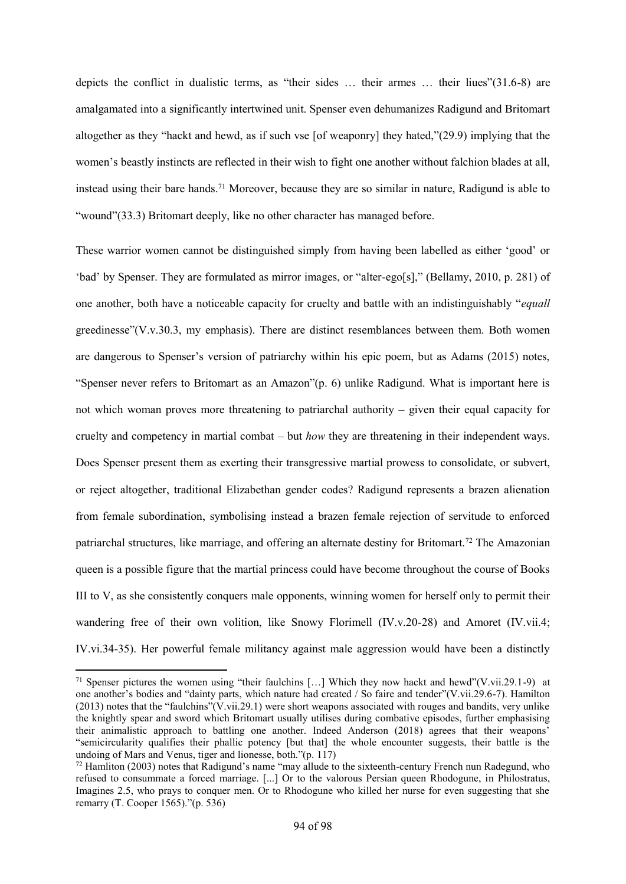depicts the conflict in dualistic terms, as "their sides … their armes … their liues"(31.6-8) are amalgamated into a significantly intertwined unit. Spenser even dehumanizes Radigund and Britomart altogether as they "hackt and hewd, as if such vse [of weaponry] they hated,"(29.9) implying that the women's beastly instincts are reflected in their wish to fight one another without falchion blades at all, instead using their bare hands.<sup>71</sup> Moreover, because they are so similar in nature, Radigund is able to "wound"(33.3) Britomart deeply, like no other character has managed before.

These warrior women cannot be distinguished simply from having been labelled as either 'good' or 'bad' by Spenser. They are formulated as mirror images, or "alter-ego[s]," (Bellamy, 2010, p. 281) of one another, both have a noticeable capacity for cruelty and battle with an indistinguishably "*equall* greedinesse"(V.v.30.3, my emphasis). There are distinct resemblances between them. Both women are dangerous to Spenser's version of patriarchy within his epic poem, but as Adams (2015) notes, "Spenser never refers to Britomart as an Amazon"(p. 6) unlike Radigund. What is important here is not which woman proves more threatening to patriarchal authority – given their equal capacity for cruelty and competency in martial combat – but *how* they are threatening in their independent ways. Does Spenser present them as exerting their transgressive martial prowess to consolidate, or subvert, or reject altogether, traditional Elizabethan gender codes? Radigund represents a brazen alienation from female subordination, symbolising instead a brazen female rejection of servitude to enforced patriarchal structures, like marriage, and offering an alternate destiny for Britomart.<sup>72</sup> The Amazonian queen is a possible figure that the martial princess could have become throughout the course of Books III to V, as she consistently conquers male opponents, winning women for herself only to permit their wandering free of their own volition, like Snowy Florimell (IV.v.20-28) and Amoret (IV.vii.4; IV.vi.34-35). Her powerful female militancy against male aggression would have been a distinctly

1

<sup>&</sup>lt;sup>71</sup> Spenser pictures the women using "their faulchins [...] Which they now hackt and hewd"(V.vii.29.1-9) at one another's bodies and "dainty parts, which nature had created / So faire and tender"(V.vii.29.6-7). Hamilton (2013) notes that the "faulchins"(V.vii.29.1) were short weapons associated with rouges and bandits, very unlike the knightly spear and sword which Britomart usually utilises during combative episodes, further emphasising their animalistic approach to battling one another. Indeed Anderson (2018) agrees that their weapons' "semicircularity qualifies their phallic potency [but that] the whole encounter suggests, their battle is the undoing of Mars and Venus, tiger and lionesse, both."(p. 117)

<sup>72</sup> Hamliton (2003) notes that Radigund's name "may allude to the sixteenth-century French nun Radegund, who refused to consummate a forced marriage. [...] Or to the valorous Persian queen Rhodogune, in Philostratus, Imagines 2.5, who prays to conquer men. Or to Rhodogune who killed her nurse for even suggesting that she remarry (T. Cooper 1565)."(p. 536)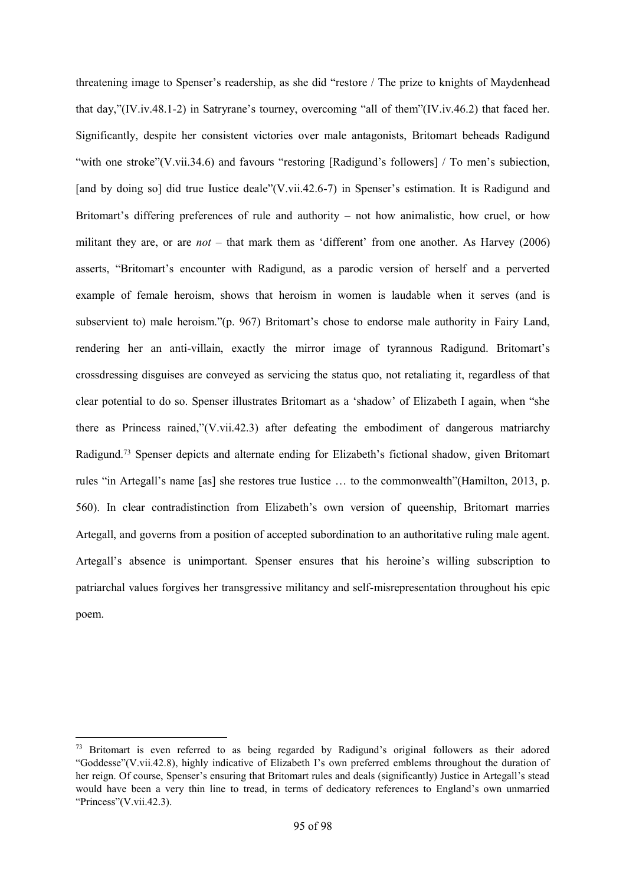threatening image to Spenser's readership, as she did "restore / The prize to knights of Maydenhead that day,"(IV.iv.48.1-2) in Satryrane's tourney, overcoming "all of them"(IV.iv.46.2) that faced her. Significantly, despite her consistent victories over male antagonists, Britomart beheads Radigund "with one stroke"(V.vii.34.6) and favours "restoring [Radigund's followers] / To men's subjection, [and by doing so] did true Iustice deale"(V.vii.42.6-7) in Spenser's estimation. It is Radigund and Britomart's differing preferences of rule and authority – not how animalistic, how cruel, or how militant they are, or are *not* – that mark them as 'different' from one another. As Harvey (2006) asserts, "Britomart's encounter with Radigund, as a parodic version of herself and a perverted example of female heroism, shows that heroism in women is laudable when it serves (and is subservient to) male heroism."(p. 967) Britomart's chose to endorse male authority in Fairy Land, rendering her an anti-villain, exactly the mirror image of tyrannous Radigund. Britomart's crossdressing disguises are conveyed as servicing the status quo, not retaliating it, regardless of that clear potential to do so. Spenser illustrates Britomart as a 'shadow' of Elizabeth I again, when "she there as Princess rained,"(V.vii.42.3) after defeating the embodiment of dangerous matriarchy Radigund.<sup>73</sup> Spenser depicts and alternate ending for Elizabeth's fictional shadow, given Britomart rules "in Artegall's name [as] she restores true Iustice … to the commonwealth"(Hamilton, 2013, p. 560). In clear contradistinction from Elizabeth's own version of queenship, Britomart marries Artegall, and governs from a position of accepted subordination to an authoritative ruling male agent. Artegall's absence is unimportant. Spenser ensures that his heroine's willing subscription to patriarchal values forgives her transgressive militancy and self-misrepresentation throughout his epic poem.

1

<sup>&</sup>lt;sup>73</sup> Britomart is even referred to as being regarded by Radigund's original followers as their adored "Goddesse"(V.vii.42.8), highly indicative of Elizabeth I's own preferred emblems throughout the duration of her reign. Of course, Spenser's ensuring that Britomart rules and deals (significantly) Justice in Artegall's stead would have been a very thin line to tread, in terms of dedicatory references to England's own unmarried "Princess"(V.vii.42.3).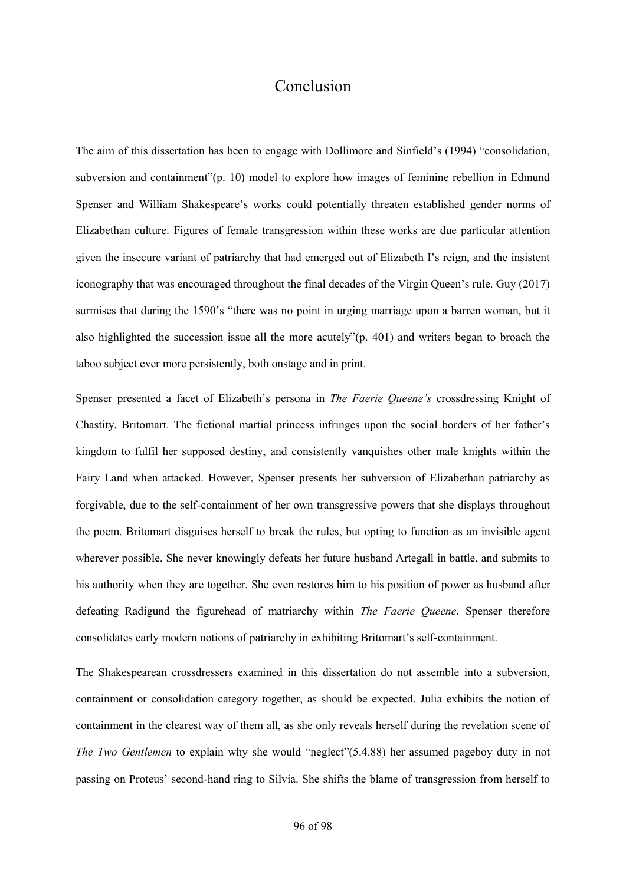# Conclusion

The aim of this dissertation has been to engage with Dollimore and Sinfield's (1994) "consolidation, subversion and containment"(p. 10) model to explore how images of feminine rebellion in Edmund Spenser and William Shakespeare's works could potentially threaten established gender norms of Elizabethan culture. Figures of female transgression within these works are due particular attention given the insecure variant of patriarchy that had emerged out of Elizabeth I's reign, and the insistent iconography that was encouraged throughout the final decades of the Virgin Queen's rule. Guy (2017) surmises that during the 1590's "there was no point in urging marriage upon a barren woman, but it also highlighted the succession issue all the more acutely"(p. 401) and writers began to broach the taboo subject ever more persistently, both onstage and in print.

Spenser presented a facet of Elizabeth's persona in *The Faerie Queene's* crossdressing Knight of Chastity, Britomart. The fictional martial princess infringes upon the social borders of her father's kingdom to fulfil her supposed destiny, and consistently vanquishes other male knights within the Fairy Land when attacked. However, Spenser presents her subversion of Elizabethan patriarchy as forgivable, due to the self-containment of her own transgressive powers that she displays throughout the poem. Britomart disguises herself to break the rules, but opting to function as an invisible agent wherever possible. She never knowingly defeats her future husband Artegall in battle, and submits to his authority when they are together. She even restores him to his position of power as husband after defeating Radigund the figurehead of matriarchy within *The Faerie Queene*. Spenser therefore consolidates early modern notions of patriarchy in exhibiting Britomart's self-containment.

The Shakespearean crossdressers examined in this dissertation do not assemble into a subversion, containment or consolidation category together, as should be expected. Julia exhibits the notion of containment in the clearest way of them all, as she only reveals herself during the revelation scene of *The Two Gentlemen* to explain why she would "neglect"(5.4.88) her assumed pageboy duty in not passing on Proteus' second-hand ring to Silvia. She shifts the blame of transgression from herself to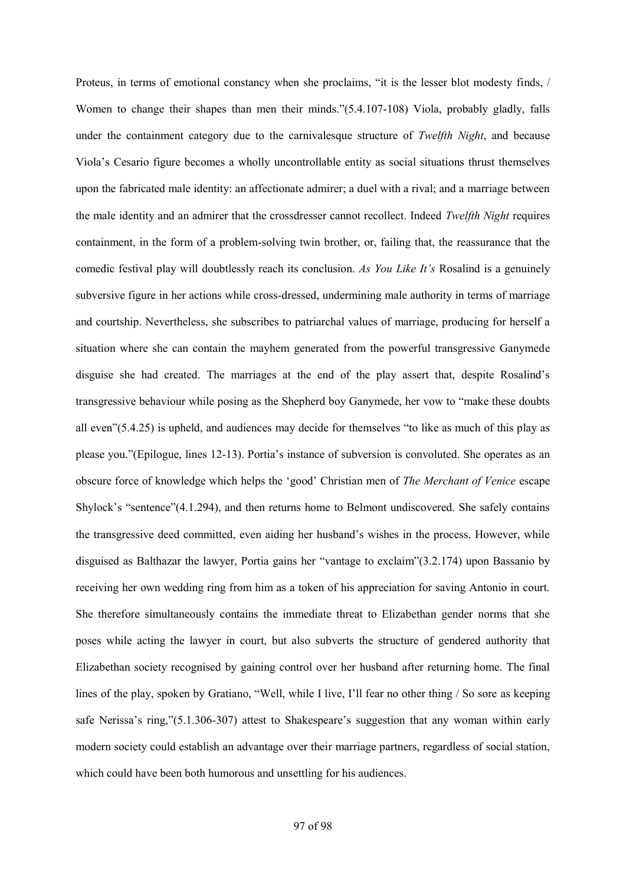Proteus, in terms of emotional constancy when she proclaims, "it is the lesser blot modesty finds, / Women to change their shapes than men their minds."(5.4.107-108) Viola, probably gladly, falls under the containment category due to the carnivalesque structure of *Twelfth Night*, and because Viola's Cesario figure becomes a wholly uncontrollable entity as social situations thrust themselves upon the fabricated male identity: an affectionate admirer; a duel with a rival; and a marriage between the male identity and an admirer that the crossdresser cannot recollect. Indeed *Twelfth Night* requires containment, in the form of a problem-solving twin brother, or, failing that, the reassurance that the comedic festival play will doubtlessly reach its conclusion. *As You Like It's* Rosalind is a genuinely subversive figure in her actions while cross-dressed, undermining male authority in terms of marriage and courtship. Nevertheless, she subscribes to patriarchal values of marriage, producing for herself a situation where she can contain the mayhem generated from the powerful transgressive Ganymede disguise she had created. The marriages at the end of the play assert that, despite Rosalind's transgressive behaviour while posing as the Shepherd boy Ganymede, her vow to "make these doubts all even"(5.4.25) is upheld, and audiences may decide for themselves "to like as much of this play as please you."(Epilogue, lines 12-13). Portia's instance of subversion is convoluted. She operates as an obscure force of knowledge which helps the 'good' Christian men of *The Merchant of Venice* escape Shylock's "sentence"(4.1.294), and then returns home to Belmont undiscovered. She safely contains the transgressive deed committed, even aiding her husband's wishes in the process. However, while disguised as Balthazar the lawyer, Portia gains her "vantage to exclaim"(3.2.174) upon Bassanio by receiving her own wedding ring from him as a token of his appreciation for saving Antonio in court. She therefore simultaneously contains the immediate threat to Elizabethan gender norms that she poses while acting the lawyer in court, but also subverts the structure of gendered authority that Elizabethan society recognised by gaining control over her husband after returning home. The final lines of the play, spoken by Gratiano, "Well, while I live, I'll fear no other thing / So sore as keeping safe Nerissa's ring,"(5.1.306-307) attest to Shakespeare's suggestion that any woman within early modern society could establish an advantage over their marriage partners, regardless of social station, which could have been both humorous and unsettling for his audiences.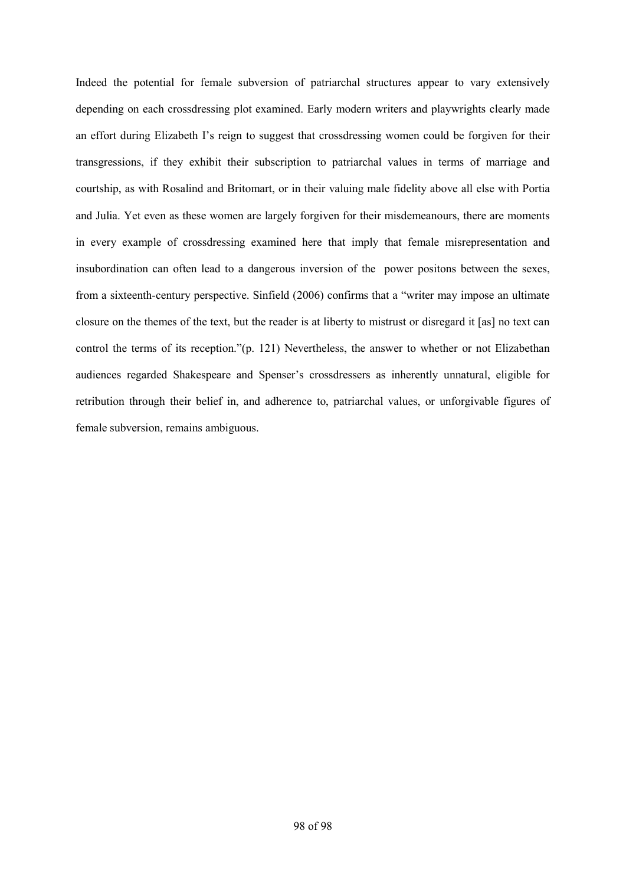Indeed the potential for female subversion of patriarchal structures appear to vary extensively depending on each crossdressing plot examined. Early modern writers and playwrights clearly made an effort during Elizabeth I's reign to suggest that crossdressing women could be forgiven for their transgressions, if they exhibit their subscription to patriarchal values in terms of marriage and courtship, as with Rosalind and Britomart, or in their valuing male fidelity above all else with Portia and Julia. Yet even as these women are largely forgiven for their misdemeanours, there are moments in every example of crossdressing examined here that imply that female misrepresentation and insubordination can often lead to a dangerous inversion of the power positons between the sexes, from a sixteenth-century perspective. Sinfield (2006) confirms that a "writer may impose an ultimate closure on the themes of the text, but the reader is at liberty to mistrust or disregard it [as] no text can control the terms of its reception."(p. 121) Nevertheless, the answer to whether or not Elizabethan audiences regarded Shakespeare and Spenser's crossdressers as inherently unnatural, eligible for retribution through their belief in, and adherence to, patriarchal values, or unforgivable figures of female subversion, remains ambiguous.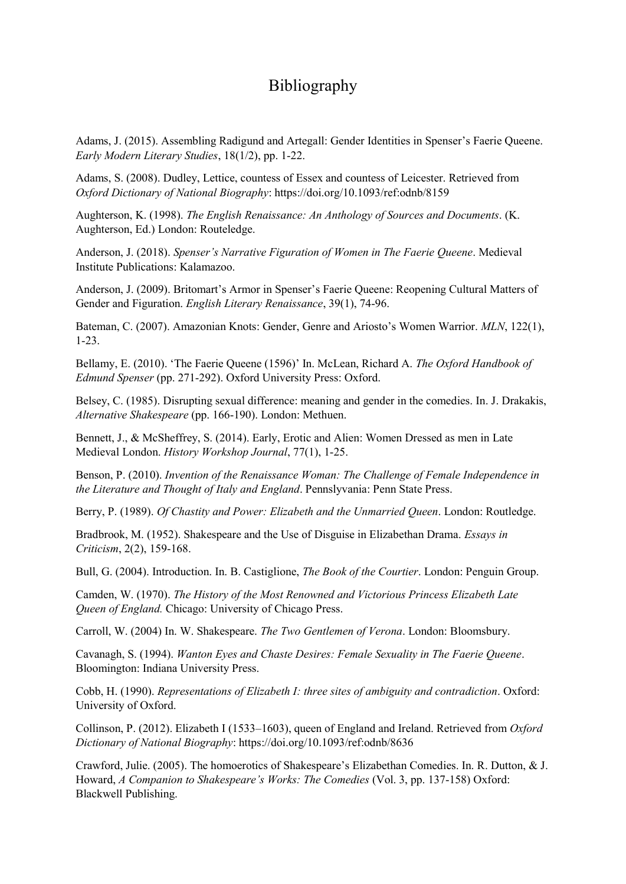# Bibliography

Adams, J. (2015). Assembling Radigund and Artegall: Gender Identities in Spenser's Faerie Queene. *Early Modern Literary Studies*, 18(1/2), pp. 1-22.

Adams, S. (2008). Dudley, Lettice, countess of Essex and countess of Leicester. Retrieved from *Oxford Dictionary of National Biography*: https://doi.org/10.1093/ref:odnb/8159

Aughterson, K. (1998). *The English Renaissance: An Anthology of Sources and Documents*. (K. Aughterson, Ed.) London: Routeledge.

Anderson, J. (2018). *Spenser's Narrative Figuration of Women in The Faerie Queene*. Medieval Institute Publications: Kalamazoo.

Anderson, J. (2009). Britomart's Armor in Spenser's Faerie Queene: Reopening Cultural Matters of Gender and Figuration. *English Literary Renaissance*, 39(1), 74-96.

Bateman, C. (2007). Amazonian Knots: Gender, Genre and Ariosto's Women Warrior. *MLN*, 122(1), 1-23.

Bellamy, E. (2010). 'The Faerie Queene (1596)' In. McLean, Richard A. *The Oxford Handbook of Edmund Spenser* (pp. 271-292). Oxford University Press: Oxford.

Belsey, C. (1985). Disrupting sexual difference: meaning and gender in the comedies. In. J. Drakakis, *Alternative Shakespeare* (pp. 166-190). London: Methuen.

Bennett, J., & McSheffrey, S. (2014). Early, Erotic and Alien: Women Dressed as men in Late Medieval London. *History Workshop Journal*, 77(1), 1-25.

Benson, P. (2010). *Invention of the Renaissance Woman: The Challenge of Female Independence in the Literature and Thought of Italy and England*. Pennslyvania: Penn State Press.

Berry, P. (1989). *Of Chastity and Power: Elizabeth and the Unmarried Queen*. London: Routledge.

Bradbrook, M. (1952). Shakespeare and the Use of Disguise in Elizabethan Drama. *Essays in Criticism*, 2(2), 159-168.

Bull, G. (2004). Introduction. In. B. Castiglione, *The Book of the Courtier*. London: Penguin Group.

Camden, W. (1970). *The History of the Most Renowned and Victorious Princess Elizabeth Late Queen of England.* Chicago: University of Chicago Press.

Carroll, W. (2004) In. W. Shakespeare. *The Two Gentlemen of Verona*. London: Bloomsbury.

Cavanagh, S. (1994). *Wanton Eyes and Chaste Desires: Female Sexuality in The Faerie Queene*. Bloomington: Indiana University Press.

Cobb, H. (1990). *Representations of Elizabeth I: three sites of ambiguity and contradiction*. Oxford: University of Oxford.

Collinson, P. (2012). Elizabeth I (1533–1603), queen of England and Ireland. Retrieved from *Oxford Dictionary of National Biography*: https://doi.org/10.1093/ref:odnb/8636

Crawford, Julie. (2005). The homoerotics of Shakespeare's Elizabethan Comedies. In. R. Dutton, & J. Howard, *A Companion to Shakespeare's Works: The Comedies* (Vol. 3, pp. 137-158) Oxford: Blackwell Publishing.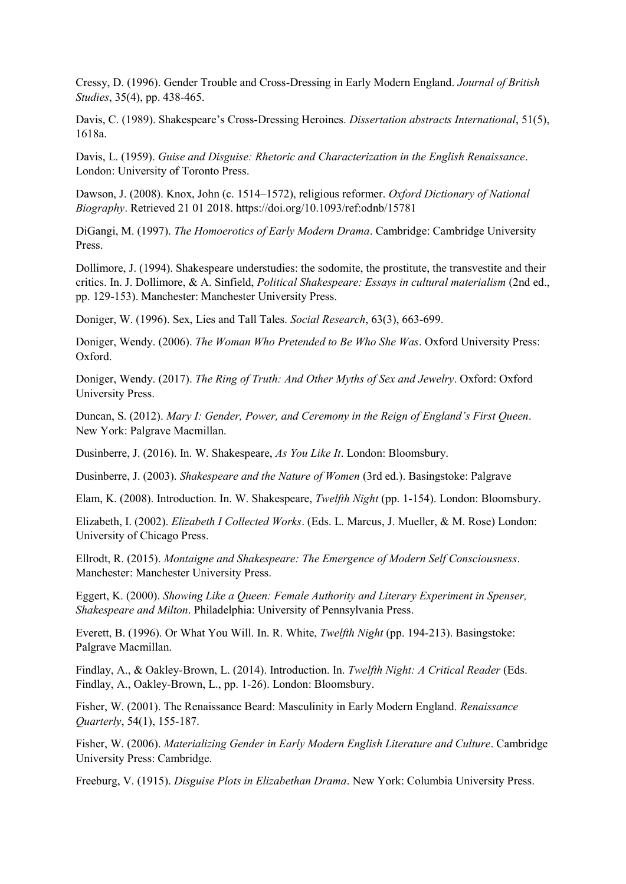Cressy, D. (1996). Gender Trouble and Cross-Dressing in Early Modern England. *Journal of British Studies*, 35(4), pp. 438-465.

Davis, C. (1989). Shakespeare's Cross-Dressing Heroines. *Dissertation abstracts International*, 51(5), 1618a.

Davis, L. (1959). *Guise and Disguise: Rhetoric and Characterization in the English Renaissance*. London: University of Toronto Press.

Dawson, J. (2008). Knox, John (c. 1514–1572), religious reformer. *Oxford Dictionary of National Biography*. Retrieved 21 01 2018. https://doi.org/10.1093/ref:odnb/15781

DiGangi, M. (1997). *The Homoerotics of Early Modern Drama*. Cambridge: Cambridge University Press.

Dollimore, J. (1994). Shakespeare understudies: the sodomite, the prostitute, the transvestite and their critics. In. J. Dollimore, & A. Sinfield, *Political Shakespeare: Essays in cultural materialism* (2nd ed., pp. 129-153). Manchester: Manchester University Press.

Doniger, W. (1996). Sex, Lies and Tall Tales. *Social Research*, 63(3), 663-699.

Doniger, Wendy. (2006). *The Woman Who Pretended to Be Who She Was*. Oxford University Press: Oxford.

Doniger, Wendy. (2017). *The Ring of Truth: And Other Myths of Sex and Jewelry*. Oxford: Oxford University Press.

Duncan, S. (2012). *Mary I: Gender, Power, and Ceremony in the Reign of England's First Queen*. New York: Palgrave Macmillan.

Dusinberre, J. (2016). In. W. Shakespeare, *As You Like It*. London: Bloomsbury.

Dusinberre, J. (2003). *Shakespeare and the Nature of Women* (3rd ed.). Basingstoke: Palgrave

Elam, K. (2008). Introduction. In. W. Shakespeare, *Twelfth Night* (pp. 1-154). London: Bloomsbury.

Elizabeth, I. (2002). *Elizabeth I Collected Works*. (Eds. L. Marcus, J. Mueller, & M. Rose) London: University of Chicago Press.

Ellrodt, R. (2015). *Montaigne and Shakespeare: The Emergence of Modern Self Consciousness*. Manchester: Manchester University Press.

Eggert, K. (2000). *Showing Like a Queen: Female Authority and Literary Experiment in Spenser, Shakespeare and Milton*. Philadelphia: University of Pennsylvania Press.

Everett, B. (1996). Or What You Will. In. R. White, *Twelfth Night* (pp. 194-213). Basingstoke: Palgrave Macmillan.

Findlay, A., & Oakley-Brown, L. (2014). Introduction. In. *Twelfth Night: A Critical Reader* (Eds. Findlay, A., Oakley-Brown, L., pp. 1-26). London: Bloomsbury.

Fisher, W. (2001). The Renaissance Beard: Masculinity in Early Modern England. *Renaissance Quarterly*, 54(1), 155-187.

Fisher, W. (2006). *Materializing Gender in Early Modern English Literature and Culture*. Cambridge University Press: Cambridge.

Freeburg, V. (1915). *Disguise Plots in Elizabethan Drama*. New York: Columbia University Press.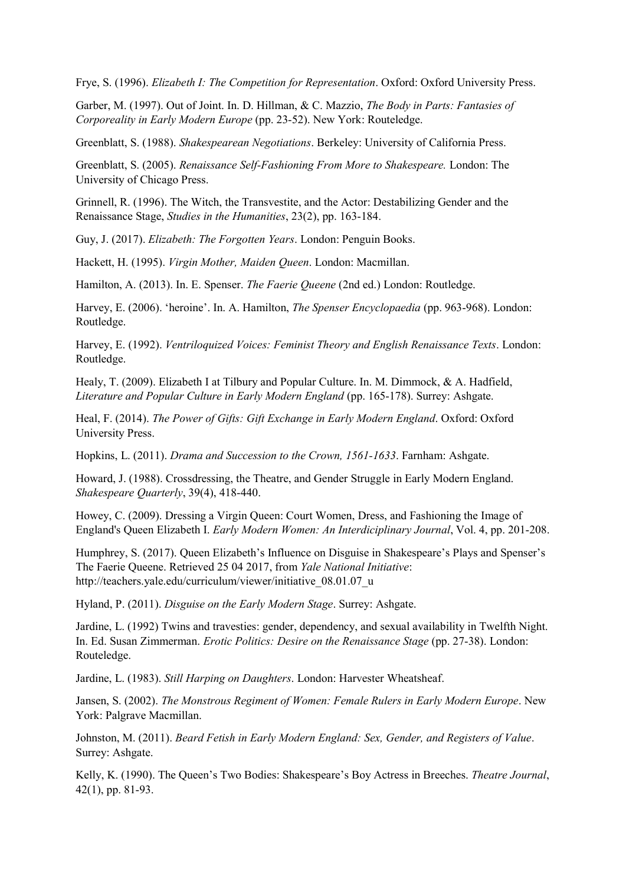Frye, S. (1996). *Elizabeth I: The Competition for Representation*. Oxford: Oxford University Press.

Garber, M. (1997). Out of Joint. In. D. Hillman, & C. Mazzio, *The Body in Parts: Fantasies of Corporeality in Early Modern Europe* (pp. 23-52). New York: Routeledge.

Greenblatt, S. (1988). *Shakespearean Negotiations*. Berkeley: University of California Press.

Greenblatt, S. (2005). *Renaissance Self-Fashioning From More to Shakespeare.* London: The University of Chicago Press.

Grinnell, R. (1996). The Witch, the Transvestite, and the Actor: Destabilizing Gender and the Renaissance Stage, *Studies in the Humanities*, 23(2), pp. 163-184.

Guy, J. (2017). *Elizabeth: The Forgotten Years*. London: Penguin Books.

Hackett, H. (1995). *Virgin Mother, Maiden Queen*. London: Macmillan.

Hamilton, A. (2013). In. E. Spenser. *The Faerie Queene* (2nd ed.) London: Routledge.

Harvey, E. (2006). 'heroine'. In. A. Hamilton, *The Spenser Encyclopaedia* (pp. 963-968). London: Routledge.

Harvey, E. (1992). *Ventriloquized Voices: Feminist Theory and English Renaissance Texts*. London: Routledge.

Healy, T. (2009). Elizabeth I at Tilbury and Popular Culture. In. M. Dimmock, & A. Hadfield, *Literature and Popular Culture in Early Modern England* (pp. 165-178). Surrey: Ashgate.

Heal, F. (2014). *The Power of Gifts: Gift Exchange in Early Modern England*. Oxford: Oxford University Press.

Hopkins, L. (2011). *Drama and Succession to the Crown, 1561-1633*. Farnham: Ashgate.

Howard, J. (1988). Crossdressing, the Theatre, and Gender Struggle in Early Modern England. *Shakespeare Quarterly*, 39(4), 418-440.

Howey, C. (2009). Dressing a Virgin Queen: Court Women, Dress, and Fashioning the Image of England's Queen Elizabeth I. *Early Modern Women: An Interdiciplinary Journal*, Vol. 4, pp. 201-208.

Humphrey, S. (2017). Queen Elizabeth's Influence on Disguise in Shakespeare's Plays and Spenser's The Faerie Queene. Retrieved 25 04 2017, from *Yale National Initiative*: http://teachers.yale.edu/curriculum/viewer/initiative\_08.01.07\_u

Hyland, P. (2011). *Disguise on the Early Modern Stage*. Surrey: Ashgate.

Jardine, L. (1992) Twins and travesties: gender, dependency, and sexual availability in Twelfth Night. In. Ed. Susan Zimmerman. *Erotic Politics: Desire on the Renaissance Stage* (pp. 27-38). London: Routeledge.

Jardine, L. (1983). *Still Harping on Daughters*. London: Harvester Wheatsheaf.

Jansen, S. (2002). *The Monstrous Regiment of Women: Female Rulers in Early Modern Europe*. New York: Palgrave Macmillan.

Johnston, M. (2011). *Beard Fetish in Early Modern England: Sex, Gender, and Registers of Value*. Surrey: Ashgate.

Kelly, K. (1990). The Queen's Two Bodies: Shakespeare's Boy Actress in Breeches. *Theatre Journal*, 42(1), pp. 81-93.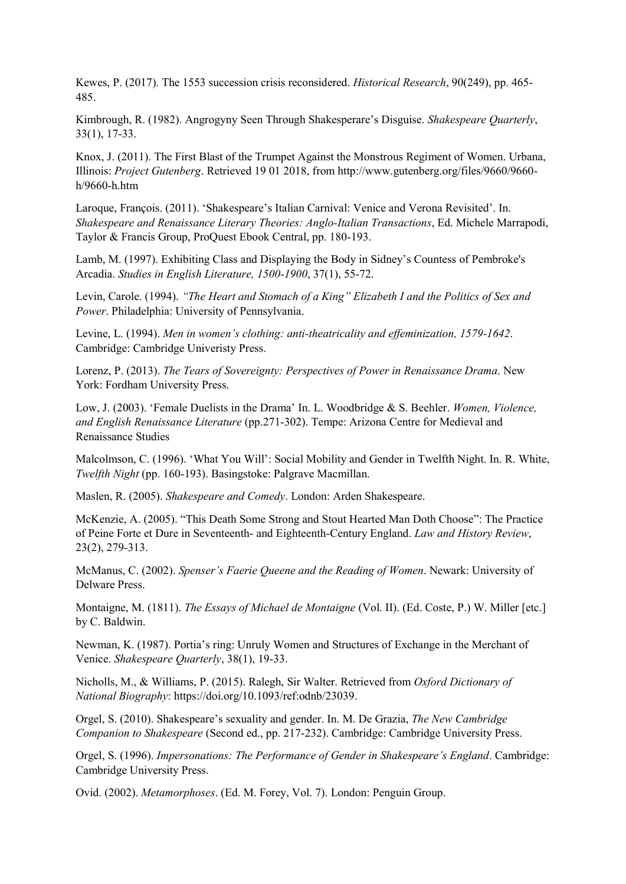Kewes, P. (2017). The 1553 succession crisis reconsidered. *Historical Research*, 90(249), pp. 465- 485.

Kimbrough, R. (1982). Angrogyny Seen Through Shakesperare's Disguise. *Shakespeare Quarterly*, 33(1), 17-33.

Knox, J. (2011). The First Blast of the Trumpet Against the Monstrous Regiment of Women. Urbana, Illinois: *Project Gutenberg*. Retrieved 19 01 2018, from http://www.gutenberg.org/files/9660/9660 h/9660-h.htm

Laroque, François. (2011). 'Shakespeare's Italian Carnival: Venice and Verona Revisited'. In. *Shakespeare and Renaissance Literary Theories: Anglo-Italian Transactions*, Ed. Michele Marrapodi, Taylor & Francis Group, ProQuest Ebook Central, pp. 180-193.

Lamb, M. (1997). Exhibiting Class and Displaying the Body in Sidney's Countess of Pembroke's Arcadia. *Studies in English Literature, 1500-1900*, 37(1), 55-72.

Levin, Carole. (1994). *"The Heart and Stomach of a King" Elizabeth I and the Politics of Sex and Power*. Philadelphia: University of Pennsylvania.

Levine, L. (1994). *Men in women's clothing: anti-theatricality and effeminization, 1579-1642*. Cambridge: Cambridge Univeristy Press.

Lorenz, P. (2013). *The Tears of Sovereignty: Perspectives of Power in Renaissance Drama*. New York: Fordham University Press.

Low, J. (2003). 'Female Duelists in the Drama' In. L. Woodbridge & S. Beehler. *Women, Violence, and English Renaissance Literature* (pp.271-302). Tempe: Arizona Centre for Medieval and Renaissance Studies

Malcolmson, C. (1996). 'What You Will': Social Mobility and Gender in Twelfth Night. In. R. White, *Twelfth Night* (pp. 160-193). Basingstoke: Palgrave Macmillan.

Maslen, R. (2005). *Shakespeare and Comedy*. London: Arden Shakespeare.

McKenzie, A. (2005). "This Death Some Strong and Stout Hearted Man Doth Choose": The Practice of Peine Forte et Dure in Seventeenth- and Eighteenth-Century England. *Law and History Review*, 23(2), 279-313.

McManus, C. (2002). *Spenser's Faerie Queene and the Reading of Women*. Newark: University of Delware Press.

Montaigne, M. (1811). *The Essays of Michael de Montaigne* (Vol. II). (Ed. Coste, P.) W. Miller [etc.] by C. Baldwin.

Newman, K. (1987). Portia's ring: Unruly Women and Structures of Exchange in the Merchant of Venice. *Shakespeare Quarterly*, 38(1), 19-33.

Nicholls, M., & Williams, P. (2015). Ralegh, Sir Walter. Retrieved from *Oxford Dictionary of National Biography*: https://doi.org/10.1093/ref:odnb/23039.

Orgel, S. (2010). Shakespeare's sexuality and gender. In. M. De Grazia, *The New Cambridge Companion to Shakespeare* (Second ed., pp. 217-232). Cambridge: Cambridge University Press.

Orgel, S. (1996). *Impersonations: The Performance of Gender in Shakespeare's England*. Cambridge: Cambridge University Press.

Ovid. (2002). *Metamorphoses*. (Ed. M. Forey, Vol. 7). London: Penguin Group.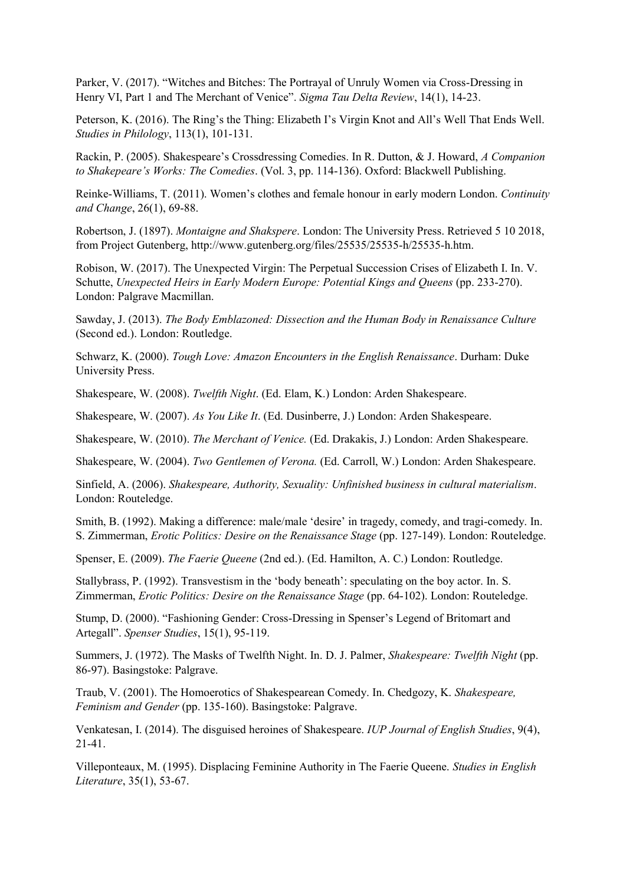Parker, V. (2017). "Witches and Bitches: The Portrayal of Unruly Women via Cross-Dressing in Henry VI, Part 1 and The Merchant of Venice". *Sigma Tau Delta Review*, 14(1), 14-23.

Peterson, K. (2016). The Ring's the Thing: Elizabeth I's Virgin Knot and All's Well That Ends Well. *Studies in Philology*, 113(1), 101-131.

Rackin, P. (2005). Shakespeare's Crossdressing Comedies. In R. Dutton, & J. Howard, *A Companion to Shakepeare's Works: The Comedies*. (Vol. 3, pp. 114-136). Oxford: Blackwell Publishing.

Reinke-Williams, T. (2011). Women's clothes and female honour in early modern London. *Continuity and Change*, 26(1), 69-88.

Robertson, J. (1897). *Montaigne and Shakspere*. London: The University Press. Retrieved 5 10 2018, from Project Gutenberg, http://www.gutenberg.org/files/25535/25535-h/25535-h.htm.

Robison, W. (2017). The Unexpected Virgin: The Perpetual Succession Crises of Elizabeth I. In. V. Schutte, *Unexpected Heirs in Early Modern Europe: Potential Kings and Queens* (pp. 233-270). London: Palgrave Macmillan.

Sawday, J. (2013). *The Body Emblazoned: Dissection and the Human Body in Renaissance Culture* (Second ed.). London: Routledge.

Schwarz, K. (2000). *Tough Love: Amazon Encounters in the English Renaissance*. Durham: Duke University Press.

Shakespeare, W. (2008). *Twelfth Night*. (Ed. Elam, K.) London: Arden Shakespeare.

Shakespeare, W. (2007). *As You Like It*. (Ed. Dusinberre, J.) London: Arden Shakespeare.

Shakespeare, W. (2010). *The Merchant of Venice.* (Ed. Drakakis, J.) London: Arden Shakespeare.

Shakespeare, W. (2004). *Two Gentlemen of Verona.* (Ed. Carroll, W.) London: Arden Shakespeare.

Sinfield, A. (2006). *Shakespeare, Authority, Sexuality: Unfinished business in cultural materialism*. London: Routeledge.

Smith, B. (1992). Making a difference: male/male 'desire' in tragedy, comedy, and tragi-comedy. In. S. Zimmerman, *Erotic Politics: Desire on the Renaissance Stage* (pp. 127-149). London: Routeledge.

Spenser, E. (2009). *The Faerie Queene* (2nd ed.). (Ed. Hamilton, A. C.) London: Routledge.

Stallybrass, P. (1992). Transvestism in the 'body beneath': speculating on the boy actor. In. S. Zimmerman, *Erotic Politics: Desire on the Renaissance Stage* (pp. 64-102). London: Routeledge.

Stump, D. (2000). "Fashioning Gender: Cross-Dressing in Spenser's Legend of Britomart and Artegall". *Spenser Studies*, 15(1), 95-119.

Summers, J. (1972). The Masks of Twelfth Night. In. D. J. Palmer, *Shakespeare: Twelfth Night* (pp. 86-97). Basingstoke: Palgrave.

Traub, V. (2001). The Homoerotics of Shakespearean Comedy. In. Chedgozy, K. *Shakespeare, Feminism and Gender* (pp. 135-160). Basingstoke: Palgrave.

Venkatesan, I. (2014). The disguised heroines of Shakespeare. *IUP Journal of English Studies*, 9(4), 21-41.

Villeponteaux, M. (1995). Displacing Feminine Authority in The Faerie Queene. *Studies in English Literature*, 35(1), 53-67.